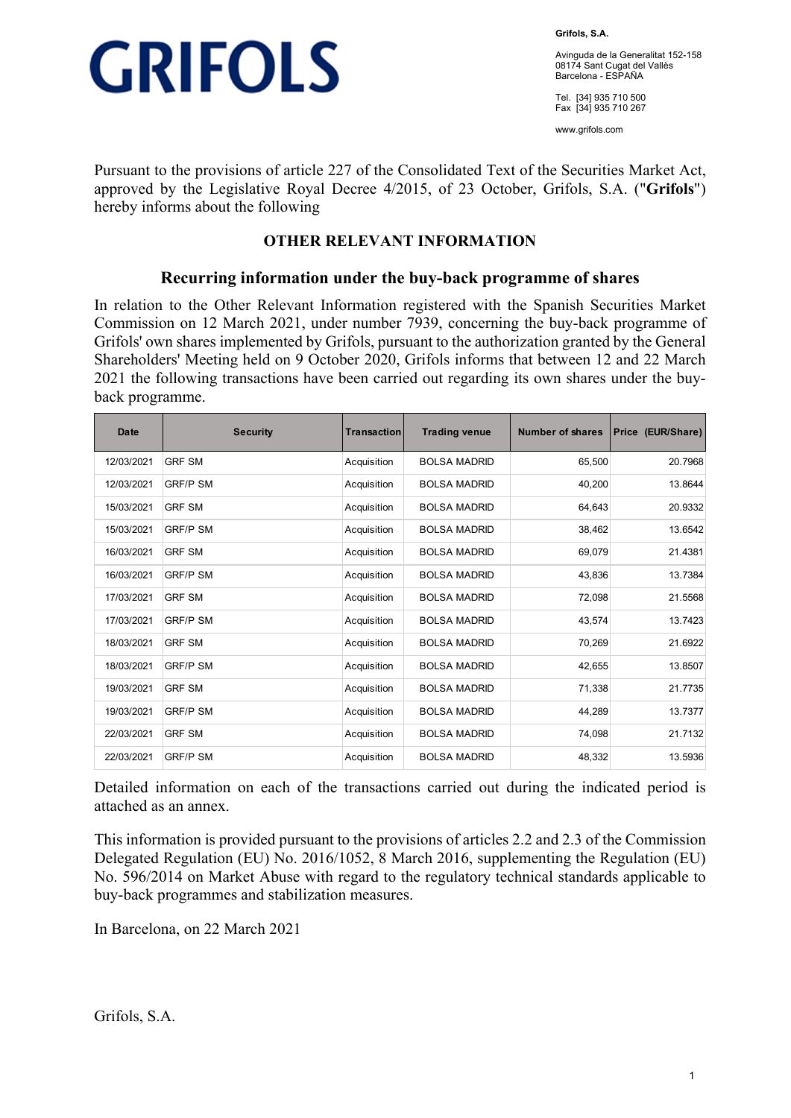

**Grifols, S.A.** 

Avinguda de la Generalitat 152-158 08174 Sant Cugat del Vallès Barcelona - ESPAÑA

Tel. [34] 935 710 500 Fax [34] 935 710 267

www.grifols.com

Pursuant to the provisions of article 227 of the Consolidated Text of the Securities Market Act, approved by the Legislative Royal Decree 4/2015, of 23 October, Grifols, S.A. ("**Grifols**") hereby informs about the following

## **OTHER RELEVANT INFORMATION**

### **Recurring information under the buy-back programme of shares**

In relation to the Other Relevant Information registered with the Spanish Securities Market Commission on 12 March 2021, under number 7939, concerning the buy-back programme of Grifols' own shares implemented by Grifols, pursuant to the authorization granted by the General Shareholders' Meeting held on 9 October 2020, Grifols informs that between 12 and 22 March 2021 the following transactions have been carried out regarding its own shares under the buyback programme.

| <b>Date</b> | <b>Security</b> | Transaction | <b>Trading venue</b> | <b>Number of shares</b> | Price (EUR/Share) |
|-------------|-----------------|-------------|----------------------|-------------------------|-------------------|
| 12/03/2021  | <b>GRF SM</b>   | Acquisition | <b>BOLSA MADRID</b>  | 65.500                  | 20.7968           |
| 12/03/2021  | <b>GRF/P SM</b> | Acquisition | <b>BOLSA MADRID</b>  | 40,200                  | 13.8644           |
| 15/03/2021  | <b>GRF SM</b>   | Acquisition | <b>BOLSA MADRID</b>  | 64,643                  | 20.9332           |
| 15/03/2021  | <b>GRF/P SM</b> | Acquisition | <b>BOLSA MADRID</b>  | 38,462                  | 13.6542           |
| 16/03/2021  | <b>GRF SM</b>   | Acquisition | <b>BOLSA MADRID</b>  | 69,079                  | 21.4381           |
| 16/03/2021  | <b>GRF/P SM</b> | Acquisition | <b>BOLSA MADRID</b>  | 43.836                  | 13.7384           |
| 17/03/2021  | <b>GRF SM</b>   | Acquisition | <b>BOLSA MADRID</b>  | 72,098                  | 21.5568           |
| 17/03/2021  | <b>GRF/P SM</b> | Acquisition | <b>BOLSA MADRID</b>  | 43,574                  | 13.7423           |
| 18/03/2021  | <b>GRF SM</b>   | Acquisition | <b>BOLSA MADRID</b>  | 70,269                  | 21.6922           |
| 18/03/2021  | <b>GRF/P SM</b> | Acquisition | <b>BOLSA MADRID</b>  | 42,655                  | 13.8507           |
| 19/03/2021  | <b>GRF SM</b>   | Acquisition | <b>BOLSA MADRID</b>  | 71,338                  | 21.7735           |
| 19/03/2021  | <b>GRF/P SM</b> | Acquisition | <b>BOLSA MADRID</b>  | 44,289                  | 13.7377           |
| 22/03/2021  | <b>GRF SM</b>   | Acquisition | <b>BOLSA MADRID</b>  | 74,098                  | 21.7132           |
| 22/03/2021  | <b>GRF/P SM</b> | Acquisition | <b>BOLSA MADRID</b>  | 48,332                  | 13.5936           |

Detailed information on each of the transactions carried out during the indicated period is attached as an annex.

This information is provided pursuant to the provisions of articles 2.2 and 2.3 of the Commission Delegated Regulation (EU) No. 2016/1052, 8 March 2016, supplementing the Regulation (EU) No. 596/2014 on Market Abuse with regard to the regulatory technical standards applicable to buy-back programmes and stabilization measures.

In Barcelona, on 22 March 2021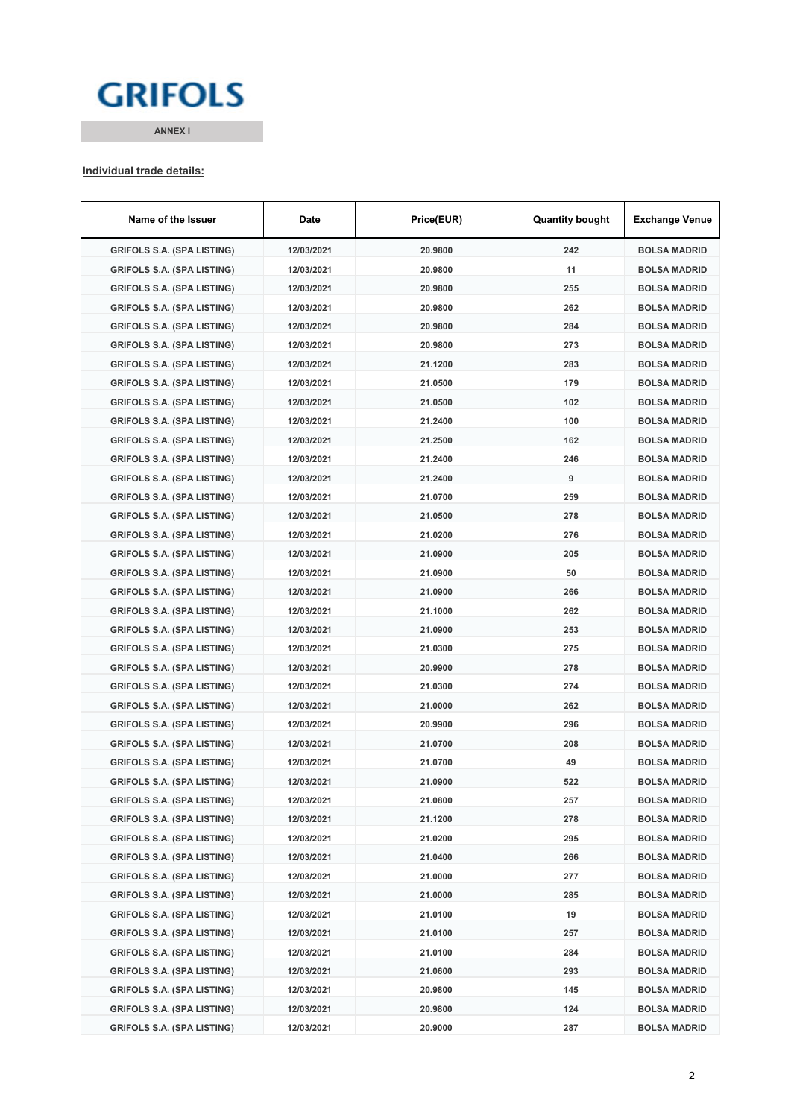# **GRIFOLS**

**ANNEX I**

### **Individual trade details:**

| Name of the Issuer                | Date       | Price(EUR) | <b>Quantity bought</b> | <b>Exchange Venue</b> |
|-----------------------------------|------------|------------|------------------------|-----------------------|
| <b>GRIFOLS S.A. (SPA LISTING)</b> | 12/03/2021 | 20.9800    | 242                    | <b>BOLSA MADRID</b>   |
| <b>GRIFOLS S.A. (SPA LISTING)</b> | 12/03/2021 | 20.9800    | 11                     | <b>BOLSA MADRID</b>   |
| <b>GRIFOLS S.A. (SPA LISTING)</b> | 12/03/2021 | 20.9800    | 255                    | <b>BOLSA MADRID</b>   |
| <b>GRIFOLS S.A. (SPA LISTING)</b> | 12/03/2021 | 20.9800    | 262                    | <b>BOLSA MADRID</b>   |
| <b>GRIFOLS S.A. (SPA LISTING)</b> | 12/03/2021 | 20.9800    | 284                    | <b>BOLSA MADRID</b>   |
| <b>GRIFOLS S.A. (SPA LISTING)</b> | 12/03/2021 | 20.9800    | 273                    | <b>BOLSA MADRID</b>   |
| <b>GRIFOLS S.A. (SPA LISTING)</b> | 12/03/2021 | 21.1200    | 283                    | <b>BOLSA MADRID</b>   |
| <b>GRIFOLS S.A. (SPA LISTING)</b> | 12/03/2021 | 21.0500    | 179                    | <b>BOLSA MADRID</b>   |
| <b>GRIFOLS S.A. (SPA LISTING)</b> | 12/03/2021 | 21.0500    | 102                    | <b>BOLSA MADRID</b>   |
| <b>GRIFOLS S.A. (SPA LISTING)</b> | 12/03/2021 | 21.2400    | 100                    | <b>BOLSA MADRID</b>   |
| <b>GRIFOLS S.A. (SPA LISTING)</b> | 12/03/2021 | 21.2500    | 162                    | <b>BOLSA MADRID</b>   |
| <b>GRIFOLS S.A. (SPA LISTING)</b> | 12/03/2021 | 21.2400    | 246                    | <b>BOLSA MADRID</b>   |
| <b>GRIFOLS S.A. (SPA LISTING)</b> | 12/03/2021 | 21.2400    | 9                      | <b>BOLSA MADRID</b>   |
| <b>GRIFOLS S.A. (SPA LISTING)</b> | 12/03/2021 | 21.0700    | 259                    | <b>BOLSA MADRID</b>   |
| <b>GRIFOLS S.A. (SPA LISTING)</b> | 12/03/2021 | 21.0500    | 278                    | <b>BOLSA MADRID</b>   |
| <b>GRIFOLS S.A. (SPA LISTING)</b> | 12/03/2021 | 21.0200    | 276                    | <b>BOLSA MADRID</b>   |
| <b>GRIFOLS S.A. (SPA LISTING)</b> | 12/03/2021 | 21.0900    | 205                    | <b>BOLSA MADRID</b>   |
| <b>GRIFOLS S.A. (SPA LISTING)</b> | 12/03/2021 | 21.0900    | 50                     | <b>BOLSA MADRID</b>   |
| <b>GRIFOLS S.A. (SPA LISTING)</b> | 12/03/2021 | 21.0900    | 266                    | <b>BOLSA MADRID</b>   |
| <b>GRIFOLS S.A. (SPA LISTING)</b> | 12/03/2021 | 21.1000    | 262                    | <b>BOLSA MADRID</b>   |
| <b>GRIFOLS S.A. (SPA LISTING)</b> | 12/03/2021 | 21.0900    | 253                    | <b>BOLSA MADRID</b>   |
| <b>GRIFOLS S.A. (SPA LISTING)</b> | 12/03/2021 | 21.0300    | 275                    | <b>BOLSA MADRID</b>   |
| <b>GRIFOLS S.A. (SPA LISTING)</b> | 12/03/2021 | 20.9900    | 278                    | <b>BOLSA MADRID</b>   |
| <b>GRIFOLS S.A. (SPA LISTING)</b> | 12/03/2021 | 21.0300    | 274                    | <b>BOLSA MADRID</b>   |
| <b>GRIFOLS S.A. (SPA LISTING)</b> | 12/03/2021 | 21.0000    | 262                    | <b>BOLSA MADRID</b>   |
| <b>GRIFOLS S.A. (SPA LISTING)</b> | 12/03/2021 | 20.9900    | 296                    | <b>BOLSA MADRID</b>   |
| <b>GRIFOLS S.A. (SPA LISTING)</b> | 12/03/2021 | 21.0700    | 208                    | <b>BOLSA MADRID</b>   |
| <b>GRIFOLS S.A. (SPA LISTING)</b> | 12/03/2021 | 21.0700    | 49                     | <b>BOLSA MADRID</b>   |
| GRIFOLS S.A. (SPA LISTING)        | 12/03/2021 | 21.0900    | 522                    | <b>BOLSA MADRID</b>   |
| <b>GRIFOLS S.A. (SPA LISTING)</b> | 12/03/2021 | 21.0800    | 257                    | <b>BOLSA MADRID</b>   |
| <b>GRIFOLS S.A. (SPA LISTING)</b> | 12/03/2021 | 21.1200    | 278                    | <b>BOLSA MADRID</b>   |
| <b>GRIFOLS S.A. (SPA LISTING)</b> | 12/03/2021 | 21.0200    | 295                    | <b>BOLSA MADRID</b>   |
| <b>GRIFOLS S.A. (SPA LISTING)</b> | 12/03/2021 | 21.0400    | 266                    | <b>BOLSA MADRID</b>   |
| <b>GRIFOLS S.A. (SPA LISTING)</b> | 12/03/2021 | 21.0000    | 277                    | <b>BOLSA MADRID</b>   |
| <b>GRIFOLS S.A. (SPA LISTING)</b> | 12/03/2021 | 21.0000    | 285                    | <b>BOLSA MADRID</b>   |
| <b>GRIFOLS S.A. (SPA LISTING)</b> | 12/03/2021 | 21.0100    | 19                     | <b>BOLSA MADRID</b>   |
| <b>GRIFOLS S.A. (SPA LISTING)</b> | 12/03/2021 | 21.0100    | 257                    | <b>BOLSA MADRID</b>   |
| <b>GRIFOLS S.A. (SPA LISTING)</b> | 12/03/2021 | 21.0100    | 284                    | <b>BOLSA MADRID</b>   |
| <b>GRIFOLS S.A. (SPA LISTING)</b> | 12/03/2021 | 21.0600    | 293                    | <b>BOLSA MADRID</b>   |
| <b>GRIFOLS S.A. (SPA LISTING)</b> | 12/03/2021 | 20.9800    | 145                    | <b>BOLSA MADRID</b>   |
| <b>GRIFOLS S.A. (SPA LISTING)</b> | 12/03/2021 | 20.9800    | 124                    | <b>BOLSA MADRID</b>   |
| <b>GRIFOLS S.A. (SPA LISTING)</b> | 12/03/2021 | 20.9000    | 287                    | <b>BOLSA MADRID</b>   |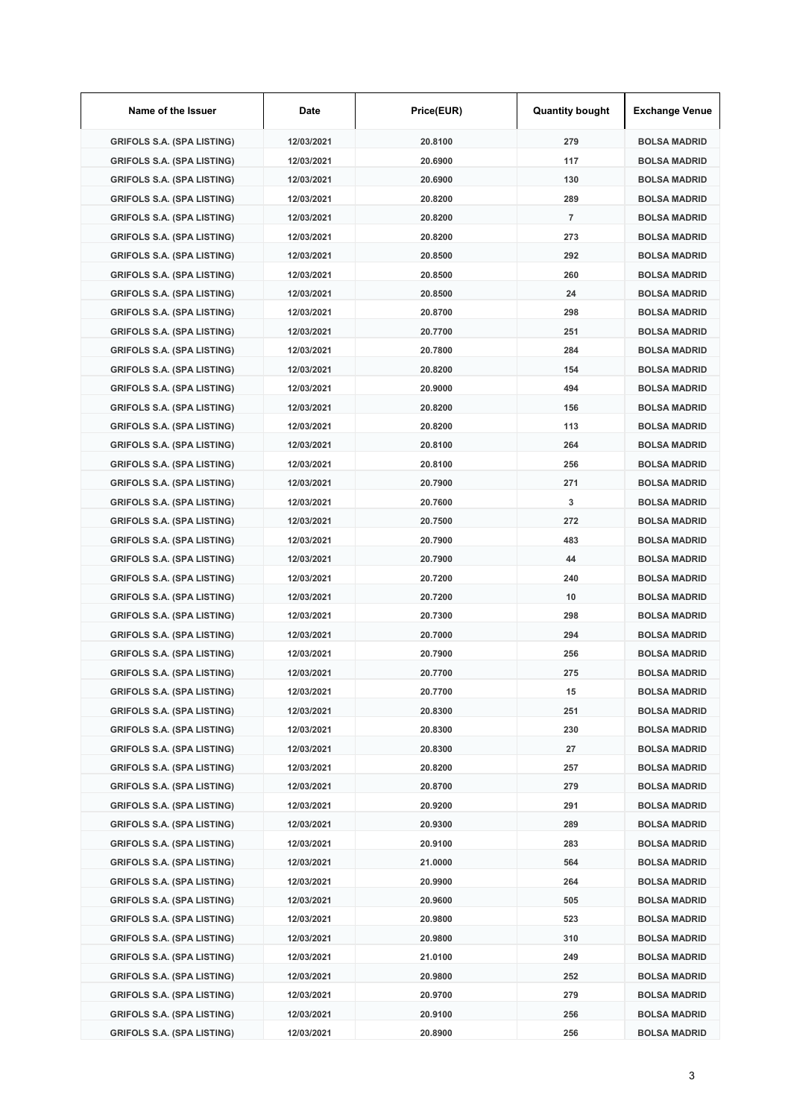| Name of the Issuer                | Date       | Price(EUR) | <b>Quantity bought</b> | <b>Exchange Venue</b> |
|-----------------------------------|------------|------------|------------------------|-----------------------|
| <b>GRIFOLS S.A. (SPA LISTING)</b> | 12/03/2021 | 20.8100    | 279                    | <b>BOLSA MADRID</b>   |
| <b>GRIFOLS S.A. (SPA LISTING)</b> | 12/03/2021 | 20.6900    | 117                    | <b>BOLSA MADRID</b>   |
| <b>GRIFOLS S.A. (SPA LISTING)</b> | 12/03/2021 | 20.6900    | 130                    | <b>BOLSA MADRID</b>   |
| <b>GRIFOLS S.A. (SPA LISTING)</b> | 12/03/2021 | 20.8200    | 289                    | <b>BOLSA MADRID</b>   |
| <b>GRIFOLS S.A. (SPA LISTING)</b> | 12/03/2021 | 20.8200    | $\overline{7}$         | <b>BOLSA MADRID</b>   |
| <b>GRIFOLS S.A. (SPA LISTING)</b> | 12/03/2021 | 20.8200    | 273                    | <b>BOLSA MADRID</b>   |
| <b>GRIFOLS S.A. (SPA LISTING)</b> | 12/03/2021 | 20.8500    | 292                    | <b>BOLSA MADRID</b>   |
| <b>GRIFOLS S.A. (SPA LISTING)</b> | 12/03/2021 | 20.8500    | 260                    | <b>BOLSA MADRID</b>   |
| <b>GRIFOLS S.A. (SPA LISTING)</b> | 12/03/2021 | 20.8500    | 24                     | <b>BOLSA MADRID</b>   |
| <b>GRIFOLS S.A. (SPA LISTING)</b> | 12/03/2021 | 20.8700    | 298                    | <b>BOLSA MADRID</b>   |
| <b>GRIFOLS S.A. (SPA LISTING)</b> | 12/03/2021 | 20.7700    | 251                    | <b>BOLSA MADRID</b>   |
| <b>GRIFOLS S.A. (SPA LISTING)</b> | 12/03/2021 | 20.7800    | 284                    | <b>BOLSA MADRID</b>   |
| <b>GRIFOLS S.A. (SPA LISTING)</b> | 12/03/2021 | 20.8200    | 154                    | <b>BOLSA MADRID</b>   |
| <b>GRIFOLS S.A. (SPA LISTING)</b> | 12/03/2021 | 20.9000    | 494                    | <b>BOLSA MADRID</b>   |
| <b>GRIFOLS S.A. (SPA LISTING)</b> | 12/03/2021 | 20.8200    | 156                    | <b>BOLSA MADRID</b>   |
| <b>GRIFOLS S.A. (SPA LISTING)</b> | 12/03/2021 | 20.8200    | 113                    | <b>BOLSA MADRID</b>   |
| <b>GRIFOLS S.A. (SPA LISTING)</b> | 12/03/2021 | 20.8100    | 264                    | <b>BOLSA MADRID</b>   |
| <b>GRIFOLS S.A. (SPA LISTING)</b> | 12/03/2021 | 20.8100    | 256                    | <b>BOLSA MADRID</b>   |
| <b>GRIFOLS S.A. (SPA LISTING)</b> | 12/03/2021 | 20.7900    | 271                    | <b>BOLSA MADRID</b>   |
| <b>GRIFOLS S.A. (SPA LISTING)</b> | 12/03/2021 | 20.7600    | 3                      | <b>BOLSA MADRID</b>   |
| <b>GRIFOLS S.A. (SPA LISTING)</b> | 12/03/2021 | 20.7500    | 272                    | <b>BOLSA MADRID</b>   |
| <b>GRIFOLS S.A. (SPA LISTING)</b> | 12/03/2021 | 20.7900    | 483                    | <b>BOLSA MADRID</b>   |
| <b>GRIFOLS S.A. (SPA LISTING)</b> | 12/03/2021 | 20.7900    | 44                     | <b>BOLSA MADRID</b>   |
| <b>GRIFOLS S.A. (SPA LISTING)</b> | 12/03/2021 | 20.7200    | 240                    | <b>BOLSA MADRID</b>   |
| <b>GRIFOLS S.A. (SPA LISTING)</b> | 12/03/2021 | 20.7200    | 10                     | <b>BOLSA MADRID</b>   |
| <b>GRIFOLS S.A. (SPA LISTING)</b> | 12/03/2021 | 20.7300    | 298                    | <b>BOLSA MADRID</b>   |
| <b>GRIFOLS S.A. (SPA LISTING)</b> | 12/03/2021 | 20.7000    | 294                    | <b>BOLSA MADRID</b>   |
| <b>GRIFOLS S.A. (SPA LISTING)</b> | 12/03/2021 | 20.7900    | 256                    | <b>BOLSA MADRID</b>   |
| <b>GRIFOLS S.A. (SPA LISTING)</b> | 12/03/2021 | 20.7700    | 275                    | <b>BOLSA MADRID</b>   |
| <b>GRIFOLS S.A. (SPA LISTING)</b> | 12/03/2021 | 20.7700    | 15                     | <b>BOLSA MADRID</b>   |
| <b>GRIFOLS S.A. (SPA LISTING)</b> | 12/03/2021 | 20.8300    | 251                    | <b>BOLSA MADRID</b>   |
| <b>GRIFOLS S.A. (SPA LISTING)</b> | 12/03/2021 | 20.8300    | 230                    | <b>BOLSA MADRID</b>   |
| <b>GRIFOLS S.A. (SPA LISTING)</b> | 12/03/2021 | 20.8300    | 27                     | <b>BOLSA MADRID</b>   |
| <b>GRIFOLS S.A. (SPA LISTING)</b> | 12/03/2021 | 20.8200    | 257                    | <b>BOLSA MADRID</b>   |
| <b>GRIFOLS S.A. (SPA LISTING)</b> | 12/03/2021 | 20.8700    | 279                    | <b>BOLSA MADRID</b>   |
| <b>GRIFOLS S.A. (SPA LISTING)</b> | 12/03/2021 | 20.9200    | 291                    | <b>BOLSA MADRID</b>   |
| <b>GRIFOLS S.A. (SPA LISTING)</b> | 12/03/2021 | 20.9300    | 289                    | <b>BOLSA MADRID</b>   |
| <b>GRIFOLS S.A. (SPA LISTING)</b> | 12/03/2021 | 20.9100    | 283                    | <b>BOLSA MADRID</b>   |
| <b>GRIFOLS S.A. (SPA LISTING)</b> | 12/03/2021 | 21.0000    | 564                    | <b>BOLSA MADRID</b>   |
| <b>GRIFOLS S.A. (SPA LISTING)</b> | 12/03/2021 | 20.9900    | 264                    | <b>BOLSA MADRID</b>   |
| <b>GRIFOLS S.A. (SPA LISTING)</b> | 12/03/2021 | 20.9600    | 505                    | <b>BOLSA MADRID</b>   |
| <b>GRIFOLS S.A. (SPA LISTING)</b> | 12/03/2021 | 20.9800    | 523                    | <b>BOLSA MADRID</b>   |
| <b>GRIFOLS S.A. (SPA LISTING)</b> | 12/03/2021 | 20.9800    | 310                    | <b>BOLSA MADRID</b>   |
| <b>GRIFOLS S.A. (SPA LISTING)</b> | 12/03/2021 | 21.0100    | 249                    | <b>BOLSA MADRID</b>   |
| <b>GRIFOLS S.A. (SPA LISTING)</b> | 12/03/2021 | 20.9800    | 252                    | <b>BOLSA MADRID</b>   |
| <b>GRIFOLS S.A. (SPA LISTING)</b> | 12/03/2021 | 20.9700    | 279                    | <b>BOLSA MADRID</b>   |
| <b>GRIFOLS S.A. (SPA LISTING)</b> | 12/03/2021 | 20.9100    | 256                    | <b>BOLSA MADRID</b>   |
| <b>GRIFOLS S.A. (SPA LISTING)</b> | 12/03/2021 | 20.8900    | 256                    | <b>BOLSA MADRID</b>   |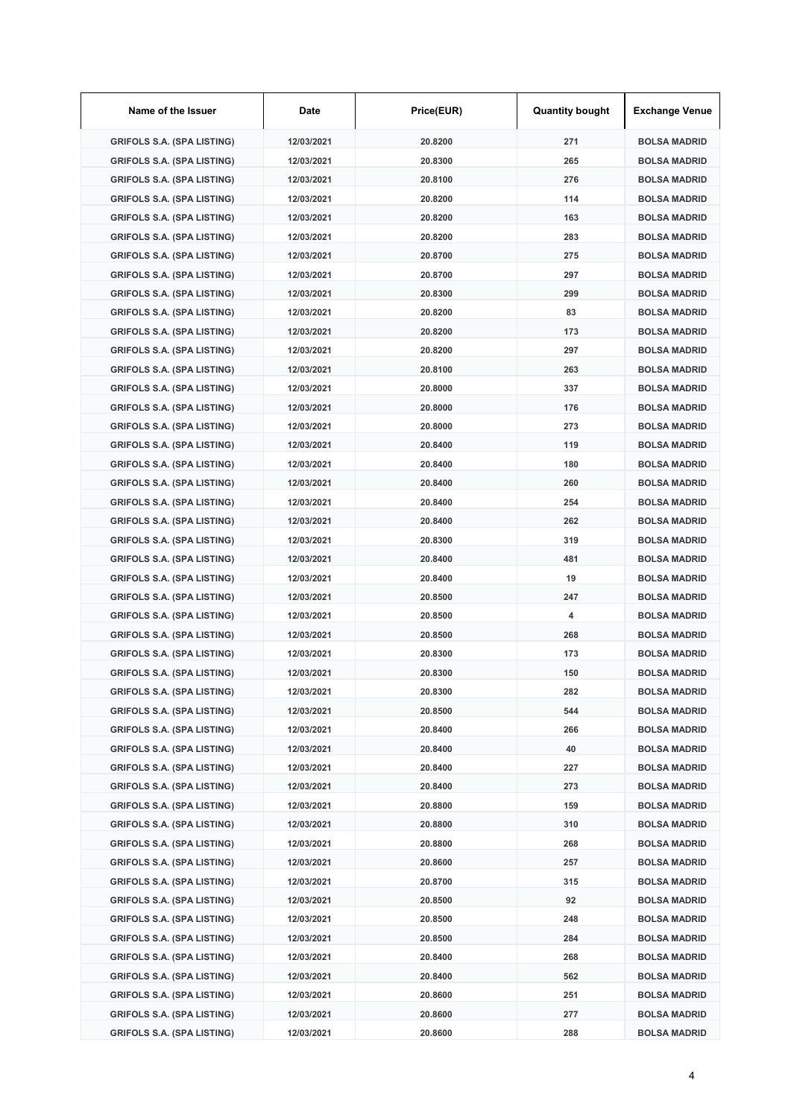| Name of the Issuer                | Date       | Price(EUR) | <b>Quantity bought</b> | <b>Exchange Venue</b> |
|-----------------------------------|------------|------------|------------------------|-----------------------|
| <b>GRIFOLS S.A. (SPA LISTING)</b> | 12/03/2021 | 20.8200    | 271                    | <b>BOLSA MADRID</b>   |
| <b>GRIFOLS S.A. (SPA LISTING)</b> | 12/03/2021 | 20.8300    | 265                    | <b>BOLSA MADRID</b>   |
| <b>GRIFOLS S.A. (SPA LISTING)</b> | 12/03/2021 | 20.8100    | 276                    | <b>BOLSA MADRID</b>   |
| <b>GRIFOLS S.A. (SPA LISTING)</b> | 12/03/2021 | 20.8200    | 114                    | <b>BOLSA MADRID</b>   |
| <b>GRIFOLS S.A. (SPA LISTING)</b> | 12/03/2021 | 20.8200    | 163                    | <b>BOLSA MADRID</b>   |
| <b>GRIFOLS S.A. (SPA LISTING)</b> | 12/03/2021 | 20.8200    | 283                    | <b>BOLSA MADRID</b>   |
| <b>GRIFOLS S.A. (SPA LISTING)</b> | 12/03/2021 | 20.8700    | 275                    | <b>BOLSA MADRID</b>   |
| <b>GRIFOLS S.A. (SPA LISTING)</b> | 12/03/2021 | 20.8700    | 297                    | <b>BOLSA MADRID</b>   |
| <b>GRIFOLS S.A. (SPA LISTING)</b> | 12/03/2021 | 20.8300    | 299                    | <b>BOLSA MADRID</b>   |
| <b>GRIFOLS S.A. (SPA LISTING)</b> | 12/03/2021 | 20.8200    | 83                     | <b>BOLSA MADRID</b>   |
| <b>GRIFOLS S.A. (SPA LISTING)</b> | 12/03/2021 | 20.8200    | 173                    | <b>BOLSA MADRID</b>   |
| <b>GRIFOLS S.A. (SPA LISTING)</b> | 12/03/2021 | 20.8200    | 297                    | <b>BOLSA MADRID</b>   |
| <b>GRIFOLS S.A. (SPA LISTING)</b> | 12/03/2021 | 20.8100    | 263                    | <b>BOLSA MADRID</b>   |
| <b>GRIFOLS S.A. (SPA LISTING)</b> | 12/03/2021 | 20,8000    | 337                    | <b>BOLSA MADRID</b>   |
| <b>GRIFOLS S.A. (SPA LISTING)</b> | 12/03/2021 | 20.8000    | 176                    | <b>BOLSA MADRID</b>   |
| <b>GRIFOLS S.A. (SPA LISTING)</b> | 12/03/2021 | 20.8000    | 273                    | <b>BOLSA MADRID</b>   |
| <b>GRIFOLS S.A. (SPA LISTING)</b> | 12/03/2021 | 20.8400    | 119                    | <b>BOLSA MADRID</b>   |
| <b>GRIFOLS S.A. (SPA LISTING)</b> | 12/03/2021 | 20.8400    | 180                    | <b>BOLSA MADRID</b>   |
| <b>GRIFOLS S.A. (SPA LISTING)</b> | 12/03/2021 | 20.8400    | 260                    | <b>BOLSA MADRID</b>   |
| <b>GRIFOLS S.A. (SPA LISTING)</b> | 12/03/2021 | 20.8400    | 254                    | <b>BOLSA MADRID</b>   |
| <b>GRIFOLS S.A. (SPA LISTING)</b> | 12/03/2021 | 20.8400    | 262                    | <b>BOLSA MADRID</b>   |
| <b>GRIFOLS S.A. (SPA LISTING)</b> | 12/03/2021 | 20.8300    | 319                    | <b>BOLSA MADRID</b>   |
| <b>GRIFOLS S.A. (SPA LISTING)</b> | 12/03/2021 | 20.8400    | 481                    | <b>BOLSA MADRID</b>   |
| <b>GRIFOLS S.A. (SPA LISTING)</b> | 12/03/2021 | 20.8400    | 19                     | <b>BOLSA MADRID</b>   |
| <b>GRIFOLS S.A. (SPA LISTING)</b> | 12/03/2021 | 20.8500    | 247                    | <b>BOLSA MADRID</b>   |
| <b>GRIFOLS S.A. (SPA LISTING)</b> | 12/03/2021 | 20.8500    | 4                      | <b>BOLSA MADRID</b>   |
| <b>GRIFOLS S.A. (SPA LISTING)</b> | 12/03/2021 | 20.8500    | 268                    | <b>BOLSA MADRID</b>   |
| <b>GRIFOLS S.A. (SPA LISTING)</b> | 12/03/2021 | 20.8300    | 173                    | <b>BOLSA MADRID</b>   |
| <b>GRIFOLS S.A. (SPA LISTING)</b> | 12/03/2021 | 20.8300    | 150                    | <b>BOLSA MADRID</b>   |
| <b>GRIFOLS S.A. (SPA LISTING)</b> | 12/03/2021 | 20.8300    | 282                    | <b>BOLSA MADRID</b>   |
| <b>GRIFOLS S.A. (SPA LISTING)</b> | 12/03/2021 | 20.8500    | 544                    | <b>BOLSA MADRID</b>   |
| <b>GRIFOLS S.A. (SPA LISTING)</b> | 12/03/2021 | 20.8400    | 266                    | <b>BOLSA MADRID</b>   |
| <b>GRIFOLS S.A. (SPA LISTING)</b> | 12/03/2021 | 20.8400    | 40                     | <b>BOLSA MADRID</b>   |
| <b>GRIFOLS S.A. (SPA LISTING)</b> | 12/03/2021 | 20.8400    | 227                    | <b>BOLSA MADRID</b>   |
| <b>GRIFOLS S.A. (SPA LISTING)</b> | 12/03/2021 | 20.8400    | 273                    | <b>BOLSA MADRID</b>   |
| <b>GRIFOLS S.A. (SPA LISTING)</b> | 12/03/2021 | 20.8800    | 159                    | <b>BOLSA MADRID</b>   |
| <b>GRIFOLS S.A. (SPA LISTING)</b> | 12/03/2021 | 20.8800    | 310                    | <b>BOLSA MADRID</b>   |
| <b>GRIFOLS S.A. (SPA LISTING)</b> | 12/03/2021 | 20.8800    | 268                    | <b>BOLSA MADRID</b>   |
| <b>GRIFOLS S.A. (SPA LISTING)</b> | 12/03/2021 | 20.8600    | 257                    | <b>BOLSA MADRID</b>   |
| <b>GRIFOLS S.A. (SPA LISTING)</b> | 12/03/2021 | 20.8700    | 315                    | <b>BOLSA MADRID</b>   |
| <b>GRIFOLS S.A. (SPA LISTING)</b> | 12/03/2021 | 20.8500    | 92                     | <b>BOLSA MADRID</b>   |
| <b>GRIFOLS S.A. (SPA LISTING)</b> | 12/03/2021 | 20.8500    | 248                    | <b>BOLSA MADRID</b>   |
| <b>GRIFOLS S.A. (SPA LISTING)</b> | 12/03/2021 | 20.8500    | 284                    | <b>BOLSA MADRID</b>   |
| <b>GRIFOLS S.A. (SPA LISTING)</b> | 12/03/2021 | 20.8400    | 268                    | <b>BOLSA MADRID</b>   |
| <b>GRIFOLS S.A. (SPA LISTING)</b> | 12/03/2021 | 20.8400    | 562                    | <b>BOLSA MADRID</b>   |
| <b>GRIFOLS S.A. (SPA LISTING)</b> | 12/03/2021 | 20.8600    | 251                    | <b>BOLSA MADRID</b>   |
| <b>GRIFOLS S.A. (SPA LISTING)</b> | 12/03/2021 | 20.8600    | 277                    | <b>BOLSA MADRID</b>   |
| <b>GRIFOLS S.A. (SPA LISTING)</b> | 12/03/2021 | 20.8600    | 288                    | <b>BOLSA MADRID</b>   |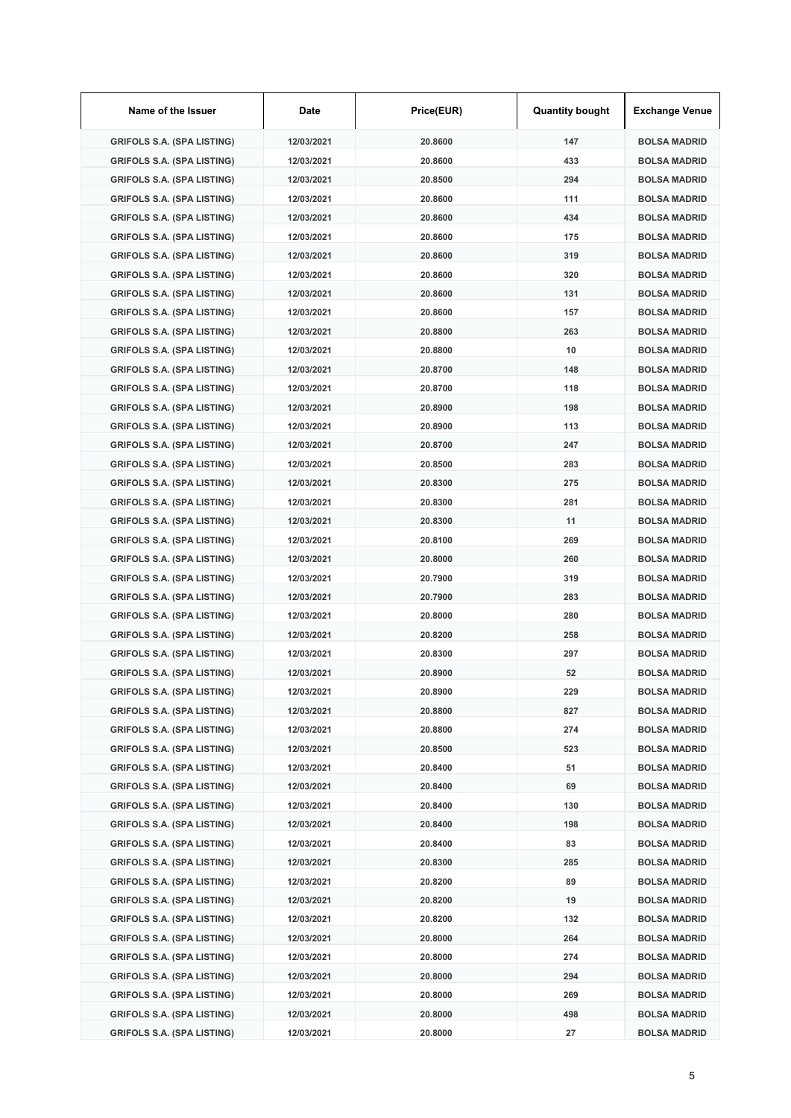| Name of the Issuer                | Date       | Price(EUR) | <b>Quantity bought</b> | <b>Exchange Venue</b> |
|-----------------------------------|------------|------------|------------------------|-----------------------|
| <b>GRIFOLS S.A. (SPA LISTING)</b> | 12/03/2021 | 20.8600    | 147                    | <b>BOLSA MADRID</b>   |
| <b>GRIFOLS S.A. (SPA LISTING)</b> | 12/03/2021 | 20.8600    | 433                    | <b>BOLSA MADRID</b>   |
| <b>GRIFOLS S.A. (SPA LISTING)</b> | 12/03/2021 | 20.8500    | 294                    | <b>BOLSA MADRID</b>   |
| <b>GRIFOLS S.A. (SPA LISTING)</b> | 12/03/2021 | 20.8600    | 111                    | <b>BOLSA MADRID</b>   |
| <b>GRIFOLS S.A. (SPA LISTING)</b> | 12/03/2021 | 20.8600    | 434                    | <b>BOLSA MADRID</b>   |
| <b>GRIFOLS S.A. (SPA LISTING)</b> | 12/03/2021 | 20.8600    | 175                    | <b>BOLSA MADRID</b>   |
| <b>GRIFOLS S.A. (SPA LISTING)</b> | 12/03/2021 | 20.8600    | 319                    | <b>BOLSA MADRID</b>   |
| <b>GRIFOLS S.A. (SPA LISTING)</b> | 12/03/2021 | 20.8600    | 320                    | <b>BOLSA MADRID</b>   |
| <b>GRIFOLS S.A. (SPA LISTING)</b> | 12/03/2021 | 20.8600    | 131                    | <b>BOLSA MADRID</b>   |
| <b>GRIFOLS S.A. (SPA LISTING)</b> | 12/03/2021 | 20.8600    | 157                    | <b>BOLSA MADRID</b>   |
| <b>GRIFOLS S.A. (SPA LISTING)</b> | 12/03/2021 | 20.8800    | 263                    | <b>BOLSA MADRID</b>   |
| <b>GRIFOLS S.A. (SPA LISTING)</b> | 12/03/2021 | 20.8800    | 10                     | <b>BOLSA MADRID</b>   |
| <b>GRIFOLS S.A. (SPA LISTING)</b> | 12/03/2021 | 20.8700    | 148                    | <b>BOLSA MADRID</b>   |
| <b>GRIFOLS S.A. (SPA LISTING)</b> | 12/03/2021 | 20.8700    | 118                    | <b>BOLSA MADRID</b>   |
| <b>GRIFOLS S.A. (SPA LISTING)</b> | 12/03/2021 | 20.8900    | 198                    | <b>BOLSA MADRID</b>   |
| <b>GRIFOLS S.A. (SPA LISTING)</b> | 12/03/2021 | 20.8900    | 113                    | <b>BOLSA MADRID</b>   |
| <b>GRIFOLS S.A. (SPA LISTING)</b> | 12/03/2021 | 20.8700    | 247                    | <b>BOLSA MADRID</b>   |
| <b>GRIFOLS S.A. (SPA LISTING)</b> | 12/03/2021 | 20.8500    | 283                    | <b>BOLSA MADRID</b>   |
| <b>GRIFOLS S.A. (SPA LISTING)</b> | 12/03/2021 | 20.8300    | 275                    | <b>BOLSA MADRID</b>   |
| <b>GRIFOLS S.A. (SPA LISTING)</b> | 12/03/2021 | 20.8300    | 281                    | <b>BOLSA MADRID</b>   |
| <b>GRIFOLS S.A. (SPA LISTING)</b> | 12/03/2021 | 20.8300    | 11                     | <b>BOLSA MADRID</b>   |
| <b>GRIFOLS S.A. (SPA LISTING)</b> | 12/03/2021 | 20.8100    | 269                    | <b>BOLSA MADRID</b>   |
| <b>GRIFOLS S.A. (SPA LISTING)</b> | 12/03/2021 | 20.8000    | 260                    | <b>BOLSA MADRID</b>   |
| <b>GRIFOLS S.A. (SPA LISTING)</b> | 12/03/2021 | 20.7900    | 319                    | <b>BOLSA MADRID</b>   |
| <b>GRIFOLS S.A. (SPA LISTING)</b> | 12/03/2021 | 20.7900    | 283                    | <b>BOLSA MADRID</b>   |
| <b>GRIFOLS S.A. (SPA LISTING)</b> | 12/03/2021 | 20.8000    | 280                    | <b>BOLSA MADRID</b>   |
| <b>GRIFOLS S.A. (SPA LISTING)</b> | 12/03/2021 | 20.8200    | 258                    | <b>BOLSA MADRID</b>   |
| <b>GRIFOLS S.A. (SPA LISTING)</b> | 12/03/2021 | 20.8300    | 297                    | <b>BOLSA MADRID</b>   |
| <b>GRIFOLS S.A. (SPA LISTING)</b> | 12/03/2021 | 20.8900    | 52                     | <b>BOLSA MADRID</b>   |
| <b>GRIFOLS S.A. (SPA LISTING)</b> | 12/03/2021 | 20.8900    | 229                    | <b>BOLSA MADRID</b>   |
| <b>GRIFOLS S.A. (SPA LISTING)</b> | 12/03/2021 | 20.8800    | 827                    | <b>BOLSA MADRID</b>   |
| <b>GRIFOLS S.A. (SPA LISTING)</b> | 12/03/2021 | 20.8800    | 274                    | <b>BOLSA MADRID</b>   |
| <b>GRIFOLS S.A. (SPA LISTING)</b> | 12/03/2021 | 20.8500    | 523                    | <b>BOLSA MADRID</b>   |
| <b>GRIFOLS S.A. (SPA LISTING)</b> | 12/03/2021 | 20.8400    | 51                     | <b>BOLSA MADRID</b>   |
| <b>GRIFOLS S.A. (SPA LISTING)</b> | 12/03/2021 | 20.8400    | 69                     | <b>BOLSA MADRID</b>   |
| <b>GRIFOLS S.A. (SPA LISTING)</b> | 12/03/2021 | 20.8400    | 130                    | <b>BOLSA MADRID</b>   |
| <b>GRIFOLS S.A. (SPA LISTING)</b> | 12/03/2021 | 20.8400    | 198                    | <b>BOLSA MADRID</b>   |
| <b>GRIFOLS S.A. (SPA LISTING)</b> | 12/03/2021 | 20.8400    | 83                     | <b>BOLSA MADRID</b>   |
| <b>GRIFOLS S.A. (SPA LISTING)</b> | 12/03/2021 | 20.8300    | 285                    | <b>BOLSA MADRID</b>   |
| <b>GRIFOLS S.A. (SPA LISTING)</b> | 12/03/2021 | 20.8200    | 89                     | <b>BOLSA MADRID</b>   |
| <b>GRIFOLS S.A. (SPA LISTING)</b> | 12/03/2021 | 20.8200    | 19                     | <b>BOLSA MADRID</b>   |
| <b>GRIFOLS S.A. (SPA LISTING)</b> | 12/03/2021 | 20.8200    | 132                    | <b>BOLSA MADRID</b>   |
| <b>GRIFOLS S.A. (SPA LISTING)</b> | 12/03/2021 | 20.8000    | 264                    | <b>BOLSA MADRID</b>   |
| <b>GRIFOLS S.A. (SPA LISTING)</b> | 12/03/2021 | 20.8000    | 274                    | <b>BOLSA MADRID</b>   |
| <b>GRIFOLS S.A. (SPA LISTING)</b> | 12/03/2021 | 20.8000    | 294                    | <b>BOLSA MADRID</b>   |
| <b>GRIFOLS S.A. (SPA LISTING)</b> | 12/03/2021 | 20.8000    | 269                    | <b>BOLSA MADRID</b>   |
| <b>GRIFOLS S.A. (SPA LISTING)</b> | 12/03/2021 | 20.8000    | 498                    | <b>BOLSA MADRID</b>   |
| <b>GRIFOLS S.A. (SPA LISTING)</b> | 12/03/2021 | 20.8000    | 27                     | <b>BOLSA MADRID</b>   |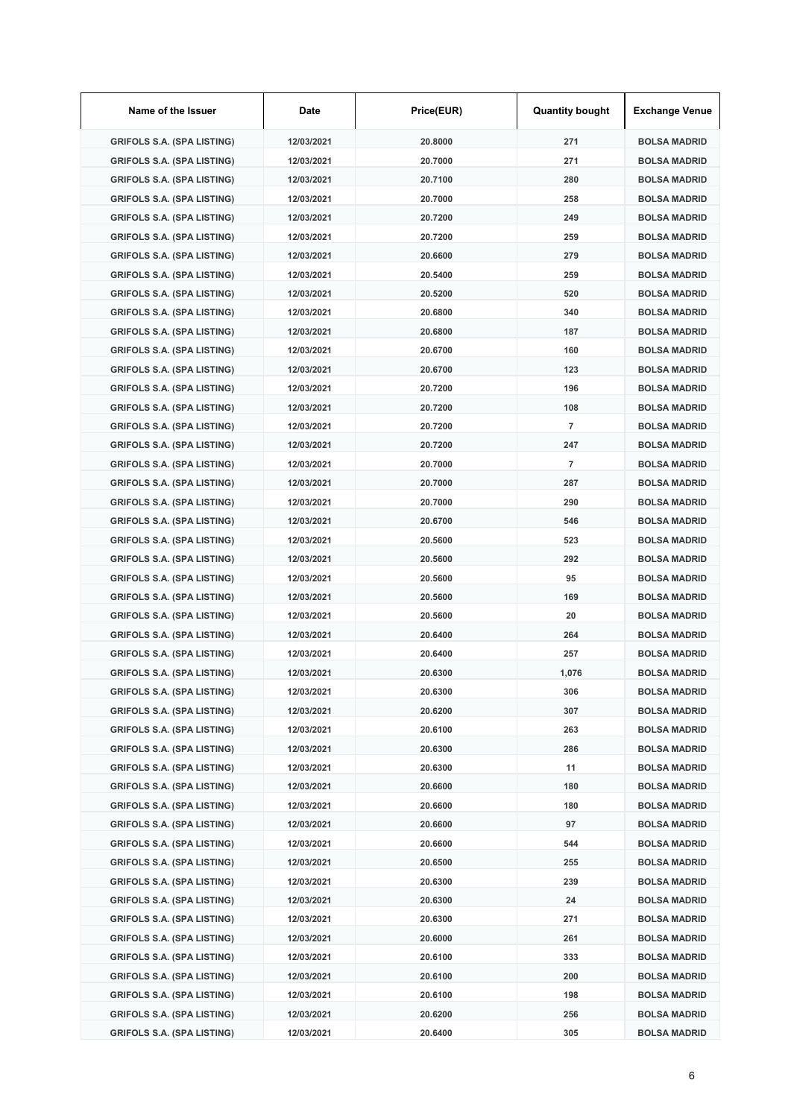| Name of the Issuer                | Date       | Price(EUR) | <b>Quantity bought</b> | <b>Exchange Venue</b> |
|-----------------------------------|------------|------------|------------------------|-----------------------|
| <b>GRIFOLS S.A. (SPA LISTING)</b> | 12/03/2021 | 20.8000    | 271                    | <b>BOLSA MADRID</b>   |
| <b>GRIFOLS S.A. (SPA LISTING)</b> | 12/03/2021 | 20.7000    | 271                    | <b>BOLSA MADRID</b>   |
| <b>GRIFOLS S.A. (SPA LISTING)</b> | 12/03/2021 | 20.7100    | 280                    | <b>BOLSA MADRID</b>   |
| <b>GRIFOLS S.A. (SPA LISTING)</b> | 12/03/2021 | 20.7000    | 258                    | <b>BOLSA MADRID</b>   |
| <b>GRIFOLS S.A. (SPA LISTING)</b> | 12/03/2021 | 20.7200    | 249                    | <b>BOLSA MADRID</b>   |
| <b>GRIFOLS S.A. (SPA LISTING)</b> | 12/03/2021 | 20.7200    | 259                    | <b>BOLSA MADRID</b>   |
| <b>GRIFOLS S.A. (SPA LISTING)</b> | 12/03/2021 | 20.6600    | 279                    | <b>BOLSA MADRID</b>   |
| <b>GRIFOLS S.A. (SPA LISTING)</b> | 12/03/2021 | 20.5400    | 259                    | <b>BOLSA MADRID</b>   |
| <b>GRIFOLS S.A. (SPA LISTING)</b> | 12/03/2021 | 20.5200    | 520                    | <b>BOLSA MADRID</b>   |
| <b>GRIFOLS S.A. (SPA LISTING)</b> | 12/03/2021 | 20.6800    | 340                    | <b>BOLSA MADRID</b>   |
| <b>GRIFOLS S.A. (SPA LISTING)</b> | 12/03/2021 | 20.6800    | 187                    | <b>BOLSA MADRID</b>   |
| <b>GRIFOLS S.A. (SPA LISTING)</b> | 12/03/2021 | 20.6700    | 160                    | <b>BOLSA MADRID</b>   |
| <b>GRIFOLS S.A. (SPA LISTING)</b> | 12/03/2021 | 20.6700    | 123                    | <b>BOLSA MADRID</b>   |
| <b>GRIFOLS S.A. (SPA LISTING)</b> | 12/03/2021 | 20.7200    | 196                    | <b>BOLSA MADRID</b>   |
| <b>GRIFOLS S.A. (SPA LISTING)</b> | 12/03/2021 | 20.7200    | 108                    | <b>BOLSA MADRID</b>   |
| <b>GRIFOLS S.A. (SPA LISTING)</b> | 12/03/2021 | 20.7200    | $\overline{7}$         | <b>BOLSA MADRID</b>   |
| <b>GRIFOLS S.A. (SPA LISTING)</b> | 12/03/2021 | 20.7200    | 247                    | <b>BOLSA MADRID</b>   |
| <b>GRIFOLS S.A. (SPA LISTING)</b> | 12/03/2021 | 20.7000    | $\overline{7}$         | <b>BOLSA MADRID</b>   |
| <b>GRIFOLS S.A. (SPA LISTING)</b> | 12/03/2021 | 20.7000    | 287                    | <b>BOLSA MADRID</b>   |
| <b>GRIFOLS S.A. (SPA LISTING)</b> | 12/03/2021 | 20.7000    | 290                    | <b>BOLSA MADRID</b>   |
| <b>GRIFOLS S.A. (SPA LISTING)</b> | 12/03/2021 | 20.6700    | 546                    | <b>BOLSA MADRID</b>   |
| <b>GRIFOLS S.A. (SPA LISTING)</b> | 12/03/2021 | 20.5600    | 523                    | <b>BOLSA MADRID</b>   |
| <b>GRIFOLS S.A. (SPA LISTING)</b> | 12/03/2021 | 20.5600    | 292                    | <b>BOLSA MADRID</b>   |
| <b>GRIFOLS S.A. (SPA LISTING)</b> | 12/03/2021 | 20.5600    | 95                     | <b>BOLSA MADRID</b>   |
| <b>GRIFOLS S.A. (SPA LISTING)</b> | 12/03/2021 | 20.5600    | 169                    | <b>BOLSA MADRID</b>   |
| <b>GRIFOLS S.A. (SPA LISTING)</b> | 12/03/2021 | 20.5600    | 20                     | <b>BOLSA MADRID</b>   |
| <b>GRIFOLS S.A. (SPA LISTING)</b> | 12/03/2021 | 20.6400    | 264                    | <b>BOLSA MADRID</b>   |
| <b>GRIFOLS S.A. (SPA LISTING)</b> | 12/03/2021 | 20.6400    | 257                    | <b>BOLSA MADRID</b>   |
| <b>GRIFOLS S.A. (SPA LISTING)</b> | 12/03/2021 | 20.6300    | 1,076                  | <b>BOLSA MADRID</b>   |
| <b>GRIFOLS S.A. (SPA LISTING)</b> | 12/03/2021 | 20.6300    | 306                    | <b>BOLSA MADRID</b>   |
| <b>GRIFOLS S.A. (SPA LISTING)</b> | 12/03/2021 | 20.6200    | 307                    | <b>BOLSA MADRID</b>   |
| <b>GRIFOLS S.A. (SPA LISTING)</b> | 12/03/2021 | 20.6100    | 263                    | <b>BOLSA MADRID</b>   |
| <b>GRIFOLS S.A. (SPA LISTING)</b> | 12/03/2021 | 20.6300    | 286                    | <b>BOLSA MADRID</b>   |
| <b>GRIFOLS S.A. (SPA LISTING)</b> | 12/03/2021 | 20.6300    | 11                     | <b>BOLSA MADRID</b>   |
| <b>GRIFOLS S.A. (SPA LISTING)</b> | 12/03/2021 | 20.6600    | 180                    | <b>BOLSA MADRID</b>   |
| <b>GRIFOLS S.A. (SPA LISTING)</b> | 12/03/2021 | 20.6600    | 180                    | <b>BOLSA MADRID</b>   |
| <b>GRIFOLS S.A. (SPA LISTING)</b> | 12/03/2021 | 20.6600    | 97                     | <b>BOLSA MADRID</b>   |
| <b>GRIFOLS S.A. (SPA LISTING)</b> | 12/03/2021 | 20.6600    | 544                    | <b>BOLSA MADRID</b>   |
| <b>GRIFOLS S.A. (SPA LISTING)</b> | 12/03/2021 | 20.6500    | 255                    | <b>BOLSA MADRID</b>   |
| <b>GRIFOLS S.A. (SPA LISTING)</b> | 12/03/2021 | 20.6300    | 239                    | <b>BOLSA MADRID</b>   |
| <b>GRIFOLS S.A. (SPA LISTING)</b> | 12/03/2021 | 20.6300    | 24                     | <b>BOLSA MADRID</b>   |
| <b>GRIFOLS S.A. (SPA LISTING)</b> | 12/03/2021 | 20.6300    | 271                    | <b>BOLSA MADRID</b>   |
| <b>GRIFOLS S.A. (SPA LISTING)</b> | 12/03/2021 | 20.6000    | 261                    | <b>BOLSA MADRID</b>   |
| <b>GRIFOLS S.A. (SPA LISTING)</b> | 12/03/2021 | 20.6100    | 333                    | <b>BOLSA MADRID</b>   |
| <b>GRIFOLS S.A. (SPA LISTING)</b> | 12/03/2021 | 20.6100    | 200                    | <b>BOLSA MADRID</b>   |
| <b>GRIFOLS S.A. (SPA LISTING)</b> | 12/03/2021 | 20.6100    | 198                    | <b>BOLSA MADRID</b>   |
| <b>GRIFOLS S.A. (SPA LISTING)</b> | 12/03/2021 | 20.6200    | 256                    | <b>BOLSA MADRID</b>   |
| <b>GRIFOLS S.A. (SPA LISTING)</b> | 12/03/2021 | 20.6400    | 305                    | <b>BOLSA MADRID</b>   |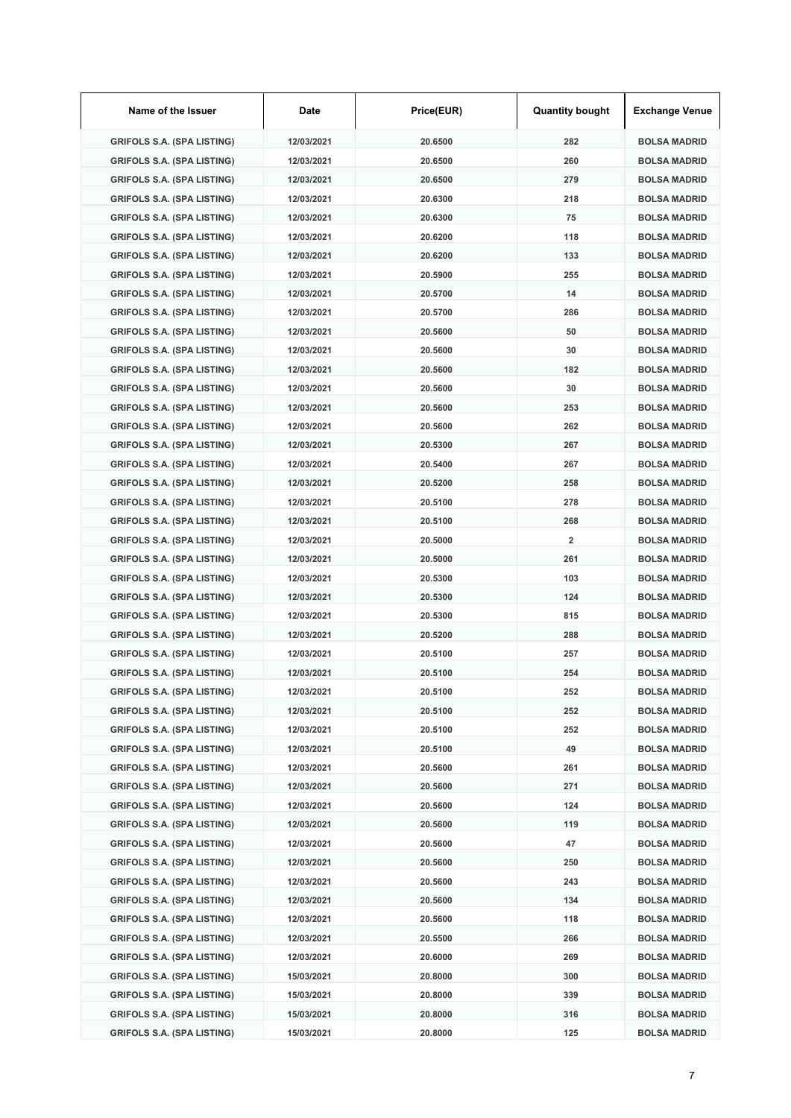| Name of the Issuer                | Date       | Price(EUR) | <b>Quantity bought</b>  | <b>Exchange Venue</b> |
|-----------------------------------|------------|------------|-------------------------|-----------------------|
| <b>GRIFOLS S.A. (SPA LISTING)</b> | 12/03/2021 | 20.6500    | 282                     | <b>BOLSA MADRID</b>   |
| <b>GRIFOLS S.A. (SPA LISTING)</b> | 12/03/2021 | 20.6500    | 260                     | <b>BOLSA MADRID</b>   |
| <b>GRIFOLS S.A. (SPA LISTING)</b> | 12/03/2021 | 20.6500    | 279                     | <b>BOLSA MADRID</b>   |
| <b>GRIFOLS S.A. (SPA LISTING)</b> | 12/03/2021 | 20.6300    | 218                     | <b>BOLSA MADRID</b>   |
| <b>GRIFOLS S.A. (SPA LISTING)</b> | 12/03/2021 | 20.6300    | 75                      | <b>BOLSA MADRID</b>   |
| <b>GRIFOLS S.A. (SPA LISTING)</b> | 12/03/2021 | 20.6200    | 118                     | <b>BOLSA MADRID</b>   |
| <b>GRIFOLS S.A. (SPA LISTING)</b> | 12/03/2021 | 20.6200    | 133                     | <b>BOLSA MADRID</b>   |
| <b>GRIFOLS S.A. (SPA LISTING)</b> | 12/03/2021 | 20.5900    | 255                     | <b>BOLSA MADRID</b>   |
| <b>GRIFOLS S.A. (SPA LISTING)</b> | 12/03/2021 | 20.5700    | 14                      | <b>BOLSA MADRID</b>   |
| <b>GRIFOLS S.A. (SPA LISTING)</b> | 12/03/2021 | 20.5700    | 286                     | <b>BOLSA MADRID</b>   |
| <b>GRIFOLS S.A. (SPA LISTING)</b> | 12/03/2021 | 20.5600    | 50                      | <b>BOLSA MADRID</b>   |
| <b>GRIFOLS S.A. (SPA LISTING)</b> | 12/03/2021 | 20.5600    | 30                      | <b>BOLSA MADRID</b>   |
| <b>GRIFOLS S.A. (SPA LISTING)</b> | 12/03/2021 | 20.5600    | 182                     | <b>BOLSA MADRID</b>   |
| <b>GRIFOLS S.A. (SPA LISTING)</b> | 12/03/2021 | 20.5600    | 30                      | <b>BOLSA MADRID</b>   |
| <b>GRIFOLS S.A. (SPA LISTING)</b> | 12/03/2021 | 20.5600    | 253                     | <b>BOLSA MADRID</b>   |
| <b>GRIFOLS S.A. (SPA LISTING)</b> | 12/03/2021 | 20.5600    | 262                     | <b>BOLSA MADRID</b>   |
| <b>GRIFOLS S.A. (SPA LISTING)</b> | 12/03/2021 | 20.5300    | 267                     | <b>BOLSA MADRID</b>   |
| <b>GRIFOLS S.A. (SPA LISTING)</b> | 12/03/2021 | 20.5400    | 267                     | <b>BOLSA MADRID</b>   |
| <b>GRIFOLS S.A. (SPA LISTING)</b> | 12/03/2021 | 20.5200    | 258                     | <b>BOLSA MADRID</b>   |
| <b>GRIFOLS S.A. (SPA LISTING)</b> | 12/03/2021 | 20.5100    | 278                     | <b>BOLSA MADRID</b>   |
| <b>GRIFOLS S.A. (SPA LISTING)</b> | 12/03/2021 | 20.5100    | 268                     | <b>BOLSA MADRID</b>   |
| <b>GRIFOLS S.A. (SPA LISTING)</b> | 12/03/2021 | 20.5000    | $\overline{\mathbf{2}}$ | <b>BOLSA MADRID</b>   |
| <b>GRIFOLS S.A. (SPA LISTING)</b> | 12/03/2021 | 20.5000    | 261                     | <b>BOLSA MADRID</b>   |
| <b>GRIFOLS S.A. (SPA LISTING)</b> | 12/03/2021 | 20.5300    | 103                     | <b>BOLSA MADRID</b>   |
| <b>GRIFOLS S.A. (SPA LISTING)</b> | 12/03/2021 | 20.5300    | 124                     | <b>BOLSA MADRID</b>   |
| <b>GRIFOLS S.A. (SPA LISTING)</b> | 12/03/2021 | 20.5300    | 815                     | <b>BOLSA MADRID</b>   |
| <b>GRIFOLS S.A. (SPA LISTING)</b> | 12/03/2021 | 20.5200    | 288                     | <b>BOLSA MADRID</b>   |
| <b>GRIFOLS S.A. (SPA LISTING)</b> | 12/03/2021 | 20.5100    | 257                     | <b>BOLSA MADRID</b>   |
| <b>GRIFOLS S.A. (SPA LISTING)</b> | 12/03/2021 | 20.5100    | 254                     | <b>BOLSA MADRID</b>   |
| <b>GRIFOLS S.A. (SPA LISTING)</b> | 12/03/2021 | 20.5100    | 252                     | <b>BOLSA MADRID</b>   |
| <b>GRIFOLS S.A. (SPA LISTING)</b> | 12/03/2021 | 20.5100    | 252                     | <b>BOLSA MADRID</b>   |
| <b>GRIFOLS S.A. (SPA LISTING)</b> | 12/03/2021 | 20.5100    | 252                     | <b>BOLSA MADRID</b>   |
| <b>GRIFOLS S.A. (SPA LISTING)</b> | 12/03/2021 | 20.5100    | 49                      | <b>BOLSA MADRID</b>   |
| <b>GRIFOLS S.A. (SPA LISTING)</b> | 12/03/2021 | 20.5600    | 261                     | <b>BOLSA MADRID</b>   |
| <b>GRIFOLS S.A. (SPA LISTING)</b> | 12/03/2021 | 20.5600    | 271                     | <b>BOLSA MADRID</b>   |
| <b>GRIFOLS S.A. (SPA LISTING)</b> | 12/03/2021 | 20.5600    | 124                     | <b>BOLSA MADRID</b>   |
| <b>GRIFOLS S.A. (SPA LISTING)</b> | 12/03/2021 | 20.5600    | 119                     | <b>BOLSA MADRID</b>   |
| <b>GRIFOLS S.A. (SPA LISTING)</b> | 12/03/2021 | 20.5600    | 47                      | <b>BOLSA MADRID</b>   |
| <b>GRIFOLS S.A. (SPA LISTING)</b> | 12/03/2021 | 20.5600    | 250                     | <b>BOLSA MADRID</b>   |
| <b>GRIFOLS S.A. (SPA LISTING)</b> | 12/03/2021 | 20.5600    | 243                     | <b>BOLSA MADRID</b>   |
| <b>GRIFOLS S.A. (SPA LISTING)</b> | 12/03/2021 | 20.5600    | 134                     | <b>BOLSA MADRID</b>   |
| <b>GRIFOLS S.A. (SPA LISTING)</b> | 12/03/2021 | 20.5600    | 118                     | <b>BOLSA MADRID</b>   |
| <b>GRIFOLS S.A. (SPA LISTING)</b> | 12/03/2021 | 20.5500    | 266                     | <b>BOLSA MADRID</b>   |
| <b>GRIFOLS S.A. (SPA LISTING)</b> | 12/03/2021 | 20.6000    | 269                     | <b>BOLSA MADRID</b>   |
| <b>GRIFOLS S.A. (SPA LISTING)</b> | 15/03/2021 | 20.8000    | 300                     | <b>BOLSA MADRID</b>   |
| <b>GRIFOLS S.A. (SPA LISTING)</b> | 15/03/2021 | 20.8000    | 339                     | <b>BOLSA MADRID</b>   |
| <b>GRIFOLS S.A. (SPA LISTING)</b> | 15/03/2021 | 20.8000    | 316                     | <b>BOLSA MADRID</b>   |
| <b>GRIFOLS S.A. (SPA LISTING)</b> | 15/03/2021 | 20.8000    | 125                     | <b>BOLSA MADRID</b>   |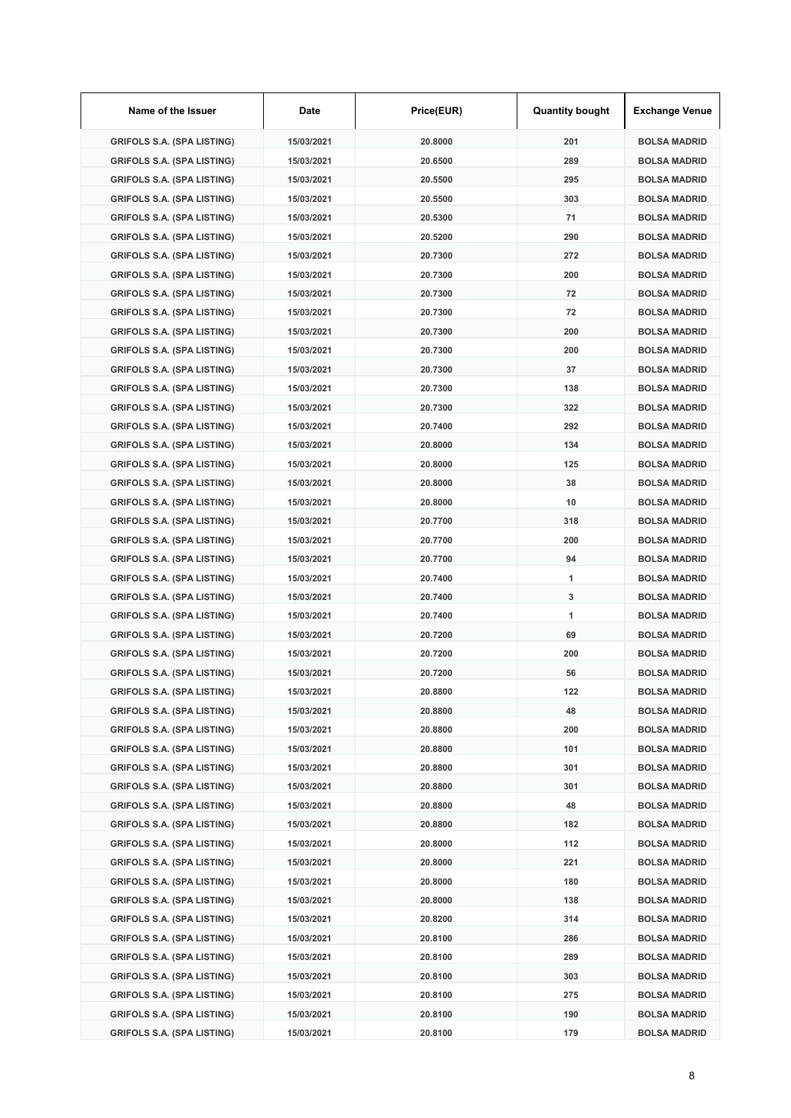| Name of the Issuer                | Date       | Price(EUR) | <b>Quantity bought</b> | <b>Exchange Venue</b> |
|-----------------------------------|------------|------------|------------------------|-----------------------|
| <b>GRIFOLS S.A. (SPA LISTING)</b> | 15/03/2021 | 20.8000    | 201                    | <b>BOLSA MADRID</b>   |
| <b>GRIFOLS S.A. (SPA LISTING)</b> | 15/03/2021 | 20.6500    | 289                    | <b>BOLSA MADRID</b>   |
| <b>GRIFOLS S.A. (SPA LISTING)</b> | 15/03/2021 | 20.5500    | 295                    | <b>BOLSA MADRID</b>   |
| <b>GRIFOLS S.A. (SPA LISTING)</b> | 15/03/2021 | 20.5500    | 303                    | <b>BOLSA MADRID</b>   |
| <b>GRIFOLS S.A. (SPA LISTING)</b> | 15/03/2021 | 20.5300    | 71                     | <b>BOLSA MADRID</b>   |
| <b>GRIFOLS S.A. (SPA LISTING)</b> | 15/03/2021 | 20.5200    | 290                    | <b>BOLSA MADRID</b>   |
| <b>GRIFOLS S.A. (SPA LISTING)</b> | 15/03/2021 | 20.7300    | 272                    | <b>BOLSA MADRID</b>   |
| <b>GRIFOLS S.A. (SPA LISTING)</b> | 15/03/2021 | 20.7300    | 200                    | <b>BOLSA MADRID</b>   |
| <b>GRIFOLS S.A. (SPA LISTING)</b> | 15/03/2021 | 20.7300    | 72                     | <b>BOLSA MADRID</b>   |
| <b>GRIFOLS S.A. (SPA LISTING)</b> | 15/03/2021 | 20.7300    | 72                     | <b>BOLSA MADRID</b>   |
| <b>GRIFOLS S.A. (SPA LISTING)</b> | 15/03/2021 | 20.7300    | 200                    | <b>BOLSA MADRID</b>   |
| <b>GRIFOLS S.A. (SPA LISTING)</b> | 15/03/2021 | 20.7300    | 200                    | <b>BOLSA MADRID</b>   |
| <b>GRIFOLS S.A. (SPA LISTING)</b> | 15/03/2021 | 20.7300    | 37                     | <b>BOLSA MADRID</b>   |
| <b>GRIFOLS S.A. (SPA LISTING)</b> | 15/03/2021 | 20.7300    | 138                    | <b>BOLSA MADRID</b>   |
| <b>GRIFOLS S.A. (SPA LISTING)</b> | 15/03/2021 | 20.7300    | 322                    | <b>BOLSA MADRID</b>   |
| <b>GRIFOLS S.A. (SPA LISTING)</b> | 15/03/2021 | 20.7400    | 292                    | <b>BOLSA MADRID</b>   |
| <b>GRIFOLS S.A. (SPA LISTING)</b> | 15/03/2021 | 20.8000    | 134                    | <b>BOLSA MADRID</b>   |
| <b>GRIFOLS S.A. (SPA LISTING)</b> | 15/03/2021 | 20.8000    | 125                    | <b>BOLSA MADRID</b>   |
| <b>GRIFOLS S.A. (SPA LISTING)</b> | 15/03/2021 | 20.8000    | 38                     | <b>BOLSA MADRID</b>   |
| <b>GRIFOLS S.A. (SPA LISTING)</b> | 15/03/2021 | 20.8000    | 10                     | <b>BOLSA MADRID</b>   |
| <b>GRIFOLS S.A. (SPA LISTING)</b> | 15/03/2021 | 20.7700    | 318                    | <b>BOLSA MADRID</b>   |
| <b>GRIFOLS S.A. (SPA LISTING)</b> | 15/03/2021 | 20.7700    | 200                    | <b>BOLSA MADRID</b>   |
| <b>GRIFOLS S.A. (SPA LISTING)</b> | 15/03/2021 | 20.7700    | 94                     | <b>BOLSA MADRID</b>   |
| <b>GRIFOLS S.A. (SPA LISTING)</b> | 15/03/2021 | 20.7400    | 1                      | <b>BOLSA MADRID</b>   |
| <b>GRIFOLS S.A. (SPA LISTING)</b> | 15/03/2021 | 20.7400    | 3                      | <b>BOLSA MADRID</b>   |
| <b>GRIFOLS S.A. (SPA LISTING)</b> | 15/03/2021 | 20.7400    | 1                      | <b>BOLSA MADRID</b>   |
| <b>GRIFOLS S.A. (SPA LISTING)</b> | 15/03/2021 | 20.7200    | 69                     | <b>BOLSA MADRID</b>   |
| <b>GRIFOLS S.A. (SPA LISTING)</b> | 15/03/2021 | 20.7200    | 200                    | <b>BOLSA MADRID</b>   |
| <b>GRIFOLS S.A. (SPA LISTING)</b> | 15/03/2021 | 20.7200    | 56                     | <b>BOLSA MADRID</b>   |
| <b>GRIFOLS S.A. (SPA LISTING)</b> | 15/03/2021 | 20.8800    | 122                    | <b>BOLSA MADRID</b>   |
| <b>GRIFOLS S.A. (SPA LISTING)</b> | 15/03/2021 | 20.8800    | 48                     | <b>BOLSA MADRID</b>   |
| <b>GRIFOLS S.A. (SPA LISTING)</b> | 15/03/2021 | 20.8800    | 200                    | <b>BOLSA MADRID</b>   |
| <b>GRIFOLS S.A. (SPA LISTING)</b> | 15/03/2021 | 20.8800    | 101                    | <b>BOLSA MADRID</b>   |
| <b>GRIFOLS S.A. (SPA LISTING)</b> | 15/03/2021 | 20.8800    | 301                    | <b>BOLSA MADRID</b>   |
| <b>GRIFOLS S.A. (SPA LISTING)</b> | 15/03/2021 | 20.8800    | 301                    | <b>BOLSA MADRID</b>   |
| <b>GRIFOLS S.A. (SPA LISTING)</b> | 15/03/2021 | 20.8800    | 48                     | <b>BOLSA MADRID</b>   |
| <b>GRIFOLS S.A. (SPA LISTING)</b> | 15/03/2021 | 20.8800    | 182                    | <b>BOLSA MADRID</b>   |
| <b>GRIFOLS S.A. (SPA LISTING)</b> | 15/03/2021 | 20.8000    | 112                    | <b>BOLSA MADRID</b>   |
| <b>GRIFOLS S.A. (SPA LISTING)</b> | 15/03/2021 | 20.8000    | 221                    | <b>BOLSA MADRID</b>   |
| <b>GRIFOLS S.A. (SPA LISTING)</b> | 15/03/2021 | 20.8000    | 180                    | <b>BOLSA MADRID</b>   |
| <b>GRIFOLS S.A. (SPA LISTING)</b> | 15/03/2021 | 20.8000    | 138                    | <b>BOLSA MADRID</b>   |
| <b>GRIFOLS S.A. (SPA LISTING)</b> | 15/03/2021 | 20.8200    | 314                    | <b>BOLSA MADRID</b>   |
| <b>GRIFOLS S.A. (SPA LISTING)</b> | 15/03/2021 | 20.8100    | 286                    | <b>BOLSA MADRID</b>   |
| <b>GRIFOLS S.A. (SPA LISTING)</b> | 15/03/2021 | 20.8100    | 289                    | <b>BOLSA MADRID</b>   |
| <b>GRIFOLS S.A. (SPA LISTING)</b> | 15/03/2021 | 20.8100    | 303                    | <b>BOLSA MADRID</b>   |
| <b>GRIFOLS S.A. (SPA LISTING)</b> | 15/03/2021 | 20.8100    | 275                    | <b>BOLSA MADRID</b>   |
| <b>GRIFOLS S.A. (SPA LISTING)</b> | 15/03/2021 | 20.8100    | 190                    | <b>BOLSA MADRID</b>   |
| <b>GRIFOLS S.A. (SPA LISTING)</b> | 15/03/2021 | 20.8100    | 179                    | <b>BOLSA MADRID</b>   |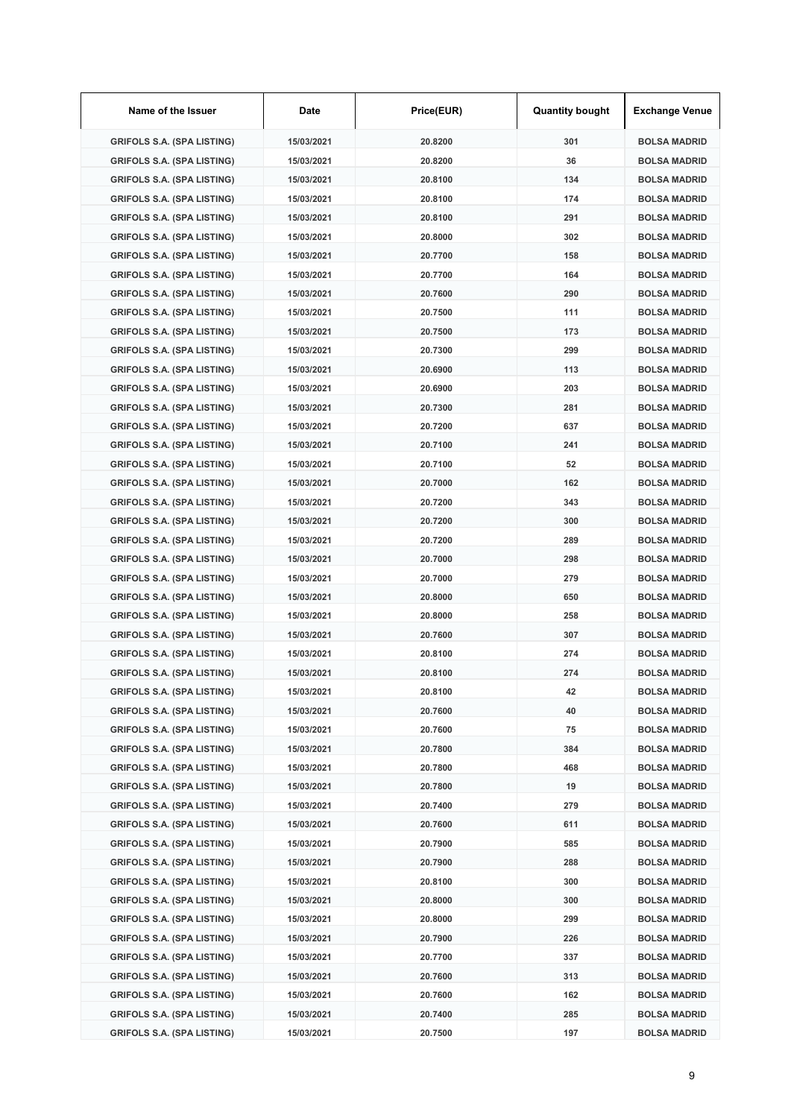| Name of the Issuer                | Date       | Price(EUR) | <b>Quantity bought</b> | <b>Exchange Venue</b> |
|-----------------------------------|------------|------------|------------------------|-----------------------|
| <b>GRIFOLS S.A. (SPA LISTING)</b> | 15/03/2021 | 20.8200    | 301                    | <b>BOLSA MADRID</b>   |
| <b>GRIFOLS S.A. (SPA LISTING)</b> | 15/03/2021 | 20.8200    | 36                     | <b>BOLSA MADRID</b>   |
| <b>GRIFOLS S.A. (SPA LISTING)</b> | 15/03/2021 | 20.8100    | 134                    | <b>BOLSA MADRID</b>   |
| <b>GRIFOLS S.A. (SPA LISTING)</b> | 15/03/2021 | 20.8100    | 174                    | <b>BOLSA MADRID</b>   |
| <b>GRIFOLS S.A. (SPA LISTING)</b> | 15/03/2021 | 20.8100    | 291                    | <b>BOLSA MADRID</b>   |
| <b>GRIFOLS S.A. (SPA LISTING)</b> | 15/03/2021 | 20.8000    | 302                    | <b>BOLSA MADRID</b>   |
| <b>GRIFOLS S.A. (SPA LISTING)</b> | 15/03/2021 | 20.7700    | 158                    | <b>BOLSA MADRID</b>   |
| <b>GRIFOLS S.A. (SPA LISTING)</b> | 15/03/2021 | 20.7700    | 164                    | <b>BOLSA MADRID</b>   |
| <b>GRIFOLS S.A. (SPA LISTING)</b> | 15/03/2021 | 20.7600    | 290                    | <b>BOLSA MADRID</b>   |
| <b>GRIFOLS S.A. (SPA LISTING)</b> | 15/03/2021 | 20.7500    | 111                    | <b>BOLSA MADRID</b>   |
| <b>GRIFOLS S.A. (SPA LISTING)</b> | 15/03/2021 | 20.7500    | 173                    | <b>BOLSA MADRID</b>   |
| <b>GRIFOLS S.A. (SPA LISTING)</b> | 15/03/2021 | 20.7300    | 299                    | <b>BOLSA MADRID</b>   |
| <b>GRIFOLS S.A. (SPA LISTING)</b> | 15/03/2021 | 20.6900    | 113                    | <b>BOLSA MADRID</b>   |
| <b>GRIFOLS S.A. (SPA LISTING)</b> | 15/03/2021 | 20.6900    | 203                    | <b>BOLSA MADRID</b>   |
| <b>GRIFOLS S.A. (SPA LISTING)</b> | 15/03/2021 | 20.7300    | 281                    | <b>BOLSA MADRID</b>   |
| <b>GRIFOLS S.A. (SPA LISTING)</b> | 15/03/2021 | 20.7200    | 637                    | <b>BOLSA MADRID</b>   |
| <b>GRIFOLS S.A. (SPA LISTING)</b> | 15/03/2021 | 20.7100    | 241                    | <b>BOLSA MADRID</b>   |
| <b>GRIFOLS S.A. (SPA LISTING)</b> | 15/03/2021 | 20.7100    | 52                     | <b>BOLSA MADRID</b>   |
| <b>GRIFOLS S.A. (SPA LISTING)</b> | 15/03/2021 | 20.7000    | 162                    | <b>BOLSA MADRID</b>   |
| <b>GRIFOLS S.A. (SPA LISTING)</b> | 15/03/2021 | 20.7200    | 343                    | <b>BOLSA MADRID</b>   |
| <b>GRIFOLS S.A. (SPA LISTING)</b> | 15/03/2021 | 20.7200    | 300                    | <b>BOLSA MADRID</b>   |
| <b>GRIFOLS S.A. (SPA LISTING)</b> | 15/03/2021 | 20.7200    | 289                    | <b>BOLSA MADRID</b>   |
| <b>GRIFOLS S.A. (SPA LISTING)</b> | 15/03/2021 | 20.7000    | 298                    | <b>BOLSA MADRID</b>   |
| <b>GRIFOLS S.A. (SPA LISTING)</b> | 15/03/2021 | 20.7000    | 279                    | <b>BOLSA MADRID</b>   |
| <b>GRIFOLS S.A. (SPA LISTING)</b> | 15/03/2021 | 20.8000    | 650                    | <b>BOLSA MADRID</b>   |
| <b>GRIFOLS S.A. (SPA LISTING)</b> | 15/03/2021 | 20.8000    | 258                    | <b>BOLSA MADRID</b>   |
| <b>GRIFOLS S.A. (SPA LISTING)</b> | 15/03/2021 | 20.7600    | 307                    | <b>BOLSA MADRID</b>   |
| <b>GRIFOLS S.A. (SPA LISTING)</b> | 15/03/2021 | 20.8100    | 274                    | <b>BOLSA MADRID</b>   |
| <b>GRIFOLS S.A. (SPA LISTING)</b> | 15/03/2021 | 20.8100    | 274                    | <b>BOLSA MADRID</b>   |
| <b>GRIFOLS S.A. (SPA LISTING)</b> | 15/03/2021 | 20.8100    | 42                     | <b>BOLSA MADRID</b>   |
| <b>GRIFOLS S.A. (SPA LISTING)</b> | 15/03/2021 | 20.7600    | 40                     | <b>BOLSA MADRID</b>   |
| <b>GRIFOLS S.A. (SPA LISTING)</b> | 15/03/2021 | 20.7600    | 75                     | <b>BOLSA MADRID</b>   |
| <b>GRIFOLS S.A. (SPA LISTING)</b> | 15/03/2021 | 20.7800    | 384                    | <b>BOLSA MADRID</b>   |
| <b>GRIFOLS S.A. (SPA LISTING)</b> | 15/03/2021 | 20.7800    | 468                    | <b>BOLSA MADRID</b>   |
| <b>GRIFOLS S.A. (SPA LISTING)</b> | 15/03/2021 | 20.7800    | 19                     | <b>BOLSA MADRID</b>   |
| <b>GRIFOLS S.A. (SPA LISTING)</b> | 15/03/2021 | 20.7400    | 279                    | <b>BOLSA MADRID</b>   |
| <b>GRIFOLS S.A. (SPA LISTING)</b> | 15/03/2021 | 20.7600    | 611                    | <b>BOLSA MADRID</b>   |
| <b>GRIFOLS S.A. (SPA LISTING)</b> | 15/03/2021 | 20.7900    | 585                    | <b>BOLSA MADRID</b>   |
| <b>GRIFOLS S.A. (SPA LISTING)</b> | 15/03/2021 | 20.7900    | 288                    | <b>BOLSA MADRID</b>   |
| <b>GRIFOLS S.A. (SPA LISTING)</b> | 15/03/2021 | 20.8100    | 300                    | <b>BOLSA MADRID</b>   |
| <b>GRIFOLS S.A. (SPA LISTING)</b> | 15/03/2021 | 20.8000    | 300                    | <b>BOLSA MADRID</b>   |
| <b>GRIFOLS S.A. (SPA LISTING)</b> | 15/03/2021 | 20.8000    | 299                    | <b>BOLSA MADRID</b>   |
| <b>GRIFOLS S.A. (SPA LISTING)</b> | 15/03/2021 | 20.7900    | 226                    | <b>BOLSA MADRID</b>   |
| <b>GRIFOLS S.A. (SPA LISTING)</b> | 15/03/2021 | 20.7700    | 337                    | <b>BOLSA MADRID</b>   |
| <b>GRIFOLS S.A. (SPA LISTING)</b> | 15/03/2021 | 20.7600    | 313                    | <b>BOLSA MADRID</b>   |
| <b>GRIFOLS S.A. (SPA LISTING)</b> | 15/03/2021 | 20.7600    | 162                    | <b>BOLSA MADRID</b>   |
| <b>GRIFOLS S.A. (SPA LISTING)</b> | 15/03/2021 | 20.7400    | 285                    | <b>BOLSA MADRID</b>   |
| <b>GRIFOLS S.A. (SPA LISTING)</b> | 15/03/2021 | 20.7500    | 197                    | <b>BOLSA MADRID</b>   |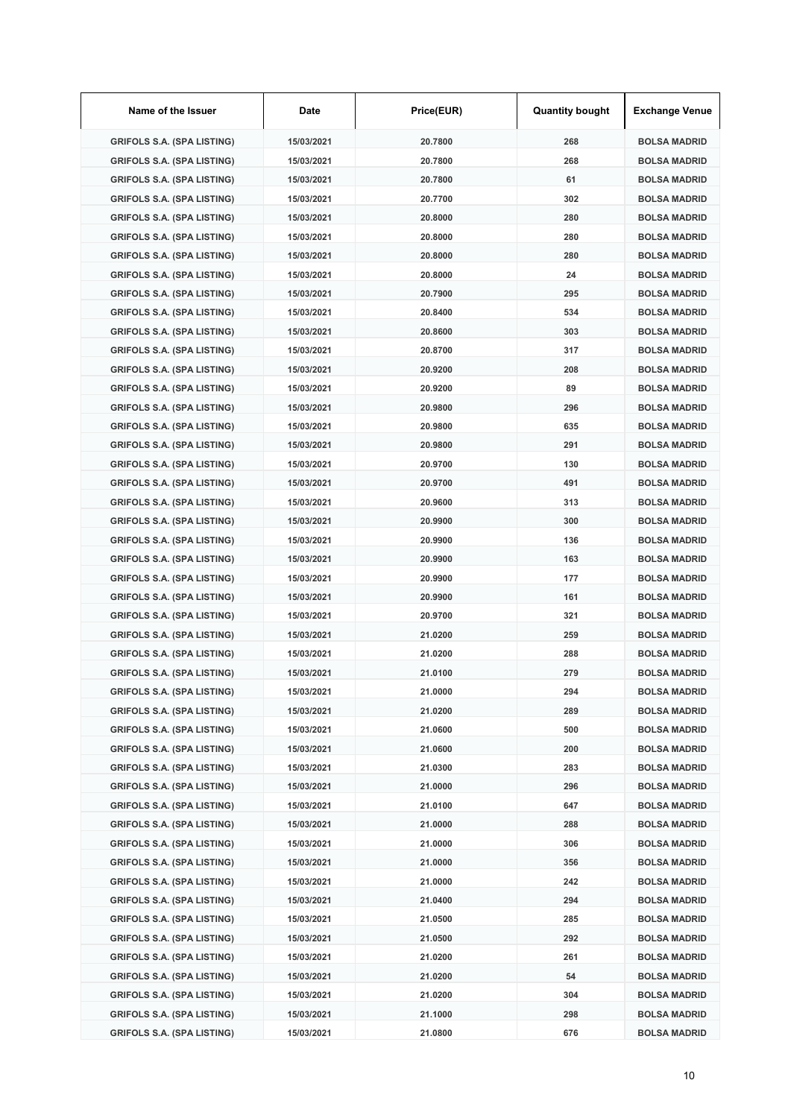| Name of the Issuer                | Date       | Price(EUR) | <b>Quantity bought</b> | <b>Exchange Venue</b> |
|-----------------------------------|------------|------------|------------------------|-----------------------|
| <b>GRIFOLS S.A. (SPA LISTING)</b> | 15/03/2021 | 20.7800    | 268                    | <b>BOLSA MADRID</b>   |
| <b>GRIFOLS S.A. (SPA LISTING)</b> | 15/03/2021 | 20.7800    | 268                    | <b>BOLSA MADRID</b>   |
| <b>GRIFOLS S.A. (SPA LISTING)</b> | 15/03/2021 | 20.7800    | 61                     | <b>BOLSA MADRID</b>   |
| <b>GRIFOLS S.A. (SPA LISTING)</b> | 15/03/2021 | 20.7700    | 302                    | <b>BOLSA MADRID</b>   |
| <b>GRIFOLS S.A. (SPA LISTING)</b> | 15/03/2021 | 20.8000    | 280                    | <b>BOLSA MADRID</b>   |
| <b>GRIFOLS S.A. (SPA LISTING)</b> | 15/03/2021 | 20,8000    | 280                    | <b>BOLSA MADRID</b>   |
| <b>GRIFOLS S.A. (SPA LISTING)</b> | 15/03/2021 | 20.8000    | 280                    | <b>BOLSA MADRID</b>   |
| <b>GRIFOLS S.A. (SPA LISTING)</b> | 15/03/2021 | 20.8000    | 24                     | <b>BOLSA MADRID</b>   |
| <b>GRIFOLS S.A. (SPA LISTING)</b> | 15/03/2021 | 20.7900    | 295                    | <b>BOLSA MADRID</b>   |
| <b>GRIFOLS S.A. (SPA LISTING)</b> | 15/03/2021 | 20.8400    | 534                    | <b>BOLSA MADRID</b>   |
| <b>GRIFOLS S.A. (SPA LISTING)</b> | 15/03/2021 | 20.8600    | 303                    | <b>BOLSA MADRID</b>   |
| <b>GRIFOLS S.A. (SPA LISTING)</b> | 15/03/2021 | 20.8700    | 317                    | <b>BOLSA MADRID</b>   |
| <b>GRIFOLS S.A. (SPA LISTING)</b> | 15/03/2021 | 20.9200    | 208                    | <b>BOLSA MADRID</b>   |
| <b>GRIFOLS S.A. (SPA LISTING)</b> | 15/03/2021 | 20.9200    | 89                     | <b>BOLSA MADRID</b>   |
| <b>GRIFOLS S.A. (SPA LISTING)</b> | 15/03/2021 | 20.9800    | 296                    | <b>BOLSA MADRID</b>   |
| <b>GRIFOLS S.A. (SPA LISTING)</b> | 15/03/2021 | 20.9800    | 635                    | <b>BOLSA MADRID</b>   |
| <b>GRIFOLS S.A. (SPA LISTING)</b> | 15/03/2021 | 20.9800    | 291                    | <b>BOLSA MADRID</b>   |
| <b>GRIFOLS S.A. (SPA LISTING)</b> | 15/03/2021 | 20.9700    | 130                    | <b>BOLSA MADRID</b>   |
| <b>GRIFOLS S.A. (SPA LISTING)</b> | 15/03/2021 | 20.9700    | 491                    | <b>BOLSA MADRID</b>   |
| <b>GRIFOLS S.A. (SPA LISTING)</b> | 15/03/2021 | 20.9600    | 313                    | <b>BOLSA MADRID</b>   |
| <b>GRIFOLS S.A. (SPA LISTING)</b> | 15/03/2021 | 20.9900    | 300                    | <b>BOLSA MADRID</b>   |
| <b>GRIFOLS S.A. (SPA LISTING)</b> | 15/03/2021 | 20.9900    | 136                    | <b>BOLSA MADRID</b>   |
| <b>GRIFOLS S.A. (SPA LISTING)</b> | 15/03/2021 | 20.9900    | 163                    | <b>BOLSA MADRID</b>   |
| <b>GRIFOLS S.A. (SPA LISTING)</b> | 15/03/2021 | 20.9900    | 177                    | <b>BOLSA MADRID</b>   |
| <b>GRIFOLS S.A. (SPA LISTING)</b> | 15/03/2021 | 20.9900    | 161                    | <b>BOLSA MADRID</b>   |
| <b>GRIFOLS S.A. (SPA LISTING)</b> | 15/03/2021 | 20.9700    | 321                    | <b>BOLSA MADRID</b>   |
| <b>GRIFOLS S.A. (SPA LISTING)</b> | 15/03/2021 | 21.0200    | 259                    | <b>BOLSA MADRID</b>   |
| <b>GRIFOLS S.A. (SPA LISTING)</b> | 15/03/2021 | 21.0200    | 288                    | <b>BOLSA MADRID</b>   |
| <b>GRIFOLS S.A. (SPA LISTING)</b> | 15/03/2021 | 21.0100    | 279                    | <b>BOLSA MADRID</b>   |
| <b>GRIFOLS S.A. (SPA LISTING)</b> | 15/03/2021 | 21.0000    | 294                    | <b>BOLSA MADRID</b>   |
| <b>GRIFOLS S.A. (SPA LISTING)</b> | 15/03/2021 | 21.0200    | 289                    | <b>BOLSA MADRID</b>   |
| <b>GRIFOLS S.A. (SPA LISTING)</b> | 15/03/2021 | 21.0600    | 500                    | <b>BOLSA MADRID</b>   |
| <b>GRIFOLS S.A. (SPA LISTING)</b> | 15/03/2021 | 21.0600    | 200                    | <b>BOLSA MADRID</b>   |
| <b>GRIFOLS S.A. (SPA LISTING)</b> | 15/03/2021 | 21.0300    | 283                    | <b>BOLSA MADRID</b>   |
| <b>GRIFOLS S.A. (SPA LISTING)</b> | 15/03/2021 | 21.0000    | 296                    | <b>BOLSA MADRID</b>   |
| <b>GRIFOLS S.A. (SPA LISTING)</b> | 15/03/2021 | 21.0100    | 647                    | <b>BOLSA MADRID</b>   |
| <b>GRIFOLS S.A. (SPA LISTING)</b> | 15/03/2021 | 21.0000    | 288                    | <b>BOLSA MADRID</b>   |
| <b>GRIFOLS S.A. (SPA LISTING)</b> | 15/03/2021 | 21.0000    | 306                    | <b>BOLSA MADRID</b>   |
| <b>GRIFOLS S.A. (SPA LISTING)</b> | 15/03/2021 | 21.0000    | 356                    | <b>BOLSA MADRID</b>   |
| <b>GRIFOLS S.A. (SPA LISTING)</b> | 15/03/2021 | 21.0000    | 242                    | <b>BOLSA MADRID</b>   |
| <b>GRIFOLS S.A. (SPA LISTING)</b> | 15/03/2021 | 21.0400    | 294                    | <b>BOLSA MADRID</b>   |
| <b>GRIFOLS S.A. (SPA LISTING)</b> | 15/03/2021 | 21.0500    | 285                    | <b>BOLSA MADRID</b>   |
| <b>GRIFOLS S.A. (SPA LISTING)</b> | 15/03/2021 | 21.0500    | 292                    | <b>BOLSA MADRID</b>   |
| <b>GRIFOLS S.A. (SPA LISTING)</b> | 15/03/2021 | 21.0200    | 261                    | <b>BOLSA MADRID</b>   |
| <b>GRIFOLS S.A. (SPA LISTING)</b> | 15/03/2021 | 21.0200    | 54                     | <b>BOLSA MADRID</b>   |
| <b>GRIFOLS S.A. (SPA LISTING)</b> | 15/03/2021 | 21.0200    | 304                    | <b>BOLSA MADRID</b>   |
| <b>GRIFOLS S.A. (SPA LISTING)</b> | 15/03/2021 | 21.1000    | 298                    | <b>BOLSA MADRID</b>   |
| <b>GRIFOLS S.A. (SPA LISTING)</b> | 15/03/2021 | 21.0800    | 676                    | <b>BOLSA MADRID</b>   |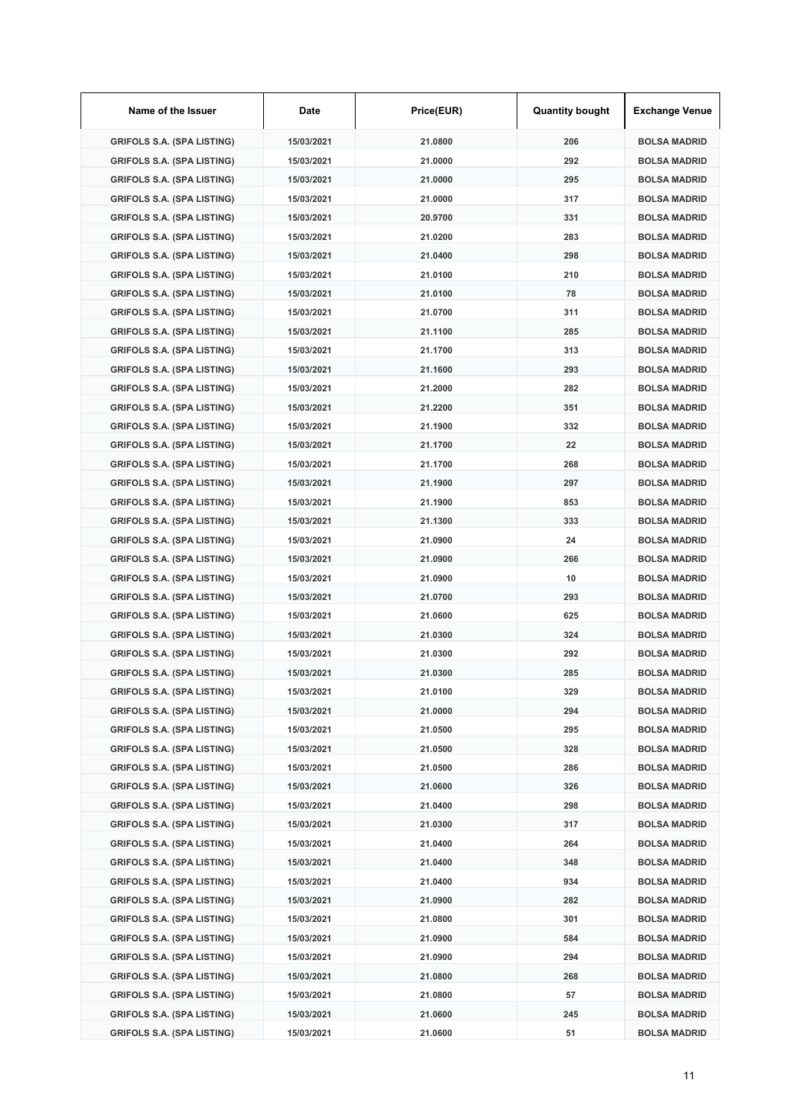| Name of the Issuer                | Date       | Price(EUR) | <b>Quantity bought</b> | <b>Exchange Venue</b> |
|-----------------------------------|------------|------------|------------------------|-----------------------|
| <b>GRIFOLS S.A. (SPA LISTING)</b> | 15/03/2021 | 21.0800    | 206                    | <b>BOLSA MADRID</b>   |
| <b>GRIFOLS S.A. (SPA LISTING)</b> | 15/03/2021 | 21.0000    | 292                    | <b>BOLSA MADRID</b>   |
| <b>GRIFOLS S.A. (SPA LISTING)</b> | 15/03/2021 | 21.0000    | 295                    | <b>BOLSA MADRID</b>   |
| <b>GRIFOLS S.A. (SPA LISTING)</b> | 15/03/2021 | 21.0000    | 317                    | <b>BOLSA MADRID</b>   |
| <b>GRIFOLS S.A. (SPA LISTING)</b> | 15/03/2021 | 20.9700    | 331                    | <b>BOLSA MADRID</b>   |
| <b>GRIFOLS S.A. (SPA LISTING)</b> | 15/03/2021 | 21.0200    | 283                    | <b>BOLSA MADRID</b>   |
| <b>GRIFOLS S.A. (SPA LISTING)</b> | 15/03/2021 | 21.0400    | 298                    | <b>BOLSA MADRID</b>   |
| <b>GRIFOLS S.A. (SPA LISTING)</b> | 15/03/2021 | 21.0100    | 210                    | <b>BOLSA MADRID</b>   |
| <b>GRIFOLS S.A. (SPA LISTING)</b> | 15/03/2021 | 21.0100    | 78                     | <b>BOLSA MADRID</b>   |
| <b>GRIFOLS S.A. (SPA LISTING)</b> | 15/03/2021 | 21.0700    | 311                    | <b>BOLSA MADRID</b>   |
| <b>GRIFOLS S.A. (SPA LISTING)</b> | 15/03/2021 | 21.1100    | 285                    | <b>BOLSA MADRID</b>   |
| <b>GRIFOLS S.A. (SPA LISTING)</b> | 15/03/2021 | 21.1700    | 313                    | <b>BOLSA MADRID</b>   |
| <b>GRIFOLS S.A. (SPA LISTING)</b> | 15/03/2021 | 21.1600    | 293                    | <b>BOLSA MADRID</b>   |
| <b>GRIFOLS S.A. (SPA LISTING)</b> | 15/03/2021 | 21.2000    | 282                    | <b>BOLSA MADRID</b>   |
| <b>GRIFOLS S.A. (SPA LISTING)</b> | 15/03/2021 | 21.2200    | 351                    | <b>BOLSA MADRID</b>   |
| <b>GRIFOLS S.A. (SPA LISTING)</b> | 15/03/2021 | 21.1900    | 332                    | <b>BOLSA MADRID</b>   |
| <b>GRIFOLS S.A. (SPA LISTING)</b> | 15/03/2021 | 21.1700    | 22                     | <b>BOLSA MADRID</b>   |
| <b>GRIFOLS S.A. (SPA LISTING)</b> | 15/03/2021 | 21.1700    | 268                    | <b>BOLSA MADRID</b>   |
| <b>GRIFOLS S.A. (SPA LISTING)</b> | 15/03/2021 | 21.1900    | 297                    | <b>BOLSA MADRID</b>   |
| <b>GRIFOLS S.A. (SPA LISTING)</b> | 15/03/2021 | 21.1900    | 853                    | <b>BOLSA MADRID</b>   |
| <b>GRIFOLS S.A. (SPA LISTING)</b> | 15/03/2021 | 21.1300    | 333                    | <b>BOLSA MADRID</b>   |
| <b>GRIFOLS S.A. (SPA LISTING)</b> | 15/03/2021 | 21.0900    | 24                     | <b>BOLSA MADRID</b>   |
| <b>GRIFOLS S.A. (SPA LISTING)</b> | 15/03/2021 | 21.0900    | 266                    | <b>BOLSA MADRID</b>   |
| <b>GRIFOLS S.A. (SPA LISTING)</b> | 15/03/2021 | 21.0900    | 10                     | <b>BOLSA MADRID</b>   |
| <b>GRIFOLS S.A. (SPA LISTING)</b> | 15/03/2021 | 21.0700    | 293                    | <b>BOLSA MADRID</b>   |
| <b>GRIFOLS S.A. (SPA LISTING)</b> | 15/03/2021 | 21.0600    | 625                    | <b>BOLSA MADRID</b>   |
| <b>GRIFOLS S.A. (SPA LISTING)</b> | 15/03/2021 | 21.0300    | 324                    | <b>BOLSA MADRID</b>   |
| <b>GRIFOLS S.A. (SPA LISTING)</b> | 15/03/2021 | 21.0300    | 292                    | <b>BOLSA MADRID</b>   |
| <b>GRIFOLS S.A. (SPA LISTING)</b> | 15/03/2021 | 21.0300    | 285                    | <b>BOLSA MADRID</b>   |
| <b>GRIFOLS S.A. (SPA LISTING)</b> | 15/03/2021 | 21.0100    | 329                    | <b>BOLSA MADRID</b>   |
| <b>GRIFOLS S.A. (SPA LISTING)</b> | 15/03/2021 | 21.0000    | 294                    | <b>BOLSA MADRID</b>   |
| <b>GRIFOLS S.A. (SPA LISTING)</b> | 15/03/2021 | 21.0500    | 295                    | <b>BOLSA MADRID</b>   |
| <b>GRIFOLS S.A. (SPA LISTING)</b> | 15/03/2021 | 21.0500    | 328                    | <b>BOLSA MADRID</b>   |
| <b>GRIFOLS S.A. (SPA LISTING)</b> | 15/03/2021 | 21.0500    | 286                    | <b>BOLSA MADRID</b>   |
| <b>GRIFOLS S.A. (SPA LISTING)</b> | 15/03/2021 | 21.0600    | 326                    | <b>BOLSA MADRID</b>   |
| <b>GRIFOLS S.A. (SPA LISTING)</b> | 15/03/2021 | 21.0400    | 298                    | <b>BOLSA MADRID</b>   |
| <b>GRIFOLS S.A. (SPA LISTING)</b> | 15/03/2021 | 21.0300    | 317                    | <b>BOLSA MADRID</b>   |
| <b>GRIFOLS S.A. (SPA LISTING)</b> | 15/03/2021 | 21.0400    | 264                    | <b>BOLSA MADRID</b>   |
| <b>GRIFOLS S.A. (SPA LISTING)</b> | 15/03/2021 | 21.0400    | 348                    | <b>BOLSA MADRID</b>   |
| <b>GRIFOLS S.A. (SPA LISTING)</b> | 15/03/2021 | 21.0400    | 934                    | <b>BOLSA MADRID</b>   |
| <b>GRIFOLS S.A. (SPA LISTING)</b> | 15/03/2021 | 21.0900    | 282                    | <b>BOLSA MADRID</b>   |
| <b>GRIFOLS S.A. (SPA LISTING)</b> | 15/03/2021 | 21.0800    | 301                    | <b>BOLSA MADRID</b>   |
| <b>GRIFOLS S.A. (SPA LISTING)</b> | 15/03/2021 | 21.0900    | 584                    | <b>BOLSA MADRID</b>   |
| <b>GRIFOLS S.A. (SPA LISTING)</b> | 15/03/2021 | 21.0900    | 294                    | <b>BOLSA MADRID</b>   |
| <b>GRIFOLS S.A. (SPA LISTING)</b> | 15/03/2021 | 21.0800    | 268                    | <b>BOLSA MADRID</b>   |
| <b>GRIFOLS S.A. (SPA LISTING)</b> | 15/03/2021 | 21.0800    | 57                     | <b>BOLSA MADRID</b>   |
| <b>GRIFOLS S.A. (SPA LISTING)</b> | 15/03/2021 | 21.0600    | 245                    | <b>BOLSA MADRID</b>   |
| <b>GRIFOLS S.A. (SPA LISTING)</b> | 15/03/2021 | 21.0600    | 51                     | <b>BOLSA MADRID</b>   |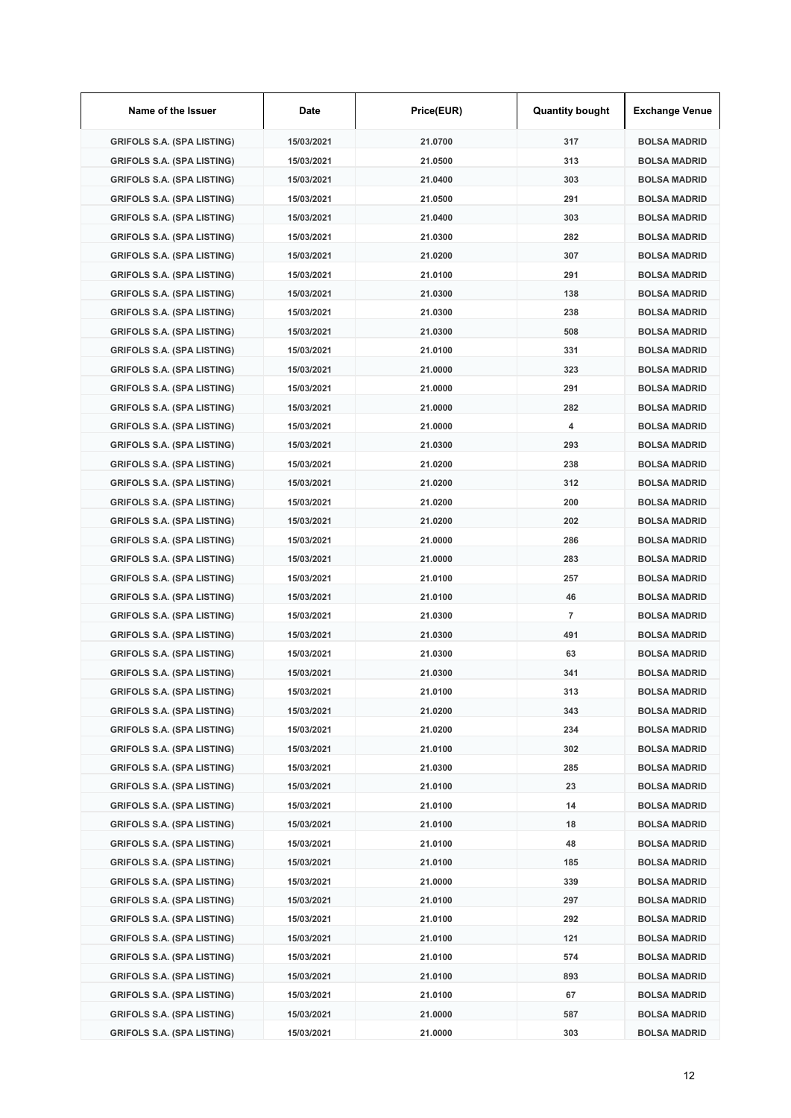| Name of the Issuer                | Date       | Price(EUR) | <b>Quantity bought</b> | <b>Exchange Venue</b> |
|-----------------------------------|------------|------------|------------------------|-----------------------|
| <b>GRIFOLS S.A. (SPA LISTING)</b> | 15/03/2021 | 21.0700    | 317                    | <b>BOLSA MADRID</b>   |
| <b>GRIFOLS S.A. (SPA LISTING)</b> | 15/03/2021 | 21.0500    | 313                    | <b>BOLSA MADRID</b>   |
| <b>GRIFOLS S.A. (SPA LISTING)</b> | 15/03/2021 | 21.0400    | 303                    | <b>BOLSA MADRID</b>   |
| <b>GRIFOLS S.A. (SPA LISTING)</b> | 15/03/2021 | 21.0500    | 291                    | <b>BOLSA MADRID</b>   |
| <b>GRIFOLS S.A. (SPA LISTING)</b> | 15/03/2021 | 21.0400    | 303                    | <b>BOLSA MADRID</b>   |
| <b>GRIFOLS S.A. (SPA LISTING)</b> | 15/03/2021 | 21.0300    | 282                    | <b>BOLSA MADRID</b>   |
| <b>GRIFOLS S.A. (SPA LISTING)</b> | 15/03/2021 | 21.0200    | 307                    | <b>BOLSA MADRID</b>   |
| <b>GRIFOLS S.A. (SPA LISTING)</b> | 15/03/2021 | 21.0100    | 291                    | <b>BOLSA MADRID</b>   |
| <b>GRIFOLS S.A. (SPA LISTING)</b> | 15/03/2021 | 21.0300    | 138                    | <b>BOLSA MADRID</b>   |
| <b>GRIFOLS S.A. (SPA LISTING)</b> | 15/03/2021 | 21.0300    | 238                    | <b>BOLSA MADRID</b>   |
| <b>GRIFOLS S.A. (SPA LISTING)</b> | 15/03/2021 | 21.0300    | 508                    | <b>BOLSA MADRID</b>   |
| <b>GRIFOLS S.A. (SPA LISTING)</b> | 15/03/2021 | 21.0100    | 331                    | <b>BOLSA MADRID</b>   |
| <b>GRIFOLS S.A. (SPA LISTING)</b> | 15/03/2021 | 21.0000    | 323                    | <b>BOLSA MADRID</b>   |
| <b>GRIFOLS S.A. (SPA LISTING)</b> | 15/03/2021 | 21.0000    | 291                    | <b>BOLSA MADRID</b>   |
| <b>GRIFOLS S.A. (SPA LISTING)</b> | 15/03/2021 | 21.0000    | 282                    | <b>BOLSA MADRID</b>   |
| <b>GRIFOLS S.A. (SPA LISTING)</b> | 15/03/2021 | 21.0000    | 4                      | <b>BOLSA MADRID</b>   |
| <b>GRIFOLS S.A. (SPA LISTING)</b> | 15/03/2021 | 21.0300    | 293                    | <b>BOLSA MADRID</b>   |
| <b>GRIFOLS S.A. (SPA LISTING)</b> | 15/03/2021 | 21.0200    | 238                    | <b>BOLSA MADRID</b>   |
| <b>GRIFOLS S.A. (SPA LISTING)</b> | 15/03/2021 | 21.0200    | 312                    | <b>BOLSA MADRID</b>   |
| <b>GRIFOLS S.A. (SPA LISTING)</b> | 15/03/2021 | 21.0200    | 200                    | <b>BOLSA MADRID</b>   |
| <b>GRIFOLS S.A. (SPA LISTING)</b> | 15/03/2021 | 21.0200    | 202                    | <b>BOLSA MADRID</b>   |
| <b>GRIFOLS S.A. (SPA LISTING)</b> | 15/03/2021 | 21.0000    | 286                    | <b>BOLSA MADRID</b>   |
| <b>GRIFOLS S.A. (SPA LISTING)</b> | 15/03/2021 | 21.0000    | 283                    | <b>BOLSA MADRID</b>   |
| <b>GRIFOLS S.A. (SPA LISTING)</b> | 15/03/2021 | 21.0100    | 257                    | <b>BOLSA MADRID</b>   |
| <b>GRIFOLS S.A. (SPA LISTING)</b> | 15/03/2021 | 21.0100    | 46                     | <b>BOLSA MADRID</b>   |
| <b>GRIFOLS S.A. (SPA LISTING)</b> | 15/03/2021 | 21.0300    | $\overline{7}$         | <b>BOLSA MADRID</b>   |
| <b>GRIFOLS S.A. (SPA LISTING)</b> | 15/03/2021 | 21.0300    | 491                    | <b>BOLSA MADRID</b>   |
| <b>GRIFOLS S.A. (SPA LISTING)</b> | 15/03/2021 | 21.0300    | 63                     | <b>BOLSA MADRID</b>   |
| <b>GRIFOLS S.A. (SPA LISTING)</b> | 15/03/2021 | 21.0300    | 341                    | <b>BOLSA MADRID</b>   |
| <b>GRIFOLS S.A. (SPA LISTING)</b> | 15/03/2021 | 21.0100    | 313                    | <b>BOLSA MADRID</b>   |
| <b>GRIFOLS S.A. (SPA LISTING)</b> | 15/03/2021 | 21.0200    | 343                    | <b>BOLSA MADRID</b>   |
| <b>GRIFOLS S.A. (SPA LISTING)</b> | 15/03/2021 | 21.0200    | 234                    | <b>BOLSA MADRID</b>   |
| <b>GRIFOLS S.A. (SPA LISTING)</b> | 15/03/2021 | 21.0100    | 302                    | <b>BOLSA MADRID</b>   |
| <b>GRIFOLS S.A. (SPA LISTING)</b> | 15/03/2021 | 21.0300    | 285                    | <b>BOLSA MADRID</b>   |
| <b>GRIFOLS S.A. (SPA LISTING)</b> | 15/03/2021 | 21.0100    | 23                     | <b>BOLSA MADRID</b>   |
| <b>GRIFOLS S.A. (SPA LISTING)</b> | 15/03/2021 | 21.0100    | 14                     | <b>BOLSA MADRID</b>   |
| <b>GRIFOLS S.A. (SPA LISTING)</b> | 15/03/2021 | 21.0100    | 18                     | <b>BOLSA MADRID</b>   |
| <b>GRIFOLS S.A. (SPA LISTING)</b> | 15/03/2021 | 21.0100    | 48                     | <b>BOLSA MADRID</b>   |
| <b>GRIFOLS S.A. (SPA LISTING)</b> | 15/03/2021 | 21.0100    | 185                    | <b>BOLSA MADRID</b>   |
| GRIFOLS S.A. (SPA LISTING)        | 15/03/2021 | 21.0000    | 339                    | <b>BOLSA MADRID</b>   |
| <b>GRIFOLS S.A. (SPA LISTING)</b> | 15/03/2021 | 21.0100    | 297                    | <b>BOLSA MADRID</b>   |
| <b>GRIFOLS S.A. (SPA LISTING)</b> | 15/03/2021 | 21.0100    | 292                    | <b>BOLSA MADRID</b>   |
| <b>GRIFOLS S.A. (SPA LISTING)</b> | 15/03/2021 | 21.0100    | 121                    | <b>BOLSA MADRID</b>   |
| <b>GRIFOLS S.A. (SPA LISTING)</b> | 15/03/2021 | 21.0100    | 574                    | <b>BOLSA MADRID</b>   |
| <b>GRIFOLS S.A. (SPA LISTING)</b> | 15/03/2021 | 21.0100    | 893                    | <b>BOLSA MADRID</b>   |
| <b>GRIFOLS S.A. (SPA LISTING)</b> | 15/03/2021 | 21.0100    | 67                     | <b>BOLSA MADRID</b>   |
| <b>GRIFOLS S.A. (SPA LISTING)</b> | 15/03/2021 | 21.0000    | 587                    | <b>BOLSA MADRID</b>   |
| <b>GRIFOLS S.A. (SPA LISTING)</b> | 15/03/2021 | 21.0000    | 303                    | <b>BOLSA MADRID</b>   |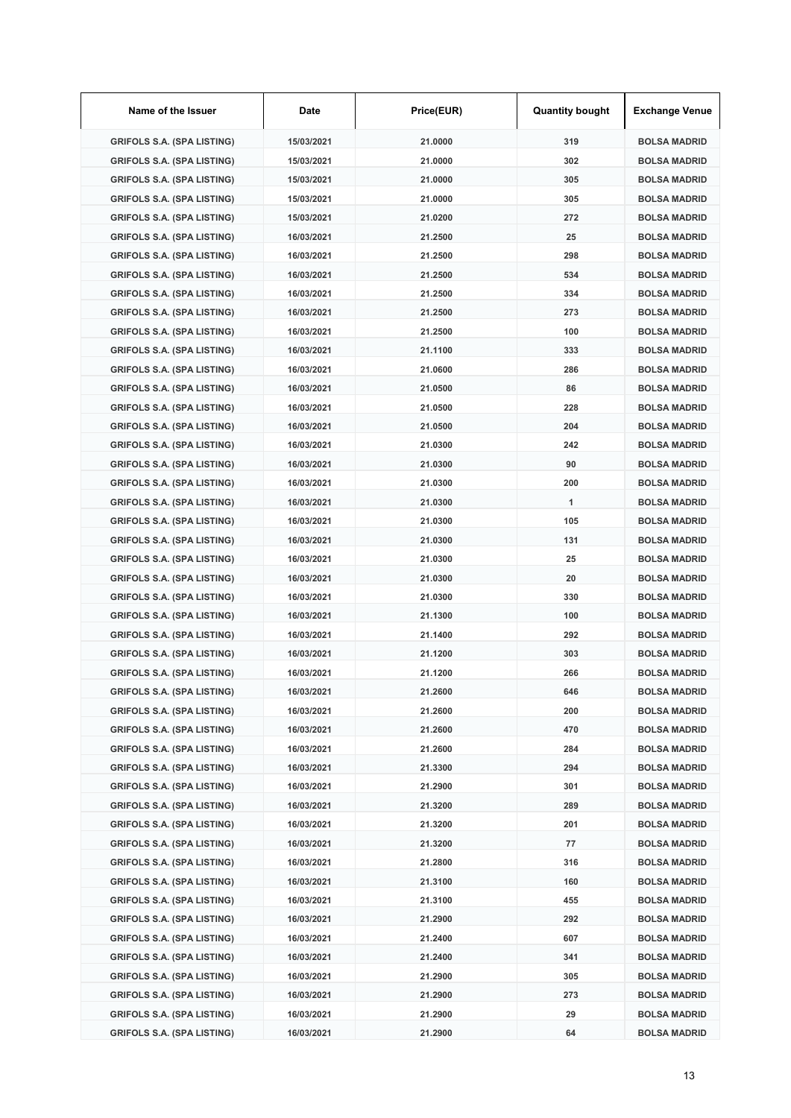| Name of the Issuer                | Date       | Price(EUR) | <b>Quantity bought</b> | <b>Exchange Venue</b> |
|-----------------------------------|------------|------------|------------------------|-----------------------|
| <b>GRIFOLS S.A. (SPA LISTING)</b> | 15/03/2021 | 21.0000    | 319                    | <b>BOLSA MADRID</b>   |
| <b>GRIFOLS S.A. (SPA LISTING)</b> | 15/03/2021 | 21.0000    | 302                    | <b>BOLSA MADRID</b>   |
| <b>GRIFOLS S.A. (SPA LISTING)</b> | 15/03/2021 | 21.0000    | 305                    | <b>BOLSA MADRID</b>   |
| <b>GRIFOLS S.A. (SPA LISTING)</b> | 15/03/2021 | 21.0000    | 305                    | <b>BOLSA MADRID</b>   |
| <b>GRIFOLS S.A. (SPA LISTING)</b> | 15/03/2021 | 21.0200    | 272                    | <b>BOLSA MADRID</b>   |
| <b>GRIFOLS S.A. (SPA LISTING)</b> | 16/03/2021 | 21.2500    | 25                     | <b>BOLSA MADRID</b>   |
| <b>GRIFOLS S.A. (SPA LISTING)</b> | 16/03/2021 | 21.2500    | 298                    | <b>BOLSA MADRID</b>   |
| <b>GRIFOLS S.A. (SPA LISTING)</b> | 16/03/2021 | 21.2500    | 534                    | <b>BOLSA MADRID</b>   |
| <b>GRIFOLS S.A. (SPA LISTING)</b> | 16/03/2021 | 21.2500    | 334                    | <b>BOLSA MADRID</b>   |
| <b>GRIFOLS S.A. (SPA LISTING)</b> | 16/03/2021 | 21.2500    | 273                    | <b>BOLSA MADRID</b>   |
| <b>GRIFOLS S.A. (SPA LISTING)</b> | 16/03/2021 | 21.2500    | 100                    | <b>BOLSA MADRID</b>   |
| <b>GRIFOLS S.A. (SPA LISTING)</b> | 16/03/2021 | 21.1100    | 333                    | <b>BOLSA MADRID</b>   |
| <b>GRIFOLS S.A. (SPA LISTING)</b> | 16/03/2021 | 21.0600    | 286                    | <b>BOLSA MADRID</b>   |
| <b>GRIFOLS S.A. (SPA LISTING)</b> | 16/03/2021 | 21.0500    | 86                     | <b>BOLSA MADRID</b>   |
| <b>GRIFOLS S.A. (SPA LISTING)</b> | 16/03/2021 | 21.0500    | 228                    | <b>BOLSA MADRID</b>   |
| <b>GRIFOLS S.A. (SPA LISTING)</b> | 16/03/2021 | 21.0500    | 204                    | <b>BOLSA MADRID</b>   |
| <b>GRIFOLS S.A. (SPA LISTING)</b> | 16/03/2021 | 21.0300    | 242                    | <b>BOLSA MADRID</b>   |
| <b>GRIFOLS S.A. (SPA LISTING)</b> | 16/03/2021 | 21.0300    | 90                     | <b>BOLSA MADRID</b>   |
| <b>GRIFOLS S.A. (SPA LISTING)</b> | 16/03/2021 | 21.0300    | 200                    | <b>BOLSA MADRID</b>   |
| <b>GRIFOLS S.A. (SPA LISTING)</b> | 16/03/2021 | 21.0300    | 1                      | <b>BOLSA MADRID</b>   |
| <b>GRIFOLS S.A. (SPA LISTING)</b> | 16/03/2021 | 21.0300    | 105                    | <b>BOLSA MADRID</b>   |
| <b>GRIFOLS S.A. (SPA LISTING)</b> | 16/03/2021 | 21.0300    | 131                    | <b>BOLSA MADRID</b>   |
| <b>GRIFOLS S.A. (SPA LISTING)</b> | 16/03/2021 | 21.0300    | 25                     | <b>BOLSA MADRID</b>   |
| <b>GRIFOLS S.A. (SPA LISTING)</b> | 16/03/2021 | 21.0300    | 20                     | <b>BOLSA MADRID</b>   |
| <b>GRIFOLS S.A. (SPA LISTING)</b> | 16/03/2021 | 21.0300    | 330                    | <b>BOLSA MADRID</b>   |
| <b>GRIFOLS S.A. (SPA LISTING)</b> | 16/03/2021 | 21.1300    | 100                    | <b>BOLSA MADRID</b>   |
| <b>GRIFOLS S.A. (SPA LISTING)</b> | 16/03/2021 | 21.1400    | 292                    | <b>BOLSA MADRID</b>   |
| <b>GRIFOLS S.A. (SPA LISTING)</b> | 16/03/2021 | 21.1200    | 303                    | <b>BOLSA MADRID</b>   |
| <b>GRIFOLS S.A. (SPA LISTING)</b> | 16/03/2021 | 21.1200    | 266                    | <b>BOLSA MADRID</b>   |
| <b>GRIFOLS S.A. (SPA LISTING)</b> | 16/03/2021 | 21.2600    | 646                    | <b>BOLSA MADRID</b>   |
| <b>GRIFOLS S.A. (SPA LISTING)</b> | 16/03/2021 | 21.2600    | 200                    | <b>BOLSA MADRID</b>   |
| <b>GRIFOLS S.A. (SPA LISTING)</b> | 16/03/2021 | 21.2600    | 470                    | <b>BOLSA MADRID</b>   |
| <b>GRIFOLS S.A. (SPA LISTING)</b> | 16/03/2021 | 21.2600    | 284                    | <b>BOLSA MADRID</b>   |
| <b>GRIFOLS S.A. (SPA LISTING)</b> | 16/03/2021 | 21.3300    | 294                    | <b>BOLSA MADRID</b>   |
| <b>GRIFOLS S.A. (SPA LISTING)</b> | 16/03/2021 | 21.2900    | 301                    | <b>BOLSA MADRID</b>   |
| <b>GRIFOLS S.A. (SPA LISTING)</b> | 16/03/2021 | 21.3200    | 289                    | <b>BOLSA MADRID</b>   |
| <b>GRIFOLS S.A. (SPA LISTING)</b> | 16/03/2021 | 21.3200    | 201                    | <b>BOLSA MADRID</b>   |
| <b>GRIFOLS S.A. (SPA LISTING)</b> | 16/03/2021 | 21.3200    | 77                     | <b>BOLSA MADRID</b>   |
| <b>GRIFOLS S.A. (SPA LISTING)</b> | 16/03/2021 | 21.2800    | 316                    | <b>BOLSA MADRID</b>   |
| <b>GRIFOLS S.A. (SPA LISTING)</b> | 16/03/2021 | 21.3100    | 160                    | <b>BOLSA MADRID</b>   |
| <b>GRIFOLS S.A. (SPA LISTING)</b> | 16/03/2021 | 21.3100    | 455                    | <b>BOLSA MADRID</b>   |
| <b>GRIFOLS S.A. (SPA LISTING)</b> | 16/03/2021 | 21.2900    | 292                    | <b>BOLSA MADRID</b>   |
| <b>GRIFOLS S.A. (SPA LISTING)</b> | 16/03/2021 | 21.2400    | 607                    | <b>BOLSA MADRID</b>   |
| <b>GRIFOLS S.A. (SPA LISTING)</b> | 16/03/2021 | 21.2400    | 341                    | <b>BOLSA MADRID</b>   |
| <b>GRIFOLS S.A. (SPA LISTING)</b> | 16/03/2021 | 21.2900    | 305                    | <b>BOLSA MADRID</b>   |
| <b>GRIFOLS S.A. (SPA LISTING)</b> | 16/03/2021 | 21.2900    | 273                    | <b>BOLSA MADRID</b>   |
| <b>GRIFOLS S.A. (SPA LISTING)</b> | 16/03/2021 | 21.2900    | 29                     | <b>BOLSA MADRID</b>   |
| <b>GRIFOLS S.A. (SPA LISTING)</b> | 16/03/2021 | 21.2900    | 64                     | <b>BOLSA MADRID</b>   |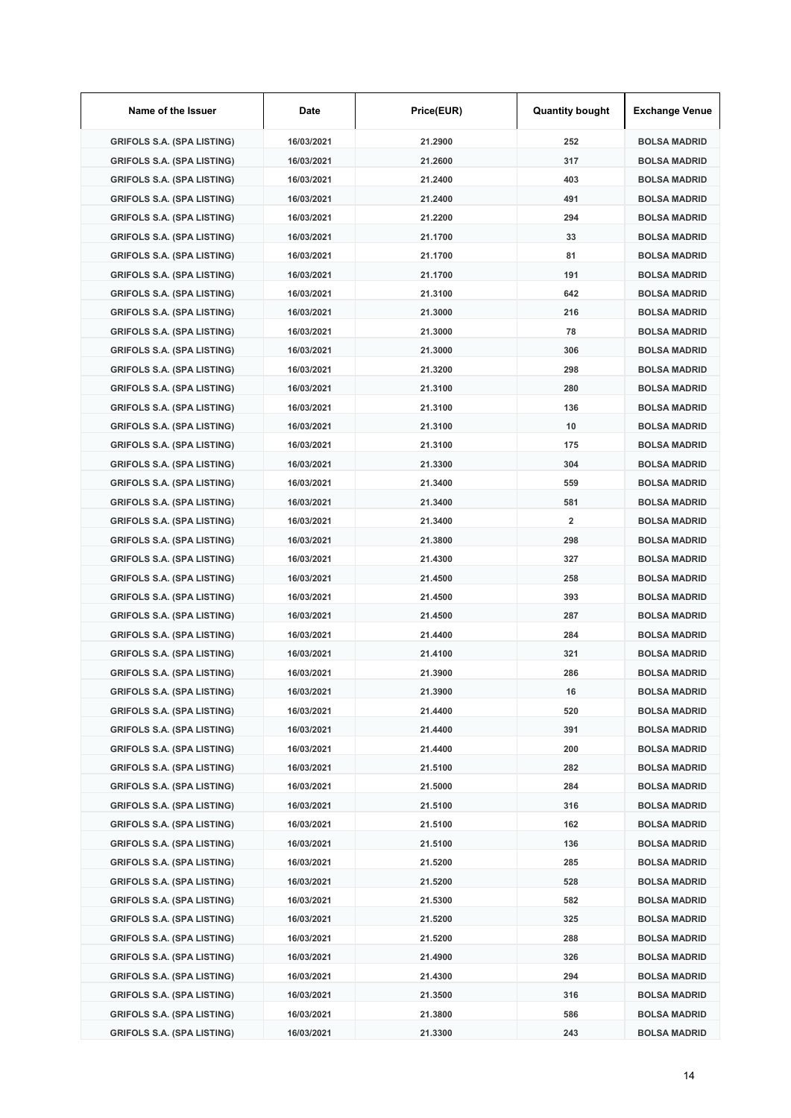| Name of the Issuer                | Date       | Price(EUR) | <b>Quantity bought</b> | <b>Exchange Venue</b> |
|-----------------------------------|------------|------------|------------------------|-----------------------|
| <b>GRIFOLS S.A. (SPA LISTING)</b> | 16/03/2021 | 21.2900    | 252                    | <b>BOLSA MADRID</b>   |
| <b>GRIFOLS S.A. (SPA LISTING)</b> | 16/03/2021 | 21.2600    | 317                    | <b>BOLSA MADRID</b>   |
| <b>GRIFOLS S.A. (SPA LISTING)</b> | 16/03/2021 | 21.2400    | 403                    | <b>BOLSA MADRID</b>   |
| <b>GRIFOLS S.A. (SPA LISTING)</b> | 16/03/2021 | 21.2400    | 491                    | <b>BOLSA MADRID</b>   |
| <b>GRIFOLS S.A. (SPA LISTING)</b> | 16/03/2021 | 21.2200    | 294                    | <b>BOLSA MADRID</b>   |
| <b>GRIFOLS S.A. (SPA LISTING)</b> | 16/03/2021 | 21.1700    | 33                     | <b>BOLSA MADRID</b>   |
| <b>GRIFOLS S.A. (SPA LISTING)</b> | 16/03/2021 | 21.1700    | 81                     | <b>BOLSA MADRID</b>   |
| <b>GRIFOLS S.A. (SPA LISTING)</b> | 16/03/2021 | 21.1700    | 191                    | <b>BOLSA MADRID</b>   |
| <b>GRIFOLS S.A. (SPA LISTING)</b> | 16/03/2021 | 21.3100    | 642                    | <b>BOLSA MADRID</b>   |
| <b>GRIFOLS S.A. (SPA LISTING)</b> | 16/03/2021 | 21.3000    | 216                    | <b>BOLSA MADRID</b>   |
| <b>GRIFOLS S.A. (SPA LISTING)</b> | 16/03/2021 | 21.3000    | 78                     | <b>BOLSA MADRID</b>   |
| <b>GRIFOLS S.A. (SPA LISTING)</b> | 16/03/2021 | 21.3000    | 306                    | <b>BOLSA MADRID</b>   |
| <b>GRIFOLS S.A. (SPA LISTING)</b> | 16/03/2021 | 21.3200    | 298                    | <b>BOLSA MADRID</b>   |
| <b>GRIFOLS S.A. (SPA LISTING)</b> | 16/03/2021 | 21.3100    | 280                    | <b>BOLSA MADRID</b>   |
| <b>GRIFOLS S.A. (SPA LISTING)</b> | 16/03/2021 | 21.3100    | 136                    | <b>BOLSA MADRID</b>   |
| <b>GRIFOLS S.A. (SPA LISTING)</b> | 16/03/2021 | 21.3100    | 10                     | <b>BOLSA MADRID</b>   |
| <b>GRIFOLS S.A. (SPA LISTING)</b> | 16/03/2021 | 21.3100    | 175                    | <b>BOLSA MADRID</b>   |
| <b>GRIFOLS S.A. (SPA LISTING)</b> | 16/03/2021 | 21.3300    | 304                    | <b>BOLSA MADRID</b>   |
| <b>GRIFOLS S.A. (SPA LISTING)</b> | 16/03/2021 | 21.3400    | 559                    | <b>BOLSA MADRID</b>   |
| <b>GRIFOLS S.A. (SPA LISTING)</b> | 16/03/2021 | 21.3400    | 581                    | <b>BOLSA MADRID</b>   |
| <b>GRIFOLS S.A. (SPA LISTING)</b> | 16/03/2021 | 21.3400    | $\overline{2}$         | <b>BOLSA MADRID</b>   |
| <b>GRIFOLS S.A. (SPA LISTING)</b> | 16/03/2021 | 21.3800    | 298                    | <b>BOLSA MADRID</b>   |
| <b>GRIFOLS S.A. (SPA LISTING)</b> | 16/03/2021 | 21.4300    | 327                    | <b>BOLSA MADRID</b>   |
| <b>GRIFOLS S.A. (SPA LISTING)</b> | 16/03/2021 | 21.4500    | 258                    | <b>BOLSA MADRID</b>   |
| <b>GRIFOLS S.A. (SPA LISTING)</b> | 16/03/2021 | 21.4500    | 393                    | <b>BOLSA MADRID</b>   |
| <b>GRIFOLS S.A. (SPA LISTING)</b> | 16/03/2021 | 21.4500    | 287                    | <b>BOLSA MADRID</b>   |
| <b>GRIFOLS S.A. (SPA LISTING)</b> | 16/03/2021 | 21.4400    | 284                    | <b>BOLSA MADRID</b>   |
| <b>GRIFOLS S.A. (SPA LISTING)</b> | 16/03/2021 | 21.4100    | 321                    | <b>BOLSA MADRID</b>   |
| <b>GRIFOLS S.A. (SPA LISTING)</b> | 16/03/2021 | 21.3900    | 286                    | <b>BOLSA MADRID</b>   |
| <b>GRIFOLS S.A. (SPA LISTING)</b> | 16/03/2021 | 21.3900    | 16                     | <b>BOLSA MADRID</b>   |
| <b>GRIFOLS S.A. (SPA LISTING)</b> | 16/03/2021 | 21.4400    | 520                    | <b>BOLSA MADRID</b>   |
| <b>GRIFOLS S.A. (SPA LISTING)</b> | 16/03/2021 | 21.4400    | 391                    | <b>BOLSA MADRID</b>   |
| <b>GRIFOLS S.A. (SPA LISTING)</b> | 16/03/2021 | 21.4400    | 200                    | <b>BOLSA MADRID</b>   |
| <b>GRIFOLS S.A. (SPA LISTING)</b> | 16/03/2021 | 21.5100    | 282                    | <b>BOLSA MADRID</b>   |
| <b>GRIFOLS S.A. (SPA LISTING)</b> | 16/03/2021 | 21.5000    | 284                    | <b>BOLSA MADRID</b>   |
| <b>GRIFOLS S.A. (SPA LISTING)</b> | 16/03/2021 | 21.5100    | 316                    | <b>BOLSA MADRID</b>   |
| <b>GRIFOLS S.A. (SPA LISTING)</b> | 16/03/2021 | 21.5100    | 162                    | <b>BOLSA MADRID</b>   |
| <b>GRIFOLS S.A. (SPA LISTING)</b> | 16/03/2021 | 21.5100    | 136                    | <b>BOLSA MADRID</b>   |
| <b>GRIFOLS S.A. (SPA LISTING)</b> | 16/03/2021 | 21.5200    | 285                    | <b>BOLSA MADRID</b>   |
| GRIFOLS S.A. (SPA LISTING)        | 16/03/2021 | 21.5200    | 528                    | <b>BOLSA MADRID</b>   |
| <b>GRIFOLS S.A. (SPA LISTING)</b> | 16/03/2021 | 21.5300    | 582                    | <b>BOLSA MADRID</b>   |
| <b>GRIFOLS S.A. (SPA LISTING)</b> | 16/03/2021 | 21.5200    | 325                    | <b>BOLSA MADRID</b>   |
| <b>GRIFOLS S.A. (SPA LISTING)</b> | 16/03/2021 | 21.5200    | 288                    | <b>BOLSA MADRID</b>   |
| <b>GRIFOLS S.A. (SPA LISTING)</b> | 16/03/2021 | 21.4900    | 326                    | <b>BOLSA MADRID</b>   |
| <b>GRIFOLS S.A. (SPA LISTING)</b> | 16/03/2021 | 21.4300    | 294                    | <b>BOLSA MADRID</b>   |
| <b>GRIFOLS S.A. (SPA LISTING)</b> | 16/03/2021 | 21.3500    | 316                    | <b>BOLSA MADRID</b>   |
| <b>GRIFOLS S.A. (SPA LISTING)</b> | 16/03/2021 | 21.3800    | 586                    | <b>BOLSA MADRID</b>   |
| <b>GRIFOLS S.A. (SPA LISTING)</b> | 16/03/2021 | 21.3300    | 243                    | <b>BOLSA MADRID</b>   |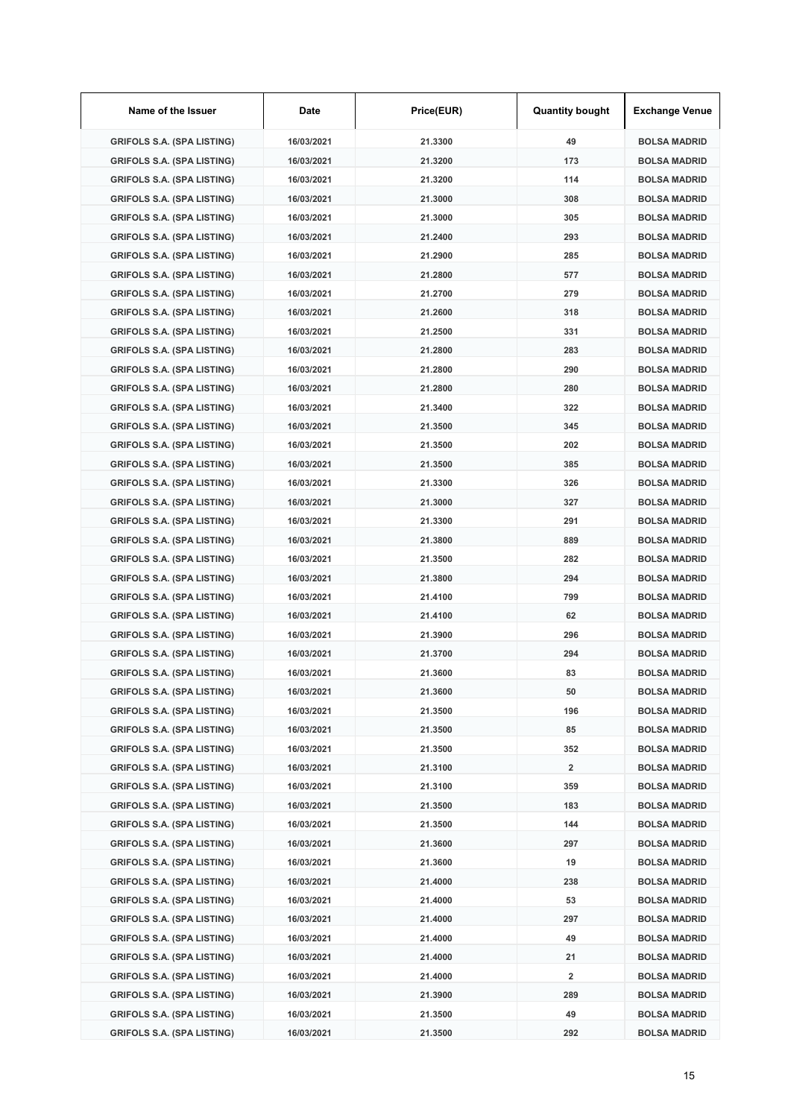| Name of the Issuer                | Date       | Price(EUR) | <b>Quantity bought</b> | <b>Exchange Venue</b> |
|-----------------------------------|------------|------------|------------------------|-----------------------|
| <b>GRIFOLS S.A. (SPA LISTING)</b> | 16/03/2021 | 21.3300    | 49                     | <b>BOLSA MADRID</b>   |
| <b>GRIFOLS S.A. (SPA LISTING)</b> | 16/03/2021 | 21.3200    | 173                    | <b>BOLSA MADRID</b>   |
| <b>GRIFOLS S.A. (SPA LISTING)</b> | 16/03/2021 | 21.3200    | 114                    | <b>BOLSA MADRID</b>   |
| <b>GRIFOLS S.A. (SPA LISTING)</b> | 16/03/2021 | 21.3000    | 308                    | <b>BOLSA MADRID</b>   |
| <b>GRIFOLS S.A. (SPA LISTING)</b> | 16/03/2021 | 21.3000    | 305                    | <b>BOLSA MADRID</b>   |
| <b>GRIFOLS S.A. (SPA LISTING)</b> | 16/03/2021 | 21.2400    | 293                    | <b>BOLSA MADRID</b>   |
| <b>GRIFOLS S.A. (SPA LISTING)</b> | 16/03/2021 | 21.2900    | 285                    | <b>BOLSA MADRID</b>   |
| <b>GRIFOLS S.A. (SPA LISTING)</b> | 16/03/2021 | 21.2800    | 577                    | <b>BOLSA MADRID</b>   |
| <b>GRIFOLS S.A. (SPA LISTING)</b> | 16/03/2021 | 21.2700    | 279                    | <b>BOLSA MADRID</b>   |
| <b>GRIFOLS S.A. (SPA LISTING)</b> | 16/03/2021 | 21.2600    | 318                    | <b>BOLSA MADRID</b>   |
| <b>GRIFOLS S.A. (SPA LISTING)</b> | 16/03/2021 | 21.2500    | 331                    | <b>BOLSA MADRID</b>   |
| <b>GRIFOLS S.A. (SPA LISTING)</b> | 16/03/2021 | 21.2800    | 283                    | <b>BOLSA MADRID</b>   |
| <b>GRIFOLS S.A. (SPA LISTING)</b> | 16/03/2021 | 21.2800    | 290                    | <b>BOLSA MADRID</b>   |
| <b>GRIFOLS S.A. (SPA LISTING)</b> | 16/03/2021 | 21.2800    | 280                    | <b>BOLSA MADRID</b>   |
| <b>GRIFOLS S.A. (SPA LISTING)</b> | 16/03/2021 | 21.3400    | 322                    | <b>BOLSA MADRID</b>   |
| <b>GRIFOLS S.A. (SPA LISTING)</b> | 16/03/2021 | 21.3500    | 345                    | <b>BOLSA MADRID</b>   |
| <b>GRIFOLS S.A. (SPA LISTING)</b> | 16/03/2021 | 21.3500    | 202                    | <b>BOLSA MADRID</b>   |
| <b>GRIFOLS S.A. (SPA LISTING)</b> | 16/03/2021 | 21.3500    | 385                    | <b>BOLSA MADRID</b>   |
| <b>GRIFOLS S.A. (SPA LISTING)</b> | 16/03/2021 | 21.3300    | 326                    | <b>BOLSA MADRID</b>   |
| <b>GRIFOLS S.A. (SPA LISTING)</b> | 16/03/2021 | 21.3000    | 327                    | <b>BOLSA MADRID</b>   |
| <b>GRIFOLS S.A. (SPA LISTING)</b> | 16/03/2021 | 21.3300    | 291                    | <b>BOLSA MADRID</b>   |
| <b>GRIFOLS S.A. (SPA LISTING)</b> | 16/03/2021 | 21.3800    | 889                    | <b>BOLSA MADRID</b>   |
| <b>GRIFOLS S.A. (SPA LISTING)</b> | 16/03/2021 | 21.3500    | 282                    | <b>BOLSA MADRID</b>   |
| <b>GRIFOLS S.A. (SPA LISTING)</b> | 16/03/2021 | 21.3800    | 294                    | <b>BOLSA MADRID</b>   |
| <b>GRIFOLS S.A. (SPA LISTING)</b> | 16/03/2021 | 21.4100    | 799                    | <b>BOLSA MADRID</b>   |
| <b>GRIFOLS S.A. (SPA LISTING)</b> | 16/03/2021 | 21.4100    | 62                     | <b>BOLSA MADRID</b>   |
| <b>GRIFOLS S.A. (SPA LISTING)</b> | 16/03/2021 | 21.3900    | 296                    | <b>BOLSA MADRID</b>   |
| <b>GRIFOLS S.A. (SPA LISTING)</b> | 16/03/2021 | 21.3700    | 294                    | <b>BOLSA MADRID</b>   |
| <b>GRIFOLS S.A. (SPA LISTING)</b> | 16/03/2021 | 21.3600    | 83                     | <b>BOLSA MADRID</b>   |
| <b>GRIFOLS S.A. (SPA LISTING)</b> | 16/03/2021 | 21.3600    | 50                     | <b>BOLSA MADRID</b>   |
| <b>GRIFOLS S.A. (SPA LISTING)</b> | 16/03/2021 | 21.3500    | 196                    | <b>BOLSA MADRID</b>   |
| <b>GRIFOLS S.A. (SPA LISTING)</b> | 16/03/2021 | 21.3500    | 85                     | <b>BOLSA MADRID</b>   |
| <b>GRIFOLS S.A. (SPA LISTING)</b> | 16/03/2021 | 21.3500    | 352                    | <b>BOLSA MADRID</b>   |
| <b>GRIFOLS S.A. (SPA LISTING)</b> | 16/03/2021 | 21.3100    | $\overline{2}$         | <b>BOLSA MADRID</b>   |
| <b>GRIFOLS S.A. (SPA LISTING)</b> | 16/03/2021 | 21.3100    | 359                    | <b>BOLSA MADRID</b>   |
| <b>GRIFOLS S.A. (SPA LISTING)</b> | 16/03/2021 | 21.3500    | 183                    | <b>BOLSA MADRID</b>   |
| <b>GRIFOLS S.A. (SPA LISTING)</b> | 16/03/2021 | 21.3500    | 144                    | <b>BOLSA MADRID</b>   |
| <b>GRIFOLS S.A. (SPA LISTING)</b> | 16/03/2021 | 21.3600    | 297                    | <b>BOLSA MADRID</b>   |
| <b>GRIFOLS S.A. (SPA LISTING)</b> | 16/03/2021 | 21.3600    | 19                     | <b>BOLSA MADRID</b>   |
| GRIFOLS S.A. (SPA LISTING)        | 16/03/2021 | 21.4000    | 238                    | <b>BOLSA MADRID</b>   |
| <b>GRIFOLS S.A. (SPA LISTING)</b> | 16/03/2021 | 21.4000    | 53                     | <b>BOLSA MADRID</b>   |
| <b>GRIFOLS S.A. (SPA LISTING)</b> | 16/03/2021 | 21.4000    | 297                    | <b>BOLSA MADRID</b>   |
| <b>GRIFOLS S.A. (SPA LISTING)</b> | 16/03/2021 | 21.4000    | 49                     | <b>BOLSA MADRID</b>   |
| <b>GRIFOLS S.A. (SPA LISTING)</b> | 16/03/2021 | 21.4000    | 21                     | <b>BOLSA MADRID</b>   |
| <b>GRIFOLS S.A. (SPA LISTING)</b> | 16/03/2021 | 21.4000    | 2                      | <b>BOLSA MADRID</b>   |
| <b>GRIFOLS S.A. (SPA LISTING)</b> | 16/03/2021 | 21.3900    | 289                    | <b>BOLSA MADRID</b>   |
| <b>GRIFOLS S.A. (SPA LISTING)</b> | 16/03/2021 | 21.3500    | 49                     | <b>BOLSA MADRID</b>   |
| <b>GRIFOLS S.A. (SPA LISTING)</b> | 16/03/2021 | 21.3500    | 292                    | <b>BOLSA MADRID</b>   |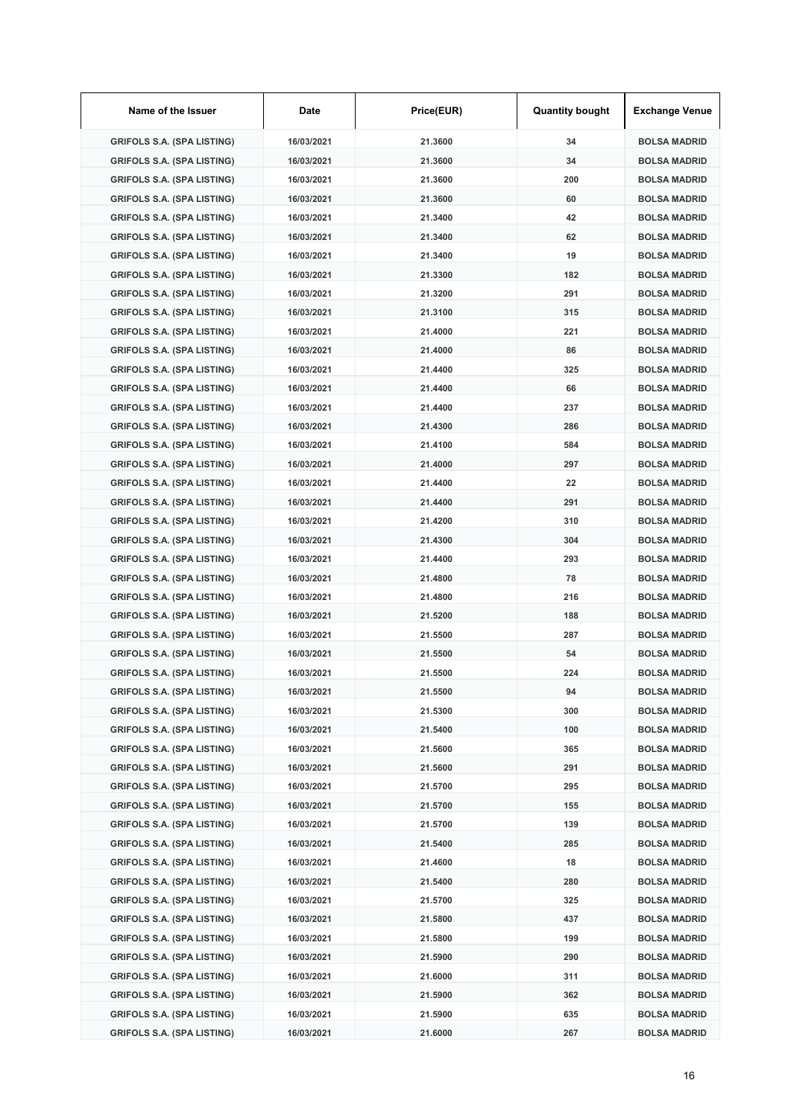| Name of the Issuer                | Date       | Price(EUR) | <b>Quantity bought</b> | <b>Exchange Venue</b> |
|-----------------------------------|------------|------------|------------------------|-----------------------|
| <b>GRIFOLS S.A. (SPA LISTING)</b> | 16/03/2021 | 21.3600    | 34                     | <b>BOLSA MADRID</b>   |
| <b>GRIFOLS S.A. (SPA LISTING)</b> | 16/03/2021 | 21.3600    | 34                     | <b>BOLSA MADRID</b>   |
| <b>GRIFOLS S.A. (SPA LISTING)</b> | 16/03/2021 | 21.3600    | 200                    | <b>BOLSA MADRID</b>   |
| <b>GRIFOLS S.A. (SPA LISTING)</b> | 16/03/2021 | 21.3600    | 60                     | <b>BOLSA MADRID</b>   |
| <b>GRIFOLS S.A. (SPA LISTING)</b> | 16/03/2021 | 21.3400    | 42                     | <b>BOLSA MADRID</b>   |
| <b>GRIFOLS S.A. (SPA LISTING)</b> | 16/03/2021 | 21.3400    | 62                     | <b>BOLSA MADRID</b>   |
| <b>GRIFOLS S.A. (SPA LISTING)</b> | 16/03/2021 | 21.3400    | 19                     | <b>BOLSA MADRID</b>   |
| <b>GRIFOLS S.A. (SPA LISTING)</b> | 16/03/2021 | 21.3300    | 182                    | <b>BOLSA MADRID</b>   |
| <b>GRIFOLS S.A. (SPA LISTING)</b> | 16/03/2021 | 21.3200    | 291                    | <b>BOLSA MADRID</b>   |
| <b>GRIFOLS S.A. (SPA LISTING)</b> | 16/03/2021 | 21.3100    | 315                    | <b>BOLSA MADRID</b>   |
| <b>GRIFOLS S.A. (SPA LISTING)</b> | 16/03/2021 | 21.4000    | 221                    | <b>BOLSA MADRID</b>   |
| <b>GRIFOLS S.A. (SPA LISTING)</b> | 16/03/2021 | 21.4000    | 86                     | <b>BOLSA MADRID</b>   |
| <b>GRIFOLS S.A. (SPA LISTING)</b> | 16/03/2021 | 21.4400    | 325                    | <b>BOLSA MADRID</b>   |
| <b>GRIFOLS S.A. (SPA LISTING)</b> | 16/03/2021 | 21.4400    | 66                     | <b>BOLSA MADRID</b>   |
| <b>GRIFOLS S.A. (SPA LISTING)</b> | 16/03/2021 | 21.4400    | 237                    | <b>BOLSA MADRID</b>   |
| <b>GRIFOLS S.A. (SPA LISTING)</b> | 16/03/2021 | 21.4300    | 286                    | <b>BOLSA MADRID</b>   |
| <b>GRIFOLS S.A. (SPA LISTING)</b> | 16/03/2021 | 21.4100    | 584                    | <b>BOLSA MADRID</b>   |
| <b>GRIFOLS S.A. (SPA LISTING)</b> | 16/03/2021 | 21.4000    | 297                    | <b>BOLSA MADRID</b>   |
| <b>GRIFOLS S.A. (SPA LISTING)</b> | 16/03/2021 | 21.4400    | 22                     | <b>BOLSA MADRID</b>   |
| <b>GRIFOLS S.A. (SPA LISTING)</b> | 16/03/2021 | 21.4400    | 291                    | <b>BOLSA MADRID</b>   |
| <b>GRIFOLS S.A. (SPA LISTING)</b> | 16/03/2021 | 21.4200    | 310                    | <b>BOLSA MADRID</b>   |
| <b>GRIFOLS S.A. (SPA LISTING)</b> | 16/03/2021 | 21.4300    | 304                    | <b>BOLSA MADRID</b>   |
| <b>GRIFOLS S.A. (SPA LISTING)</b> | 16/03/2021 | 21.4400    | 293                    | <b>BOLSA MADRID</b>   |
| <b>GRIFOLS S.A. (SPA LISTING)</b> | 16/03/2021 | 21.4800    | 78                     | <b>BOLSA MADRID</b>   |
| <b>GRIFOLS S.A. (SPA LISTING)</b> | 16/03/2021 | 21.4800    | 216                    | <b>BOLSA MADRID</b>   |
| <b>GRIFOLS S.A. (SPA LISTING)</b> | 16/03/2021 | 21.5200    | 188                    | <b>BOLSA MADRID</b>   |
| <b>GRIFOLS S.A. (SPA LISTING)</b> | 16/03/2021 | 21.5500    | 287                    | <b>BOLSA MADRID</b>   |
| <b>GRIFOLS S.A. (SPA LISTING)</b> | 16/03/2021 | 21.5500    | 54                     | <b>BOLSA MADRID</b>   |
| <b>GRIFOLS S.A. (SPA LISTING)</b> | 16/03/2021 | 21.5500    | 224                    | <b>BOLSA MADRID</b>   |
| <b>GRIFOLS S.A. (SPA LISTING)</b> | 16/03/2021 | 21.5500    | 94                     | <b>BOLSA MADRID</b>   |
| <b>GRIFOLS S.A. (SPA LISTING)</b> | 16/03/2021 | 21.5300    | 300                    | <b>BOLSA MADRID</b>   |
| <b>GRIFOLS S.A. (SPA LISTING)</b> | 16/03/2021 | 21.5400    | 100                    | <b>BOLSA MADRID</b>   |
| <b>GRIFOLS S.A. (SPA LISTING)</b> | 16/03/2021 | 21.5600    | 365                    | <b>BOLSA MADRID</b>   |
| <b>GRIFOLS S.A. (SPA LISTING)</b> | 16/03/2021 | 21.5600    | 291                    | <b>BOLSA MADRID</b>   |
| <b>GRIFOLS S.A. (SPA LISTING)</b> | 16/03/2021 | 21.5700    | 295                    | <b>BOLSA MADRID</b>   |
| <b>GRIFOLS S.A. (SPA LISTING)</b> | 16/03/2021 | 21.5700    | 155                    | <b>BOLSA MADRID</b>   |
| <b>GRIFOLS S.A. (SPA LISTING)</b> | 16/03/2021 | 21.5700    | 139                    | <b>BOLSA MADRID</b>   |
| <b>GRIFOLS S.A. (SPA LISTING)</b> | 16/03/2021 | 21.5400    | 285                    | <b>BOLSA MADRID</b>   |
| <b>GRIFOLS S.A. (SPA LISTING)</b> | 16/03/2021 | 21.4600    | 18                     | <b>BOLSA MADRID</b>   |
| <b>GRIFOLS S.A. (SPA LISTING)</b> | 16/03/2021 | 21.5400    | 280                    | <b>BOLSA MADRID</b>   |
| <b>GRIFOLS S.A. (SPA LISTING)</b> | 16/03/2021 | 21.5700    | 325                    | <b>BOLSA MADRID</b>   |
| <b>GRIFOLS S.A. (SPA LISTING)</b> | 16/03/2021 | 21.5800    | 437                    | <b>BOLSA MADRID</b>   |
| <b>GRIFOLS S.A. (SPA LISTING)</b> | 16/03/2021 | 21.5800    | 199                    | <b>BOLSA MADRID</b>   |
| <b>GRIFOLS S.A. (SPA LISTING)</b> | 16/03/2021 | 21.5900    | 290                    | <b>BOLSA MADRID</b>   |
| <b>GRIFOLS S.A. (SPA LISTING)</b> | 16/03/2021 | 21.6000    | 311                    | <b>BOLSA MADRID</b>   |
| <b>GRIFOLS S.A. (SPA LISTING)</b> | 16/03/2021 | 21.5900    | 362                    | <b>BOLSA MADRID</b>   |
| <b>GRIFOLS S.A. (SPA LISTING)</b> | 16/03/2021 | 21.5900    | 635                    | <b>BOLSA MADRID</b>   |
| <b>GRIFOLS S.A. (SPA LISTING)</b> | 16/03/2021 | 21.6000    | 267                    | <b>BOLSA MADRID</b>   |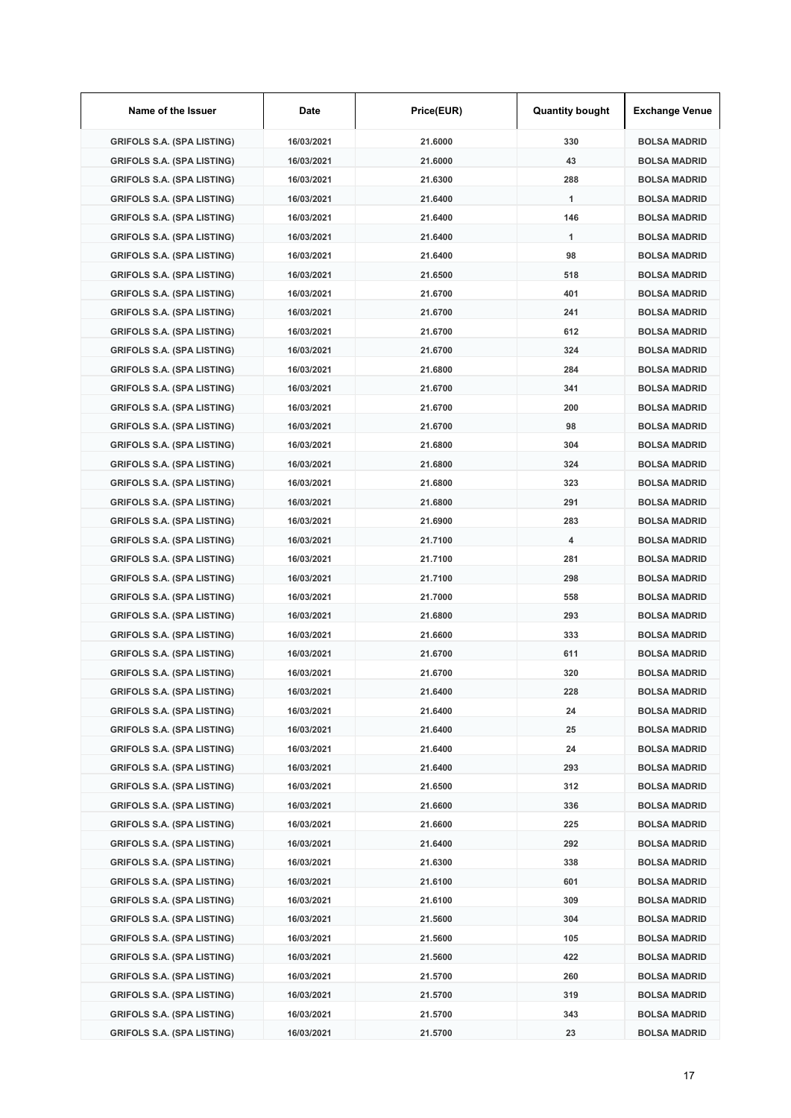| Name of the Issuer                | Date       | Price(EUR) | <b>Quantity bought</b> | <b>Exchange Venue</b> |
|-----------------------------------|------------|------------|------------------------|-----------------------|
| <b>GRIFOLS S.A. (SPA LISTING)</b> | 16/03/2021 | 21.6000    | 330                    | <b>BOLSA MADRID</b>   |
| <b>GRIFOLS S.A. (SPA LISTING)</b> | 16/03/2021 | 21.6000    | 43                     | <b>BOLSA MADRID</b>   |
| <b>GRIFOLS S.A. (SPA LISTING)</b> | 16/03/2021 | 21.6300    | 288                    | <b>BOLSA MADRID</b>   |
| <b>GRIFOLS S.A. (SPA LISTING)</b> | 16/03/2021 | 21.6400    | 1                      | <b>BOLSA MADRID</b>   |
| <b>GRIFOLS S.A. (SPA LISTING)</b> | 16/03/2021 | 21.6400    | 146                    | <b>BOLSA MADRID</b>   |
| <b>GRIFOLS S.A. (SPA LISTING)</b> | 16/03/2021 | 21.6400    | 1                      | <b>BOLSA MADRID</b>   |
| <b>GRIFOLS S.A. (SPA LISTING)</b> | 16/03/2021 | 21.6400    | 98                     | <b>BOLSA MADRID</b>   |
| <b>GRIFOLS S.A. (SPA LISTING)</b> | 16/03/2021 | 21.6500    | 518                    | <b>BOLSA MADRID</b>   |
| <b>GRIFOLS S.A. (SPA LISTING)</b> | 16/03/2021 | 21.6700    | 401                    | <b>BOLSA MADRID</b>   |
| <b>GRIFOLS S.A. (SPA LISTING)</b> | 16/03/2021 | 21.6700    | 241                    | <b>BOLSA MADRID</b>   |
| <b>GRIFOLS S.A. (SPA LISTING)</b> | 16/03/2021 | 21.6700    | 612                    | <b>BOLSA MADRID</b>   |
| <b>GRIFOLS S.A. (SPA LISTING)</b> | 16/03/2021 | 21.6700    | 324                    | <b>BOLSA MADRID</b>   |
| <b>GRIFOLS S.A. (SPA LISTING)</b> | 16/03/2021 | 21.6800    | 284                    | <b>BOLSA MADRID</b>   |
| <b>GRIFOLS S.A. (SPA LISTING)</b> | 16/03/2021 | 21.6700    | 341                    | <b>BOLSA MADRID</b>   |
| <b>GRIFOLS S.A. (SPA LISTING)</b> | 16/03/2021 | 21.6700    | 200                    | <b>BOLSA MADRID</b>   |
| <b>GRIFOLS S.A. (SPA LISTING)</b> | 16/03/2021 | 21.6700    | 98                     | <b>BOLSA MADRID</b>   |
| <b>GRIFOLS S.A. (SPA LISTING)</b> | 16/03/2021 | 21.6800    | 304                    | <b>BOLSA MADRID</b>   |
| <b>GRIFOLS S.A. (SPA LISTING)</b> | 16/03/2021 | 21.6800    | 324                    | <b>BOLSA MADRID</b>   |
| <b>GRIFOLS S.A. (SPA LISTING)</b> | 16/03/2021 | 21.6800    | 323                    | <b>BOLSA MADRID</b>   |
| <b>GRIFOLS S.A. (SPA LISTING)</b> | 16/03/2021 | 21.6800    | 291                    | <b>BOLSA MADRID</b>   |
| <b>GRIFOLS S.A. (SPA LISTING)</b> | 16/03/2021 | 21.6900    | 283                    | <b>BOLSA MADRID</b>   |
| <b>GRIFOLS S.A. (SPA LISTING)</b> | 16/03/2021 | 21.7100    | 4                      | <b>BOLSA MADRID</b>   |
| <b>GRIFOLS S.A. (SPA LISTING)</b> | 16/03/2021 | 21.7100    | 281                    | <b>BOLSA MADRID</b>   |
| <b>GRIFOLS S.A. (SPA LISTING)</b> | 16/03/2021 | 21.7100    | 298                    | <b>BOLSA MADRID</b>   |
| <b>GRIFOLS S.A. (SPA LISTING)</b> | 16/03/2021 | 21.7000    | 558                    | <b>BOLSA MADRID</b>   |
| <b>GRIFOLS S.A. (SPA LISTING)</b> | 16/03/2021 | 21.6800    | 293                    | <b>BOLSA MADRID</b>   |
| <b>GRIFOLS S.A. (SPA LISTING)</b> | 16/03/2021 | 21.6600    | 333                    | <b>BOLSA MADRID</b>   |
| <b>GRIFOLS S.A. (SPA LISTING)</b> | 16/03/2021 | 21.6700    | 611                    | <b>BOLSA MADRID</b>   |
| <b>GRIFOLS S.A. (SPA LISTING)</b> | 16/03/2021 | 21.6700    | 320                    | <b>BOLSA MADRID</b>   |
| <b>GRIFOLS S.A. (SPA LISTING)</b> | 16/03/2021 | 21.6400    | 228                    | <b>BOLSA MADRID</b>   |
| <b>GRIFOLS S.A. (SPA LISTING)</b> | 16/03/2021 | 21.6400    | 24                     | <b>BOLSA MADRID</b>   |
| <b>GRIFOLS S.A. (SPA LISTING)</b> | 16/03/2021 | 21.6400    | 25                     | <b>BOLSA MADRID</b>   |
| <b>GRIFOLS S.A. (SPA LISTING)</b> | 16/03/2021 | 21.6400    | 24                     | <b>BOLSA MADRID</b>   |
| <b>GRIFOLS S.A. (SPA LISTING)</b> | 16/03/2021 | 21.6400    | 293                    | <b>BOLSA MADRID</b>   |
| <b>GRIFOLS S.A. (SPA LISTING)</b> | 16/03/2021 | 21.6500    | 312                    | <b>BOLSA MADRID</b>   |
| <b>GRIFOLS S.A. (SPA LISTING)</b> | 16/03/2021 | 21.6600    | 336                    | <b>BOLSA MADRID</b>   |
| <b>GRIFOLS S.A. (SPA LISTING)</b> | 16/03/2021 | 21.6600    | 225                    | <b>BOLSA MADRID</b>   |
| <b>GRIFOLS S.A. (SPA LISTING)</b> | 16/03/2021 | 21.6400    | 292                    | <b>BOLSA MADRID</b>   |
| <b>GRIFOLS S.A. (SPA LISTING)</b> | 16/03/2021 | 21.6300    | 338                    | <b>BOLSA MADRID</b>   |
| GRIFOLS S.A. (SPA LISTING)        | 16/03/2021 | 21.6100    | 601                    | <b>BOLSA MADRID</b>   |
| <b>GRIFOLS S.A. (SPA LISTING)</b> | 16/03/2021 | 21.6100    | 309                    | <b>BOLSA MADRID</b>   |
| <b>GRIFOLS S.A. (SPA LISTING)</b> | 16/03/2021 | 21.5600    | 304                    | <b>BOLSA MADRID</b>   |
| <b>GRIFOLS S.A. (SPA LISTING)</b> | 16/03/2021 | 21.5600    | 105                    | <b>BOLSA MADRID</b>   |
| <b>GRIFOLS S.A. (SPA LISTING)</b> | 16/03/2021 | 21.5600    | 422                    | <b>BOLSA MADRID</b>   |
| <b>GRIFOLS S.A. (SPA LISTING)</b> | 16/03/2021 | 21.5700    | 260                    | <b>BOLSA MADRID</b>   |
| <b>GRIFOLS S.A. (SPA LISTING)</b> | 16/03/2021 | 21.5700    | 319                    | <b>BOLSA MADRID</b>   |
| <b>GRIFOLS S.A. (SPA LISTING)</b> | 16/03/2021 | 21.5700    | 343                    | <b>BOLSA MADRID</b>   |
| <b>GRIFOLS S.A. (SPA LISTING)</b> | 16/03/2021 | 21.5700    | 23                     | <b>BOLSA MADRID</b>   |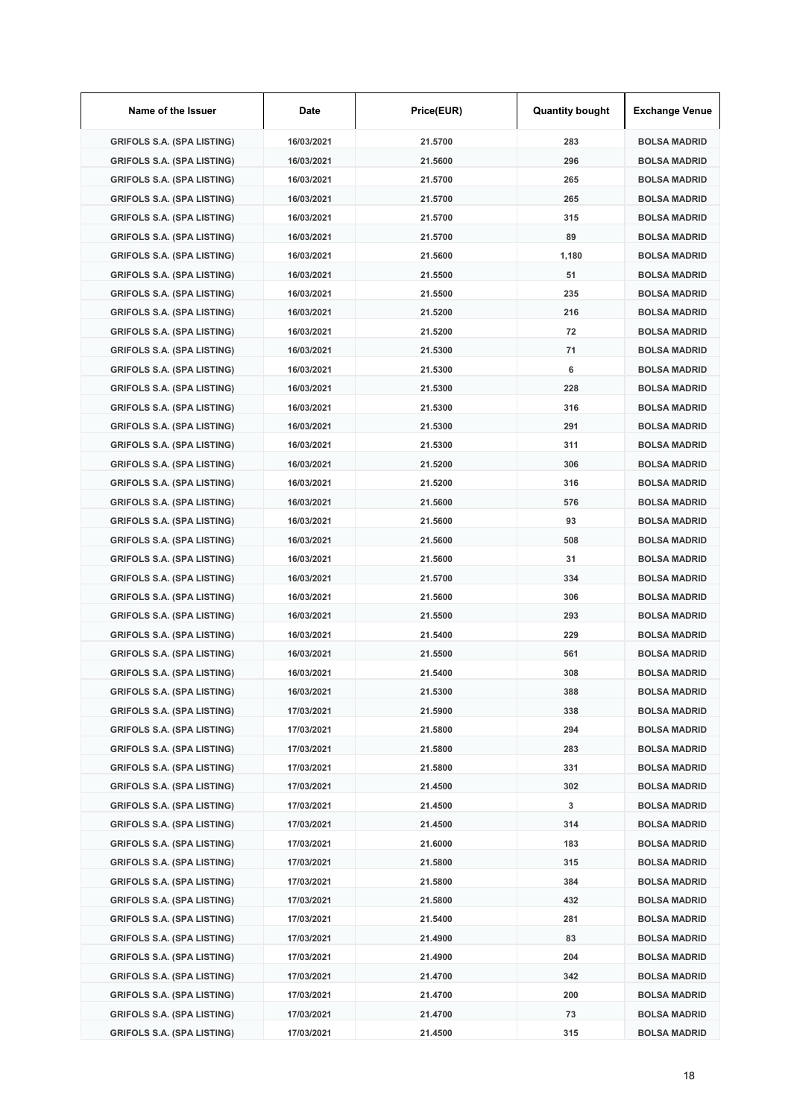| Name of the Issuer                | Date       | Price(EUR) | <b>Quantity bought</b> | <b>Exchange Venue</b> |
|-----------------------------------|------------|------------|------------------------|-----------------------|
| <b>GRIFOLS S.A. (SPA LISTING)</b> | 16/03/2021 | 21.5700    | 283                    | <b>BOLSA MADRID</b>   |
| <b>GRIFOLS S.A. (SPA LISTING)</b> | 16/03/2021 | 21.5600    | 296                    | <b>BOLSA MADRID</b>   |
| <b>GRIFOLS S.A. (SPA LISTING)</b> | 16/03/2021 | 21.5700    | 265                    | <b>BOLSA MADRID</b>   |
| <b>GRIFOLS S.A. (SPA LISTING)</b> | 16/03/2021 | 21.5700    | 265                    | <b>BOLSA MADRID</b>   |
| <b>GRIFOLS S.A. (SPA LISTING)</b> | 16/03/2021 | 21.5700    | 315                    | <b>BOLSA MADRID</b>   |
| <b>GRIFOLS S.A. (SPA LISTING)</b> | 16/03/2021 | 21.5700    | 89                     | <b>BOLSA MADRID</b>   |
| <b>GRIFOLS S.A. (SPA LISTING)</b> | 16/03/2021 | 21.5600    | 1,180                  | <b>BOLSA MADRID</b>   |
| <b>GRIFOLS S.A. (SPA LISTING)</b> | 16/03/2021 | 21.5500    | 51                     | <b>BOLSA MADRID</b>   |
| <b>GRIFOLS S.A. (SPA LISTING)</b> | 16/03/2021 | 21.5500    | 235                    | <b>BOLSA MADRID</b>   |
| <b>GRIFOLS S.A. (SPA LISTING)</b> | 16/03/2021 | 21.5200    | 216                    | <b>BOLSA MADRID</b>   |
| <b>GRIFOLS S.A. (SPA LISTING)</b> | 16/03/2021 | 21.5200    | 72                     | <b>BOLSA MADRID</b>   |
| <b>GRIFOLS S.A. (SPA LISTING)</b> | 16/03/2021 | 21.5300    | 71                     | <b>BOLSA MADRID</b>   |
| <b>GRIFOLS S.A. (SPA LISTING)</b> | 16/03/2021 | 21.5300    | 6                      | <b>BOLSA MADRID</b>   |
| <b>GRIFOLS S.A. (SPA LISTING)</b> | 16/03/2021 | 21.5300    | 228                    | <b>BOLSA MADRID</b>   |
| <b>GRIFOLS S.A. (SPA LISTING)</b> | 16/03/2021 | 21.5300    | 316                    | <b>BOLSA MADRID</b>   |
| <b>GRIFOLS S.A. (SPA LISTING)</b> | 16/03/2021 | 21.5300    | 291                    | <b>BOLSA MADRID</b>   |
| <b>GRIFOLS S.A. (SPA LISTING)</b> | 16/03/2021 | 21.5300    | 311                    | <b>BOLSA MADRID</b>   |
| <b>GRIFOLS S.A. (SPA LISTING)</b> | 16/03/2021 | 21.5200    | 306                    | <b>BOLSA MADRID</b>   |
| <b>GRIFOLS S.A. (SPA LISTING)</b> | 16/03/2021 | 21.5200    | 316                    | <b>BOLSA MADRID</b>   |
| <b>GRIFOLS S.A. (SPA LISTING)</b> | 16/03/2021 | 21.5600    | 576                    | <b>BOLSA MADRID</b>   |
| <b>GRIFOLS S.A. (SPA LISTING)</b> | 16/03/2021 | 21.5600    | 93                     | <b>BOLSA MADRID</b>   |
| <b>GRIFOLS S.A. (SPA LISTING)</b> | 16/03/2021 | 21.5600    | 508                    | <b>BOLSA MADRID</b>   |
| <b>GRIFOLS S.A. (SPA LISTING)</b> | 16/03/2021 | 21.5600    | 31                     | <b>BOLSA MADRID</b>   |
| <b>GRIFOLS S.A. (SPA LISTING)</b> | 16/03/2021 | 21.5700    | 334                    | <b>BOLSA MADRID</b>   |
| <b>GRIFOLS S.A. (SPA LISTING)</b> | 16/03/2021 | 21.5600    | 306                    | <b>BOLSA MADRID</b>   |
| <b>GRIFOLS S.A. (SPA LISTING)</b> | 16/03/2021 | 21.5500    | 293                    | <b>BOLSA MADRID</b>   |
| <b>GRIFOLS S.A. (SPA LISTING)</b> | 16/03/2021 | 21.5400    | 229                    | <b>BOLSA MADRID</b>   |
| <b>GRIFOLS S.A. (SPA LISTING)</b> | 16/03/2021 | 21.5500    | 561                    | <b>BOLSA MADRID</b>   |
| <b>GRIFOLS S.A. (SPA LISTING)</b> | 16/03/2021 | 21.5400    | 308                    | <b>BOLSA MADRID</b>   |
| <b>GRIFOLS S.A. (SPA LISTING)</b> | 16/03/2021 | 21.5300    | 388                    | <b>BOLSA MADRID</b>   |
| <b>GRIFOLS S.A. (SPA LISTING)</b> | 17/03/2021 | 21.5900    | 338                    | <b>BOLSA MADRID</b>   |
| <b>GRIFOLS S.A. (SPA LISTING)</b> | 17/03/2021 | 21.5800    | 294                    | <b>BOLSA MADRID</b>   |
| <b>GRIFOLS S.A. (SPA LISTING)</b> | 17/03/2021 | 21.5800    | 283                    | <b>BOLSA MADRID</b>   |
| <b>GRIFOLS S.A. (SPA LISTING)</b> | 17/03/2021 | 21.5800    | 331                    | <b>BOLSA MADRID</b>   |
| <b>GRIFOLS S.A. (SPA LISTING)</b> | 17/03/2021 | 21.4500    | 302                    | <b>BOLSA MADRID</b>   |
| <b>GRIFOLS S.A. (SPA LISTING)</b> | 17/03/2021 | 21.4500    | 3                      | <b>BOLSA MADRID</b>   |
| <b>GRIFOLS S.A. (SPA LISTING)</b> | 17/03/2021 | 21.4500    | 314                    | <b>BOLSA MADRID</b>   |
| <b>GRIFOLS S.A. (SPA LISTING)</b> | 17/03/2021 | 21.6000    | 183                    | <b>BOLSA MADRID</b>   |
| <b>GRIFOLS S.A. (SPA LISTING)</b> | 17/03/2021 | 21.5800    | 315                    | <b>BOLSA MADRID</b>   |
| GRIFOLS S.A. (SPA LISTING)        | 17/03/2021 | 21.5800    | 384                    | <b>BOLSA MADRID</b>   |
| <b>GRIFOLS S.A. (SPA LISTING)</b> | 17/03/2021 | 21.5800    | 432                    | <b>BOLSA MADRID</b>   |
| <b>GRIFOLS S.A. (SPA LISTING)</b> | 17/03/2021 | 21.5400    | 281                    | <b>BOLSA MADRID</b>   |
| <b>GRIFOLS S.A. (SPA LISTING)</b> | 17/03/2021 | 21.4900    | 83                     | <b>BOLSA MADRID</b>   |
| <b>GRIFOLS S.A. (SPA LISTING)</b> | 17/03/2021 | 21.4900    | 204                    | <b>BOLSA MADRID</b>   |
| <b>GRIFOLS S.A. (SPA LISTING)</b> | 17/03/2021 | 21.4700    | 342                    | <b>BOLSA MADRID</b>   |
| <b>GRIFOLS S.A. (SPA LISTING)</b> | 17/03/2021 | 21.4700    | 200                    | <b>BOLSA MADRID</b>   |
| <b>GRIFOLS S.A. (SPA LISTING)</b> | 17/03/2021 | 21.4700    | 73                     | <b>BOLSA MADRID</b>   |
| <b>GRIFOLS S.A. (SPA LISTING)</b> | 17/03/2021 | 21.4500    | 315                    | <b>BOLSA MADRID</b>   |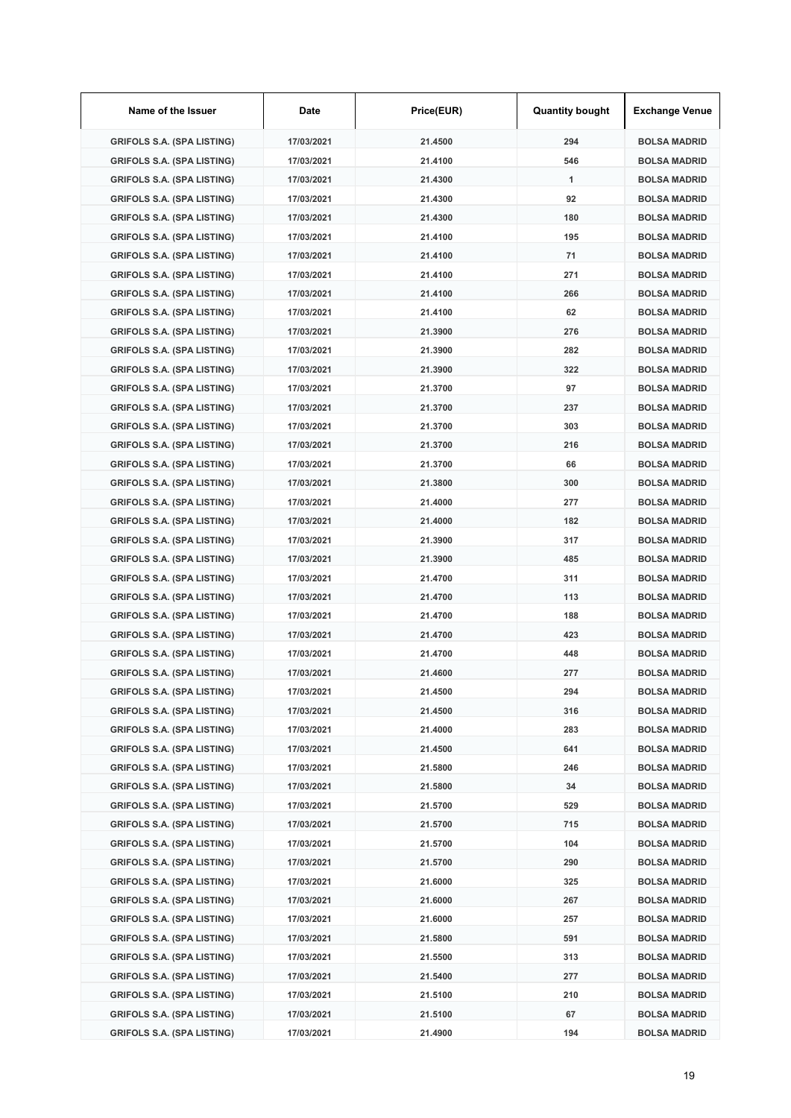| Name of the Issuer                | Date       | Price(EUR) | <b>Quantity bought</b> | <b>Exchange Venue</b> |
|-----------------------------------|------------|------------|------------------------|-----------------------|
| <b>GRIFOLS S.A. (SPA LISTING)</b> | 17/03/2021 | 21.4500    | 294                    | <b>BOLSA MADRID</b>   |
| <b>GRIFOLS S.A. (SPA LISTING)</b> | 17/03/2021 | 21.4100    | 546                    | <b>BOLSA MADRID</b>   |
| <b>GRIFOLS S.A. (SPA LISTING)</b> | 17/03/2021 | 21.4300    | 1                      | <b>BOLSA MADRID</b>   |
| <b>GRIFOLS S.A. (SPA LISTING)</b> | 17/03/2021 | 21.4300    | 92                     | <b>BOLSA MADRID</b>   |
| <b>GRIFOLS S.A. (SPA LISTING)</b> | 17/03/2021 | 21.4300    | 180                    | <b>BOLSA MADRID</b>   |
| <b>GRIFOLS S.A. (SPA LISTING)</b> | 17/03/2021 | 21.4100    | 195                    | <b>BOLSA MADRID</b>   |
| <b>GRIFOLS S.A. (SPA LISTING)</b> | 17/03/2021 | 21.4100    | 71                     | <b>BOLSA MADRID</b>   |
| <b>GRIFOLS S.A. (SPA LISTING)</b> | 17/03/2021 | 21.4100    | 271                    | <b>BOLSA MADRID</b>   |
| <b>GRIFOLS S.A. (SPA LISTING)</b> | 17/03/2021 | 21.4100    | 266                    | <b>BOLSA MADRID</b>   |
| <b>GRIFOLS S.A. (SPA LISTING)</b> | 17/03/2021 | 21.4100    | 62                     | <b>BOLSA MADRID</b>   |
| <b>GRIFOLS S.A. (SPA LISTING)</b> | 17/03/2021 | 21.3900    | 276                    | <b>BOLSA MADRID</b>   |
| <b>GRIFOLS S.A. (SPA LISTING)</b> | 17/03/2021 | 21.3900    | 282                    | <b>BOLSA MADRID</b>   |
| <b>GRIFOLS S.A. (SPA LISTING)</b> | 17/03/2021 | 21.3900    | 322                    | <b>BOLSA MADRID</b>   |
| <b>GRIFOLS S.A. (SPA LISTING)</b> | 17/03/2021 | 21.3700    | 97                     | <b>BOLSA MADRID</b>   |
| <b>GRIFOLS S.A. (SPA LISTING)</b> | 17/03/2021 | 21.3700    | 237                    | <b>BOLSA MADRID</b>   |
| <b>GRIFOLS S.A. (SPA LISTING)</b> | 17/03/2021 | 21.3700    | 303                    | <b>BOLSA MADRID</b>   |
| <b>GRIFOLS S.A. (SPA LISTING)</b> | 17/03/2021 | 21.3700    | 216                    | <b>BOLSA MADRID</b>   |
| <b>GRIFOLS S.A. (SPA LISTING)</b> | 17/03/2021 | 21.3700    | 66                     | <b>BOLSA MADRID</b>   |
| <b>GRIFOLS S.A. (SPA LISTING)</b> | 17/03/2021 | 21.3800    | 300                    | <b>BOLSA MADRID</b>   |
| <b>GRIFOLS S.A. (SPA LISTING)</b> | 17/03/2021 | 21.4000    | 277                    | <b>BOLSA MADRID</b>   |
| <b>GRIFOLS S.A. (SPA LISTING)</b> | 17/03/2021 | 21.4000    | 182                    | <b>BOLSA MADRID</b>   |
| <b>GRIFOLS S.A. (SPA LISTING)</b> | 17/03/2021 | 21.3900    | 317                    | <b>BOLSA MADRID</b>   |
| <b>GRIFOLS S.A. (SPA LISTING)</b> | 17/03/2021 | 21.3900    | 485                    | <b>BOLSA MADRID</b>   |
| <b>GRIFOLS S.A. (SPA LISTING)</b> | 17/03/2021 | 21.4700    | 311                    | <b>BOLSA MADRID</b>   |
| <b>GRIFOLS S.A. (SPA LISTING)</b> | 17/03/2021 | 21.4700    | 113                    | <b>BOLSA MADRID</b>   |
| <b>GRIFOLS S.A. (SPA LISTING)</b> | 17/03/2021 | 21.4700    | 188                    | <b>BOLSA MADRID</b>   |
| <b>GRIFOLS S.A. (SPA LISTING)</b> | 17/03/2021 | 21.4700    | 423                    | <b>BOLSA MADRID</b>   |
| <b>GRIFOLS S.A. (SPA LISTING)</b> | 17/03/2021 | 21.4700    | 448                    | <b>BOLSA MADRID</b>   |
| <b>GRIFOLS S.A. (SPA LISTING)</b> | 17/03/2021 | 21.4600    | 277                    | <b>BOLSA MADRID</b>   |
| <b>GRIFOLS S.A. (SPA LISTING)</b> | 17/03/2021 | 21.4500    | 294                    | <b>BOLSA MADRID</b>   |
| <b>GRIFOLS S.A. (SPA LISTING)</b> | 17/03/2021 | 21.4500    | 316                    | <b>BOLSA MADRID</b>   |
| <b>GRIFOLS S.A. (SPA LISTING)</b> | 17/03/2021 | 21.4000    | 283                    | <b>BOLSA MADRID</b>   |
| <b>GRIFOLS S.A. (SPA LISTING)</b> | 17/03/2021 | 21.4500    | 641                    | <b>BOLSA MADRID</b>   |
| <b>GRIFOLS S.A. (SPA LISTING)</b> | 17/03/2021 | 21.5800    | 246                    | <b>BOLSA MADRID</b>   |
| <b>GRIFOLS S.A. (SPA LISTING)</b> | 17/03/2021 | 21.5800    | 34                     | <b>BOLSA MADRID</b>   |
| <b>GRIFOLS S.A. (SPA LISTING)</b> | 17/03/2021 | 21.5700    | 529                    | <b>BOLSA MADRID</b>   |
| <b>GRIFOLS S.A. (SPA LISTING)</b> | 17/03/2021 | 21.5700    | 715                    | <b>BOLSA MADRID</b>   |
| <b>GRIFOLS S.A. (SPA LISTING)</b> | 17/03/2021 | 21.5700    | 104                    | <b>BOLSA MADRID</b>   |
| <b>GRIFOLS S.A. (SPA LISTING)</b> | 17/03/2021 | 21.5700    | 290                    | <b>BOLSA MADRID</b>   |
| GRIFOLS S.A. (SPA LISTING)        | 17/03/2021 | 21.6000    | 325                    | <b>BOLSA MADRID</b>   |
| <b>GRIFOLS S.A. (SPA LISTING)</b> | 17/03/2021 | 21.6000    | 267                    | <b>BOLSA MADRID</b>   |
| <b>GRIFOLS S.A. (SPA LISTING)</b> | 17/03/2021 | 21.6000    | 257                    | <b>BOLSA MADRID</b>   |
| <b>GRIFOLS S.A. (SPA LISTING)</b> | 17/03/2021 | 21.5800    | 591                    | <b>BOLSA MADRID</b>   |
| <b>GRIFOLS S.A. (SPA LISTING)</b> | 17/03/2021 | 21.5500    | 313                    | <b>BOLSA MADRID</b>   |
| <b>GRIFOLS S.A. (SPA LISTING)</b> | 17/03/2021 | 21.5400    | 277                    | <b>BOLSA MADRID</b>   |
| <b>GRIFOLS S.A. (SPA LISTING)</b> | 17/03/2021 | 21.5100    | 210                    | <b>BOLSA MADRID</b>   |
| <b>GRIFOLS S.A. (SPA LISTING)</b> | 17/03/2021 | 21.5100    | 67                     | <b>BOLSA MADRID</b>   |
| <b>GRIFOLS S.A. (SPA LISTING)</b> | 17/03/2021 | 21.4900    | 194                    | <b>BOLSA MADRID</b>   |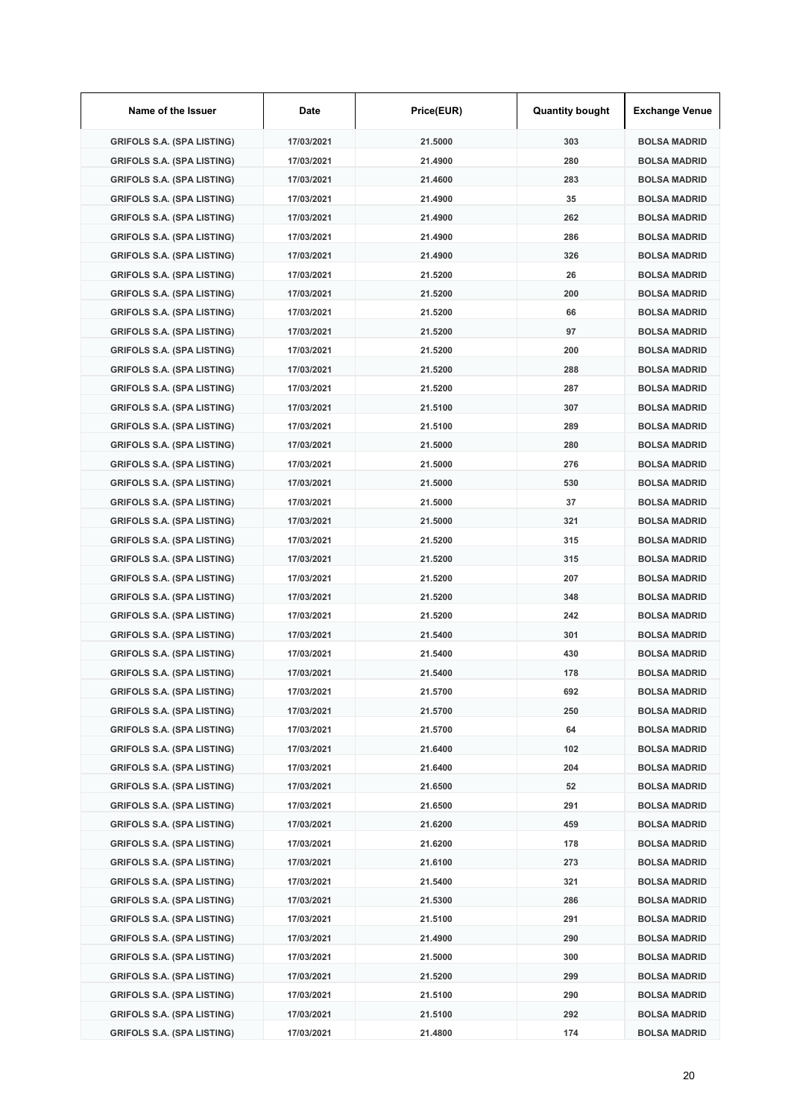| Name of the Issuer                | Date       | Price(EUR) | <b>Quantity bought</b> | <b>Exchange Venue</b> |
|-----------------------------------|------------|------------|------------------------|-----------------------|
| <b>GRIFOLS S.A. (SPA LISTING)</b> | 17/03/2021 | 21.5000    | 303                    | <b>BOLSA MADRID</b>   |
| <b>GRIFOLS S.A. (SPA LISTING)</b> | 17/03/2021 | 21.4900    | 280                    | <b>BOLSA MADRID</b>   |
| <b>GRIFOLS S.A. (SPA LISTING)</b> | 17/03/2021 | 21.4600    | 283                    | <b>BOLSA MADRID</b>   |
| <b>GRIFOLS S.A. (SPA LISTING)</b> | 17/03/2021 | 21.4900    | 35                     | <b>BOLSA MADRID</b>   |
| <b>GRIFOLS S.A. (SPA LISTING)</b> | 17/03/2021 | 21.4900    | 262                    | <b>BOLSA MADRID</b>   |
| <b>GRIFOLS S.A. (SPA LISTING)</b> | 17/03/2021 | 21.4900    | 286                    | <b>BOLSA MADRID</b>   |
| <b>GRIFOLS S.A. (SPA LISTING)</b> | 17/03/2021 | 21.4900    | 326                    | <b>BOLSA MADRID</b>   |
| <b>GRIFOLS S.A. (SPA LISTING)</b> | 17/03/2021 | 21.5200    | 26                     | <b>BOLSA MADRID</b>   |
| <b>GRIFOLS S.A. (SPA LISTING)</b> | 17/03/2021 | 21.5200    | 200                    | <b>BOLSA MADRID</b>   |
| <b>GRIFOLS S.A. (SPA LISTING)</b> | 17/03/2021 | 21.5200    | 66                     | <b>BOLSA MADRID</b>   |
| <b>GRIFOLS S.A. (SPA LISTING)</b> | 17/03/2021 | 21.5200    | 97                     | <b>BOLSA MADRID</b>   |
| <b>GRIFOLS S.A. (SPA LISTING)</b> | 17/03/2021 | 21.5200    | 200                    | <b>BOLSA MADRID</b>   |
| <b>GRIFOLS S.A. (SPA LISTING)</b> | 17/03/2021 | 21.5200    | 288                    | <b>BOLSA MADRID</b>   |
| <b>GRIFOLS S.A. (SPA LISTING)</b> | 17/03/2021 | 21.5200    | 287                    | <b>BOLSA MADRID</b>   |
| <b>GRIFOLS S.A. (SPA LISTING)</b> | 17/03/2021 | 21.5100    | 307                    | <b>BOLSA MADRID</b>   |
| <b>GRIFOLS S.A. (SPA LISTING)</b> | 17/03/2021 | 21.5100    | 289                    | <b>BOLSA MADRID</b>   |
| <b>GRIFOLS S.A. (SPA LISTING)</b> | 17/03/2021 | 21.5000    | 280                    | <b>BOLSA MADRID</b>   |
| <b>GRIFOLS S.A. (SPA LISTING)</b> | 17/03/2021 | 21.5000    | 276                    | <b>BOLSA MADRID</b>   |
| <b>GRIFOLS S.A. (SPA LISTING)</b> | 17/03/2021 | 21.5000    | 530                    | <b>BOLSA MADRID</b>   |
| <b>GRIFOLS S.A. (SPA LISTING)</b> | 17/03/2021 | 21.5000    | 37                     | <b>BOLSA MADRID</b>   |
| <b>GRIFOLS S.A. (SPA LISTING)</b> | 17/03/2021 | 21.5000    | 321                    | <b>BOLSA MADRID</b>   |
| <b>GRIFOLS S.A. (SPA LISTING)</b> | 17/03/2021 | 21.5200    | 315                    | <b>BOLSA MADRID</b>   |
| <b>GRIFOLS S.A. (SPA LISTING)</b> | 17/03/2021 | 21.5200    | 315                    | <b>BOLSA MADRID</b>   |
| <b>GRIFOLS S.A. (SPA LISTING)</b> | 17/03/2021 | 21.5200    | 207                    | <b>BOLSA MADRID</b>   |
| <b>GRIFOLS S.A. (SPA LISTING)</b> | 17/03/2021 | 21.5200    | 348                    | <b>BOLSA MADRID</b>   |
| <b>GRIFOLS S.A. (SPA LISTING)</b> | 17/03/2021 | 21.5200    | 242                    | <b>BOLSA MADRID</b>   |
| <b>GRIFOLS S.A. (SPA LISTING)</b> | 17/03/2021 | 21.5400    | 301                    | <b>BOLSA MADRID</b>   |
| <b>GRIFOLS S.A. (SPA LISTING)</b> | 17/03/2021 | 21.5400    | 430                    | <b>BOLSA MADRID</b>   |
| <b>GRIFOLS S.A. (SPA LISTING)</b> | 17/03/2021 | 21.5400    | 178                    | <b>BOLSA MADRID</b>   |
| <b>GRIFOLS S.A. (SPA LISTING)</b> | 17/03/2021 | 21.5700    | 692                    | <b>BOLSA MADRID</b>   |
| <b>GRIFOLS S.A. (SPA LISTING)</b> | 17/03/2021 | 21.5700    | 250                    | <b>BOLSA MADRID</b>   |
| <b>GRIFOLS S.A. (SPA LISTING)</b> | 17/03/2021 | 21.5700    | 64                     | <b>BOLSA MADRID</b>   |
| <b>GRIFOLS S.A. (SPA LISTING)</b> | 17/03/2021 | 21.6400    | 102                    | <b>BOLSA MADRID</b>   |
| <b>GRIFOLS S.A. (SPA LISTING)</b> | 17/03/2021 | 21.6400    | 204                    | <b>BOLSA MADRID</b>   |
| <b>GRIFOLS S.A. (SPA LISTING)</b> | 17/03/2021 | 21.6500    | 52                     | <b>BOLSA MADRID</b>   |
| <b>GRIFOLS S.A. (SPA LISTING)</b> | 17/03/2021 | 21.6500    | 291                    | <b>BOLSA MADRID</b>   |
| <b>GRIFOLS S.A. (SPA LISTING)</b> | 17/03/2021 | 21.6200    | 459                    | <b>BOLSA MADRID</b>   |
| <b>GRIFOLS S.A. (SPA LISTING)</b> | 17/03/2021 | 21.6200    | 178                    | <b>BOLSA MADRID</b>   |
| <b>GRIFOLS S.A. (SPA LISTING)</b> | 17/03/2021 | 21.6100    | 273                    | <b>BOLSA MADRID</b>   |
| <b>GRIFOLS S.A. (SPA LISTING)</b> | 17/03/2021 | 21.5400    | 321                    | <b>BOLSA MADRID</b>   |
| <b>GRIFOLS S.A. (SPA LISTING)</b> | 17/03/2021 | 21.5300    | 286                    | <b>BOLSA MADRID</b>   |
| <b>GRIFOLS S.A. (SPA LISTING)</b> | 17/03/2021 | 21.5100    | 291                    | <b>BOLSA MADRID</b>   |
| <b>GRIFOLS S.A. (SPA LISTING)</b> | 17/03/2021 | 21.4900    | 290                    | <b>BOLSA MADRID</b>   |
| <b>GRIFOLS S.A. (SPA LISTING)</b> | 17/03/2021 | 21.5000    | 300                    | <b>BOLSA MADRID</b>   |
| <b>GRIFOLS S.A. (SPA LISTING)</b> | 17/03/2021 | 21.5200    | 299                    | <b>BOLSA MADRID</b>   |
| <b>GRIFOLS S.A. (SPA LISTING)</b> | 17/03/2021 | 21.5100    | 290                    | <b>BOLSA MADRID</b>   |
| <b>GRIFOLS S.A. (SPA LISTING)</b> | 17/03/2021 | 21.5100    | 292                    | <b>BOLSA MADRID</b>   |
| <b>GRIFOLS S.A. (SPA LISTING)</b> | 17/03/2021 | 21.4800    | 174                    | <b>BOLSA MADRID</b>   |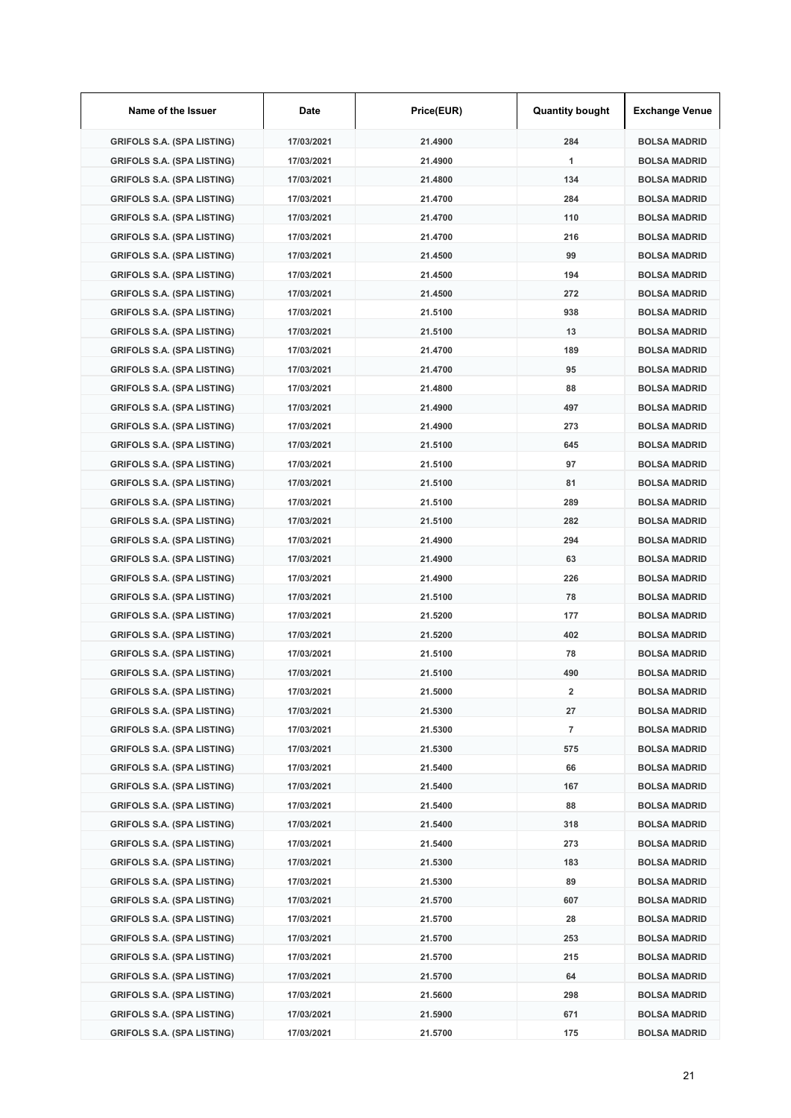| Name of the Issuer                | Date       | Price(EUR) | <b>Quantity bought</b> | <b>Exchange Venue</b> |
|-----------------------------------|------------|------------|------------------------|-----------------------|
| <b>GRIFOLS S.A. (SPA LISTING)</b> | 17/03/2021 | 21.4900    | 284                    | <b>BOLSA MADRID</b>   |
| <b>GRIFOLS S.A. (SPA LISTING)</b> | 17/03/2021 | 21.4900    | $\mathbf{1}$           | <b>BOLSA MADRID</b>   |
| <b>GRIFOLS S.A. (SPA LISTING)</b> | 17/03/2021 | 21.4800    | 134                    | <b>BOLSA MADRID</b>   |
| <b>GRIFOLS S.A. (SPA LISTING)</b> | 17/03/2021 | 21.4700    | 284                    | <b>BOLSA MADRID</b>   |
| <b>GRIFOLS S.A. (SPA LISTING)</b> | 17/03/2021 | 21.4700    | 110                    | <b>BOLSA MADRID</b>   |
| <b>GRIFOLS S.A. (SPA LISTING)</b> | 17/03/2021 | 21.4700    | 216                    | <b>BOLSA MADRID</b>   |
| <b>GRIFOLS S.A. (SPA LISTING)</b> | 17/03/2021 | 21.4500    | 99                     | <b>BOLSA MADRID</b>   |
| <b>GRIFOLS S.A. (SPA LISTING)</b> | 17/03/2021 | 21.4500    | 194                    | <b>BOLSA MADRID</b>   |
| <b>GRIFOLS S.A. (SPA LISTING)</b> | 17/03/2021 | 21.4500    | 272                    | <b>BOLSA MADRID</b>   |
| <b>GRIFOLS S.A. (SPA LISTING)</b> | 17/03/2021 | 21.5100    | 938                    | <b>BOLSA MADRID</b>   |
| <b>GRIFOLS S.A. (SPA LISTING)</b> | 17/03/2021 | 21.5100    | 13                     | <b>BOLSA MADRID</b>   |
| <b>GRIFOLS S.A. (SPA LISTING)</b> | 17/03/2021 | 21.4700    | 189                    | <b>BOLSA MADRID</b>   |
| <b>GRIFOLS S.A. (SPA LISTING)</b> | 17/03/2021 | 21.4700    | 95                     | <b>BOLSA MADRID</b>   |
| <b>GRIFOLS S.A. (SPA LISTING)</b> | 17/03/2021 | 21.4800    | 88                     | <b>BOLSA MADRID</b>   |
| <b>GRIFOLS S.A. (SPA LISTING)</b> | 17/03/2021 | 21.4900    | 497                    | <b>BOLSA MADRID</b>   |
| <b>GRIFOLS S.A. (SPA LISTING)</b> | 17/03/2021 | 21.4900    | 273                    | <b>BOLSA MADRID</b>   |
| <b>GRIFOLS S.A. (SPA LISTING)</b> | 17/03/2021 | 21.5100    | 645                    | <b>BOLSA MADRID</b>   |
| <b>GRIFOLS S.A. (SPA LISTING)</b> | 17/03/2021 | 21.5100    | 97                     | <b>BOLSA MADRID</b>   |
| <b>GRIFOLS S.A. (SPA LISTING)</b> | 17/03/2021 | 21.5100    | 81                     | <b>BOLSA MADRID</b>   |
| <b>GRIFOLS S.A. (SPA LISTING)</b> | 17/03/2021 | 21.5100    | 289                    | <b>BOLSA MADRID</b>   |
| <b>GRIFOLS S.A. (SPA LISTING)</b> | 17/03/2021 | 21.5100    | 282                    | <b>BOLSA MADRID</b>   |
| <b>GRIFOLS S.A. (SPA LISTING)</b> | 17/03/2021 | 21.4900    | 294                    | <b>BOLSA MADRID</b>   |
| <b>GRIFOLS S.A. (SPA LISTING)</b> | 17/03/2021 | 21.4900    | 63                     | <b>BOLSA MADRID</b>   |
| <b>GRIFOLS S.A. (SPA LISTING)</b> | 17/03/2021 | 21.4900    | 226                    | <b>BOLSA MADRID</b>   |
| <b>GRIFOLS S.A. (SPA LISTING)</b> | 17/03/2021 | 21.5100    | 78                     | <b>BOLSA MADRID</b>   |
| <b>GRIFOLS S.A. (SPA LISTING)</b> | 17/03/2021 | 21.5200    | 177                    | <b>BOLSA MADRID</b>   |
| <b>GRIFOLS S.A. (SPA LISTING)</b> | 17/03/2021 | 21.5200    | 402                    | <b>BOLSA MADRID</b>   |
| <b>GRIFOLS S.A. (SPA LISTING)</b> | 17/03/2021 | 21.5100    | 78                     | <b>BOLSA MADRID</b>   |
| <b>GRIFOLS S.A. (SPA LISTING)</b> | 17/03/2021 | 21.5100    | 490                    | <b>BOLSA MADRID</b>   |
| <b>GRIFOLS S.A. (SPA LISTING)</b> | 17/03/2021 | 21.5000    | 2                      | <b>BOLSA MADRID</b>   |
| <b>GRIFOLS S.A. (SPA LISTING)</b> | 17/03/2021 | 21.5300    | 27                     | <b>BOLSA MADRID</b>   |
| <b>GRIFOLS S.A. (SPA LISTING)</b> | 17/03/2021 | 21.5300    | $\overline{7}$         | <b>BOLSA MADRID</b>   |
| <b>GRIFOLS S.A. (SPA LISTING)</b> | 17/03/2021 | 21.5300    | 575                    | <b>BOLSA MADRID</b>   |
| <b>GRIFOLS S.A. (SPA LISTING)</b> | 17/03/2021 | 21.5400    | 66                     | <b>BOLSA MADRID</b>   |
| <b>GRIFOLS S.A. (SPA LISTING)</b> | 17/03/2021 | 21.5400    | 167                    | <b>BOLSA MADRID</b>   |
| <b>GRIFOLS S.A. (SPA LISTING)</b> | 17/03/2021 | 21.5400    | 88                     | <b>BOLSA MADRID</b>   |
| <b>GRIFOLS S.A. (SPA LISTING)</b> | 17/03/2021 | 21.5400    | 318                    | <b>BOLSA MADRID</b>   |
| <b>GRIFOLS S.A. (SPA LISTING)</b> | 17/03/2021 | 21.5400    | 273                    | <b>BOLSA MADRID</b>   |
| <b>GRIFOLS S.A. (SPA LISTING)</b> | 17/03/2021 | 21.5300    | 183                    | <b>BOLSA MADRID</b>   |
| <b>GRIFOLS S.A. (SPA LISTING)</b> | 17/03/2021 | 21.5300    | 89                     | <b>BOLSA MADRID</b>   |
| <b>GRIFOLS S.A. (SPA LISTING)</b> | 17/03/2021 | 21.5700    | 607                    | <b>BOLSA MADRID</b>   |
| <b>GRIFOLS S.A. (SPA LISTING)</b> | 17/03/2021 | 21.5700    | 28                     | <b>BOLSA MADRID</b>   |
| <b>GRIFOLS S.A. (SPA LISTING)</b> | 17/03/2021 | 21.5700    | 253                    | <b>BOLSA MADRID</b>   |
| <b>GRIFOLS S.A. (SPA LISTING)</b> | 17/03/2021 | 21.5700    | 215                    | <b>BOLSA MADRID</b>   |
| <b>GRIFOLS S.A. (SPA LISTING)</b> | 17/03/2021 | 21.5700    | 64                     | <b>BOLSA MADRID</b>   |
| <b>GRIFOLS S.A. (SPA LISTING)</b> | 17/03/2021 | 21.5600    | 298                    | <b>BOLSA MADRID</b>   |
| <b>GRIFOLS S.A. (SPA LISTING)</b> | 17/03/2021 | 21.5900    | 671                    | <b>BOLSA MADRID</b>   |
| <b>GRIFOLS S.A. (SPA LISTING)</b> | 17/03/2021 | 21.5700    | 175                    | <b>BOLSA MADRID</b>   |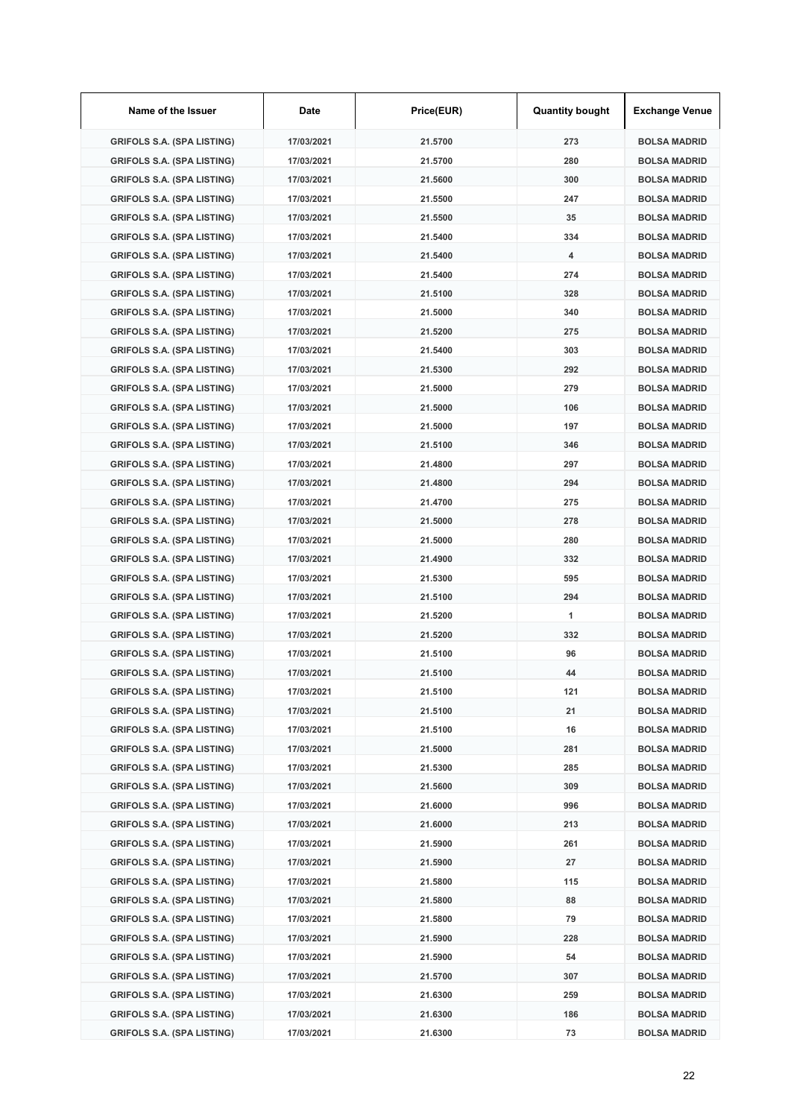| Name of the Issuer                | Date       | Price(EUR) | <b>Quantity bought</b> | <b>Exchange Venue</b> |
|-----------------------------------|------------|------------|------------------------|-----------------------|
| <b>GRIFOLS S.A. (SPA LISTING)</b> | 17/03/2021 | 21.5700    | 273                    | <b>BOLSA MADRID</b>   |
| <b>GRIFOLS S.A. (SPA LISTING)</b> | 17/03/2021 | 21.5700    | 280                    | <b>BOLSA MADRID</b>   |
| <b>GRIFOLS S.A. (SPA LISTING)</b> | 17/03/2021 | 21.5600    | 300                    | <b>BOLSA MADRID</b>   |
| <b>GRIFOLS S.A. (SPA LISTING)</b> | 17/03/2021 | 21.5500    | 247                    | <b>BOLSA MADRID</b>   |
| <b>GRIFOLS S.A. (SPA LISTING)</b> | 17/03/2021 | 21.5500    | 35                     | <b>BOLSA MADRID</b>   |
| <b>GRIFOLS S.A. (SPA LISTING)</b> | 17/03/2021 | 21.5400    | 334                    | <b>BOLSA MADRID</b>   |
| <b>GRIFOLS S.A. (SPA LISTING)</b> | 17/03/2021 | 21.5400    | 4                      | <b>BOLSA MADRID</b>   |
| <b>GRIFOLS S.A. (SPA LISTING)</b> | 17/03/2021 | 21.5400    | 274                    | <b>BOLSA MADRID</b>   |
| <b>GRIFOLS S.A. (SPA LISTING)</b> | 17/03/2021 | 21.5100    | 328                    | <b>BOLSA MADRID</b>   |
| <b>GRIFOLS S.A. (SPA LISTING)</b> | 17/03/2021 | 21.5000    | 340                    | <b>BOLSA MADRID</b>   |
| <b>GRIFOLS S.A. (SPA LISTING)</b> | 17/03/2021 | 21.5200    | 275                    | <b>BOLSA MADRID</b>   |
| <b>GRIFOLS S.A. (SPA LISTING)</b> | 17/03/2021 | 21.5400    | 303                    | <b>BOLSA MADRID</b>   |
| <b>GRIFOLS S.A. (SPA LISTING)</b> | 17/03/2021 | 21.5300    | 292                    | <b>BOLSA MADRID</b>   |
| <b>GRIFOLS S.A. (SPA LISTING)</b> | 17/03/2021 | 21.5000    | 279                    | <b>BOLSA MADRID</b>   |
| <b>GRIFOLS S.A. (SPA LISTING)</b> | 17/03/2021 | 21.5000    | 106                    | <b>BOLSA MADRID</b>   |
| <b>GRIFOLS S.A. (SPA LISTING)</b> | 17/03/2021 | 21.5000    | 197                    | <b>BOLSA MADRID</b>   |
| <b>GRIFOLS S.A. (SPA LISTING)</b> | 17/03/2021 | 21.5100    | 346                    | <b>BOLSA MADRID</b>   |
| <b>GRIFOLS S.A. (SPA LISTING)</b> | 17/03/2021 | 21.4800    | 297                    | <b>BOLSA MADRID</b>   |
| <b>GRIFOLS S.A. (SPA LISTING)</b> | 17/03/2021 | 21.4800    | 294                    | <b>BOLSA MADRID</b>   |
| <b>GRIFOLS S.A. (SPA LISTING)</b> | 17/03/2021 | 21.4700    | 275                    | <b>BOLSA MADRID</b>   |
| <b>GRIFOLS S.A. (SPA LISTING)</b> | 17/03/2021 | 21.5000    | 278                    | <b>BOLSA MADRID</b>   |
| <b>GRIFOLS S.A. (SPA LISTING)</b> | 17/03/2021 | 21.5000    | 280                    | <b>BOLSA MADRID</b>   |
| <b>GRIFOLS S.A. (SPA LISTING)</b> | 17/03/2021 | 21.4900    | 332                    | <b>BOLSA MADRID</b>   |
| <b>GRIFOLS S.A. (SPA LISTING)</b> | 17/03/2021 | 21.5300    | 595                    | <b>BOLSA MADRID</b>   |
| <b>GRIFOLS S.A. (SPA LISTING)</b> | 17/03/2021 | 21.5100    | 294                    | <b>BOLSA MADRID</b>   |
| <b>GRIFOLS S.A. (SPA LISTING)</b> | 17/03/2021 | 21.5200    | 1                      | <b>BOLSA MADRID</b>   |
| <b>GRIFOLS S.A. (SPA LISTING)</b> | 17/03/2021 | 21.5200    | 332                    | <b>BOLSA MADRID</b>   |
| <b>GRIFOLS S.A. (SPA LISTING)</b> | 17/03/2021 | 21.5100    | 96                     | <b>BOLSA MADRID</b>   |
| <b>GRIFOLS S.A. (SPA LISTING)</b> | 17/03/2021 | 21.5100    | 44                     | <b>BOLSA MADRID</b>   |
| <b>GRIFOLS S.A. (SPA LISTING)</b> | 17/03/2021 | 21.5100    | 121                    | <b>BOLSA MADRID</b>   |
| <b>GRIFOLS S.A. (SPA LISTING)</b> | 17/03/2021 | 21.5100    | 21                     | <b>BOLSA MADRID</b>   |
| <b>GRIFOLS S.A. (SPA LISTING)</b> | 17/03/2021 | 21.5100    | 16                     | <b>BOLSA MADRID</b>   |
| <b>GRIFOLS S.A. (SPA LISTING)</b> | 17/03/2021 | 21.5000    | 281                    | <b>BOLSA MADRID</b>   |
| <b>GRIFOLS S.A. (SPA LISTING)</b> | 17/03/2021 | 21.5300    | 285                    | <b>BOLSA MADRID</b>   |
| <b>GRIFOLS S.A. (SPA LISTING)</b> | 17/03/2021 | 21.5600    | 309                    | <b>BOLSA MADRID</b>   |
| <b>GRIFOLS S.A. (SPA LISTING)</b> | 17/03/2021 | 21.6000    | 996                    | <b>BOLSA MADRID</b>   |
| <b>GRIFOLS S.A. (SPA LISTING)</b> | 17/03/2021 | 21.6000    | 213                    | <b>BOLSA MADRID</b>   |
| <b>GRIFOLS S.A. (SPA LISTING)</b> | 17/03/2021 | 21.5900    | 261                    | <b>BOLSA MADRID</b>   |
| <b>GRIFOLS S.A. (SPA LISTING)</b> | 17/03/2021 | 21.5900    | 27                     | <b>BOLSA MADRID</b>   |
| <b>GRIFOLS S.A. (SPA LISTING)</b> | 17/03/2021 | 21.5800    | 115                    | <b>BOLSA MADRID</b>   |
| <b>GRIFOLS S.A. (SPA LISTING)</b> | 17/03/2021 | 21.5800    | 88                     | <b>BOLSA MADRID</b>   |
| <b>GRIFOLS S.A. (SPA LISTING)</b> | 17/03/2021 | 21.5800    | 79                     | <b>BOLSA MADRID</b>   |
| <b>GRIFOLS S.A. (SPA LISTING)</b> | 17/03/2021 | 21.5900    | 228                    | <b>BOLSA MADRID</b>   |
| <b>GRIFOLS S.A. (SPA LISTING)</b> | 17/03/2021 | 21.5900    | 54                     | <b>BOLSA MADRID</b>   |
| <b>GRIFOLS S.A. (SPA LISTING)</b> | 17/03/2021 | 21.5700    | 307                    | <b>BOLSA MADRID</b>   |
| <b>GRIFOLS S.A. (SPA LISTING)</b> | 17/03/2021 | 21.6300    | 259                    | <b>BOLSA MADRID</b>   |
| <b>GRIFOLS S.A. (SPA LISTING)</b> | 17/03/2021 | 21.6300    | 186                    | <b>BOLSA MADRID</b>   |
| <b>GRIFOLS S.A. (SPA LISTING)</b> | 17/03/2021 | 21.6300    | 73                     | <b>BOLSA MADRID</b>   |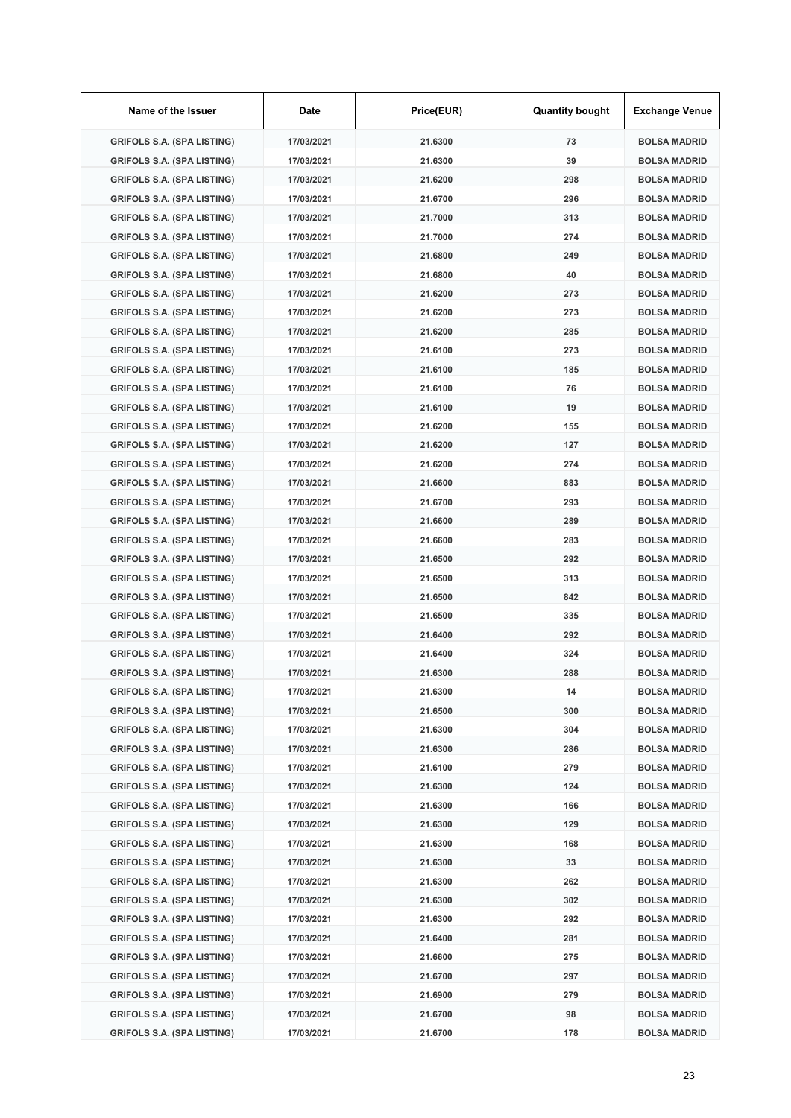| Name of the Issuer                | Date       | Price(EUR) | <b>Quantity bought</b> | <b>Exchange Venue</b> |
|-----------------------------------|------------|------------|------------------------|-----------------------|
| <b>GRIFOLS S.A. (SPA LISTING)</b> | 17/03/2021 | 21.6300    | 73                     | <b>BOLSA MADRID</b>   |
| <b>GRIFOLS S.A. (SPA LISTING)</b> | 17/03/2021 | 21.6300    | 39                     | <b>BOLSA MADRID</b>   |
| <b>GRIFOLS S.A. (SPA LISTING)</b> | 17/03/2021 | 21.6200    | 298                    | <b>BOLSA MADRID</b>   |
| <b>GRIFOLS S.A. (SPA LISTING)</b> | 17/03/2021 | 21.6700    | 296                    | <b>BOLSA MADRID</b>   |
| <b>GRIFOLS S.A. (SPA LISTING)</b> | 17/03/2021 | 21.7000    | 313                    | <b>BOLSA MADRID</b>   |
| <b>GRIFOLS S.A. (SPA LISTING)</b> | 17/03/2021 | 21.7000    | 274                    | <b>BOLSA MADRID</b>   |
| <b>GRIFOLS S.A. (SPA LISTING)</b> | 17/03/2021 | 21.6800    | 249                    | <b>BOLSA MADRID</b>   |
| <b>GRIFOLS S.A. (SPA LISTING)</b> | 17/03/2021 | 21.6800    | 40                     | <b>BOLSA MADRID</b>   |
| <b>GRIFOLS S.A. (SPA LISTING)</b> | 17/03/2021 | 21.6200    | 273                    | <b>BOLSA MADRID</b>   |
| <b>GRIFOLS S.A. (SPA LISTING)</b> | 17/03/2021 | 21.6200    | 273                    | <b>BOLSA MADRID</b>   |
| <b>GRIFOLS S.A. (SPA LISTING)</b> | 17/03/2021 | 21.6200    | 285                    | <b>BOLSA MADRID</b>   |
| <b>GRIFOLS S.A. (SPA LISTING)</b> | 17/03/2021 | 21.6100    | 273                    | <b>BOLSA MADRID</b>   |
| <b>GRIFOLS S.A. (SPA LISTING)</b> | 17/03/2021 | 21.6100    | 185                    | <b>BOLSA MADRID</b>   |
| <b>GRIFOLS S.A. (SPA LISTING)</b> | 17/03/2021 | 21.6100    | 76                     | <b>BOLSA MADRID</b>   |
| <b>GRIFOLS S.A. (SPA LISTING)</b> | 17/03/2021 | 21.6100    | 19                     | <b>BOLSA MADRID</b>   |
| <b>GRIFOLS S.A. (SPA LISTING)</b> | 17/03/2021 | 21.6200    | 155                    | <b>BOLSA MADRID</b>   |
| <b>GRIFOLS S.A. (SPA LISTING)</b> | 17/03/2021 | 21.6200    | 127                    | <b>BOLSA MADRID</b>   |
| <b>GRIFOLS S.A. (SPA LISTING)</b> | 17/03/2021 | 21.6200    | 274                    | <b>BOLSA MADRID</b>   |
| <b>GRIFOLS S.A. (SPA LISTING)</b> | 17/03/2021 | 21.6600    | 883                    | <b>BOLSA MADRID</b>   |
| <b>GRIFOLS S.A. (SPA LISTING)</b> | 17/03/2021 | 21.6700    | 293                    | <b>BOLSA MADRID</b>   |
| <b>GRIFOLS S.A. (SPA LISTING)</b> | 17/03/2021 | 21.6600    | 289                    | <b>BOLSA MADRID</b>   |
| <b>GRIFOLS S.A. (SPA LISTING)</b> | 17/03/2021 | 21.6600    | 283                    | <b>BOLSA MADRID</b>   |
| <b>GRIFOLS S.A. (SPA LISTING)</b> | 17/03/2021 | 21.6500    | 292                    | <b>BOLSA MADRID</b>   |
| <b>GRIFOLS S.A. (SPA LISTING)</b> | 17/03/2021 | 21.6500    | 313                    | <b>BOLSA MADRID</b>   |
| <b>GRIFOLS S.A. (SPA LISTING)</b> | 17/03/2021 | 21.6500    | 842                    | <b>BOLSA MADRID</b>   |
| <b>GRIFOLS S.A. (SPA LISTING)</b> | 17/03/2021 | 21.6500    | 335                    | <b>BOLSA MADRID</b>   |
| <b>GRIFOLS S.A. (SPA LISTING)</b> | 17/03/2021 | 21.6400    | 292                    | <b>BOLSA MADRID</b>   |
| <b>GRIFOLS S.A. (SPA LISTING)</b> | 17/03/2021 | 21.6400    | 324                    | <b>BOLSA MADRID</b>   |
| <b>GRIFOLS S.A. (SPA LISTING)</b> | 17/03/2021 | 21.6300    | 288                    | <b>BOLSA MADRID</b>   |
| <b>GRIFOLS S.A. (SPA LISTING)</b> | 17/03/2021 | 21.6300    | 14                     | <b>BOLSA MADRID</b>   |
| <b>GRIFOLS S.A. (SPA LISTING)</b> | 17/03/2021 | 21.6500    | 300                    | <b>BOLSA MADRID</b>   |
| <b>GRIFOLS S.A. (SPA LISTING)</b> | 17/03/2021 | 21.6300    | 304                    | <b>BOLSA MADRID</b>   |
| <b>GRIFOLS S.A. (SPA LISTING)</b> | 17/03/2021 | 21.6300    | 286                    | <b>BOLSA MADRID</b>   |
| <b>GRIFOLS S.A. (SPA LISTING)</b> | 17/03/2021 | 21.6100    | 279                    | <b>BOLSA MADRID</b>   |
| <b>GRIFOLS S.A. (SPA LISTING)</b> | 17/03/2021 | 21.6300    | 124                    | <b>BOLSA MADRID</b>   |
| <b>GRIFOLS S.A. (SPA LISTING)</b> | 17/03/2021 | 21.6300    | 166                    | <b>BOLSA MADRID</b>   |
| <b>GRIFOLS S.A. (SPA LISTING)</b> | 17/03/2021 | 21.6300    | 129                    | <b>BOLSA MADRID</b>   |
| <b>GRIFOLS S.A. (SPA LISTING)</b> | 17/03/2021 | 21.6300    | 168                    | <b>BOLSA MADRID</b>   |
| <b>GRIFOLS S.A. (SPA LISTING)</b> | 17/03/2021 | 21.6300    | 33                     | <b>BOLSA MADRID</b>   |
| <b>GRIFOLS S.A. (SPA LISTING)</b> | 17/03/2021 | 21.6300    | 262                    | <b>BOLSA MADRID</b>   |
| <b>GRIFOLS S.A. (SPA LISTING)</b> | 17/03/2021 | 21.6300    | 302                    | <b>BOLSA MADRID</b>   |
| <b>GRIFOLS S.A. (SPA LISTING)</b> | 17/03/2021 | 21.6300    | 292                    | <b>BOLSA MADRID</b>   |
| <b>GRIFOLS S.A. (SPA LISTING)</b> | 17/03/2021 | 21.6400    | 281                    | <b>BOLSA MADRID</b>   |
| <b>GRIFOLS S.A. (SPA LISTING)</b> | 17/03/2021 | 21.6600    | 275                    | <b>BOLSA MADRID</b>   |
| <b>GRIFOLS S.A. (SPA LISTING)</b> | 17/03/2021 | 21.6700    | 297                    | <b>BOLSA MADRID</b>   |
| <b>GRIFOLS S.A. (SPA LISTING)</b> | 17/03/2021 | 21.6900    | 279                    | <b>BOLSA MADRID</b>   |
| <b>GRIFOLS S.A. (SPA LISTING)</b> | 17/03/2021 | 21.6700    | 98                     | <b>BOLSA MADRID</b>   |
| <b>GRIFOLS S.A. (SPA LISTING)</b> | 17/03/2021 | 21.6700    | 178                    | <b>BOLSA MADRID</b>   |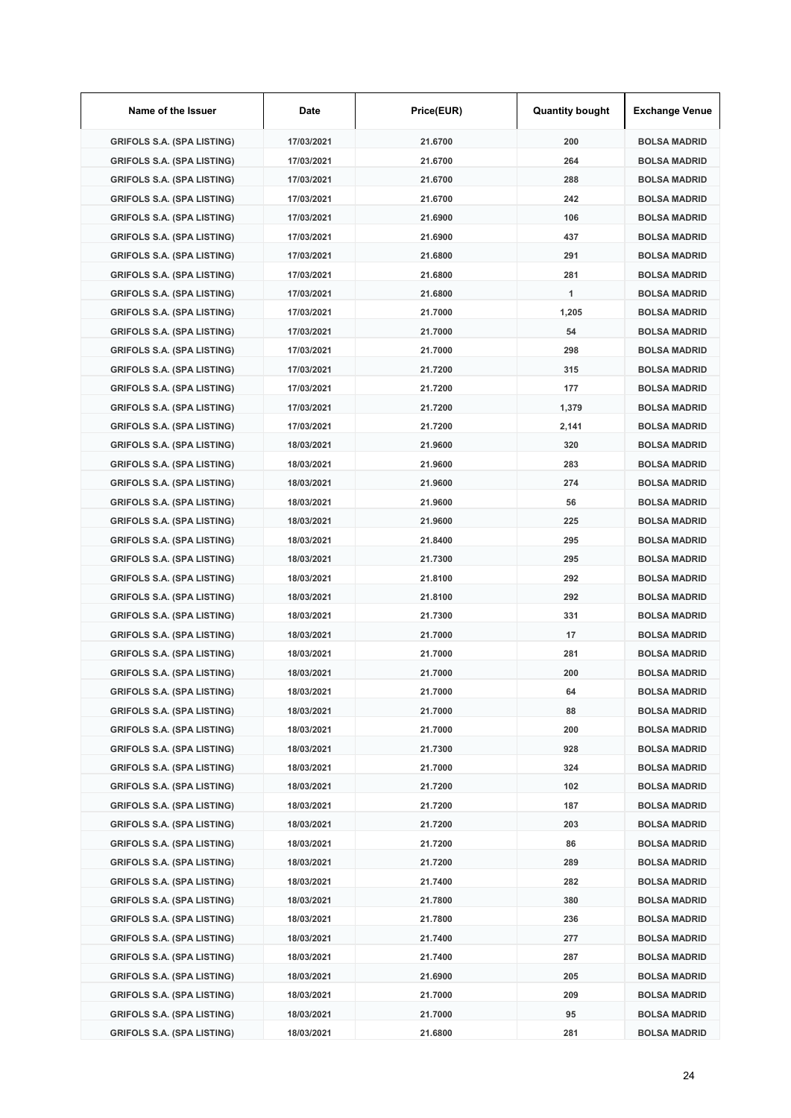| Name of the Issuer                | Date       | Price(EUR) | <b>Quantity bought</b> | <b>Exchange Venue</b> |
|-----------------------------------|------------|------------|------------------------|-----------------------|
| <b>GRIFOLS S.A. (SPA LISTING)</b> | 17/03/2021 | 21.6700    | 200                    | <b>BOLSA MADRID</b>   |
| <b>GRIFOLS S.A. (SPA LISTING)</b> | 17/03/2021 | 21.6700    | 264                    | <b>BOLSA MADRID</b>   |
| <b>GRIFOLS S.A. (SPA LISTING)</b> | 17/03/2021 | 21.6700    | 288                    | <b>BOLSA MADRID</b>   |
| <b>GRIFOLS S.A. (SPA LISTING)</b> | 17/03/2021 | 21.6700    | 242                    | <b>BOLSA MADRID</b>   |
| <b>GRIFOLS S.A. (SPA LISTING)</b> | 17/03/2021 | 21.6900    | 106                    | <b>BOLSA MADRID</b>   |
| <b>GRIFOLS S.A. (SPA LISTING)</b> | 17/03/2021 | 21.6900    | 437                    | <b>BOLSA MADRID</b>   |
| <b>GRIFOLS S.A. (SPA LISTING)</b> | 17/03/2021 | 21.6800    | 291                    | <b>BOLSA MADRID</b>   |
| <b>GRIFOLS S.A. (SPA LISTING)</b> | 17/03/2021 | 21.6800    | 281                    | <b>BOLSA MADRID</b>   |
| <b>GRIFOLS S.A. (SPA LISTING)</b> | 17/03/2021 | 21.6800    | 1                      | <b>BOLSA MADRID</b>   |
| <b>GRIFOLS S.A. (SPA LISTING)</b> | 17/03/2021 | 21.7000    | 1,205                  | <b>BOLSA MADRID</b>   |
| <b>GRIFOLS S.A. (SPA LISTING)</b> | 17/03/2021 | 21.7000    | 54                     | <b>BOLSA MADRID</b>   |
| <b>GRIFOLS S.A. (SPA LISTING)</b> | 17/03/2021 | 21.7000    | 298                    | <b>BOLSA MADRID</b>   |
| <b>GRIFOLS S.A. (SPA LISTING)</b> | 17/03/2021 | 21.7200    | 315                    | <b>BOLSA MADRID</b>   |
| <b>GRIFOLS S.A. (SPA LISTING)</b> | 17/03/2021 | 21.7200    | 177                    | <b>BOLSA MADRID</b>   |
| <b>GRIFOLS S.A. (SPA LISTING)</b> | 17/03/2021 | 21.7200    | 1,379                  | <b>BOLSA MADRID</b>   |
| <b>GRIFOLS S.A. (SPA LISTING)</b> | 17/03/2021 | 21.7200    | 2,141                  | <b>BOLSA MADRID</b>   |
| <b>GRIFOLS S.A. (SPA LISTING)</b> | 18/03/2021 | 21.9600    | 320                    | <b>BOLSA MADRID</b>   |
| <b>GRIFOLS S.A. (SPA LISTING)</b> | 18/03/2021 | 21.9600    | 283                    | <b>BOLSA MADRID</b>   |
| <b>GRIFOLS S.A. (SPA LISTING)</b> | 18/03/2021 | 21.9600    | 274                    | <b>BOLSA MADRID</b>   |
| <b>GRIFOLS S.A. (SPA LISTING)</b> | 18/03/2021 | 21.9600    | 56                     | <b>BOLSA MADRID</b>   |
| <b>GRIFOLS S.A. (SPA LISTING)</b> | 18/03/2021 | 21.9600    | 225                    | <b>BOLSA MADRID</b>   |
| <b>GRIFOLS S.A. (SPA LISTING)</b> | 18/03/2021 | 21.8400    | 295                    | <b>BOLSA MADRID</b>   |
| <b>GRIFOLS S.A. (SPA LISTING)</b> | 18/03/2021 | 21.7300    | 295                    | <b>BOLSA MADRID</b>   |
| <b>GRIFOLS S.A. (SPA LISTING)</b> | 18/03/2021 | 21.8100    | 292                    | <b>BOLSA MADRID</b>   |
| <b>GRIFOLS S.A. (SPA LISTING)</b> | 18/03/2021 | 21.8100    | 292                    | <b>BOLSA MADRID</b>   |
| <b>GRIFOLS S.A. (SPA LISTING)</b> | 18/03/2021 | 21.7300    | 331                    | <b>BOLSA MADRID</b>   |
| <b>GRIFOLS S.A. (SPA LISTING)</b> | 18/03/2021 | 21.7000    | 17                     | <b>BOLSA MADRID</b>   |
| <b>GRIFOLS S.A. (SPA LISTING)</b> | 18/03/2021 | 21.7000    | 281                    | <b>BOLSA MADRID</b>   |
| <b>GRIFOLS S.A. (SPA LISTING)</b> | 18/03/2021 | 21.7000    | 200                    | <b>BOLSA MADRID</b>   |
| <b>GRIFOLS S.A. (SPA LISTING)</b> | 18/03/2021 | 21.7000    | 64                     | <b>BOLSA MADRID</b>   |
| <b>GRIFOLS S.A. (SPA LISTING)</b> | 18/03/2021 | 21.7000    | 88                     | <b>BOLSA MADRID</b>   |
| <b>GRIFOLS S.A. (SPA LISTING)</b> | 18/03/2021 | 21.7000    | 200                    | <b>BOLSA MADRID</b>   |
| <b>GRIFOLS S.A. (SPA LISTING)</b> | 18/03/2021 | 21.7300    | 928                    | <b>BOLSA MADRID</b>   |
| <b>GRIFOLS S.A. (SPA LISTING)</b> | 18/03/2021 | 21.7000    | 324                    | <b>BOLSA MADRID</b>   |
| <b>GRIFOLS S.A. (SPA LISTING)</b> | 18/03/2021 | 21.7200    | 102                    | <b>BOLSA MADRID</b>   |
| <b>GRIFOLS S.A. (SPA LISTING)</b> | 18/03/2021 | 21.7200    | 187                    | <b>BOLSA MADRID</b>   |
| <b>GRIFOLS S.A. (SPA LISTING)</b> | 18/03/2021 | 21.7200    | 203                    | <b>BOLSA MADRID</b>   |
| <b>GRIFOLS S.A. (SPA LISTING)</b> | 18/03/2021 | 21.7200    | 86                     | <b>BOLSA MADRID</b>   |
| <b>GRIFOLS S.A. (SPA LISTING)</b> | 18/03/2021 | 21.7200    | 289                    | <b>BOLSA MADRID</b>   |
| <b>GRIFOLS S.A. (SPA LISTING)</b> | 18/03/2021 | 21.7400    | 282                    | <b>BOLSA MADRID</b>   |
| <b>GRIFOLS S.A. (SPA LISTING)</b> | 18/03/2021 | 21.7800    | 380                    | <b>BOLSA MADRID</b>   |
| <b>GRIFOLS S.A. (SPA LISTING)</b> | 18/03/2021 | 21.7800    | 236                    | <b>BOLSA MADRID</b>   |
| <b>GRIFOLS S.A. (SPA LISTING)</b> | 18/03/2021 | 21.7400    | 277                    | <b>BOLSA MADRID</b>   |
| <b>GRIFOLS S.A. (SPA LISTING)</b> | 18/03/2021 | 21.7400    | 287                    | <b>BOLSA MADRID</b>   |
| <b>GRIFOLS S.A. (SPA LISTING)</b> | 18/03/2021 | 21.6900    | 205                    | <b>BOLSA MADRID</b>   |
| <b>GRIFOLS S.A. (SPA LISTING)</b> | 18/03/2021 | 21.7000    | 209                    | <b>BOLSA MADRID</b>   |
| <b>GRIFOLS S.A. (SPA LISTING)</b> | 18/03/2021 | 21.7000    | 95                     | <b>BOLSA MADRID</b>   |
| <b>GRIFOLS S.A. (SPA LISTING)</b> | 18/03/2021 | 21.6800    | 281                    | <b>BOLSA MADRID</b>   |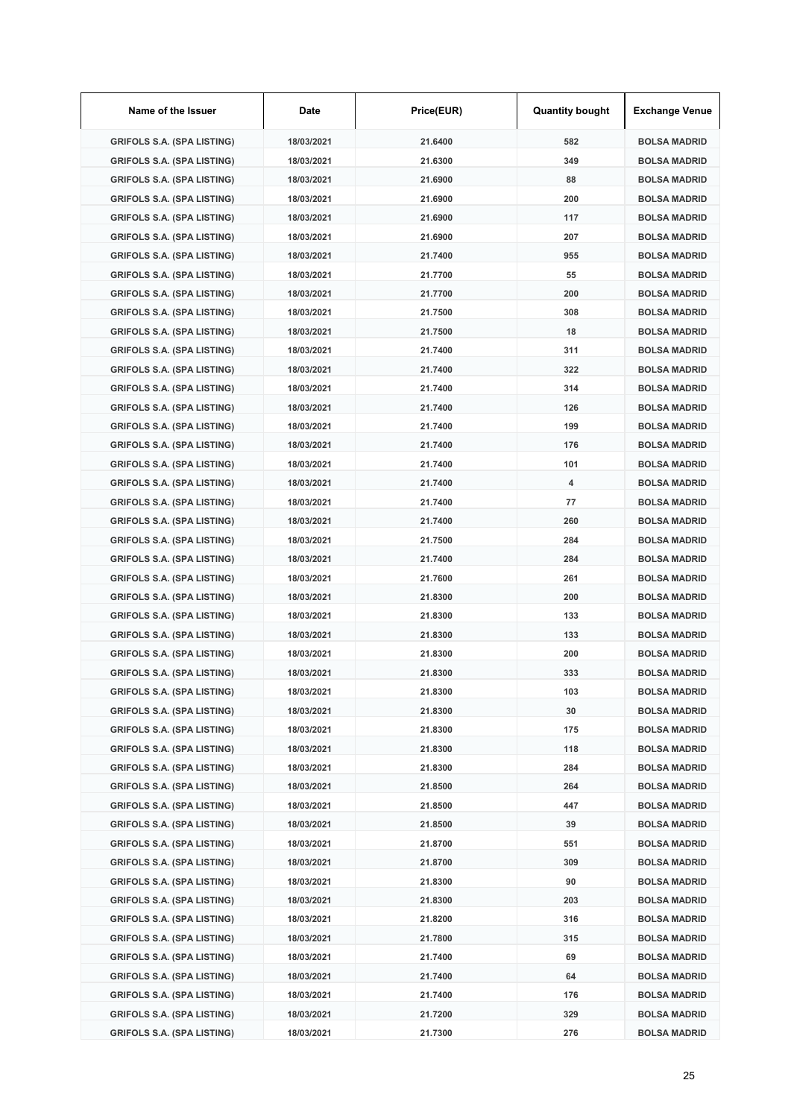| Name of the Issuer                | Date       | Price(EUR) | <b>Quantity bought</b> | <b>Exchange Venue</b> |
|-----------------------------------|------------|------------|------------------------|-----------------------|
| <b>GRIFOLS S.A. (SPA LISTING)</b> | 18/03/2021 | 21.6400    | 582                    | <b>BOLSA MADRID</b>   |
| <b>GRIFOLS S.A. (SPA LISTING)</b> | 18/03/2021 | 21.6300    | 349                    | <b>BOLSA MADRID</b>   |
| <b>GRIFOLS S.A. (SPA LISTING)</b> | 18/03/2021 | 21.6900    | 88                     | <b>BOLSA MADRID</b>   |
| <b>GRIFOLS S.A. (SPA LISTING)</b> | 18/03/2021 | 21.6900    | 200                    | <b>BOLSA MADRID</b>   |
| <b>GRIFOLS S.A. (SPA LISTING)</b> | 18/03/2021 | 21.6900    | 117                    | <b>BOLSA MADRID</b>   |
| <b>GRIFOLS S.A. (SPA LISTING)</b> | 18/03/2021 | 21.6900    | 207                    | <b>BOLSA MADRID</b>   |
| <b>GRIFOLS S.A. (SPA LISTING)</b> | 18/03/2021 | 21.7400    | 955                    | <b>BOLSA MADRID</b>   |
| <b>GRIFOLS S.A. (SPA LISTING)</b> | 18/03/2021 | 21.7700    | 55                     | <b>BOLSA MADRID</b>   |
| <b>GRIFOLS S.A. (SPA LISTING)</b> | 18/03/2021 | 21.7700    | 200                    | <b>BOLSA MADRID</b>   |
| <b>GRIFOLS S.A. (SPA LISTING)</b> | 18/03/2021 | 21.7500    | 308                    | <b>BOLSA MADRID</b>   |
| <b>GRIFOLS S.A. (SPA LISTING)</b> | 18/03/2021 | 21.7500    | 18                     | <b>BOLSA MADRID</b>   |
| <b>GRIFOLS S.A. (SPA LISTING)</b> | 18/03/2021 | 21.7400    | 311                    | <b>BOLSA MADRID</b>   |
| <b>GRIFOLS S.A. (SPA LISTING)</b> | 18/03/2021 | 21.7400    | 322                    | <b>BOLSA MADRID</b>   |
| <b>GRIFOLS S.A. (SPA LISTING)</b> | 18/03/2021 | 21.7400    | 314                    | <b>BOLSA MADRID</b>   |
| <b>GRIFOLS S.A. (SPA LISTING)</b> | 18/03/2021 | 21.7400    | 126                    | <b>BOLSA MADRID</b>   |
| <b>GRIFOLS S.A. (SPA LISTING)</b> | 18/03/2021 | 21.7400    | 199                    | <b>BOLSA MADRID</b>   |
| <b>GRIFOLS S.A. (SPA LISTING)</b> | 18/03/2021 | 21.7400    | 176                    | <b>BOLSA MADRID</b>   |
| <b>GRIFOLS S.A. (SPA LISTING)</b> | 18/03/2021 | 21.7400    | 101                    | <b>BOLSA MADRID</b>   |
| <b>GRIFOLS S.A. (SPA LISTING)</b> | 18/03/2021 | 21.7400    | 4                      | <b>BOLSA MADRID</b>   |
| <b>GRIFOLS S.A. (SPA LISTING)</b> | 18/03/2021 | 21.7400    | 77                     | <b>BOLSA MADRID</b>   |
| <b>GRIFOLS S.A. (SPA LISTING)</b> | 18/03/2021 | 21.7400    | 260                    | <b>BOLSA MADRID</b>   |
| <b>GRIFOLS S.A. (SPA LISTING)</b> | 18/03/2021 | 21.7500    | 284                    | <b>BOLSA MADRID</b>   |
| <b>GRIFOLS S.A. (SPA LISTING)</b> | 18/03/2021 | 21.7400    | 284                    | <b>BOLSA MADRID</b>   |
| <b>GRIFOLS S.A. (SPA LISTING)</b> | 18/03/2021 | 21.7600    | 261                    | <b>BOLSA MADRID</b>   |
| <b>GRIFOLS S.A. (SPA LISTING)</b> | 18/03/2021 | 21.8300    | 200                    | <b>BOLSA MADRID</b>   |
| <b>GRIFOLS S.A. (SPA LISTING)</b> | 18/03/2021 | 21.8300    | 133                    | <b>BOLSA MADRID</b>   |
| <b>GRIFOLS S.A. (SPA LISTING)</b> | 18/03/2021 | 21.8300    | 133                    | <b>BOLSA MADRID</b>   |
| <b>GRIFOLS S.A. (SPA LISTING)</b> | 18/03/2021 | 21.8300    | 200                    | <b>BOLSA MADRID</b>   |
| <b>GRIFOLS S.A. (SPA LISTING)</b> | 18/03/2021 | 21.8300    | 333                    | <b>BOLSA MADRID</b>   |
| <b>GRIFOLS S.A. (SPA LISTING)</b> | 18/03/2021 | 21.8300    | 103                    | <b>BOLSA MADRID</b>   |
| <b>GRIFOLS S.A. (SPA LISTING)</b> | 18/03/2021 | 21.8300    | 30                     | <b>BOLSA MADRID</b>   |
| <b>GRIFOLS S.A. (SPA LISTING)</b> | 18/03/2021 | 21.8300    | 175                    | <b>BOLSA MADRID</b>   |
| <b>GRIFOLS S.A. (SPA LISTING)</b> | 18/03/2021 | 21.8300    | 118                    | <b>BOLSA MADRID</b>   |
| <b>GRIFOLS S.A. (SPA LISTING)</b> | 18/03/2021 | 21.8300    | 284                    | <b>BOLSA MADRID</b>   |
| <b>GRIFOLS S.A. (SPA LISTING)</b> | 18/03/2021 | 21.8500    | 264                    | <b>BOLSA MADRID</b>   |
| <b>GRIFOLS S.A. (SPA LISTING)</b> | 18/03/2021 | 21.8500    | 447                    | <b>BOLSA MADRID</b>   |
| <b>GRIFOLS S.A. (SPA LISTING)</b> | 18/03/2021 | 21.8500    | 39                     | <b>BOLSA MADRID</b>   |
| <b>GRIFOLS S.A. (SPA LISTING)</b> | 18/03/2021 | 21.8700    | 551                    | <b>BOLSA MADRID</b>   |
| <b>GRIFOLS S.A. (SPA LISTING)</b> | 18/03/2021 | 21.8700    | 309                    | <b>BOLSA MADRID</b>   |
| <b>GRIFOLS S.A. (SPA LISTING)</b> | 18/03/2021 | 21.8300    | 90                     | <b>BOLSA MADRID</b>   |
| <b>GRIFOLS S.A. (SPA LISTING)</b> | 18/03/2021 | 21.8300    | 203                    | <b>BOLSA MADRID</b>   |
| <b>GRIFOLS S.A. (SPA LISTING)</b> | 18/03/2021 | 21.8200    | 316                    | <b>BOLSA MADRID</b>   |
| <b>GRIFOLS S.A. (SPA LISTING)</b> | 18/03/2021 | 21.7800    | 315                    | <b>BOLSA MADRID</b>   |
| <b>GRIFOLS S.A. (SPA LISTING)</b> | 18/03/2021 | 21.7400    | 69                     | <b>BOLSA MADRID</b>   |
| <b>GRIFOLS S.A. (SPA LISTING)</b> | 18/03/2021 | 21.7400    | 64                     | <b>BOLSA MADRID</b>   |
| <b>GRIFOLS S.A. (SPA LISTING)</b> | 18/03/2021 | 21.7400    | 176                    | <b>BOLSA MADRID</b>   |
| <b>GRIFOLS S.A. (SPA LISTING)</b> | 18/03/2021 | 21.7200    | 329                    | <b>BOLSA MADRID</b>   |
| <b>GRIFOLS S.A. (SPA LISTING)</b> | 18/03/2021 | 21.7300    | 276                    | <b>BOLSA MADRID</b>   |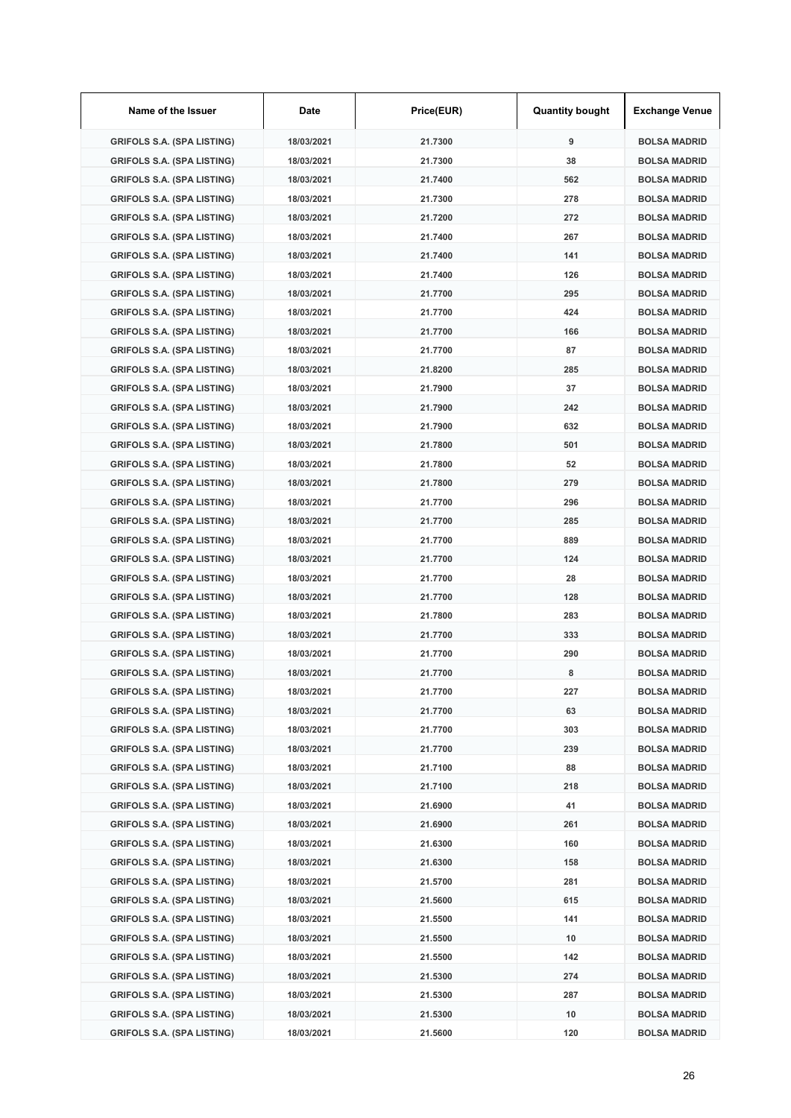| Name of the Issuer                | Date       | Price(EUR) | <b>Quantity bought</b> | <b>Exchange Venue</b> |
|-----------------------------------|------------|------------|------------------------|-----------------------|
| <b>GRIFOLS S.A. (SPA LISTING)</b> | 18/03/2021 | 21.7300    | 9                      | <b>BOLSA MADRID</b>   |
| <b>GRIFOLS S.A. (SPA LISTING)</b> | 18/03/2021 | 21.7300    | 38                     | <b>BOLSA MADRID</b>   |
| <b>GRIFOLS S.A. (SPA LISTING)</b> | 18/03/2021 | 21.7400    | 562                    | <b>BOLSA MADRID</b>   |
| <b>GRIFOLS S.A. (SPA LISTING)</b> | 18/03/2021 | 21.7300    | 278                    | <b>BOLSA MADRID</b>   |
| <b>GRIFOLS S.A. (SPA LISTING)</b> | 18/03/2021 | 21.7200    | 272                    | <b>BOLSA MADRID</b>   |
| <b>GRIFOLS S.A. (SPA LISTING)</b> | 18/03/2021 | 21.7400    | 267                    | <b>BOLSA MADRID</b>   |
| <b>GRIFOLS S.A. (SPA LISTING)</b> | 18/03/2021 | 21.7400    | 141                    | <b>BOLSA MADRID</b>   |
| <b>GRIFOLS S.A. (SPA LISTING)</b> | 18/03/2021 | 21.7400    | 126                    | <b>BOLSA MADRID</b>   |
| <b>GRIFOLS S.A. (SPA LISTING)</b> | 18/03/2021 | 21.7700    | 295                    | <b>BOLSA MADRID</b>   |
| <b>GRIFOLS S.A. (SPA LISTING)</b> | 18/03/2021 | 21.7700    | 424                    | <b>BOLSA MADRID</b>   |
| <b>GRIFOLS S.A. (SPA LISTING)</b> | 18/03/2021 | 21.7700    | 166                    | <b>BOLSA MADRID</b>   |
| <b>GRIFOLS S.A. (SPA LISTING)</b> | 18/03/2021 | 21.7700    | 87                     | <b>BOLSA MADRID</b>   |
| <b>GRIFOLS S.A. (SPA LISTING)</b> | 18/03/2021 | 21.8200    | 285                    | <b>BOLSA MADRID</b>   |
| <b>GRIFOLS S.A. (SPA LISTING)</b> | 18/03/2021 | 21.7900    | 37                     | <b>BOLSA MADRID</b>   |
| <b>GRIFOLS S.A. (SPA LISTING)</b> | 18/03/2021 | 21.7900    | 242                    | <b>BOLSA MADRID</b>   |
| <b>GRIFOLS S.A. (SPA LISTING)</b> | 18/03/2021 | 21.7900    | 632                    | <b>BOLSA MADRID</b>   |
| <b>GRIFOLS S.A. (SPA LISTING)</b> | 18/03/2021 | 21.7800    | 501                    | <b>BOLSA MADRID</b>   |
| <b>GRIFOLS S.A. (SPA LISTING)</b> | 18/03/2021 | 21.7800    | 52                     | <b>BOLSA MADRID</b>   |
| <b>GRIFOLS S.A. (SPA LISTING)</b> | 18/03/2021 | 21.7800    | 279                    | <b>BOLSA MADRID</b>   |
| <b>GRIFOLS S.A. (SPA LISTING)</b> | 18/03/2021 | 21.7700    | 296                    | <b>BOLSA MADRID</b>   |
| <b>GRIFOLS S.A. (SPA LISTING)</b> | 18/03/2021 | 21.7700    | 285                    | <b>BOLSA MADRID</b>   |
| <b>GRIFOLS S.A. (SPA LISTING)</b> | 18/03/2021 | 21.7700    | 889                    | <b>BOLSA MADRID</b>   |
| <b>GRIFOLS S.A. (SPA LISTING)</b> | 18/03/2021 | 21.7700    | 124                    | <b>BOLSA MADRID</b>   |
| <b>GRIFOLS S.A. (SPA LISTING)</b> | 18/03/2021 | 21.7700    | 28                     | <b>BOLSA MADRID</b>   |
| <b>GRIFOLS S.A. (SPA LISTING)</b> | 18/03/2021 | 21.7700    | 128                    | <b>BOLSA MADRID</b>   |
| <b>GRIFOLS S.A. (SPA LISTING)</b> | 18/03/2021 | 21.7800    | 283                    | <b>BOLSA MADRID</b>   |
| <b>GRIFOLS S.A. (SPA LISTING)</b> | 18/03/2021 | 21.7700    | 333                    | <b>BOLSA MADRID</b>   |
| <b>GRIFOLS S.A. (SPA LISTING)</b> | 18/03/2021 | 21.7700    | 290                    | <b>BOLSA MADRID</b>   |
| <b>GRIFOLS S.A. (SPA LISTING)</b> | 18/03/2021 | 21.7700    | 8                      | <b>BOLSA MADRID</b>   |
| <b>GRIFOLS S.A. (SPA LISTING)</b> | 18/03/2021 | 21.7700    | 227                    | <b>BOLSA MADRID</b>   |
| <b>GRIFOLS S.A. (SPA LISTING)</b> | 18/03/2021 | 21.7700    | 63                     | <b>BOLSA MADRID</b>   |
| <b>GRIFOLS S.A. (SPA LISTING)</b> | 18/03/2021 | 21.7700    | 303                    | <b>BOLSA MADRID</b>   |
| <b>GRIFOLS S.A. (SPA LISTING)</b> | 18/03/2021 | 21.7700    | 239                    | <b>BOLSA MADRID</b>   |
| <b>GRIFOLS S.A. (SPA LISTING)</b> | 18/03/2021 | 21.7100    | 88                     | <b>BOLSA MADRID</b>   |
| <b>GRIFOLS S.A. (SPA LISTING)</b> | 18/03/2021 | 21.7100    | 218                    | <b>BOLSA MADRID</b>   |
| <b>GRIFOLS S.A. (SPA LISTING)</b> | 18/03/2021 | 21.6900    | 41                     | <b>BOLSA MADRID</b>   |
| <b>GRIFOLS S.A. (SPA LISTING)</b> | 18/03/2021 | 21.6900    | 261                    | <b>BOLSA MADRID</b>   |
| <b>GRIFOLS S.A. (SPA LISTING)</b> | 18/03/2021 | 21.6300    | 160                    | <b>BOLSA MADRID</b>   |
| <b>GRIFOLS S.A. (SPA LISTING)</b> | 18/03/2021 | 21.6300    | 158                    | <b>BOLSA MADRID</b>   |
| GRIFOLS S.A. (SPA LISTING)        | 18/03/2021 | 21.5700    | 281                    | <b>BOLSA MADRID</b>   |
| <b>GRIFOLS S.A. (SPA LISTING)</b> | 18/03/2021 | 21.5600    | 615                    | <b>BOLSA MADRID</b>   |
| <b>GRIFOLS S.A. (SPA LISTING)</b> | 18/03/2021 | 21.5500    | 141                    | <b>BOLSA MADRID</b>   |
| <b>GRIFOLS S.A. (SPA LISTING)</b> | 18/03/2021 | 21.5500    | 10                     | <b>BOLSA MADRID</b>   |
| <b>GRIFOLS S.A. (SPA LISTING)</b> | 18/03/2021 | 21.5500    | 142                    | <b>BOLSA MADRID</b>   |
| <b>GRIFOLS S.A. (SPA LISTING)</b> | 18/03/2021 | 21.5300    | 274                    | <b>BOLSA MADRID</b>   |
| <b>GRIFOLS S.A. (SPA LISTING)</b> | 18/03/2021 | 21.5300    | 287                    | <b>BOLSA MADRID</b>   |
| <b>GRIFOLS S.A. (SPA LISTING)</b> | 18/03/2021 | 21.5300    | 10                     | <b>BOLSA MADRID</b>   |
| <b>GRIFOLS S.A. (SPA LISTING)</b> | 18/03/2021 | 21.5600    | 120                    | <b>BOLSA MADRID</b>   |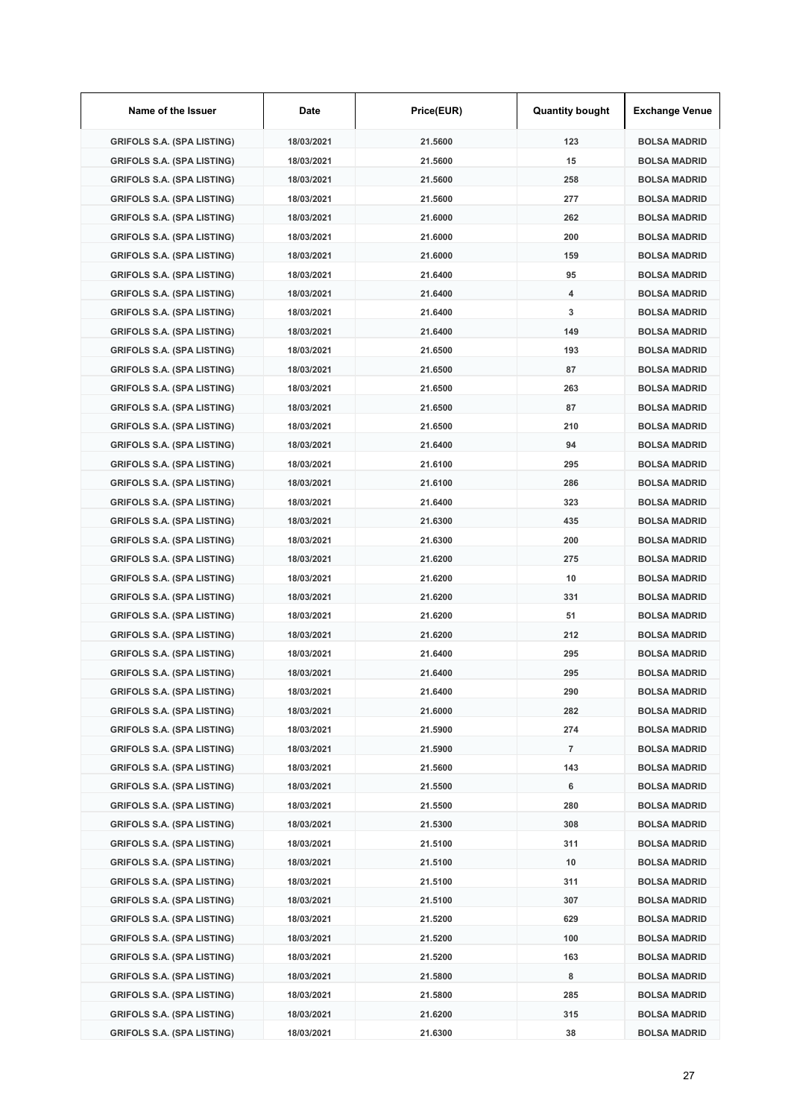| Name of the Issuer                | Date       | Price(EUR) | <b>Quantity bought</b> | <b>Exchange Venue</b> |
|-----------------------------------|------------|------------|------------------------|-----------------------|
| <b>GRIFOLS S.A. (SPA LISTING)</b> | 18/03/2021 | 21.5600    | 123                    | <b>BOLSA MADRID</b>   |
| <b>GRIFOLS S.A. (SPA LISTING)</b> | 18/03/2021 | 21.5600    | 15                     | <b>BOLSA MADRID</b>   |
| <b>GRIFOLS S.A. (SPA LISTING)</b> | 18/03/2021 | 21.5600    | 258                    | <b>BOLSA MADRID</b>   |
| <b>GRIFOLS S.A. (SPA LISTING)</b> | 18/03/2021 | 21.5600    | 277                    | <b>BOLSA MADRID</b>   |
| <b>GRIFOLS S.A. (SPA LISTING)</b> | 18/03/2021 | 21.6000    | 262                    | <b>BOLSA MADRID</b>   |
| <b>GRIFOLS S.A. (SPA LISTING)</b> | 18/03/2021 | 21.6000    | 200                    | <b>BOLSA MADRID</b>   |
| <b>GRIFOLS S.A. (SPA LISTING)</b> | 18/03/2021 | 21.6000    | 159                    | <b>BOLSA MADRID</b>   |
| <b>GRIFOLS S.A. (SPA LISTING)</b> | 18/03/2021 | 21.6400    | 95                     | <b>BOLSA MADRID</b>   |
| <b>GRIFOLS S.A. (SPA LISTING)</b> | 18/03/2021 | 21.6400    | 4                      | <b>BOLSA MADRID</b>   |
| <b>GRIFOLS S.A. (SPA LISTING)</b> | 18/03/2021 | 21.6400    | 3                      | <b>BOLSA MADRID</b>   |
| <b>GRIFOLS S.A. (SPA LISTING)</b> | 18/03/2021 | 21.6400    | 149                    | <b>BOLSA MADRID</b>   |
| <b>GRIFOLS S.A. (SPA LISTING)</b> | 18/03/2021 | 21.6500    | 193                    | <b>BOLSA MADRID</b>   |
| <b>GRIFOLS S.A. (SPA LISTING)</b> | 18/03/2021 | 21.6500    | 87                     | <b>BOLSA MADRID</b>   |
| <b>GRIFOLS S.A. (SPA LISTING)</b> | 18/03/2021 | 21.6500    | 263                    | <b>BOLSA MADRID</b>   |
| <b>GRIFOLS S.A. (SPA LISTING)</b> | 18/03/2021 | 21.6500    | 87                     | <b>BOLSA MADRID</b>   |
| <b>GRIFOLS S.A. (SPA LISTING)</b> | 18/03/2021 | 21.6500    | 210                    | <b>BOLSA MADRID</b>   |
| <b>GRIFOLS S.A. (SPA LISTING)</b> | 18/03/2021 | 21.6400    | 94                     | <b>BOLSA MADRID</b>   |
| <b>GRIFOLS S.A. (SPA LISTING)</b> | 18/03/2021 | 21.6100    | 295                    | <b>BOLSA MADRID</b>   |
| <b>GRIFOLS S.A. (SPA LISTING)</b> | 18/03/2021 | 21.6100    | 286                    | <b>BOLSA MADRID</b>   |
| <b>GRIFOLS S.A. (SPA LISTING)</b> | 18/03/2021 | 21.6400    | 323                    | <b>BOLSA MADRID</b>   |
| <b>GRIFOLS S.A. (SPA LISTING)</b> | 18/03/2021 | 21.6300    | 435                    | <b>BOLSA MADRID</b>   |
| <b>GRIFOLS S.A. (SPA LISTING)</b> | 18/03/2021 | 21.6300    | 200                    | <b>BOLSA MADRID</b>   |
| <b>GRIFOLS S.A. (SPA LISTING)</b> | 18/03/2021 | 21.6200    | 275                    | <b>BOLSA MADRID</b>   |
| <b>GRIFOLS S.A. (SPA LISTING)</b> | 18/03/2021 | 21.6200    | 10                     | <b>BOLSA MADRID</b>   |
| <b>GRIFOLS S.A. (SPA LISTING)</b> | 18/03/2021 | 21.6200    | 331                    | <b>BOLSA MADRID</b>   |
| <b>GRIFOLS S.A. (SPA LISTING)</b> | 18/03/2021 | 21.6200    | 51                     | <b>BOLSA MADRID</b>   |
| <b>GRIFOLS S.A. (SPA LISTING)</b> | 18/03/2021 | 21.6200    | 212                    | <b>BOLSA MADRID</b>   |
| <b>GRIFOLS S.A. (SPA LISTING)</b> | 18/03/2021 | 21.6400    | 295                    | <b>BOLSA MADRID</b>   |
| <b>GRIFOLS S.A. (SPA LISTING)</b> | 18/03/2021 | 21.6400    | 295                    | <b>BOLSA MADRID</b>   |
| <b>GRIFOLS S.A. (SPA LISTING)</b> | 18/03/2021 | 21.6400    | 290                    | <b>BOLSA MADRID</b>   |
| <b>GRIFOLS S.A. (SPA LISTING)</b> | 18/03/2021 | 21.6000    | 282                    | <b>BOLSA MADRID</b>   |
| <b>GRIFOLS S.A. (SPA LISTING)</b> | 18/03/2021 | 21.5900    | 274                    | <b>BOLSA MADRID</b>   |
| <b>GRIFOLS S.A. (SPA LISTING)</b> | 18/03/2021 | 21.5900    | $\overline{7}$         | <b>BOLSA MADRID</b>   |
| <b>GRIFOLS S.A. (SPA LISTING)</b> | 18/03/2021 | 21.5600    | 143                    | <b>BOLSA MADRID</b>   |
| <b>GRIFOLS S.A. (SPA LISTING)</b> | 18/03/2021 | 21.5500    | 6                      | <b>BOLSA MADRID</b>   |
| <b>GRIFOLS S.A. (SPA LISTING)</b> | 18/03/2021 | 21.5500    | 280                    | <b>BOLSA MADRID</b>   |
| <b>GRIFOLS S.A. (SPA LISTING)</b> | 18/03/2021 | 21.5300    | 308                    | <b>BOLSA MADRID</b>   |
| <b>GRIFOLS S.A. (SPA LISTING)</b> | 18/03/2021 | 21.5100    | 311                    | <b>BOLSA MADRID</b>   |
| <b>GRIFOLS S.A. (SPA LISTING)</b> | 18/03/2021 | 21.5100    | 10                     | <b>BOLSA MADRID</b>   |
| <b>GRIFOLS S.A. (SPA LISTING)</b> | 18/03/2021 | 21.5100    | 311                    | <b>BOLSA MADRID</b>   |
| <b>GRIFOLS S.A. (SPA LISTING)</b> | 18/03/2021 | 21.5100    | 307                    | <b>BOLSA MADRID</b>   |
| <b>GRIFOLS S.A. (SPA LISTING)</b> | 18/03/2021 | 21.5200    | 629                    | <b>BOLSA MADRID</b>   |
| <b>GRIFOLS S.A. (SPA LISTING)</b> | 18/03/2021 | 21.5200    | 100                    | <b>BOLSA MADRID</b>   |
| <b>GRIFOLS S.A. (SPA LISTING)</b> | 18/03/2021 | 21.5200    | 163                    | <b>BOLSA MADRID</b>   |
| <b>GRIFOLS S.A. (SPA LISTING)</b> | 18/03/2021 | 21.5800    | 8                      | <b>BOLSA MADRID</b>   |
| <b>GRIFOLS S.A. (SPA LISTING)</b> | 18/03/2021 | 21.5800    | 285                    | <b>BOLSA MADRID</b>   |
| <b>GRIFOLS S.A. (SPA LISTING)</b> | 18/03/2021 | 21.6200    | 315                    | <b>BOLSA MADRID</b>   |
| <b>GRIFOLS S.A. (SPA LISTING)</b> | 18/03/2021 | 21.6300    | 38                     | <b>BOLSA MADRID</b>   |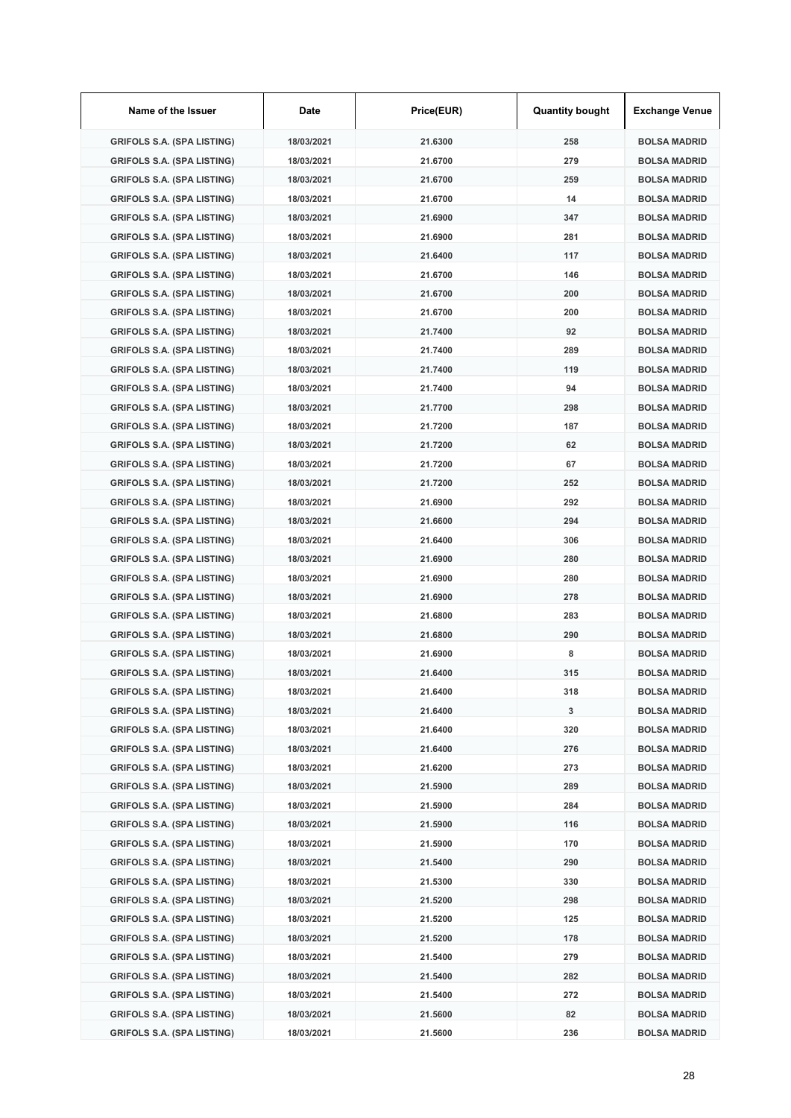| Name of the Issuer                | Date       | Price(EUR) | <b>Quantity bought</b> | <b>Exchange Venue</b> |
|-----------------------------------|------------|------------|------------------------|-----------------------|
| <b>GRIFOLS S.A. (SPA LISTING)</b> | 18/03/2021 | 21.6300    | 258                    | <b>BOLSA MADRID</b>   |
| <b>GRIFOLS S.A. (SPA LISTING)</b> | 18/03/2021 | 21.6700    | 279                    | <b>BOLSA MADRID</b>   |
| <b>GRIFOLS S.A. (SPA LISTING)</b> | 18/03/2021 | 21.6700    | 259                    | <b>BOLSA MADRID</b>   |
| <b>GRIFOLS S.A. (SPA LISTING)</b> | 18/03/2021 | 21.6700    | 14                     | <b>BOLSA MADRID</b>   |
| <b>GRIFOLS S.A. (SPA LISTING)</b> | 18/03/2021 | 21.6900    | 347                    | <b>BOLSA MADRID</b>   |
| <b>GRIFOLS S.A. (SPA LISTING)</b> | 18/03/2021 | 21.6900    | 281                    | <b>BOLSA MADRID</b>   |
| <b>GRIFOLS S.A. (SPA LISTING)</b> | 18/03/2021 | 21.6400    | 117                    | <b>BOLSA MADRID</b>   |
| <b>GRIFOLS S.A. (SPA LISTING)</b> | 18/03/2021 | 21.6700    | 146                    | <b>BOLSA MADRID</b>   |
| <b>GRIFOLS S.A. (SPA LISTING)</b> | 18/03/2021 | 21.6700    | 200                    | <b>BOLSA MADRID</b>   |
| <b>GRIFOLS S.A. (SPA LISTING)</b> | 18/03/2021 | 21.6700    | 200                    | <b>BOLSA MADRID</b>   |
| <b>GRIFOLS S.A. (SPA LISTING)</b> | 18/03/2021 | 21.7400    | 92                     | <b>BOLSA MADRID</b>   |
| <b>GRIFOLS S.A. (SPA LISTING)</b> | 18/03/2021 | 21.7400    | 289                    | <b>BOLSA MADRID</b>   |
| <b>GRIFOLS S.A. (SPA LISTING)</b> | 18/03/2021 | 21.7400    | 119                    | <b>BOLSA MADRID</b>   |
| <b>GRIFOLS S.A. (SPA LISTING)</b> | 18/03/2021 | 21.7400    | 94                     | <b>BOLSA MADRID</b>   |
| <b>GRIFOLS S.A. (SPA LISTING)</b> | 18/03/2021 | 21.7700    | 298                    | <b>BOLSA MADRID</b>   |
| <b>GRIFOLS S.A. (SPA LISTING)</b> | 18/03/2021 | 21.7200    | 187                    | <b>BOLSA MADRID</b>   |
| <b>GRIFOLS S.A. (SPA LISTING)</b> | 18/03/2021 | 21.7200    | 62                     | <b>BOLSA MADRID</b>   |
| <b>GRIFOLS S.A. (SPA LISTING)</b> | 18/03/2021 | 21.7200    | 67                     | <b>BOLSA MADRID</b>   |
| <b>GRIFOLS S.A. (SPA LISTING)</b> | 18/03/2021 | 21.7200    | 252                    | <b>BOLSA MADRID</b>   |
| <b>GRIFOLS S.A. (SPA LISTING)</b> | 18/03/2021 | 21.6900    | 292                    | <b>BOLSA MADRID</b>   |
| <b>GRIFOLS S.A. (SPA LISTING)</b> | 18/03/2021 | 21.6600    | 294                    | <b>BOLSA MADRID</b>   |
| <b>GRIFOLS S.A. (SPA LISTING)</b> | 18/03/2021 | 21.6400    | 306                    | <b>BOLSA MADRID</b>   |
| <b>GRIFOLS S.A. (SPA LISTING)</b> | 18/03/2021 | 21.6900    | 280                    | <b>BOLSA MADRID</b>   |
| <b>GRIFOLS S.A. (SPA LISTING)</b> | 18/03/2021 | 21.6900    | 280                    | <b>BOLSA MADRID</b>   |
| <b>GRIFOLS S.A. (SPA LISTING)</b> | 18/03/2021 | 21.6900    | 278                    | <b>BOLSA MADRID</b>   |
| <b>GRIFOLS S.A. (SPA LISTING)</b> | 18/03/2021 | 21.6800    | 283                    | <b>BOLSA MADRID</b>   |
| <b>GRIFOLS S.A. (SPA LISTING)</b> | 18/03/2021 | 21.6800    | 290                    | <b>BOLSA MADRID</b>   |
| <b>GRIFOLS S.A. (SPA LISTING)</b> | 18/03/2021 | 21.6900    | 8                      | <b>BOLSA MADRID</b>   |
| <b>GRIFOLS S.A. (SPA LISTING)</b> | 18/03/2021 | 21.6400    | 315                    | <b>BOLSA MADRID</b>   |
| <b>GRIFOLS S.A. (SPA LISTING)</b> | 18/03/2021 | 21.6400    | 318                    | <b>BOLSA MADRID</b>   |
| <b>GRIFOLS S.A. (SPA LISTING)</b> | 18/03/2021 | 21.6400    | 3                      | <b>BOLSA MADRID</b>   |
| <b>GRIFOLS S.A. (SPA LISTING)</b> | 18/03/2021 | 21.6400    | 320                    | <b>BOLSA MADRID</b>   |
| <b>GRIFOLS S.A. (SPA LISTING)</b> | 18/03/2021 | 21.6400    | 276                    | <b>BOLSA MADRID</b>   |
| <b>GRIFOLS S.A. (SPA LISTING)</b> | 18/03/2021 | 21.6200    | 273                    | <b>BOLSA MADRID</b>   |
| <b>GRIFOLS S.A. (SPA LISTING)</b> | 18/03/2021 | 21.5900    | 289                    | <b>BOLSA MADRID</b>   |
| <b>GRIFOLS S.A. (SPA LISTING)</b> | 18/03/2021 | 21.5900    | 284                    | <b>BOLSA MADRID</b>   |
| <b>GRIFOLS S.A. (SPA LISTING)</b> | 18/03/2021 | 21.5900    | 116                    | <b>BOLSA MADRID</b>   |
| <b>GRIFOLS S.A. (SPA LISTING)</b> | 18/03/2021 | 21.5900    | 170                    | <b>BOLSA MADRID</b>   |
| <b>GRIFOLS S.A. (SPA LISTING)</b> | 18/03/2021 | 21.5400    | 290                    | <b>BOLSA MADRID</b>   |
| <b>GRIFOLS S.A. (SPA LISTING)</b> | 18/03/2021 | 21.5300    | 330                    | <b>BOLSA MADRID</b>   |
| <b>GRIFOLS S.A. (SPA LISTING)</b> | 18/03/2021 | 21.5200    | 298                    | <b>BOLSA MADRID</b>   |
| <b>GRIFOLS S.A. (SPA LISTING)</b> | 18/03/2021 | 21.5200    | 125                    | <b>BOLSA MADRID</b>   |
| <b>GRIFOLS S.A. (SPA LISTING)</b> | 18/03/2021 | 21.5200    | 178                    | <b>BOLSA MADRID</b>   |
| <b>GRIFOLS S.A. (SPA LISTING)</b> | 18/03/2021 | 21.5400    | 279                    | <b>BOLSA MADRID</b>   |
| <b>GRIFOLS S.A. (SPA LISTING)</b> | 18/03/2021 | 21.5400    | 282                    | <b>BOLSA MADRID</b>   |
| <b>GRIFOLS S.A. (SPA LISTING)</b> | 18/03/2021 | 21.5400    | 272                    | <b>BOLSA MADRID</b>   |
| <b>GRIFOLS S.A. (SPA LISTING)</b> | 18/03/2021 | 21.5600    | 82                     | <b>BOLSA MADRID</b>   |
| <b>GRIFOLS S.A. (SPA LISTING)</b> | 18/03/2021 | 21.5600    | 236                    | <b>BOLSA MADRID</b>   |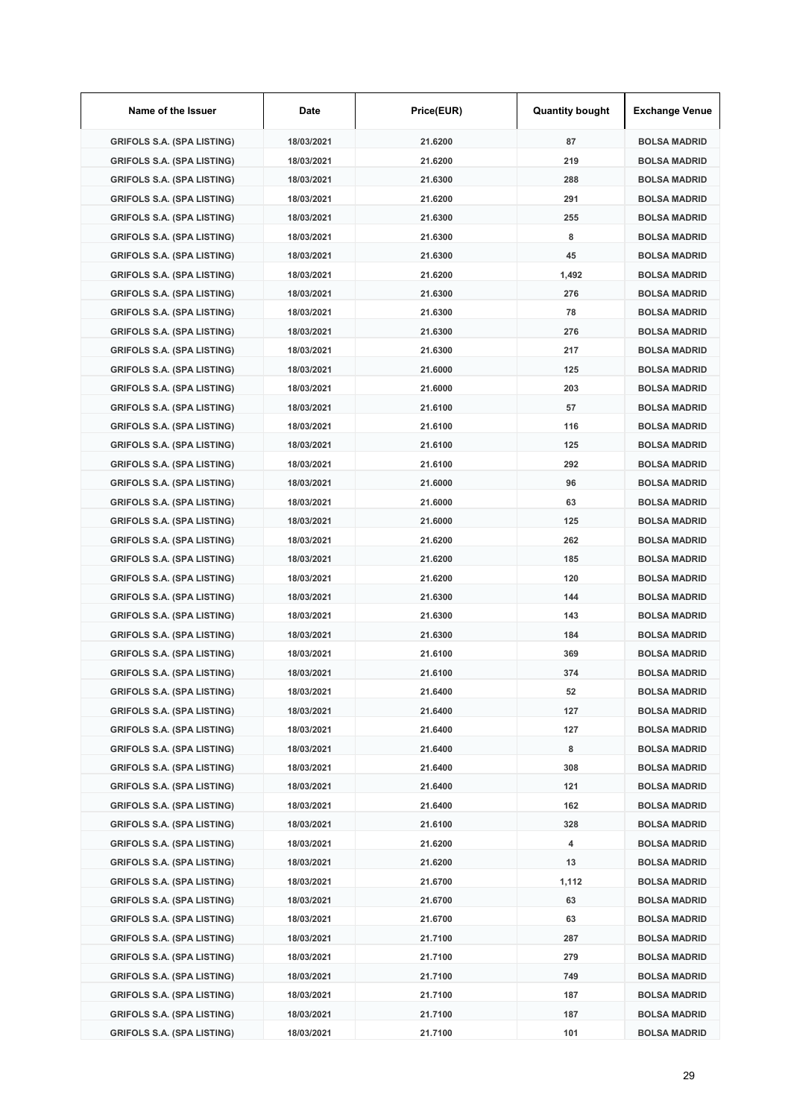| Name of the Issuer                | Date       | Price(EUR) | <b>Quantity bought</b> | <b>Exchange Venue</b> |
|-----------------------------------|------------|------------|------------------------|-----------------------|
| <b>GRIFOLS S.A. (SPA LISTING)</b> | 18/03/2021 | 21.6200    | 87                     | <b>BOLSA MADRID</b>   |
| <b>GRIFOLS S.A. (SPA LISTING)</b> | 18/03/2021 | 21.6200    | 219                    | <b>BOLSA MADRID</b>   |
| <b>GRIFOLS S.A. (SPA LISTING)</b> | 18/03/2021 | 21.6300    | 288                    | <b>BOLSA MADRID</b>   |
| <b>GRIFOLS S.A. (SPA LISTING)</b> | 18/03/2021 | 21.6200    | 291                    | <b>BOLSA MADRID</b>   |
| <b>GRIFOLS S.A. (SPA LISTING)</b> | 18/03/2021 | 21.6300    | 255                    | <b>BOLSA MADRID</b>   |
| <b>GRIFOLS S.A. (SPA LISTING)</b> | 18/03/2021 | 21.6300    | 8                      | <b>BOLSA MADRID</b>   |
| <b>GRIFOLS S.A. (SPA LISTING)</b> | 18/03/2021 | 21.6300    | 45                     | <b>BOLSA MADRID</b>   |
| <b>GRIFOLS S.A. (SPA LISTING)</b> | 18/03/2021 | 21.6200    | 1,492                  | <b>BOLSA MADRID</b>   |
| <b>GRIFOLS S.A. (SPA LISTING)</b> | 18/03/2021 | 21.6300    | 276                    | <b>BOLSA MADRID</b>   |
| <b>GRIFOLS S.A. (SPA LISTING)</b> | 18/03/2021 | 21.6300    | 78                     | <b>BOLSA MADRID</b>   |
| <b>GRIFOLS S.A. (SPA LISTING)</b> | 18/03/2021 | 21.6300    | 276                    | <b>BOLSA MADRID</b>   |
| <b>GRIFOLS S.A. (SPA LISTING)</b> | 18/03/2021 | 21.6300    | 217                    | <b>BOLSA MADRID</b>   |
| <b>GRIFOLS S.A. (SPA LISTING)</b> | 18/03/2021 | 21.6000    | 125                    | <b>BOLSA MADRID</b>   |
| <b>GRIFOLS S.A. (SPA LISTING)</b> | 18/03/2021 | 21.6000    | 203                    | <b>BOLSA MADRID</b>   |
| <b>GRIFOLS S.A. (SPA LISTING)</b> | 18/03/2021 | 21.6100    | 57                     | <b>BOLSA MADRID</b>   |
| <b>GRIFOLS S.A. (SPA LISTING)</b> | 18/03/2021 | 21.6100    | 116                    | <b>BOLSA MADRID</b>   |
| <b>GRIFOLS S.A. (SPA LISTING)</b> | 18/03/2021 | 21.6100    | 125                    | <b>BOLSA MADRID</b>   |
| <b>GRIFOLS S.A. (SPA LISTING)</b> | 18/03/2021 | 21.6100    | 292                    | <b>BOLSA MADRID</b>   |
| <b>GRIFOLS S.A. (SPA LISTING)</b> | 18/03/2021 | 21.6000    | 96                     | <b>BOLSA MADRID</b>   |
| <b>GRIFOLS S.A. (SPA LISTING)</b> | 18/03/2021 | 21.6000    | 63                     | <b>BOLSA MADRID</b>   |
| <b>GRIFOLS S.A. (SPA LISTING)</b> | 18/03/2021 | 21.6000    | 125                    | <b>BOLSA MADRID</b>   |
| <b>GRIFOLS S.A. (SPA LISTING)</b> | 18/03/2021 | 21.6200    | 262                    | <b>BOLSA MADRID</b>   |
| <b>GRIFOLS S.A. (SPA LISTING)</b> | 18/03/2021 | 21.6200    | 185                    | <b>BOLSA MADRID</b>   |
| <b>GRIFOLS S.A. (SPA LISTING)</b> | 18/03/2021 | 21.6200    | 120                    | <b>BOLSA MADRID</b>   |
| <b>GRIFOLS S.A. (SPA LISTING)</b> | 18/03/2021 | 21.6300    | 144                    | <b>BOLSA MADRID</b>   |
| <b>GRIFOLS S.A. (SPA LISTING)</b> | 18/03/2021 | 21.6300    | 143                    | <b>BOLSA MADRID</b>   |
| <b>GRIFOLS S.A. (SPA LISTING)</b> | 18/03/2021 | 21.6300    | 184                    | <b>BOLSA MADRID</b>   |
| <b>GRIFOLS S.A. (SPA LISTING)</b> | 18/03/2021 | 21.6100    | 369                    | <b>BOLSA MADRID</b>   |
| <b>GRIFOLS S.A. (SPA LISTING)</b> | 18/03/2021 | 21.6100    | 374                    | <b>BOLSA MADRID</b>   |
| <b>GRIFOLS S.A. (SPA LISTING)</b> | 18/03/2021 | 21.6400    | 52                     | <b>BOLSA MADRID</b>   |
| <b>GRIFOLS S.A. (SPA LISTING)</b> | 18/03/2021 | 21.6400    | 127                    | <b>BOLSA MADRID</b>   |
| <b>GRIFOLS S.A. (SPA LISTING)</b> | 18/03/2021 | 21.6400    | 127                    | <b>BOLSA MADRID</b>   |
| <b>GRIFOLS S.A. (SPA LISTING)</b> | 18/03/2021 | 21.6400    | 8                      | <b>BOLSA MADRID</b>   |
| <b>GRIFOLS S.A. (SPA LISTING)</b> | 18/03/2021 | 21.6400    | 308                    | <b>BOLSA MADRID</b>   |
| <b>GRIFOLS S.A. (SPA LISTING)</b> | 18/03/2021 | 21.6400    | 121                    | <b>BOLSA MADRID</b>   |
| <b>GRIFOLS S.A. (SPA LISTING)</b> | 18/03/2021 | 21.6400    | 162                    | <b>BOLSA MADRID</b>   |
| <b>GRIFOLS S.A. (SPA LISTING)</b> | 18/03/2021 | 21.6100    | 328                    | <b>BOLSA MADRID</b>   |
| <b>GRIFOLS S.A. (SPA LISTING)</b> | 18/03/2021 | 21.6200    | 4                      | <b>BOLSA MADRID</b>   |
| <b>GRIFOLS S.A. (SPA LISTING)</b> | 18/03/2021 | 21.6200    | 13                     | <b>BOLSA MADRID</b>   |
| <b>GRIFOLS S.A. (SPA LISTING)</b> | 18/03/2021 | 21.6700    | 1,112                  | <b>BOLSA MADRID</b>   |
| <b>GRIFOLS S.A. (SPA LISTING)</b> | 18/03/2021 | 21.6700    | 63                     | <b>BOLSA MADRID</b>   |
| <b>GRIFOLS S.A. (SPA LISTING)</b> | 18/03/2021 | 21.6700    | 63                     | <b>BOLSA MADRID</b>   |
| <b>GRIFOLS S.A. (SPA LISTING)</b> | 18/03/2021 | 21.7100    | 287                    | <b>BOLSA MADRID</b>   |
| <b>GRIFOLS S.A. (SPA LISTING)</b> | 18/03/2021 | 21.7100    | 279                    | <b>BOLSA MADRID</b>   |
| <b>GRIFOLS S.A. (SPA LISTING)</b> | 18/03/2021 | 21.7100    | 749                    | <b>BOLSA MADRID</b>   |
| <b>GRIFOLS S.A. (SPA LISTING)</b> | 18/03/2021 | 21.7100    | 187                    | <b>BOLSA MADRID</b>   |
| <b>GRIFOLS S.A. (SPA LISTING)</b> | 18/03/2021 | 21.7100    | 187                    | <b>BOLSA MADRID</b>   |
| <b>GRIFOLS S.A. (SPA LISTING)</b> | 18/03/2021 | 21.7100    | 101                    | <b>BOLSA MADRID</b>   |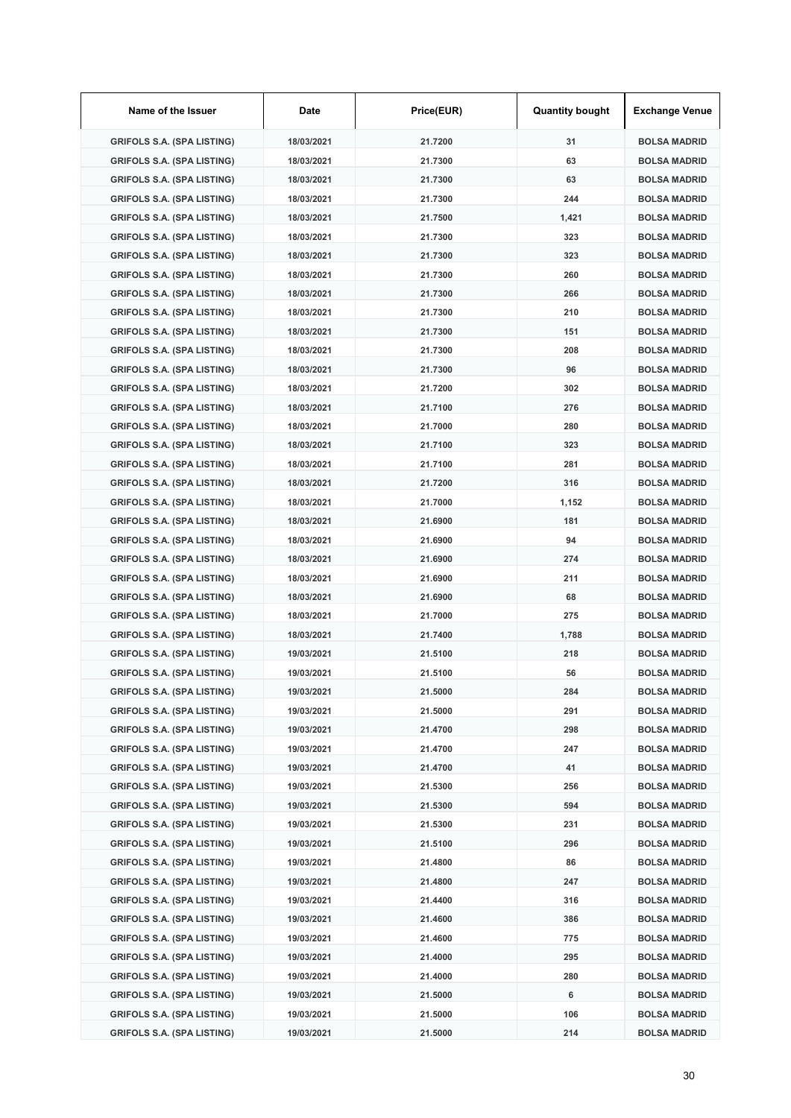| Name of the Issuer                | Date       | Price(EUR) | <b>Quantity bought</b> | <b>Exchange Venue</b> |
|-----------------------------------|------------|------------|------------------------|-----------------------|
| <b>GRIFOLS S.A. (SPA LISTING)</b> | 18/03/2021 | 21.7200    | 31                     | <b>BOLSA MADRID</b>   |
| <b>GRIFOLS S.A. (SPA LISTING)</b> | 18/03/2021 | 21.7300    | 63                     | <b>BOLSA MADRID</b>   |
| <b>GRIFOLS S.A. (SPA LISTING)</b> | 18/03/2021 | 21.7300    | 63                     | <b>BOLSA MADRID</b>   |
| <b>GRIFOLS S.A. (SPA LISTING)</b> | 18/03/2021 | 21.7300    | 244                    | <b>BOLSA MADRID</b>   |
| <b>GRIFOLS S.A. (SPA LISTING)</b> | 18/03/2021 | 21.7500    | 1,421                  | <b>BOLSA MADRID</b>   |
| <b>GRIFOLS S.A. (SPA LISTING)</b> | 18/03/2021 | 21.7300    | 323                    | <b>BOLSA MADRID</b>   |
| <b>GRIFOLS S.A. (SPA LISTING)</b> | 18/03/2021 | 21.7300    | 323                    | <b>BOLSA MADRID</b>   |
| <b>GRIFOLS S.A. (SPA LISTING)</b> | 18/03/2021 | 21.7300    | 260                    | <b>BOLSA MADRID</b>   |
| <b>GRIFOLS S.A. (SPA LISTING)</b> | 18/03/2021 | 21.7300    | 266                    | <b>BOLSA MADRID</b>   |
| <b>GRIFOLS S.A. (SPA LISTING)</b> | 18/03/2021 | 21.7300    | 210                    | <b>BOLSA MADRID</b>   |
| <b>GRIFOLS S.A. (SPA LISTING)</b> | 18/03/2021 | 21.7300    | 151                    | <b>BOLSA MADRID</b>   |
| <b>GRIFOLS S.A. (SPA LISTING)</b> | 18/03/2021 | 21.7300    | 208                    | <b>BOLSA MADRID</b>   |
| <b>GRIFOLS S.A. (SPA LISTING)</b> | 18/03/2021 | 21.7300    | 96                     | <b>BOLSA MADRID</b>   |
| <b>GRIFOLS S.A. (SPA LISTING)</b> | 18/03/2021 | 21.7200    | 302                    | <b>BOLSA MADRID</b>   |
| <b>GRIFOLS S.A. (SPA LISTING)</b> | 18/03/2021 | 21.7100    | 276                    | <b>BOLSA MADRID</b>   |
| <b>GRIFOLS S.A. (SPA LISTING)</b> | 18/03/2021 | 21.7000    | 280                    | <b>BOLSA MADRID</b>   |
| <b>GRIFOLS S.A. (SPA LISTING)</b> | 18/03/2021 | 21.7100    | 323                    | <b>BOLSA MADRID</b>   |
| <b>GRIFOLS S.A. (SPA LISTING)</b> | 18/03/2021 | 21.7100    | 281                    | <b>BOLSA MADRID</b>   |
| <b>GRIFOLS S.A. (SPA LISTING)</b> | 18/03/2021 | 21.7200    | 316                    | <b>BOLSA MADRID</b>   |
| <b>GRIFOLS S.A. (SPA LISTING)</b> | 18/03/2021 | 21.7000    | 1,152                  | <b>BOLSA MADRID</b>   |
| <b>GRIFOLS S.A. (SPA LISTING)</b> | 18/03/2021 | 21.6900    | 181                    | <b>BOLSA MADRID</b>   |
| <b>GRIFOLS S.A. (SPA LISTING)</b> | 18/03/2021 | 21.6900    | 94                     | <b>BOLSA MADRID</b>   |
| <b>GRIFOLS S.A. (SPA LISTING)</b> | 18/03/2021 | 21.6900    | 274                    | <b>BOLSA MADRID</b>   |
| <b>GRIFOLS S.A. (SPA LISTING)</b> | 18/03/2021 | 21.6900    | 211                    | <b>BOLSA MADRID</b>   |
| <b>GRIFOLS S.A. (SPA LISTING)</b> | 18/03/2021 | 21.6900    | 68                     | <b>BOLSA MADRID</b>   |
| <b>GRIFOLS S.A. (SPA LISTING)</b> | 18/03/2021 | 21.7000    | 275                    | <b>BOLSA MADRID</b>   |
| <b>GRIFOLS S.A. (SPA LISTING)</b> | 18/03/2021 | 21.7400    | 1,788                  | <b>BOLSA MADRID</b>   |
| <b>GRIFOLS S.A. (SPA LISTING)</b> | 19/03/2021 | 21.5100    | 218                    | <b>BOLSA MADRID</b>   |
| <b>GRIFOLS S.A. (SPA LISTING)</b> | 19/03/2021 | 21.5100    | 56                     | <b>BOLSA MADRID</b>   |
| <b>GRIFOLS S.A. (SPA LISTING)</b> | 19/03/2021 | 21.5000    | 284                    | <b>BOLSA MADRID</b>   |
| <b>GRIFOLS S.A. (SPA LISTING)</b> | 19/03/2021 | 21.5000    | 291                    | <b>BOLSA MADRID</b>   |
| <b>GRIFOLS S.A. (SPA LISTING)</b> | 19/03/2021 | 21.4700    | 298                    | <b>BOLSA MADRID</b>   |
| <b>GRIFOLS S.A. (SPA LISTING)</b> | 19/03/2021 | 21.4700    | 247                    | <b>BOLSA MADRID</b>   |
| <b>GRIFOLS S.A. (SPA LISTING)</b> | 19/03/2021 | 21.4700    | 41                     | <b>BOLSA MADRID</b>   |
| <b>GRIFOLS S.A. (SPA LISTING)</b> | 19/03/2021 | 21.5300    | 256                    | <b>BOLSA MADRID</b>   |
| <b>GRIFOLS S.A. (SPA LISTING)</b> | 19/03/2021 | 21.5300    | 594                    | <b>BOLSA MADRID</b>   |
| <b>GRIFOLS S.A. (SPA LISTING)</b> | 19/03/2021 | 21.5300    | 231                    | <b>BOLSA MADRID</b>   |
| <b>GRIFOLS S.A. (SPA LISTING)</b> | 19/03/2021 | 21.5100    | 296                    | <b>BOLSA MADRID</b>   |
| <b>GRIFOLS S.A. (SPA LISTING)</b> | 19/03/2021 | 21.4800    | 86                     | <b>BOLSA MADRID</b>   |
| <b>GRIFOLS S.A. (SPA LISTING)</b> | 19/03/2021 | 21.4800    | 247                    | <b>BOLSA MADRID</b>   |
| <b>GRIFOLS S.A. (SPA LISTING)</b> | 19/03/2021 | 21.4400    | 316                    | <b>BOLSA MADRID</b>   |
| <b>GRIFOLS S.A. (SPA LISTING)</b> | 19/03/2021 | 21.4600    | 386                    | <b>BOLSA MADRID</b>   |
| <b>GRIFOLS S.A. (SPA LISTING)</b> | 19/03/2021 | 21.4600    | 775                    | <b>BOLSA MADRID</b>   |
| <b>GRIFOLS S.A. (SPA LISTING)</b> | 19/03/2021 | 21.4000    | 295                    | <b>BOLSA MADRID</b>   |
| <b>GRIFOLS S.A. (SPA LISTING)</b> | 19/03/2021 | 21.4000    | 280                    | <b>BOLSA MADRID</b>   |
| <b>GRIFOLS S.A. (SPA LISTING)</b> | 19/03/2021 | 21.5000    | 6                      | <b>BOLSA MADRID</b>   |
| <b>GRIFOLS S.A. (SPA LISTING)</b> | 19/03/2021 | 21.5000    | 106                    | <b>BOLSA MADRID</b>   |
| <b>GRIFOLS S.A. (SPA LISTING)</b> | 19/03/2021 | 21.5000    | 214                    | <b>BOLSA MADRID</b>   |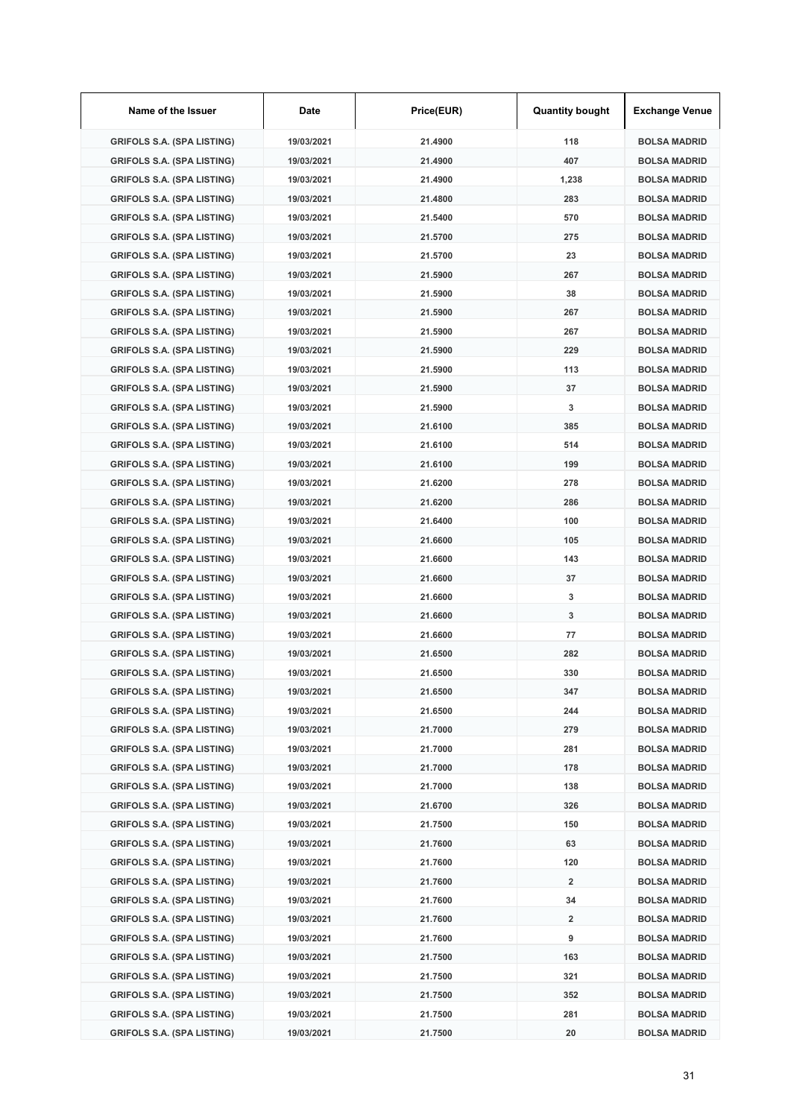| Name of the Issuer                | Date       | Price(EUR) | <b>Quantity bought</b>  | <b>Exchange Venue</b> |
|-----------------------------------|------------|------------|-------------------------|-----------------------|
| <b>GRIFOLS S.A. (SPA LISTING)</b> | 19/03/2021 | 21.4900    | 118                     | <b>BOLSA MADRID</b>   |
| <b>GRIFOLS S.A. (SPA LISTING)</b> | 19/03/2021 | 21.4900    | 407                     | <b>BOLSA MADRID</b>   |
| <b>GRIFOLS S.A. (SPA LISTING)</b> | 19/03/2021 | 21.4900    | 1,238                   | <b>BOLSA MADRID</b>   |
| <b>GRIFOLS S.A. (SPA LISTING)</b> | 19/03/2021 | 21.4800    | 283                     | <b>BOLSA MADRID</b>   |
| <b>GRIFOLS S.A. (SPA LISTING)</b> | 19/03/2021 | 21.5400    | 570                     | <b>BOLSA MADRID</b>   |
| <b>GRIFOLS S.A. (SPA LISTING)</b> | 19/03/2021 | 21.5700    | 275                     | <b>BOLSA MADRID</b>   |
| <b>GRIFOLS S.A. (SPA LISTING)</b> | 19/03/2021 | 21.5700    | 23                      | <b>BOLSA MADRID</b>   |
| <b>GRIFOLS S.A. (SPA LISTING)</b> | 19/03/2021 | 21.5900    | 267                     | <b>BOLSA MADRID</b>   |
| <b>GRIFOLS S.A. (SPA LISTING)</b> | 19/03/2021 | 21.5900    | 38                      | <b>BOLSA MADRID</b>   |
| <b>GRIFOLS S.A. (SPA LISTING)</b> | 19/03/2021 | 21.5900    | 267                     | <b>BOLSA MADRID</b>   |
| <b>GRIFOLS S.A. (SPA LISTING)</b> | 19/03/2021 | 21.5900    | 267                     | <b>BOLSA MADRID</b>   |
| <b>GRIFOLS S.A. (SPA LISTING)</b> | 19/03/2021 | 21.5900    | 229                     | <b>BOLSA MADRID</b>   |
| <b>GRIFOLS S.A. (SPA LISTING)</b> | 19/03/2021 | 21.5900    | 113                     | <b>BOLSA MADRID</b>   |
| <b>GRIFOLS S.A. (SPA LISTING)</b> | 19/03/2021 | 21.5900    | 37                      | <b>BOLSA MADRID</b>   |
| <b>GRIFOLS S.A. (SPA LISTING)</b> | 19/03/2021 | 21.5900    | 3                       | <b>BOLSA MADRID</b>   |
| <b>GRIFOLS S.A. (SPA LISTING)</b> | 19/03/2021 | 21.6100    | 385                     | <b>BOLSA MADRID</b>   |
| <b>GRIFOLS S.A. (SPA LISTING)</b> | 19/03/2021 | 21.6100    | 514                     | <b>BOLSA MADRID</b>   |
| <b>GRIFOLS S.A. (SPA LISTING)</b> | 19/03/2021 | 21.6100    | 199                     | <b>BOLSA MADRID</b>   |
| <b>GRIFOLS S.A. (SPA LISTING)</b> | 19/03/2021 | 21.6200    | 278                     | <b>BOLSA MADRID</b>   |
| <b>GRIFOLS S.A. (SPA LISTING)</b> | 19/03/2021 | 21.6200    | 286                     | <b>BOLSA MADRID</b>   |
| <b>GRIFOLS S.A. (SPA LISTING)</b> | 19/03/2021 | 21.6400    | 100                     | <b>BOLSA MADRID</b>   |
| <b>GRIFOLS S.A. (SPA LISTING)</b> | 19/03/2021 | 21.6600    | 105                     | <b>BOLSA MADRID</b>   |
| <b>GRIFOLS S.A. (SPA LISTING)</b> | 19/03/2021 | 21.6600    | 143                     | <b>BOLSA MADRID</b>   |
| <b>GRIFOLS S.A. (SPA LISTING)</b> | 19/03/2021 | 21.6600    | 37                      | <b>BOLSA MADRID</b>   |
| <b>GRIFOLS S.A. (SPA LISTING)</b> | 19/03/2021 | 21.6600    | 3                       | <b>BOLSA MADRID</b>   |
| <b>GRIFOLS S.A. (SPA LISTING)</b> | 19/03/2021 | 21.6600    | 3                       | <b>BOLSA MADRID</b>   |
| <b>GRIFOLS S.A. (SPA LISTING)</b> | 19/03/2021 | 21.6600    | 77                      | <b>BOLSA MADRID</b>   |
| <b>GRIFOLS S.A. (SPA LISTING)</b> | 19/03/2021 | 21.6500    | 282                     | <b>BOLSA MADRID</b>   |
| <b>GRIFOLS S.A. (SPA LISTING)</b> | 19/03/2021 | 21.6500    | 330                     | <b>BOLSA MADRID</b>   |
| <b>GRIFOLS S.A. (SPA LISTING)</b> | 19/03/2021 | 21.6500    | 347                     | <b>BOLSA MADRID</b>   |
| <b>GRIFOLS S.A. (SPA LISTING)</b> | 19/03/2021 | 21.6500    | 244                     | <b>BOLSA MADRID</b>   |
| <b>GRIFOLS S.A. (SPA LISTING)</b> | 19/03/2021 | 21.7000    | 279                     | <b>BOLSA MADRID</b>   |
| <b>GRIFOLS S.A. (SPA LISTING)</b> | 19/03/2021 | 21.7000    | 281                     | <b>BOLSA MADRID</b>   |
| <b>GRIFOLS S.A. (SPA LISTING)</b> | 19/03/2021 | 21.7000    | 178                     | <b>BOLSA MADRID</b>   |
| <b>GRIFOLS S.A. (SPA LISTING)</b> | 19/03/2021 | 21.7000    | 138                     | <b>BOLSA MADRID</b>   |
| <b>GRIFOLS S.A. (SPA LISTING)</b> | 19/03/2021 | 21.6700    | 326                     | <b>BOLSA MADRID</b>   |
| <b>GRIFOLS S.A. (SPA LISTING)</b> | 19/03/2021 | 21.7500    | 150                     | <b>BOLSA MADRID</b>   |
| <b>GRIFOLS S.A. (SPA LISTING)</b> | 19/03/2021 | 21.7600    | 63                      | <b>BOLSA MADRID</b>   |
| <b>GRIFOLS S.A. (SPA LISTING)</b> | 19/03/2021 | 21.7600    | 120                     | <b>BOLSA MADRID</b>   |
| GRIFOLS S.A. (SPA LISTING)        | 19/03/2021 | 21.7600    | $\overline{2}$          | <b>BOLSA MADRID</b>   |
| <b>GRIFOLS S.A. (SPA LISTING)</b> | 19/03/2021 | 21.7600    | 34                      | <b>BOLSA MADRID</b>   |
| <b>GRIFOLS S.A. (SPA LISTING)</b> | 19/03/2021 | 21.7600    | $\overline{\mathbf{2}}$ | <b>BOLSA MADRID</b>   |
| <b>GRIFOLS S.A. (SPA LISTING)</b> | 19/03/2021 | 21.7600    | 9                       | <b>BOLSA MADRID</b>   |
| <b>GRIFOLS S.A. (SPA LISTING)</b> | 19/03/2021 | 21.7500    | 163                     | <b>BOLSA MADRID</b>   |
| <b>GRIFOLS S.A. (SPA LISTING)</b> | 19/03/2021 | 21.7500    | 321                     | <b>BOLSA MADRID</b>   |
| <b>GRIFOLS S.A. (SPA LISTING)</b> | 19/03/2021 | 21.7500    | 352                     | <b>BOLSA MADRID</b>   |
| <b>GRIFOLS S.A. (SPA LISTING)</b> | 19/03/2021 | 21.7500    | 281                     | <b>BOLSA MADRID</b>   |
| <b>GRIFOLS S.A. (SPA LISTING)</b> | 19/03/2021 | 21.7500    | 20                      | <b>BOLSA MADRID</b>   |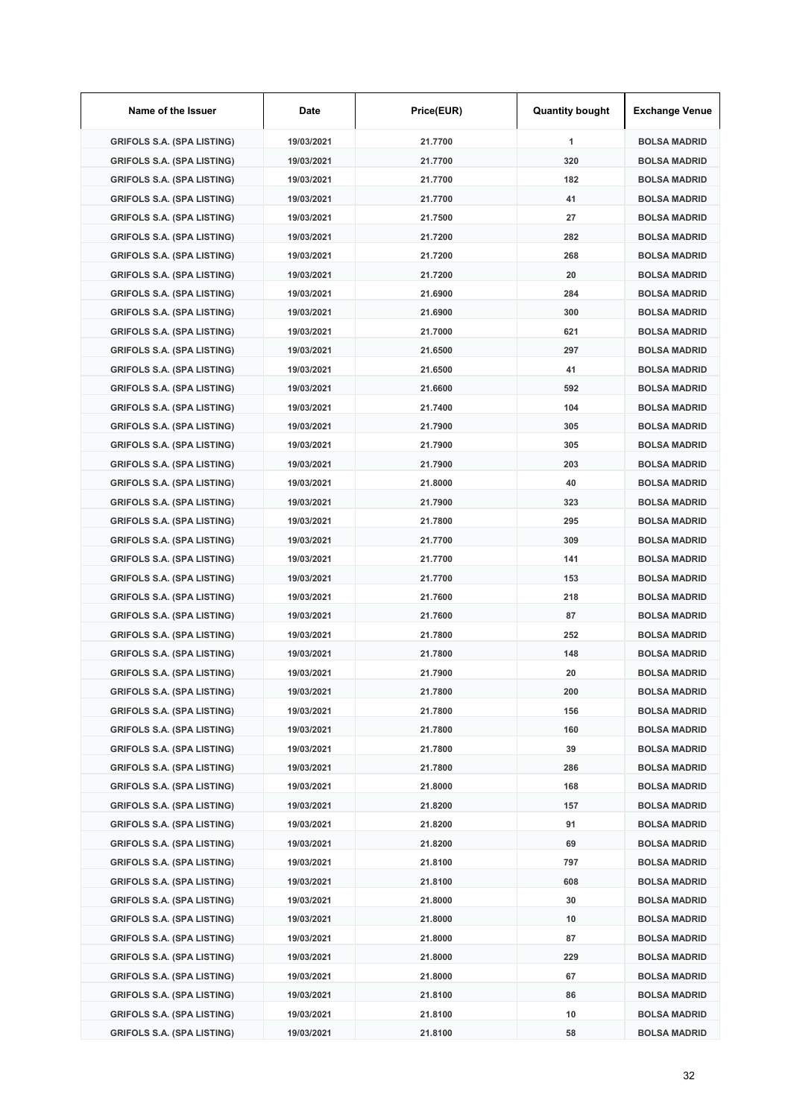| Name of the Issuer                | Date       | Price(EUR) | <b>Quantity bought</b> | <b>Exchange Venue</b> |
|-----------------------------------|------------|------------|------------------------|-----------------------|
| <b>GRIFOLS S.A. (SPA LISTING)</b> | 19/03/2021 | 21.7700    | 1                      | <b>BOLSA MADRID</b>   |
| <b>GRIFOLS S.A. (SPA LISTING)</b> | 19/03/2021 | 21.7700    | 320                    | <b>BOLSA MADRID</b>   |
| <b>GRIFOLS S.A. (SPA LISTING)</b> | 19/03/2021 | 21.7700    | 182                    | <b>BOLSA MADRID</b>   |
| <b>GRIFOLS S.A. (SPA LISTING)</b> | 19/03/2021 | 21.7700    | 41                     | <b>BOLSA MADRID</b>   |
| <b>GRIFOLS S.A. (SPA LISTING)</b> | 19/03/2021 | 21.7500    | 27                     | <b>BOLSA MADRID</b>   |
| <b>GRIFOLS S.A. (SPA LISTING)</b> | 19/03/2021 | 21.7200    | 282                    | <b>BOLSA MADRID</b>   |
| <b>GRIFOLS S.A. (SPA LISTING)</b> | 19/03/2021 | 21.7200    | 268                    | <b>BOLSA MADRID</b>   |
| <b>GRIFOLS S.A. (SPA LISTING)</b> | 19/03/2021 | 21.7200    | 20                     | <b>BOLSA MADRID</b>   |
| <b>GRIFOLS S.A. (SPA LISTING)</b> | 19/03/2021 | 21.6900    | 284                    | <b>BOLSA MADRID</b>   |
| <b>GRIFOLS S.A. (SPA LISTING)</b> | 19/03/2021 | 21.6900    | 300                    | <b>BOLSA MADRID</b>   |
| <b>GRIFOLS S.A. (SPA LISTING)</b> | 19/03/2021 | 21.7000    | 621                    | <b>BOLSA MADRID</b>   |
| <b>GRIFOLS S.A. (SPA LISTING)</b> | 19/03/2021 | 21.6500    | 297                    | <b>BOLSA MADRID</b>   |
| <b>GRIFOLS S.A. (SPA LISTING)</b> | 19/03/2021 | 21.6500    | 41                     | <b>BOLSA MADRID</b>   |
| <b>GRIFOLS S.A. (SPA LISTING)</b> | 19/03/2021 | 21.6600    | 592                    | <b>BOLSA MADRID</b>   |
| <b>GRIFOLS S.A. (SPA LISTING)</b> | 19/03/2021 | 21.7400    | 104                    | <b>BOLSA MADRID</b>   |
| <b>GRIFOLS S.A. (SPA LISTING)</b> | 19/03/2021 | 21.7900    | 305                    | <b>BOLSA MADRID</b>   |
| <b>GRIFOLS S.A. (SPA LISTING)</b> | 19/03/2021 | 21.7900    | 305                    | <b>BOLSA MADRID</b>   |
| <b>GRIFOLS S.A. (SPA LISTING)</b> | 19/03/2021 | 21.7900    | 203                    | <b>BOLSA MADRID</b>   |
| <b>GRIFOLS S.A. (SPA LISTING)</b> | 19/03/2021 | 21.8000    | 40                     | <b>BOLSA MADRID</b>   |
| <b>GRIFOLS S.A. (SPA LISTING)</b> | 19/03/2021 | 21.7900    | 323                    | <b>BOLSA MADRID</b>   |
| <b>GRIFOLS S.A. (SPA LISTING)</b> | 19/03/2021 | 21.7800    | 295                    | <b>BOLSA MADRID</b>   |
| <b>GRIFOLS S.A. (SPA LISTING)</b> | 19/03/2021 | 21.7700    | 309                    | <b>BOLSA MADRID</b>   |
| <b>GRIFOLS S.A. (SPA LISTING)</b> | 19/03/2021 | 21.7700    | 141                    | <b>BOLSA MADRID</b>   |
| <b>GRIFOLS S.A. (SPA LISTING)</b> | 19/03/2021 | 21.7700    | 153                    | <b>BOLSA MADRID</b>   |
| <b>GRIFOLS S.A. (SPA LISTING)</b> | 19/03/2021 | 21.7600    | 218                    | <b>BOLSA MADRID</b>   |
| <b>GRIFOLS S.A. (SPA LISTING)</b> | 19/03/2021 | 21.7600    | 87                     | <b>BOLSA MADRID</b>   |
| <b>GRIFOLS S.A. (SPA LISTING)</b> | 19/03/2021 | 21.7800    | 252                    | <b>BOLSA MADRID</b>   |
| <b>GRIFOLS S.A. (SPA LISTING)</b> | 19/03/2021 | 21.7800    | 148                    | <b>BOLSA MADRID</b>   |
| <b>GRIFOLS S.A. (SPA LISTING)</b> | 19/03/2021 | 21.7900    | 20                     | <b>BOLSA MADRID</b>   |
| <b>GRIFOLS S.A. (SPA LISTING)</b> | 19/03/2021 | 21.7800    | 200                    | <b>BOLSA MADRID</b>   |
| <b>GRIFOLS S.A. (SPA LISTING)</b> | 19/03/2021 | 21.7800    | 156                    | <b>BOLSA MADRID</b>   |
| <b>GRIFOLS S.A. (SPA LISTING)</b> | 19/03/2021 | 21.7800    | 160                    | <b>BOLSA MADRID</b>   |
| <b>GRIFOLS S.A. (SPA LISTING)</b> | 19/03/2021 | 21.7800    | 39                     | <b>BOLSA MADRID</b>   |
| <b>GRIFOLS S.A. (SPA LISTING)</b> | 19/03/2021 | 21.7800    | 286                    | <b>BOLSA MADRID</b>   |
| <b>GRIFOLS S.A. (SPA LISTING)</b> | 19/03/2021 | 21.8000    | 168                    | <b>BOLSA MADRID</b>   |
| <b>GRIFOLS S.A. (SPA LISTING)</b> | 19/03/2021 | 21.8200    | 157                    | <b>BOLSA MADRID</b>   |
| <b>GRIFOLS S.A. (SPA LISTING)</b> | 19/03/2021 | 21.8200    | 91                     | <b>BOLSA MADRID</b>   |
| <b>GRIFOLS S.A. (SPA LISTING)</b> | 19/03/2021 | 21.8200    | 69                     | <b>BOLSA MADRID</b>   |
| <b>GRIFOLS S.A. (SPA LISTING)</b> | 19/03/2021 | 21.8100    | 797                    | <b>BOLSA MADRID</b>   |
| <b>GRIFOLS S.A. (SPA LISTING)</b> | 19/03/2021 | 21.8100    | 608                    | <b>BOLSA MADRID</b>   |
| <b>GRIFOLS S.A. (SPA LISTING)</b> | 19/03/2021 | 21.8000    | 30                     | <b>BOLSA MADRID</b>   |
| <b>GRIFOLS S.A. (SPA LISTING)</b> | 19/03/2021 | 21.8000    | 10                     | <b>BOLSA MADRID</b>   |
| <b>GRIFOLS S.A. (SPA LISTING)</b> | 19/03/2021 | 21.8000    | 87                     | <b>BOLSA MADRID</b>   |
| <b>GRIFOLS S.A. (SPA LISTING)</b> | 19/03/2021 | 21.8000    | 229                    | <b>BOLSA MADRID</b>   |
| <b>GRIFOLS S.A. (SPA LISTING)</b> | 19/03/2021 | 21.8000    | 67                     | <b>BOLSA MADRID</b>   |
| <b>GRIFOLS S.A. (SPA LISTING)</b> | 19/03/2021 | 21.8100    | 86                     | <b>BOLSA MADRID</b>   |
| <b>GRIFOLS S.A. (SPA LISTING)</b> | 19/03/2021 | 21.8100    | 10                     | <b>BOLSA MADRID</b>   |
| <b>GRIFOLS S.A. (SPA LISTING)</b> | 19/03/2021 | 21.8100    | 58                     | <b>BOLSA MADRID</b>   |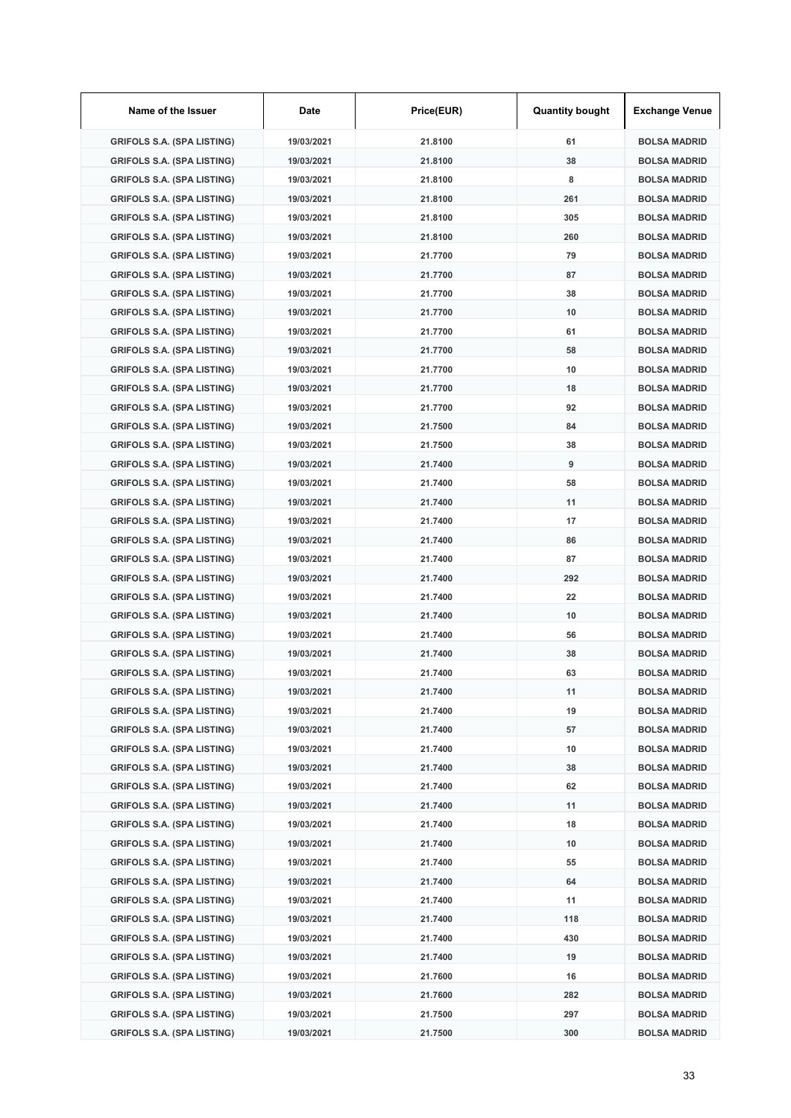| Name of the Issuer                | Date       | Price(EUR) | <b>Quantity bought</b> | <b>Exchange Venue</b> |
|-----------------------------------|------------|------------|------------------------|-----------------------|
| <b>GRIFOLS S.A. (SPA LISTING)</b> | 19/03/2021 | 21.8100    | 61                     | <b>BOLSA MADRID</b>   |
| <b>GRIFOLS S.A. (SPA LISTING)</b> | 19/03/2021 | 21.8100    | 38                     | <b>BOLSA MADRID</b>   |
| <b>GRIFOLS S.A. (SPA LISTING)</b> | 19/03/2021 | 21.8100    | 8                      | <b>BOLSA MADRID</b>   |
| <b>GRIFOLS S.A. (SPA LISTING)</b> | 19/03/2021 | 21.8100    | 261                    | <b>BOLSA MADRID</b>   |
| <b>GRIFOLS S.A. (SPA LISTING)</b> | 19/03/2021 | 21.8100    | 305                    | <b>BOLSA MADRID</b>   |
| <b>GRIFOLS S.A. (SPA LISTING)</b> | 19/03/2021 | 21.8100    | 260                    | <b>BOLSA MADRID</b>   |
| <b>GRIFOLS S.A. (SPA LISTING)</b> | 19/03/2021 | 21.7700    | 79                     | <b>BOLSA MADRID</b>   |
| <b>GRIFOLS S.A. (SPA LISTING)</b> | 19/03/2021 | 21.7700    | 87                     | <b>BOLSA MADRID</b>   |
| <b>GRIFOLS S.A. (SPA LISTING)</b> | 19/03/2021 | 21.7700    | 38                     | <b>BOLSA MADRID</b>   |
| <b>GRIFOLS S.A. (SPA LISTING)</b> | 19/03/2021 | 21.7700    | 10                     | <b>BOLSA MADRID</b>   |
| <b>GRIFOLS S.A. (SPA LISTING)</b> | 19/03/2021 | 21.7700    | 61                     | <b>BOLSA MADRID</b>   |
| <b>GRIFOLS S.A. (SPA LISTING)</b> | 19/03/2021 | 21.7700    | 58                     | <b>BOLSA MADRID</b>   |
| <b>GRIFOLS S.A. (SPA LISTING)</b> | 19/03/2021 | 21.7700    | 10                     | <b>BOLSA MADRID</b>   |
| <b>GRIFOLS S.A. (SPA LISTING)</b> | 19/03/2021 | 21.7700    | 18                     | <b>BOLSA MADRID</b>   |
| <b>GRIFOLS S.A. (SPA LISTING)</b> | 19/03/2021 | 21.7700    | 92                     | <b>BOLSA MADRID</b>   |
| <b>GRIFOLS S.A. (SPA LISTING)</b> | 19/03/2021 | 21.7500    | 84                     | <b>BOLSA MADRID</b>   |
| <b>GRIFOLS S.A. (SPA LISTING)</b> | 19/03/2021 | 21.7500    | 38                     | <b>BOLSA MADRID</b>   |
| <b>GRIFOLS S.A. (SPA LISTING)</b> | 19/03/2021 | 21.7400    | 9                      | <b>BOLSA MADRID</b>   |
| <b>GRIFOLS S.A. (SPA LISTING)</b> | 19/03/2021 | 21.7400    | 58                     | <b>BOLSA MADRID</b>   |
| <b>GRIFOLS S.A. (SPA LISTING)</b> | 19/03/2021 | 21.7400    | 11                     | <b>BOLSA MADRID</b>   |
| <b>GRIFOLS S.A. (SPA LISTING)</b> | 19/03/2021 | 21.7400    | 17                     | <b>BOLSA MADRID</b>   |
| <b>GRIFOLS S.A. (SPA LISTING)</b> | 19/03/2021 | 21.7400    | 86                     | <b>BOLSA MADRID</b>   |
| <b>GRIFOLS S.A. (SPA LISTING)</b> | 19/03/2021 | 21.7400    | 87                     | <b>BOLSA MADRID</b>   |
| <b>GRIFOLS S.A. (SPA LISTING)</b> | 19/03/2021 | 21.7400    | 292                    | <b>BOLSA MADRID</b>   |
| <b>GRIFOLS S.A. (SPA LISTING)</b> | 19/03/2021 | 21.7400    | 22                     | <b>BOLSA MADRID</b>   |
| <b>GRIFOLS S.A. (SPA LISTING)</b> | 19/03/2021 | 21.7400    | 10                     | <b>BOLSA MADRID</b>   |
| <b>GRIFOLS S.A. (SPA LISTING)</b> | 19/03/2021 | 21.7400    | 56                     | <b>BOLSA MADRID</b>   |
| <b>GRIFOLS S.A. (SPA LISTING)</b> | 19/03/2021 | 21.7400    | 38                     | <b>BOLSA MADRID</b>   |
| <b>GRIFOLS S.A. (SPA LISTING)</b> | 19/03/2021 | 21.7400    | 63                     | <b>BOLSA MADRID</b>   |
| <b>GRIFOLS S.A. (SPA LISTING)</b> | 19/03/2021 | 21.7400    | 11                     | <b>BOLSA MADRID</b>   |
| <b>GRIFOLS S.A. (SPA LISTING)</b> | 19/03/2021 | 21.7400    | 19                     | <b>BOLSA MADRID</b>   |
| <b>GRIFOLS S.A. (SPA LISTING)</b> | 19/03/2021 | 21.7400    | 57                     | <b>BOLSA MADRID</b>   |
| <b>GRIFOLS S.A. (SPA LISTING)</b> | 19/03/2021 | 21.7400    | 10                     | <b>BOLSA MADRID</b>   |
| <b>GRIFOLS S.A. (SPA LISTING)</b> | 19/03/2021 | 21.7400    | 38                     | <b>BOLSA MADRID</b>   |
| <b>GRIFOLS S.A. (SPA LISTING)</b> | 19/03/2021 | 21.7400    | 62                     | <b>BOLSA MADRID</b>   |
| <b>GRIFOLS S.A. (SPA LISTING)</b> | 19/03/2021 | 21.7400    | 11                     | <b>BOLSA MADRID</b>   |
| <b>GRIFOLS S.A. (SPA LISTING)</b> | 19/03/2021 | 21.7400    | 18                     | <b>BOLSA MADRID</b>   |
| <b>GRIFOLS S.A. (SPA LISTING)</b> | 19/03/2021 | 21.7400    | 10                     | <b>BOLSA MADRID</b>   |
| <b>GRIFOLS S.A. (SPA LISTING)</b> | 19/03/2021 | 21.7400    | 55                     | <b>BOLSA MADRID</b>   |
| <b>GRIFOLS S.A. (SPA LISTING)</b> | 19/03/2021 | 21.7400    | 64                     | <b>BOLSA MADRID</b>   |
| <b>GRIFOLS S.A. (SPA LISTING)</b> | 19/03/2021 | 21.7400    | 11                     | <b>BOLSA MADRID</b>   |
| <b>GRIFOLS S.A. (SPA LISTING)</b> | 19/03/2021 | 21.7400    | 118                    | <b>BOLSA MADRID</b>   |
| <b>GRIFOLS S.A. (SPA LISTING)</b> | 19/03/2021 | 21.7400    | 430                    | <b>BOLSA MADRID</b>   |
| <b>GRIFOLS S.A. (SPA LISTING)</b> | 19/03/2021 | 21.7400    | 19                     | <b>BOLSA MADRID</b>   |
| <b>GRIFOLS S.A. (SPA LISTING)</b> | 19/03/2021 | 21.7600    | 16                     | <b>BOLSA MADRID</b>   |
| <b>GRIFOLS S.A. (SPA LISTING)</b> | 19/03/2021 | 21.7600    | 282                    | <b>BOLSA MADRID</b>   |
| <b>GRIFOLS S.A. (SPA LISTING)</b> | 19/03/2021 | 21.7500    | 297                    | <b>BOLSA MADRID</b>   |
| <b>GRIFOLS S.A. (SPA LISTING)</b> | 19/03/2021 | 21.7500    | 300                    | <b>BOLSA MADRID</b>   |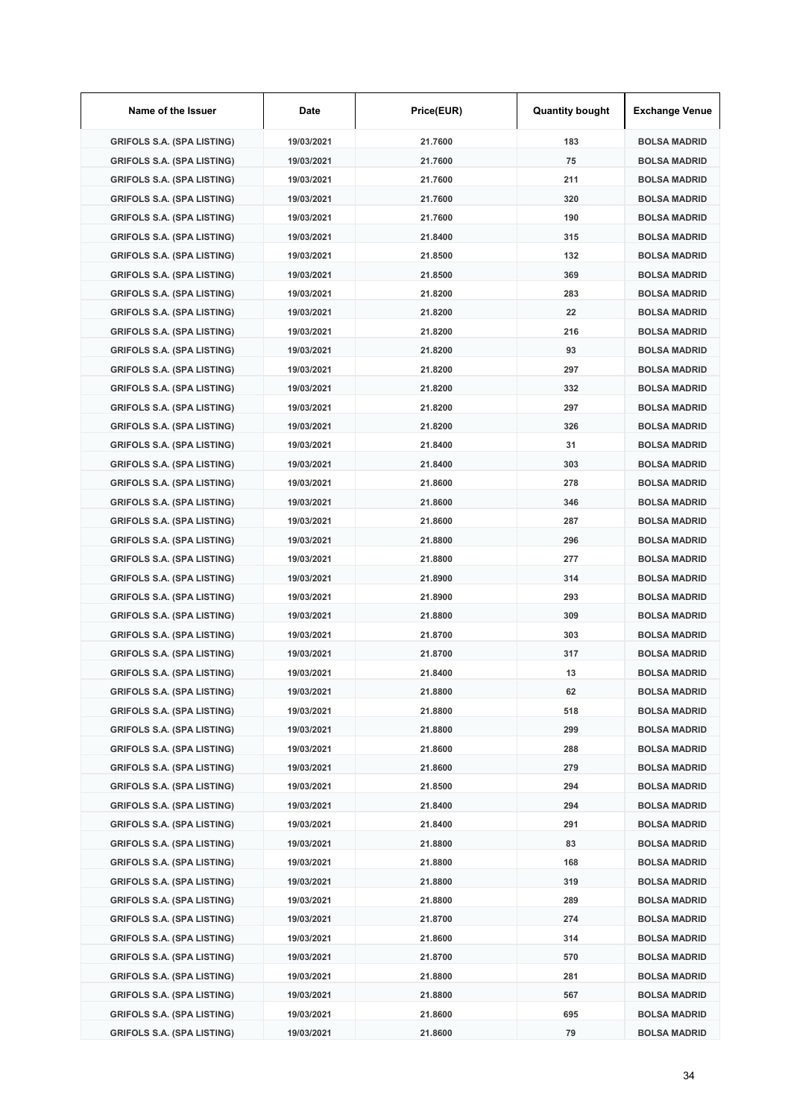| Name of the Issuer                | Date       | Price(EUR) | <b>Quantity bought</b> | <b>Exchange Venue</b> |
|-----------------------------------|------------|------------|------------------------|-----------------------|
| <b>GRIFOLS S.A. (SPA LISTING)</b> | 19/03/2021 | 21.7600    | 183                    | <b>BOLSA MADRID</b>   |
| <b>GRIFOLS S.A. (SPA LISTING)</b> | 19/03/2021 | 21.7600    | 75                     | <b>BOLSA MADRID</b>   |
| <b>GRIFOLS S.A. (SPA LISTING)</b> | 19/03/2021 | 21.7600    | 211                    | <b>BOLSA MADRID</b>   |
| <b>GRIFOLS S.A. (SPA LISTING)</b> | 19/03/2021 | 21.7600    | 320                    | <b>BOLSA MADRID</b>   |
| <b>GRIFOLS S.A. (SPA LISTING)</b> | 19/03/2021 | 21.7600    | 190                    | <b>BOLSA MADRID</b>   |
| <b>GRIFOLS S.A. (SPA LISTING)</b> | 19/03/2021 | 21.8400    | 315                    | <b>BOLSA MADRID</b>   |
| <b>GRIFOLS S.A. (SPA LISTING)</b> | 19/03/2021 | 21.8500    | 132                    | <b>BOLSA MADRID</b>   |
| <b>GRIFOLS S.A. (SPA LISTING)</b> | 19/03/2021 | 21.8500    | 369                    | <b>BOLSA MADRID</b>   |
| <b>GRIFOLS S.A. (SPA LISTING)</b> | 19/03/2021 | 21.8200    | 283                    | <b>BOLSA MADRID</b>   |
| <b>GRIFOLS S.A. (SPA LISTING)</b> | 19/03/2021 | 21.8200    | 22                     | <b>BOLSA MADRID</b>   |
| <b>GRIFOLS S.A. (SPA LISTING)</b> | 19/03/2021 | 21.8200    | 216                    | <b>BOLSA MADRID</b>   |
| <b>GRIFOLS S.A. (SPA LISTING)</b> | 19/03/2021 | 21.8200    | 93                     | <b>BOLSA MADRID</b>   |
| <b>GRIFOLS S.A. (SPA LISTING)</b> | 19/03/2021 | 21.8200    | 297                    | <b>BOLSA MADRID</b>   |
| <b>GRIFOLS S.A. (SPA LISTING)</b> | 19/03/2021 | 21.8200    | 332                    | <b>BOLSA MADRID</b>   |
| <b>GRIFOLS S.A. (SPA LISTING)</b> | 19/03/2021 | 21.8200    | 297                    | <b>BOLSA MADRID</b>   |
| <b>GRIFOLS S.A. (SPA LISTING)</b> | 19/03/2021 | 21.8200    | 326                    | <b>BOLSA MADRID</b>   |
| <b>GRIFOLS S.A. (SPA LISTING)</b> | 19/03/2021 | 21.8400    | 31                     | <b>BOLSA MADRID</b>   |
| <b>GRIFOLS S.A. (SPA LISTING)</b> | 19/03/2021 | 21.8400    | 303                    | <b>BOLSA MADRID</b>   |
| <b>GRIFOLS S.A. (SPA LISTING)</b> | 19/03/2021 | 21.8600    | 278                    | <b>BOLSA MADRID</b>   |
| <b>GRIFOLS S.A. (SPA LISTING)</b> | 19/03/2021 | 21.8600    | 346                    | <b>BOLSA MADRID</b>   |
| <b>GRIFOLS S.A. (SPA LISTING)</b> | 19/03/2021 | 21.8600    | 287                    | <b>BOLSA MADRID</b>   |
| <b>GRIFOLS S.A. (SPA LISTING)</b> | 19/03/2021 | 21.8800    | 296                    | <b>BOLSA MADRID</b>   |
| <b>GRIFOLS S.A. (SPA LISTING)</b> | 19/03/2021 | 21.8800    | 277                    | <b>BOLSA MADRID</b>   |
| <b>GRIFOLS S.A. (SPA LISTING)</b> | 19/03/2021 | 21.8900    | 314                    | <b>BOLSA MADRID</b>   |
| <b>GRIFOLS S.A. (SPA LISTING)</b> | 19/03/2021 | 21.8900    | 293                    | <b>BOLSA MADRID</b>   |
| <b>GRIFOLS S.A. (SPA LISTING)</b> | 19/03/2021 | 21.8800    | 309                    | <b>BOLSA MADRID</b>   |
| <b>GRIFOLS S.A. (SPA LISTING)</b> | 19/03/2021 | 21.8700    | 303                    | <b>BOLSA MADRID</b>   |
| <b>GRIFOLS S.A. (SPA LISTING)</b> | 19/03/2021 | 21.8700    | 317                    | <b>BOLSA MADRID</b>   |
| <b>GRIFOLS S.A. (SPA LISTING)</b> | 19/03/2021 | 21.8400    | 13                     | <b>BOLSA MADRID</b>   |
| <b>GRIFOLS S.A. (SPA LISTING)</b> | 19/03/2021 | 21.8800    | 62                     | <b>BOLSA MADRID</b>   |
| <b>GRIFOLS S.A. (SPA LISTING)</b> | 19/03/2021 | 21.8800    | 518                    | <b>BOLSA MADRID</b>   |
| <b>GRIFOLS S.A. (SPA LISTING)</b> | 19/03/2021 | 21.8800    | 299                    | <b>BOLSA MADRID</b>   |
| <b>GRIFOLS S.A. (SPA LISTING)</b> | 19/03/2021 | 21.8600    | 288                    | <b>BOLSA MADRID</b>   |
| <b>GRIFOLS S.A. (SPA LISTING)</b> | 19/03/2021 | 21.8600    | 279                    | <b>BOLSA MADRID</b>   |
| <b>GRIFOLS S.A. (SPA LISTING)</b> | 19/03/2021 | 21.8500    | 294                    | <b>BOLSA MADRID</b>   |
| <b>GRIFOLS S.A. (SPA LISTING)</b> | 19/03/2021 | 21.8400    | 294                    | <b>BOLSA MADRID</b>   |
| <b>GRIFOLS S.A. (SPA LISTING)</b> | 19/03/2021 | 21.8400    | 291                    | <b>BOLSA MADRID</b>   |
| <b>GRIFOLS S.A. (SPA LISTING)</b> | 19/03/2021 | 21.8800    | 83                     | <b>BOLSA MADRID</b>   |
| <b>GRIFOLS S.A. (SPA LISTING)</b> | 19/03/2021 | 21.8800    | 168                    | <b>BOLSA MADRID</b>   |
| <b>GRIFOLS S.A. (SPA LISTING)</b> | 19/03/2021 | 21.8800    | 319                    | <b>BOLSA MADRID</b>   |
| <b>GRIFOLS S.A. (SPA LISTING)</b> | 19/03/2021 | 21.8800    | 289                    | <b>BOLSA MADRID</b>   |
| <b>GRIFOLS S.A. (SPA LISTING)</b> | 19/03/2021 | 21.8700    | 274                    | <b>BOLSA MADRID</b>   |
| <b>GRIFOLS S.A. (SPA LISTING)</b> | 19/03/2021 | 21.8600    | 314                    | <b>BOLSA MADRID</b>   |
| <b>GRIFOLS S.A. (SPA LISTING)</b> | 19/03/2021 | 21.8700    | 570                    | <b>BOLSA MADRID</b>   |
| <b>GRIFOLS S.A. (SPA LISTING)</b> | 19/03/2021 | 21.8800    | 281                    | <b>BOLSA MADRID</b>   |
| <b>GRIFOLS S.A. (SPA LISTING)</b> | 19/03/2021 | 21.8800    | 567                    | <b>BOLSA MADRID</b>   |
| <b>GRIFOLS S.A. (SPA LISTING)</b> | 19/03/2021 | 21.8600    | 695                    | <b>BOLSA MADRID</b>   |
| <b>GRIFOLS S.A. (SPA LISTING)</b> | 19/03/2021 | 21.8600    | 79                     | <b>BOLSA MADRID</b>   |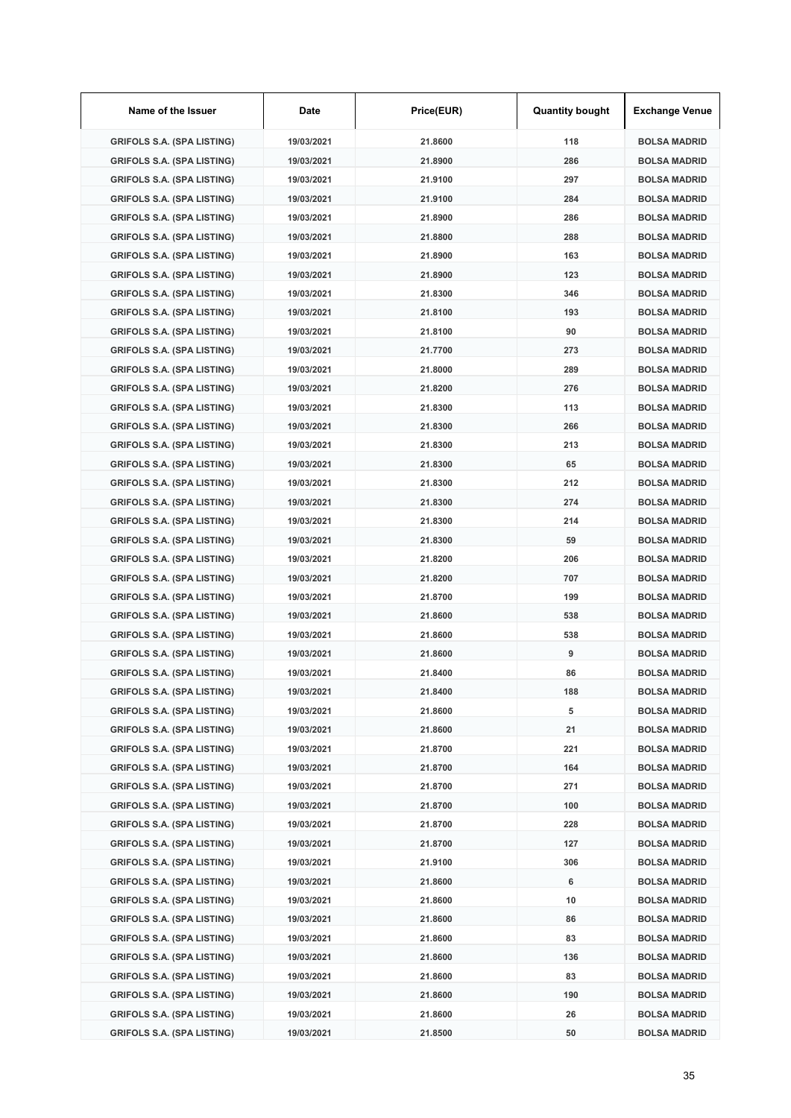| Name of the Issuer                | Date       | Price(EUR) | <b>Quantity bought</b> | <b>Exchange Venue</b> |
|-----------------------------------|------------|------------|------------------------|-----------------------|
| <b>GRIFOLS S.A. (SPA LISTING)</b> | 19/03/2021 | 21.8600    | 118                    | <b>BOLSA MADRID</b>   |
| <b>GRIFOLS S.A. (SPA LISTING)</b> | 19/03/2021 | 21.8900    | 286                    | <b>BOLSA MADRID</b>   |
| <b>GRIFOLS S.A. (SPA LISTING)</b> | 19/03/2021 | 21.9100    | 297                    | <b>BOLSA MADRID</b>   |
| <b>GRIFOLS S.A. (SPA LISTING)</b> | 19/03/2021 | 21.9100    | 284                    | <b>BOLSA MADRID</b>   |
| <b>GRIFOLS S.A. (SPA LISTING)</b> | 19/03/2021 | 21.8900    | 286                    | <b>BOLSA MADRID</b>   |
| <b>GRIFOLS S.A. (SPA LISTING)</b> | 19/03/2021 | 21.8800    | 288                    | <b>BOLSA MADRID</b>   |
| <b>GRIFOLS S.A. (SPA LISTING)</b> | 19/03/2021 | 21.8900    | 163                    | <b>BOLSA MADRID</b>   |
| <b>GRIFOLS S.A. (SPA LISTING)</b> | 19/03/2021 | 21.8900    | 123                    | <b>BOLSA MADRID</b>   |
| <b>GRIFOLS S.A. (SPA LISTING)</b> | 19/03/2021 | 21.8300    | 346                    | <b>BOLSA MADRID</b>   |
| <b>GRIFOLS S.A. (SPA LISTING)</b> | 19/03/2021 | 21.8100    | 193                    | <b>BOLSA MADRID</b>   |
| <b>GRIFOLS S.A. (SPA LISTING)</b> | 19/03/2021 | 21.8100    | 90                     | <b>BOLSA MADRID</b>   |
| <b>GRIFOLS S.A. (SPA LISTING)</b> | 19/03/2021 | 21.7700    | 273                    | <b>BOLSA MADRID</b>   |
| <b>GRIFOLS S.A. (SPA LISTING)</b> | 19/03/2021 | 21.8000    | 289                    | <b>BOLSA MADRID</b>   |
| <b>GRIFOLS S.A. (SPA LISTING)</b> | 19/03/2021 | 21.8200    | 276                    | <b>BOLSA MADRID</b>   |
| <b>GRIFOLS S.A. (SPA LISTING)</b> | 19/03/2021 | 21.8300    | 113                    | <b>BOLSA MADRID</b>   |
| <b>GRIFOLS S.A. (SPA LISTING)</b> | 19/03/2021 | 21.8300    | 266                    | <b>BOLSA MADRID</b>   |
| <b>GRIFOLS S.A. (SPA LISTING)</b> | 19/03/2021 | 21.8300    | 213                    | <b>BOLSA MADRID</b>   |
| <b>GRIFOLS S.A. (SPA LISTING)</b> | 19/03/2021 | 21.8300    | 65                     | <b>BOLSA MADRID</b>   |
| <b>GRIFOLS S.A. (SPA LISTING)</b> | 19/03/2021 | 21.8300    | 212                    | <b>BOLSA MADRID</b>   |
| <b>GRIFOLS S.A. (SPA LISTING)</b> | 19/03/2021 | 21.8300    | 274                    | <b>BOLSA MADRID</b>   |
| <b>GRIFOLS S.A. (SPA LISTING)</b> | 19/03/2021 | 21.8300    | 214                    | <b>BOLSA MADRID</b>   |
| <b>GRIFOLS S.A. (SPA LISTING)</b> | 19/03/2021 | 21.8300    | 59                     | <b>BOLSA MADRID</b>   |
| <b>GRIFOLS S.A. (SPA LISTING)</b> | 19/03/2021 | 21.8200    | 206                    | <b>BOLSA MADRID</b>   |
| <b>GRIFOLS S.A. (SPA LISTING)</b> | 19/03/2021 | 21.8200    | 707                    | <b>BOLSA MADRID</b>   |
| <b>GRIFOLS S.A. (SPA LISTING)</b> | 19/03/2021 | 21.8700    | 199                    | <b>BOLSA MADRID</b>   |
| <b>GRIFOLS S.A. (SPA LISTING)</b> | 19/03/2021 | 21.8600    | 538                    | <b>BOLSA MADRID</b>   |
| <b>GRIFOLS S.A. (SPA LISTING)</b> | 19/03/2021 | 21.8600    | 538                    | <b>BOLSA MADRID</b>   |
| <b>GRIFOLS S.A. (SPA LISTING)</b> | 19/03/2021 | 21.8600    | 9                      | <b>BOLSA MADRID</b>   |
| <b>GRIFOLS S.A. (SPA LISTING)</b> | 19/03/2021 | 21.8400    | 86                     | <b>BOLSA MADRID</b>   |
| <b>GRIFOLS S.A. (SPA LISTING)</b> | 19/03/2021 | 21.8400    | 188                    | <b>BOLSA MADRID</b>   |
| <b>GRIFOLS S.A. (SPA LISTING)</b> | 19/03/2021 | 21.8600    | 5                      | <b>BOLSA MADRID</b>   |
| <b>GRIFOLS S.A. (SPA LISTING)</b> | 19/03/2021 | 21.8600    | 21                     | <b>BOLSA MADRID</b>   |
| <b>GRIFOLS S.A. (SPA LISTING)</b> | 19/03/2021 | 21.8700    | 221                    | <b>BOLSA MADRID</b>   |
| <b>GRIFOLS S.A. (SPA LISTING)</b> | 19/03/2021 | 21.8700    | 164                    | <b>BOLSA MADRID</b>   |
| <b>GRIFOLS S.A. (SPA LISTING)</b> | 19/03/2021 | 21.8700    | 271                    | <b>BOLSA MADRID</b>   |
| <b>GRIFOLS S.A. (SPA LISTING)</b> | 19/03/2021 | 21.8700    | 100                    | <b>BOLSA MADRID</b>   |
| <b>GRIFOLS S.A. (SPA LISTING)</b> | 19/03/2021 | 21.8700    | 228                    | <b>BOLSA MADRID</b>   |
| <b>GRIFOLS S.A. (SPA LISTING)</b> | 19/03/2021 | 21.8700    | 127                    | <b>BOLSA MADRID</b>   |
| <b>GRIFOLS S.A. (SPA LISTING)</b> | 19/03/2021 | 21.9100    | 306                    | <b>BOLSA MADRID</b>   |
| <b>GRIFOLS S.A. (SPA LISTING)</b> | 19/03/2021 | 21.8600    | 6                      | <b>BOLSA MADRID</b>   |
| <b>GRIFOLS S.A. (SPA LISTING)</b> | 19/03/2021 | 21.8600    | 10                     | <b>BOLSA MADRID</b>   |
| <b>GRIFOLS S.A. (SPA LISTING)</b> | 19/03/2021 | 21.8600    | 86                     | <b>BOLSA MADRID</b>   |
| <b>GRIFOLS S.A. (SPA LISTING)</b> | 19/03/2021 | 21.8600    | 83                     | <b>BOLSA MADRID</b>   |
| <b>GRIFOLS S.A. (SPA LISTING)</b> | 19/03/2021 | 21.8600    | 136                    | <b>BOLSA MADRID</b>   |
| <b>GRIFOLS S.A. (SPA LISTING)</b> | 19/03/2021 | 21.8600    | 83                     | <b>BOLSA MADRID</b>   |
| <b>GRIFOLS S.A. (SPA LISTING)</b> | 19/03/2021 | 21.8600    | 190                    | <b>BOLSA MADRID</b>   |
| <b>GRIFOLS S.A. (SPA LISTING)</b> | 19/03/2021 | 21.8600    | 26                     | <b>BOLSA MADRID</b>   |
| <b>GRIFOLS S.A. (SPA LISTING)</b> | 19/03/2021 | 21.8500    | 50                     | <b>BOLSA MADRID</b>   |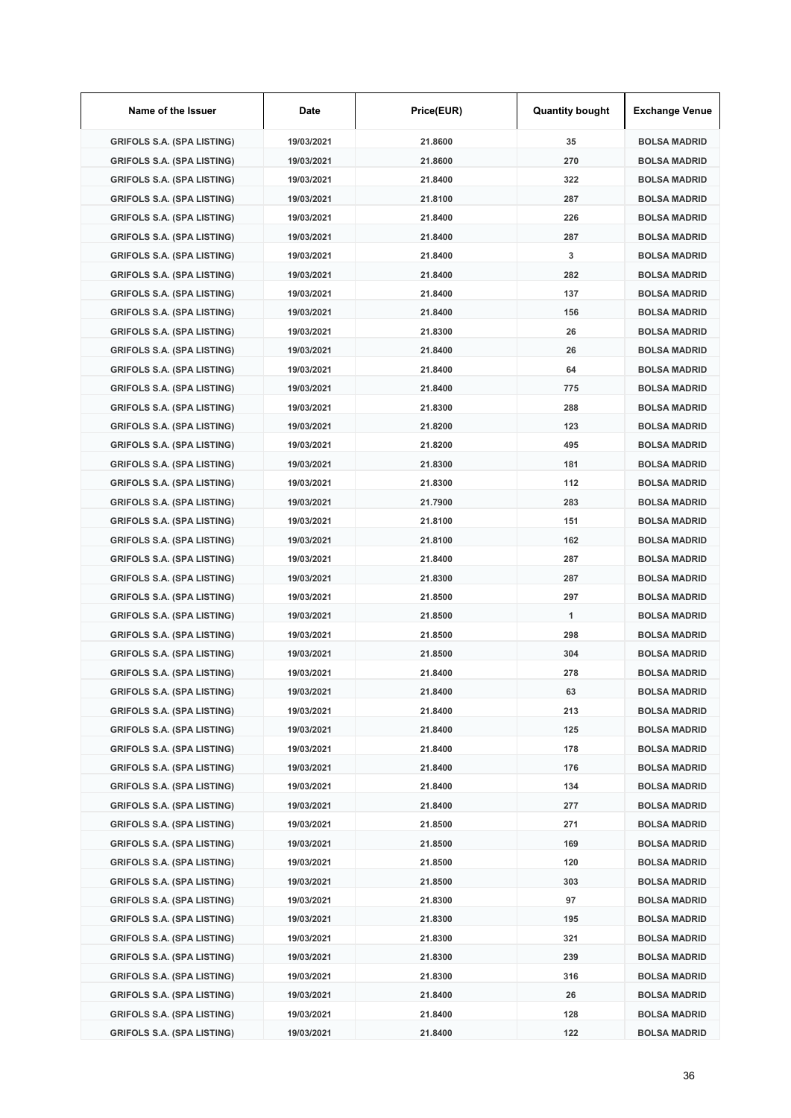| Name of the Issuer                | Date       | Price(EUR) | <b>Quantity bought</b> | <b>Exchange Venue</b> |
|-----------------------------------|------------|------------|------------------------|-----------------------|
| <b>GRIFOLS S.A. (SPA LISTING)</b> | 19/03/2021 | 21.8600    | 35                     | <b>BOLSA MADRID</b>   |
| <b>GRIFOLS S.A. (SPA LISTING)</b> | 19/03/2021 | 21.8600    | 270                    | <b>BOLSA MADRID</b>   |
| <b>GRIFOLS S.A. (SPA LISTING)</b> | 19/03/2021 | 21.8400    | 322                    | <b>BOLSA MADRID</b>   |
| <b>GRIFOLS S.A. (SPA LISTING)</b> | 19/03/2021 | 21.8100    | 287                    | <b>BOLSA MADRID</b>   |
| <b>GRIFOLS S.A. (SPA LISTING)</b> | 19/03/2021 | 21.8400    | 226                    | <b>BOLSA MADRID</b>   |
| <b>GRIFOLS S.A. (SPA LISTING)</b> | 19/03/2021 | 21.8400    | 287                    | <b>BOLSA MADRID</b>   |
| <b>GRIFOLS S.A. (SPA LISTING)</b> | 19/03/2021 | 21.8400    | 3                      | <b>BOLSA MADRID</b>   |
| <b>GRIFOLS S.A. (SPA LISTING)</b> | 19/03/2021 | 21.8400    | 282                    | <b>BOLSA MADRID</b>   |
| <b>GRIFOLS S.A. (SPA LISTING)</b> | 19/03/2021 | 21.8400    | 137                    | <b>BOLSA MADRID</b>   |
| <b>GRIFOLS S.A. (SPA LISTING)</b> | 19/03/2021 | 21.8400    | 156                    | <b>BOLSA MADRID</b>   |
| <b>GRIFOLS S.A. (SPA LISTING)</b> | 19/03/2021 | 21.8300    | 26                     | <b>BOLSA MADRID</b>   |
| <b>GRIFOLS S.A. (SPA LISTING)</b> | 19/03/2021 | 21.8400    | 26                     | <b>BOLSA MADRID</b>   |
| <b>GRIFOLS S.A. (SPA LISTING)</b> | 19/03/2021 | 21.8400    | 64                     | <b>BOLSA MADRID</b>   |
| <b>GRIFOLS S.A. (SPA LISTING)</b> | 19/03/2021 | 21.8400    | 775                    | <b>BOLSA MADRID</b>   |
| <b>GRIFOLS S.A. (SPA LISTING)</b> | 19/03/2021 | 21.8300    | 288                    | <b>BOLSA MADRID</b>   |
| <b>GRIFOLS S.A. (SPA LISTING)</b> | 19/03/2021 | 21.8200    | 123                    | <b>BOLSA MADRID</b>   |
| <b>GRIFOLS S.A. (SPA LISTING)</b> | 19/03/2021 | 21.8200    | 495                    | <b>BOLSA MADRID</b>   |
| <b>GRIFOLS S.A. (SPA LISTING)</b> | 19/03/2021 | 21.8300    | 181                    | <b>BOLSA MADRID</b>   |
| <b>GRIFOLS S.A. (SPA LISTING)</b> | 19/03/2021 | 21.8300    | 112                    | <b>BOLSA MADRID</b>   |
| <b>GRIFOLS S.A. (SPA LISTING)</b> | 19/03/2021 | 21.7900    | 283                    | <b>BOLSA MADRID</b>   |
| <b>GRIFOLS S.A. (SPA LISTING)</b> | 19/03/2021 | 21.8100    | 151                    | <b>BOLSA MADRID</b>   |
| <b>GRIFOLS S.A. (SPA LISTING)</b> | 19/03/2021 | 21.8100    | 162                    | <b>BOLSA MADRID</b>   |
| <b>GRIFOLS S.A. (SPA LISTING)</b> | 19/03/2021 | 21.8400    | 287                    | <b>BOLSA MADRID</b>   |
| <b>GRIFOLS S.A. (SPA LISTING)</b> | 19/03/2021 | 21.8300    | 287                    | <b>BOLSA MADRID</b>   |
| <b>GRIFOLS S.A. (SPA LISTING)</b> | 19/03/2021 | 21.8500    | 297                    | <b>BOLSA MADRID</b>   |
| <b>GRIFOLS S.A. (SPA LISTING)</b> | 19/03/2021 | 21.8500    | 1                      | <b>BOLSA MADRID</b>   |
| <b>GRIFOLS S.A. (SPA LISTING)</b> | 19/03/2021 | 21.8500    | 298                    | <b>BOLSA MADRID</b>   |
| <b>GRIFOLS S.A. (SPA LISTING)</b> | 19/03/2021 | 21.8500    | 304                    | <b>BOLSA MADRID</b>   |
| <b>GRIFOLS S.A. (SPA LISTING)</b> | 19/03/2021 | 21.8400    | 278                    | <b>BOLSA MADRID</b>   |
| <b>GRIFOLS S.A. (SPA LISTING)</b> | 19/03/2021 | 21.8400    | 63                     | <b>BOLSA MADRID</b>   |
| <b>GRIFOLS S.A. (SPA LISTING)</b> | 19/03/2021 | 21.8400    | 213                    | <b>BOLSA MADRID</b>   |
| <b>GRIFOLS S.A. (SPA LISTING)</b> | 19/03/2021 | 21.8400    | 125                    | <b>BOLSA MADRID</b>   |
| <b>GRIFOLS S.A. (SPA LISTING)</b> | 19/03/2021 | 21.8400    | 178                    | <b>BOLSA MADRID</b>   |
| <b>GRIFOLS S.A. (SPA LISTING)</b> | 19/03/2021 | 21.8400    | 176                    | <b>BOLSA MADRID</b>   |
| <b>GRIFOLS S.A. (SPA LISTING)</b> | 19/03/2021 | 21.8400    | 134                    | <b>BOLSA MADRID</b>   |
| <b>GRIFOLS S.A. (SPA LISTING)</b> | 19/03/2021 | 21.8400    | 277                    | <b>BOLSA MADRID</b>   |
| <b>GRIFOLS S.A. (SPA LISTING)</b> | 19/03/2021 | 21.8500    | 271                    | <b>BOLSA MADRID</b>   |
| <b>GRIFOLS S.A. (SPA LISTING)</b> | 19/03/2021 | 21.8500    | 169                    | <b>BOLSA MADRID</b>   |
| <b>GRIFOLS S.A. (SPA LISTING)</b> | 19/03/2021 | 21.8500    | 120                    | <b>BOLSA MADRID</b>   |
| <b>GRIFOLS S.A. (SPA LISTING)</b> | 19/03/2021 | 21.8500    | 303                    | <b>BOLSA MADRID</b>   |
| <b>GRIFOLS S.A. (SPA LISTING)</b> | 19/03/2021 | 21.8300    | 97                     | <b>BOLSA MADRID</b>   |
| <b>GRIFOLS S.A. (SPA LISTING)</b> | 19/03/2021 | 21.8300    | 195                    | <b>BOLSA MADRID</b>   |
| <b>GRIFOLS S.A. (SPA LISTING)</b> | 19/03/2021 | 21.8300    | 321                    | <b>BOLSA MADRID</b>   |
| <b>GRIFOLS S.A. (SPA LISTING)</b> | 19/03/2021 | 21.8300    | 239                    | <b>BOLSA MADRID</b>   |
| <b>GRIFOLS S.A. (SPA LISTING)</b> | 19/03/2021 | 21.8300    | 316                    | <b>BOLSA MADRID</b>   |
| <b>GRIFOLS S.A. (SPA LISTING)</b> | 19/03/2021 | 21.8400    | 26                     | <b>BOLSA MADRID</b>   |
| <b>GRIFOLS S.A. (SPA LISTING)</b> | 19/03/2021 | 21.8400    | 128                    | <b>BOLSA MADRID</b>   |
| <b>GRIFOLS S.A. (SPA LISTING)</b> | 19/03/2021 | 21.8400    | 122                    | <b>BOLSA MADRID</b>   |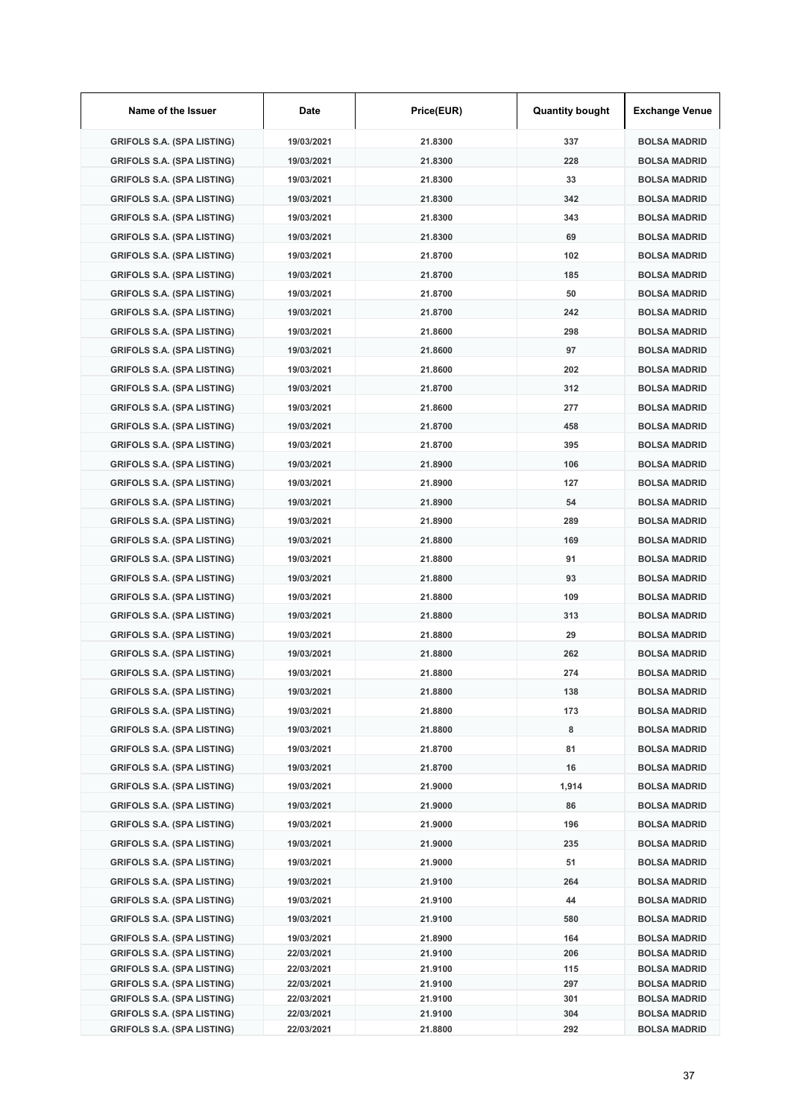| Name of the Issuer                                                     | Date                     | Price(EUR)         | <b>Quantity bought</b> | <b>Exchange Venue</b>                      |
|------------------------------------------------------------------------|--------------------------|--------------------|------------------------|--------------------------------------------|
| <b>GRIFOLS S.A. (SPA LISTING)</b>                                      | 19/03/2021               | 21.8300            | 337                    | <b>BOLSA MADRID</b>                        |
| <b>GRIFOLS S.A. (SPA LISTING)</b>                                      | 19/03/2021               | 21.8300            | 228                    | <b>BOLSA MADRID</b>                        |
| <b>GRIFOLS S.A. (SPA LISTING)</b>                                      | 19/03/2021               | 21.8300            | 33                     | <b>BOLSA MADRID</b>                        |
| <b>GRIFOLS S.A. (SPA LISTING)</b>                                      | 19/03/2021               | 21.8300            | 342                    | <b>BOLSA MADRID</b>                        |
| <b>GRIFOLS S.A. (SPA LISTING)</b>                                      | 19/03/2021               | 21.8300            | 343                    | <b>BOLSA MADRID</b>                        |
| <b>GRIFOLS S.A. (SPA LISTING)</b>                                      | 19/03/2021               | 21.8300            | 69                     | <b>BOLSA MADRID</b>                        |
| <b>GRIFOLS S.A. (SPA LISTING)</b>                                      | 19/03/2021               | 21.8700            | 102                    | <b>BOLSA MADRID</b>                        |
| <b>GRIFOLS S.A. (SPA LISTING)</b>                                      | 19/03/2021               | 21.8700            | 185                    | <b>BOLSA MADRID</b>                        |
| <b>GRIFOLS S.A. (SPA LISTING)</b>                                      | 19/03/2021               | 21.8700            | 50                     | <b>BOLSA MADRID</b>                        |
| <b>GRIFOLS S.A. (SPA LISTING)</b>                                      | 19/03/2021               | 21.8700            | 242                    | <b>BOLSA MADRID</b>                        |
| <b>GRIFOLS S.A. (SPA LISTING)</b>                                      | 19/03/2021               | 21.8600            | 298                    | <b>BOLSA MADRID</b>                        |
| <b>GRIFOLS S.A. (SPA LISTING)</b>                                      | 19/03/2021               | 21.8600            | 97                     | <b>BOLSA MADRID</b>                        |
| <b>GRIFOLS S.A. (SPA LISTING)</b>                                      | 19/03/2021               | 21.8600            | 202                    | <b>BOLSA MADRID</b>                        |
| <b>GRIFOLS S.A. (SPA LISTING)</b>                                      | 19/03/2021               | 21.8700            | 312                    | <b>BOLSA MADRID</b>                        |
| <b>GRIFOLS S.A. (SPA LISTING)</b>                                      | 19/03/2021               | 21.8600            | 277                    | <b>BOLSA MADRID</b>                        |
| <b>GRIFOLS S.A. (SPA LISTING)</b>                                      | 19/03/2021               | 21.8700            | 458                    | <b>BOLSA MADRID</b>                        |
| <b>GRIFOLS S.A. (SPA LISTING)</b>                                      | 19/03/2021               | 21.8700            | 395                    | <b>BOLSA MADRID</b>                        |
| <b>GRIFOLS S.A. (SPA LISTING)</b>                                      | 19/03/2021               | 21.8900            | 106                    | <b>BOLSA MADRID</b>                        |
| <b>GRIFOLS S.A. (SPA LISTING)</b>                                      | 19/03/2021               | 21.8900            | 127                    | <b>BOLSA MADRID</b>                        |
| <b>GRIFOLS S.A. (SPA LISTING)</b>                                      | 19/03/2021               | 21.8900            | 54                     | <b>BOLSA MADRID</b>                        |
| <b>GRIFOLS S.A. (SPA LISTING)</b>                                      | 19/03/2021               | 21.8900            | 289                    | <b>BOLSA MADRID</b>                        |
| <b>GRIFOLS S.A. (SPA LISTING)</b>                                      | 19/03/2021               | 21.8800            | 169                    | <b>BOLSA MADRID</b>                        |
| <b>GRIFOLS S.A. (SPA LISTING)</b>                                      | 19/03/2021               | 21.8800            | 91                     | <b>BOLSA MADRID</b>                        |
| <b>GRIFOLS S.A. (SPA LISTING)</b>                                      | 19/03/2021               | 21.8800            | 93                     | <b>BOLSA MADRID</b>                        |
| <b>GRIFOLS S.A. (SPA LISTING)</b>                                      | 19/03/2021               | 21.8800            | 109                    | <b>BOLSA MADRID</b>                        |
| <b>GRIFOLS S.A. (SPA LISTING)</b>                                      | 19/03/2021               | 21.8800            | 313                    | <b>BOLSA MADRID</b>                        |
| <b>GRIFOLS S.A. (SPA LISTING)</b>                                      | 19/03/2021               | 21.8800            | 29                     | <b>BOLSA MADRID</b>                        |
| <b>GRIFOLS S.A. (SPA LISTING)</b>                                      | 19/03/2021               | 21.8800            | 262                    | <b>BOLSA MADRID</b>                        |
| <b>GRIFOLS S.A. (SPA LISTING)</b>                                      | 19/03/2021               | 21.8800            | 274                    | <b>BOLSA MADRID</b>                        |
| <b>GRIFOLS S.A. (SPA LISTING)</b>                                      | 19/03/2021               | 21.8800            | 138                    | <b>BOLSA MADRID</b>                        |
| <b>GRIFOLS S.A. (SPA LISTING)</b>                                      | 19/03/2021               | 21.8800            | 173                    | <b>BOLSA MADRID</b>                        |
| <b>GRIFOLS S.A. (SPA LISTING)</b>                                      | 19/03/2021               | 21.8800            | 8                      | <b>BOLSA MADRID</b>                        |
| <b>GRIFOLS S.A. (SPA LISTING)</b>                                      | 19/03/2021               | 21.8700            | 81                     | <b>BOLSA MADRID</b>                        |
| <b>GRIFOLS S.A. (SPA LISTING)</b>                                      | 19/03/2021               | 21.8700            | 16                     | <b>BOLSA MADRID</b>                        |
| <b>GRIFOLS S.A. (SPA LISTING)</b>                                      | 19/03/2021               | 21.9000            | 1,914                  | <b>BOLSA MADRID</b>                        |
| <b>GRIFOLS S.A. (SPA LISTING)</b>                                      | 19/03/2021               | 21.9000            | 86                     | <b>BOLSA MADRID</b>                        |
| <b>GRIFOLS S.A. (SPA LISTING)</b>                                      | 19/03/2021               | 21.9000            | 196                    | <b>BOLSA MADRID</b>                        |
| <b>GRIFOLS S.A. (SPA LISTING)</b>                                      | 19/03/2021               | 21.9000            | 235                    | <b>BOLSA MADRID</b>                        |
| <b>GRIFOLS S.A. (SPA LISTING)</b>                                      | 19/03/2021               | 21.9000            | 51                     | <b>BOLSA MADRID</b>                        |
| <b>GRIFOLS S.A. (SPA LISTING)</b>                                      | 19/03/2021               | 21.9100            | 264                    | <b>BOLSA MADRID</b>                        |
| <b>GRIFOLS S.A. (SPA LISTING)</b>                                      | 19/03/2021               | 21.9100            | 44                     | <b>BOLSA MADRID</b>                        |
| <b>GRIFOLS S.A. (SPA LISTING)</b>                                      | 19/03/2021               | 21.9100            | 580                    | <b>BOLSA MADRID</b>                        |
| <b>GRIFOLS S.A. (SPA LISTING)</b>                                      | 19/03/2021               | 21.8900            | 164                    | <b>BOLSA MADRID</b>                        |
| <b>GRIFOLS S.A. (SPA LISTING)</b>                                      | 22/03/2021               | 21.9100            | 206                    | <b>BOLSA MADRID</b>                        |
| <b>GRIFOLS S.A. (SPA LISTING)</b><br><b>GRIFOLS S.A. (SPA LISTING)</b> | 22/03/2021<br>22/03/2021 | 21.9100<br>21.9100 | 115<br>297             | <b>BOLSA MADRID</b><br><b>BOLSA MADRID</b> |
| <b>GRIFOLS S.A. (SPA LISTING)</b>                                      | 22/03/2021               | 21.9100            | 301                    | <b>BOLSA MADRID</b>                        |
| <b>GRIFOLS S.A. (SPA LISTING)</b>                                      | 22/03/2021               | 21.9100            | 304                    | <b>BOLSA MADRID</b>                        |
| <b>GRIFOLS S.A. (SPA LISTING)</b>                                      | 22/03/2021               | 21.8800            | 292                    | <b>BOLSA MADRID</b>                        |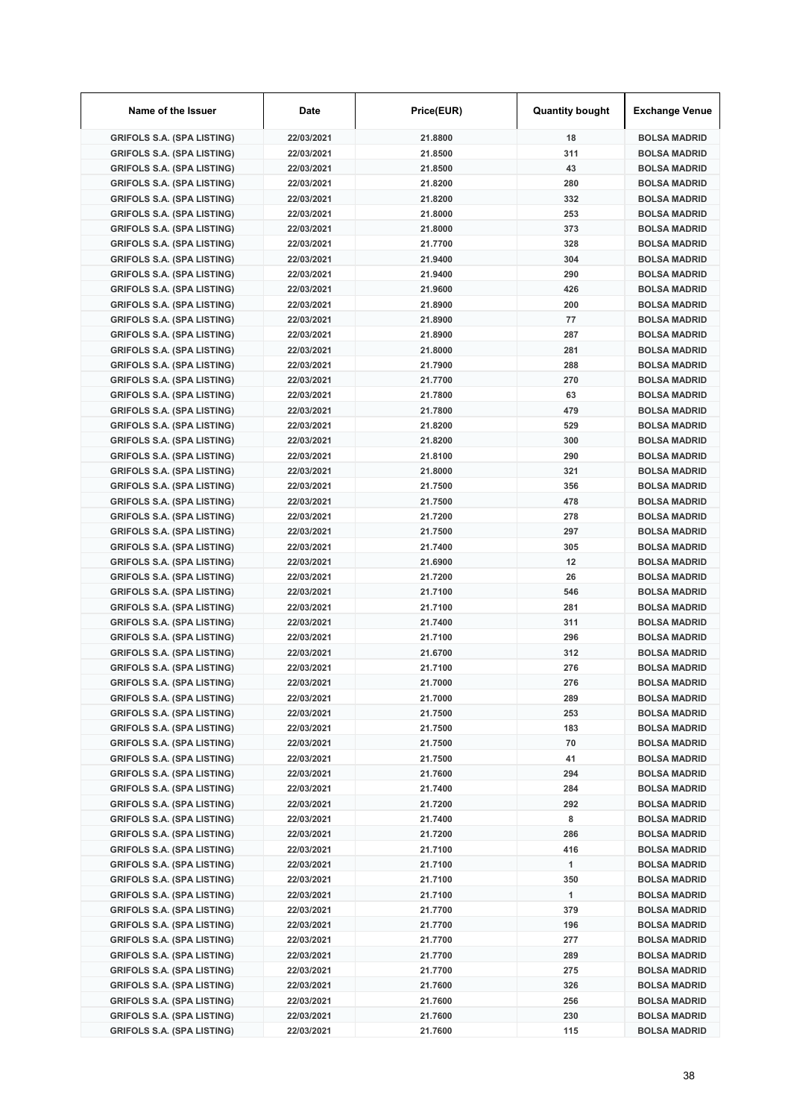| Name of the Issuer                                                     | Date                     | Price(EUR)         | <b>Quantity bought</b> | <b>Exchange Venue</b>                      |
|------------------------------------------------------------------------|--------------------------|--------------------|------------------------|--------------------------------------------|
| <b>GRIFOLS S.A. (SPA LISTING)</b>                                      | 22/03/2021               | 21.8800            | 18                     | <b>BOLSA MADRID</b>                        |
| <b>GRIFOLS S.A. (SPA LISTING)</b>                                      | 22/03/2021               | 21.8500            | 311                    | <b>BOLSA MADRID</b>                        |
| <b>GRIFOLS S.A. (SPA LISTING)</b>                                      | 22/03/2021               | 21.8500            | 43                     | <b>BOLSA MADRID</b>                        |
| <b>GRIFOLS S.A. (SPA LISTING)</b>                                      | 22/03/2021               | 21.8200            | 280                    | <b>BOLSA MADRID</b>                        |
| <b>GRIFOLS S.A. (SPA LISTING)</b>                                      | 22/03/2021               | 21.8200            | 332                    | <b>BOLSA MADRID</b>                        |
| <b>GRIFOLS S.A. (SPA LISTING)</b>                                      | 22/03/2021               | 21.8000            | 253                    | <b>BOLSA MADRID</b>                        |
| <b>GRIFOLS S.A. (SPA LISTING)</b>                                      | 22/03/2021               | 21.8000            | 373                    | <b>BOLSA MADRID</b>                        |
| <b>GRIFOLS S.A. (SPA LISTING)</b>                                      | 22/03/2021               | 21.7700            | 328                    | <b>BOLSA MADRID</b>                        |
| <b>GRIFOLS S.A. (SPA LISTING)</b>                                      | 22/03/2021               | 21.9400            | 304                    | <b>BOLSA MADRID</b>                        |
| <b>GRIFOLS S.A. (SPA LISTING)</b>                                      | 22/03/2021               | 21.9400            | 290                    | <b>BOLSA MADRID</b>                        |
| <b>GRIFOLS S.A. (SPA LISTING)</b>                                      | 22/03/2021               | 21.9600            | 426                    | <b>BOLSA MADRID</b>                        |
| <b>GRIFOLS S.A. (SPA LISTING)</b>                                      | 22/03/2021               | 21.8900            | 200                    | <b>BOLSA MADRID</b>                        |
| <b>GRIFOLS S.A. (SPA LISTING)</b>                                      | 22/03/2021               | 21.8900            | 77                     | <b>BOLSA MADRID</b>                        |
| <b>GRIFOLS S.A. (SPA LISTING)</b>                                      | 22/03/2021               | 21.8900            | 287                    | <b>BOLSA MADRID</b>                        |
| <b>GRIFOLS S.A. (SPA LISTING)</b>                                      | 22/03/2021               | 21.8000            | 281                    | <b>BOLSA MADRID</b>                        |
| <b>GRIFOLS S.A. (SPA LISTING)</b>                                      | 22/03/2021               | 21.7900            | 288                    | <b>BOLSA MADRID</b>                        |
| <b>GRIFOLS S.A. (SPA LISTING)</b>                                      | 22/03/2021               | 21.7700            | 270                    | <b>BOLSA MADRID</b>                        |
| <b>GRIFOLS S.A. (SPA LISTING)</b>                                      | 22/03/2021               | 21.7800            | 63                     | <b>BOLSA MADRID</b>                        |
| <b>GRIFOLS S.A. (SPA LISTING)</b>                                      | 22/03/2021               | 21.7800            | 479                    | <b>BOLSA MADRID</b>                        |
| <b>GRIFOLS S.A. (SPA LISTING)</b>                                      | 22/03/2021               | 21.8200            | 529                    | <b>BOLSA MADRID</b>                        |
| <b>GRIFOLS S.A. (SPA LISTING)</b>                                      | 22/03/2021               | 21.8200            | 300                    | <b>BOLSA MADRID</b>                        |
| <b>GRIFOLS S.A. (SPA LISTING)</b>                                      | 22/03/2021               | 21.8100            | 290                    | <b>BOLSA MADRID</b>                        |
| <b>GRIFOLS S.A. (SPA LISTING)</b>                                      | 22/03/2021               | 21.8000            | 321                    | <b>BOLSA MADRID</b>                        |
| <b>GRIFOLS S.A. (SPA LISTING)</b>                                      | 22/03/2021               | 21.7500            | 356                    | <b>BOLSA MADRID</b>                        |
| <b>GRIFOLS S.A. (SPA LISTING)</b>                                      | 22/03/2021               | 21.7500            | 478                    | <b>BOLSA MADRID</b>                        |
| <b>GRIFOLS S.A. (SPA LISTING)</b>                                      | 22/03/2021               | 21.7200            | 278                    | <b>BOLSA MADRID</b>                        |
| <b>GRIFOLS S.A. (SPA LISTING)</b>                                      | 22/03/2021               | 21.7500            | 297                    | <b>BOLSA MADRID</b>                        |
| <b>GRIFOLS S.A. (SPA LISTING)</b>                                      | 22/03/2021               | 21.7400            | 305                    | <b>BOLSA MADRID</b>                        |
| <b>GRIFOLS S.A. (SPA LISTING)</b>                                      | 22/03/2021               | 21.6900            | 12                     | <b>BOLSA MADRID</b>                        |
| <b>GRIFOLS S.A. (SPA LISTING)</b>                                      | 22/03/2021               | 21.7200            | 26                     | <b>BOLSA MADRID</b>                        |
| <b>GRIFOLS S.A. (SPA LISTING)</b>                                      | 22/03/2021               | 21.7100            | 546                    | <b>BOLSA MADRID</b>                        |
| <b>GRIFOLS S.A. (SPA LISTING)</b>                                      | 22/03/2021               | 21.7100            | 281                    | <b>BOLSA MADRID</b>                        |
| <b>GRIFOLS S.A. (SPA LISTING)</b>                                      | 22/03/2021               | 21.7400            | 311                    | <b>BOLSA MADRID</b>                        |
| <b>GRIFOLS S.A. (SPA LISTING)</b>                                      | 22/03/2021               | 21.7100            | 296                    | <b>BOLSA MADRID</b>                        |
| <b>GRIFOLS S.A. (SPA LISTING)</b>                                      | 22/03/2021               | 21.6700            | 312                    | <b>BOLSA MADRID</b>                        |
| <b>GRIFOLS S.A. (SPA LISTING)</b>                                      | 22/03/2021               | 21.7100            | 276                    | <b>BOLSA MADRID</b>                        |
| <b>GRIFOLS S.A. (SPA LISTING)</b>                                      | 22/03/2021               | 21.7000            | 276                    | <b>BOLSA MADRID</b>                        |
| <b>GRIFOLS S.A. (SPA LISTING)</b>                                      | 22/03/2021               | 21.7000            | 289                    | <b>BOLSA MADRID</b>                        |
| <b>GRIFOLS S.A. (SPA LISTING)</b>                                      | 22/03/2021               | 21.7500            | 253                    | <b>BOLSA MADRID</b>                        |
| <b>GRIFOLS S.A. (SPA LISTING)</b>                                      | 22/03/2021               | 21.7500            | 183                    | <b>BOLSA MADRID</b>                        |
| <b>GRIFOLS S.A. (SPA LISTING)</b>                                      | 22/03/2021               | 21.7500            | 70                     | <b>BOLSA MADRID</b>                        |
| <b>GRIFOLS S.A. (SPA LISTING)</b>                                      | 22/03/2021               | 21.7500            | 41                     | <b>BOLSA MADRID</b>                        |
| <b>GRIFOLS S.A. (SPA LISTING)</b>                                      | 22/03/2021               | 21.7600            | 294                    | <b>BOLSA MADRID</b>                        |
| <b>GRIFOLS S.A. (SPA LISTING)</b>                                      | 22/03/2021               | 21.7400            | 284                    | <b>BOLSA MADRID</b>                        |
| <b>GRIFOLS S.A. (SPA LISTING)</b>                                      | 22/03/2021               | 21.7200            | 292                    | <b>BOLSA MADRID</b>                        |
| <b>GRIFOLS S.A. (SPA LISTING)</b>                                      | 22/03/2021               | 21.7400            | 8                      | <b>BOLSA MADRID</b>                        |
| <b>GRIFOLS S.A. (SPA LISTING)</b>                                      | 22/03/2021               | 21.7200            | 286                    | <b>BOLSA MADRID</b>                        |
| <b>GRIFOLS S.A. (SPA LISTING)</b>                                      | 22/03/2021               | 21.7100            | 416                    | <b>BOLSA MADRID</b>                        |
| <b>GRIFOLS S.A. (SPA LISTING)</b>                                      | 22/03/2021               | 21.7100            | 1                      | <b>BOLSA MADRID</b>                        |
| <b>GRIFOLS S.A. (SPA LISTING)</b>                                      | 22/03/2021               | 21.7100            | 350                    | <b>BOLSA MADRID</b>                        |
| <b>GRIFOLS S.A. (SPA LISTING)</b>                                      | 22/03/2021               | 21.7100            | 1                      | <b>BOLSA MADRID</b>                        |
| <b>GRIFOLS S.A. (SPA LISTING)</b>                                      | 22/03/2021               | 21.7700            | 379                    | <b>BOLSA MADRID</b>                        |
| <b>GRIFOLS S.A. (SPA LISTING)</b>                                      | 22/03/2021               | 21.7700            | 196                    | <b>BOLSA MADRID</b>                        |
| <b>GRIFOLS S.A. (SPA LISTING)</b>                                      | 22/03/2021               | 21.7700            | 277                    | <b>BOLSA MADRID</b>                        |
| <b>GRIFOLS S.A. (SPA LISTING)</b>                                      | 22/03/2021               | 21.7700            | 289                    | <b>BOLSA MADRID</b>                        |
| <b>GRIFOLS S.A. (SPA LISTING)</b>                                      | 22/03/2021               | 21.7700            | 275                    | <b>BOLSA MADRID</b>                        |
| <b>GRIFOLS S.A. (SPA LISTING)</b><br><b>GRIFOLS S.A. (SPA LISTING)</b> | 22/03/2021<br>22/03/2021 | 21.7600<br>21.7600 | 326<br>256             | <b>BOLSA MADRID</b>                        |
| <b>GRIFOLS S.A. (SPA LISTING)</b>                                      | 22/03/2021               | 21.7600            | 230                    | <b>BOLSA MADRID</b><br><b>BOLSA MADRID</b> |
| <b>GRIFOLS S.A. (SPA LISTING)</b>                                      | 22/03/2021               | 21.7600            | 115                    | <b>BOLSA MADRID</b>                        |
|                                                                        |                          |                    |                        |                                            |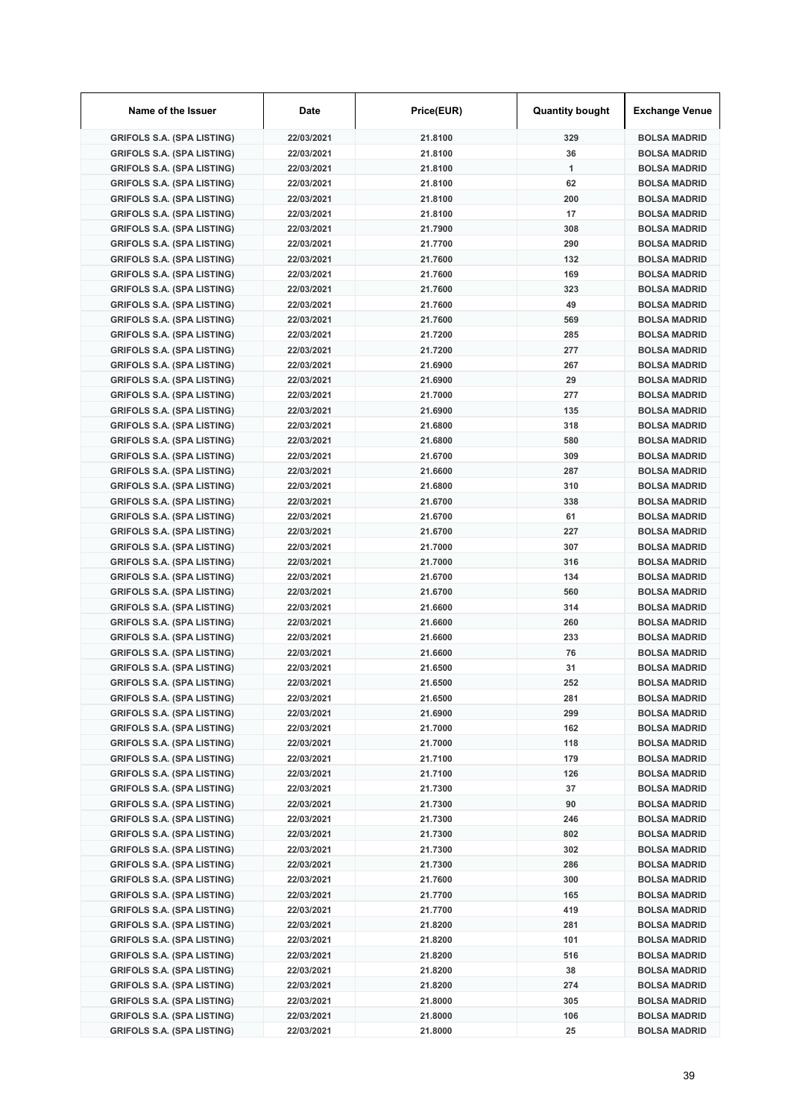| Name of the Issuer                | Date       | Price(EUR) | <b>Quantity bought</b> | <b>Exchange Venue</b> |
|-----------------------------------|------------|------------|------------------------|-----------------------|
| <b>GRIFOLS S.A. (SPA LISTING)</b> | 22/03/2021 | 21.8100    | 329                    | <b>BOLSA MADRID</b>   |
| <b>GRIFOLS S.A. (SPA LISTING)</b> | 22/03/2021 | 21.8100    | 36                     | <b>BOLSA MADRID</b>   |
| <b>GRIFOLS S.A. (SPA LISTING)</b> | 22/03/2021 | 21.8100    | 1                      | <b>BOLSA MADRID</b>   |
| <b>GRIFOLS S.A. (SPA LISTING)</b> | 22/03/2021 | 21.8100    | 62                     | <b>BOLSA MADRID</b>   |
| <b>GRIFOLS S.A. (SPA LISTING)</b> | 22/03/2021 | 21.8100    | 200                    | <b>BOLSA MADRID</b>   |
| <b>GRIFOLS S.A. (SPA LISTING)</b> | 22/03/2021 | 21.8100    | 17                     | <b>BOLSA MADRID</b>   |
| <b>GRIFOLS S.A. (SPA LISTING)</b> | 22/03/2021 | 21.7900    | 308                    | <b>BOLSA MADRID</b>   |
| <b>GRIFOLS S.A. (SPA LISTING)</b> | 22/03/2021 | 21.7700    | 290                    | <b>BOLSA MADRID</b>   |
| <b>GRIFOLS S.A. (SPA LISTING)</b> | 22/03/2021 | 21.7600    | 132                    | <b>BOLSA MADRID</b>   |
| <b>GRIFOLS S.A. (SPA LISTING)</b> | 22/03/2021 | 21.7600    | 169                    | <b>BOLSA MADRID</b>   |
| <b>GRIFOLS S.A. (SPA LISTING)</b> | 22/03/2021 | 21.7600    | 323                    | <b>BOLSA MADRID</b>   |
| <b>GRIFOLS S.A. (SPA LISTING)</b> | 22/03/2021 | 21.7600    | 49                     | <b>BOLSA MADRID</b>   |
| <b>GRIFOLS S.A. (SPA LISTING)</b> | 22/03/2021 | 21.7600    | 569                    | <b>BOLSA MADRID</b>   |
| <b>GRIFOLS S.A. (SPA LISTING)</b> | 22/03/2021 | 21.7200    | 285                    | <b>BOLSA MADRID</b>   |
| <b>GRIFOLS S.A. (SPA LISTING)</b> | 22/03/2021 | 21.7200    | 277                    | <b>BOLSA MADRID</b>   |
| <b>GRIFOLS S.A. (SPA LISTING)</b> | 22/03/2021 | 21.6900    | 267                    | <b>BOLSA MADRID</b>   |
| <b>GRIFOLS S.A. (SPA LISTING)</b> | 22/03/2021 | 21.6900    | 29                     | <b>BOLSA MADRID</b>   |
| <b>GRIFOLS S.A. (SPA LISTING)</b> | 22/03/2021 | 21.7000    | 277                    | <b>BOLSA MADRID</b>   |
| <b>GRIFOLS S.A. (SPA LISTING)</b> | 22/03/2021 | 21.6900    | 135                    | <b>BOLSA MADRID</b>   |
| <b>GRIFOLS S.A. (SPA LISTING)</b> | 22/03/2021 | 21.6800    | 318                    | <b>BOLSA MADRID</b>   |
| <b>GRIFOLS S.A. (SPA LISTING)</b> | 22/03/2021 | 21.6800    | 580                    | <b>BOLSA MADRID</b>   |
| <b>GRIFOLS S.A. (SPA LISTING)</b> | 22/03/2021 | 21.6700    | 309                    | <b>BOLSA MADRID</b>   |
| <b>GRIFOLS S.A. (SPA LISTING)</b> | 22/03/2021 | 21.6600    | 287                    | <b>BOLSA MADRID</b>   |
| <b>GRIFOLS S.A. (SPA LISTING)</b> | 22/03/2021 | 21.6800    | 310                    | <b>BOLSA MADRID</b>   |
| <b>GRIFOLS S.A. (SPA LISTING)</b> | 22/03/2021 | 21.6700    | 338                    | <b>BOLSA MADRID</b>   |
| <b>GRIFOLS S.A. (SPA LISTING)</b> | 22/03/2021 | 21.6700    | 61                     | <b>BOLSA MADRID</b>   |
| <b>GRIFOLS S.A. (SPA LISTING)</b> | 22/03/2021 | 21.6700    | 227                    | <b>BOLSA MADRID</b>   |
| <b>GRIFOLS S.A. (SPA LISTING)</b> | 22/03/2021 | 21.7000    | 307                    | <b>BOLSA MADRID</b>   |
| <b>GRIFOLS S.A. (SPA LISTING)</b> | 22/03/2021 | 21.7000    | 316                    | <b>BOLSA MADRID</b>   |
| <b>GRIFOLS S.A. (SPA LISTING)</b> | 22/03/2021 | 21.6700    | 134                    | <b>BOLSA MADRID</b>   |
| <b>GRIFOLS S.A. (SPA LISTING)</b> | 22/03/2021 | 21.6700    | 560                    | <b>BOLSA MADRID</b>   |
| <b>GRIFOLS S.A. (SPA LISTING)</b> | 22/03/2021 | 21.6600    | 314                    | <b>BOLSA MADRID</b>   |
| <b>GRIFOLS S.A. (SPA LISTING)</b> | 22/03/2021 | 21.6600    | 260                    | <b>BOLSA MADRID</b>   |
| <b>GRIFOLS S.A. (SPA LISTING)</b> | 22/03/2021 | 21.6600    | 233                    | <b>BOLSA MADRID</b>   |
| <b>GRIFOLS S.A. (SPA LISTING)</b> | 22/03/2021 | 21.6600    | 76                     | <b>BOLSA MADRID</b>   |
| <b>GRIFOLS S.A. (SPA LISTING)</b> | 22/03/2021 | 21.6500    | 31                     | <b>BOLSA MADRID</b>   |
| <b>GRIFOLS S.A. (SPA LISTING)</b> | 22/03/2021 | 21.6500    | 252                    | <b>BOLSA MADRID</b>   |
| <b>GRIFOLS S.A. (SPA LISTING)</b> | 22/03/2021 | 21.6500    | 281                    | <b>BOLSA MADRID</b>   |
| <b>GRIFOLS S.A. (SPA LISTING)</b> | 22/03/2021 | 21.6900    | 299                    | <b>BOLSA MADRID</b>   |
| <b>GRIFOLS S.A. (SPA LISTING)</b> | 22/03/2021 | 21.7000    | 162                    | <b>BOLSA MADRID</b>   |
| <b>GRIFOLS S.A. (SPA LISTING)</b> | 22/03/2021 | 21.7000    | 118                    | <b>BOLSA MADRID</b>   |
| <b>GRIFOLS S.A. (SPA LISTING)</b> | 22/03/2021 | 21.7100    | 179                    | <b>BOLSA MADRID</b>   |
| <b>GRIFOLS S.A. (SPA LISTING)</b> | 22/03/2021 | 21.7100    | 126                    | <b>BOLSA MADRID</b>   |
| <b>GRIFOLS S.A. (SPA LISTING)</b> | 22/03/2021 | 21.7300    | 37                     | <b>BOLSA MADRID</b>   |
| <b>GRIFOLS S.A. (SPA LISTING)</b> | 22/03/2021 | 21.7300    | 90                     | <b>BOLSA MADRID</b>   |
| <b>GRIFOLS S.A. (SPA LISTING)</b> | 22/03/2021 | 21.7300    | 246                    | <b>BOLSA MADRID</b>   |
| <b>GRIFOLS S.A. (SPA LISTING)</b> | 22/03/2021 | 21.7300    | 802                    | <b>BOLSA MADRID</b>   |
| <b>GRIFOLS S.A. (SPA LISTING)</b> | 22/03/2021 | 21.7300    | 302                    | <b>BOLSA MADRID</b>   |
| <b>GRIFOLS S.A. (SPA LISTING)</b> | 22/03/2021 | 21.7300    | 286                    | <b>BOLSA MADRID</b>   |
| <b>GRIFOLS S.A. (SPA LISTING)</b> | 22/03/2021 | 21.7600    | 300                    | <b>BOLSA MADRID</b>   |
| <b>GRIFOLS S.A. (SPA LISTING)</b> | 22/03/2021 | 21.7700    | 165                    | <b>BOLSA MADRID</b>   |
| <b>GRIFOLS S.A. (SPA LISTING)</b> | 22/03/2021 | 21.7700    | 419                    | <b>BOLSA MADRID</b>   |
| <b>GRIFOLS S.A. (SPA LISTING)</b> | 22/03/2021 | 21.8200    | 281                    | <b>BOLSA MADRID</b>   |
| <b>GRIFOLS S.A. (SPA LISTING)</b> | 22/03/2021 | 21.8200    | 101                    | <b>BOLSA MADRID</b>   |
| <b>GRIFOLS S.A. (SPA LISTING)</b> | 22/03/2021 | 21.8200    | 516                    | <b>BOLSA MADRID</b>   |
| <b>GRIFOLS S.A. (SPA LISTING)</b> | 22/03/2021 | 21.8200    | 38                     | <b>BOLSA MADRID</b>   |
| <b>GRIFOLS S.A. (SPA LISTING)</b> | 22/03/2021 | 21.8200    | 274                    | <b>BOLSA MADRID</b>   |
| <b>GRIFOLS S.A. (SPA LISTING)</b> | 22/03/2021 | 21.8000    | 305                    | <b>BOLSA MADRID</b>   |
| <b>GRIFOLS S.A. (SPA LISTING)</b> | 22/03/2021 | 21.8000    | 106                    | <b>BOLSA MADRID</b>   |
| <b>GRIFOLS S.A. (SPA LISTING)</b> | 22/03/2021 | 21.8000    | 25                     | <b>BOLSA MADRID</b>   |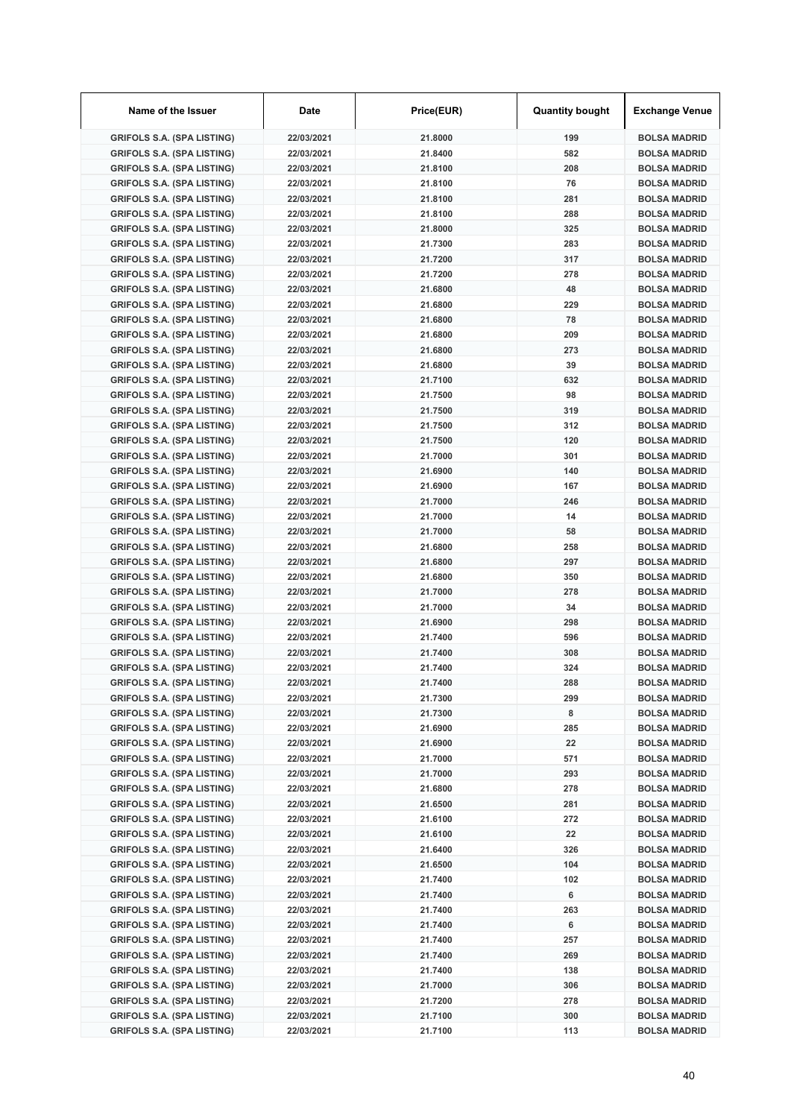| Name of the Issuer                                                     | Date                     | Price(EUR)         | <b>Quantity bought</b> | <b>Exchange Venue</b>                      |
|------------------------------------------------------------------------|--------------------------|--------------------|------------------------|--------------------------------------------|
| <b>GRIFOLS S.A. (SPA LISTING)</b>                                      | 22/03/2021               | 21.8000            | 199                    | <b>BOLSA MADRID</b>                        |
| <b>GRIFOLS S.A. (SPA LISTING)</b>                                      | 22/03/2021               | 21.8400            | 582                    | <b>BOLSA MADRID</b>                        |
| <b>GRIFOLS S.A. (SPA LISTING)</b>                                      | 22/03/2021               | 21.8100            | 208                    | <b>BOLSA MADRID</b>                        |
| <b>GRIFOLS S.A. (SPA LISTING)</b>                                      | 22/03/2021               | 21.8100            | 76                     | <b>BOLSA MADRID</b>                        |
| <b>GRIFOLS S.A. (SPA LISTING)</b>                                      | 22/03/2021               | 21.8100            | 281                    | <b>BOLSA MADRID</b>                        |
| <b>GRIFOLS S.A. (SPA LISTING)</b>                                      | 22/03/2021               | 21.8100            | 288                    | <b>BOLSA MADRID</b>                        |
| <b>GRIFOLS S.A. (SPA LISTING)</b>                                      | 22/03/2021               | 21.8000            | 325                    | <b>BOLSA MADRID</b>                        |
| <b>GRIFOLS S.A. (SPA LISTING)</b>                                      | 22/03/2021               | 21.7300            | 283                    | <b>BOLSA MADRID</b>                        |
| <b>GRIFOLS S.A. (SPA LISTING)</b>                                      | 22/03/2021               | 21.7200            | 317                    | <b>BOLSA MADRID</b>                        |
| <b>GRIFOLS S.A. (SPA LISTING)</b>                                      | 22/03/2021               | 21.7200            | 278                    | <b>BOLSA MADRID</b>                        |
| <b>GRIFOLS S.A. (SPA LISTING)</b>                                      | 22/03/2021               | 21.6800            | 48                     | <b>BOLSA MADRID</b>                        |
| <b>GRIFOLS S.A. (SPA LISTING)</b>                                      | 22/03/2021               | 21.6800            | 229                    | <b>BOLSA MADRID</b>                        |
| <b>GRIFOLS S.A. (SPA LISTING)</b>                                      | 22/03/2021               | 21.6800            | 78                     | <b>BOLSA MADRID</b>                        |
| <b>GRIFOLS S.A. (SPA LISTING)</b>                                      | 22/03/2021               | 21.6800            | 209                    | <b>BOLSA MADRID</b>                        |
| <b>GRIFOLS S.A. (SPA LISTING)</b>                                      | 22/03/2021               | 21.6800            | 273                    | <b>BOLSA MADRID</b>                        |
| <b>GRIFOLS S.A. (SPA LISTING)</b>                                      | 22/03/2021               | 21.6800            | 39                     | <b>BOLSA MADRID</b>                        |
| <b>GRIFOLS S.A. (SPA LISTING)</b>                                      | 22/03/2021               | 21.7100            | 632                    | <b>BOLSA MADRID</b>                        |
| <b>GRIFOLS S.A. (SPA LISTING)</b>                                      | 22/03/2021               | 21.7500            | 98                     | <b>BOLSA MADRID</b>                        |
| <b>GRIFOLS S.A. (SPA LISTING)</b>                                      | 22/03/2021               | 21.7500            | 319                    | <b>BOLSA MADRID</b>                        |
| <b>GRIFOLS S.A. (SPA LISTING)</b>                                      | 22/03/2021               | 21.7500            | 312                    | <b>BOLSA MADRID</b>                        |
| <b>GRIFOLS S.A. (SPA LISTING)</b>                                      | 22/03/2021               | 21.7500            | 120                    | <b>BOLSA MADRID</b>                        |
| <b>GRIFOLS S.A. (SPA LISTING)</b>                                      | 22/03/2021               | 21.7000            | 301                    | <b>BOLSA MADRID</b>                        |
| <b>GRIFOLS S.A. (SPA LISTING)</b>                                      | 22/03/2021               | 21.6900            | 140                    | <b>BOLSA MADRID</b>                        |
| <b>GRIFOLS S.A. (SPA LISTING)</b>                                      | 22/03/2021               | 21.6900            | 167                    | <b>BOLSA MADRID</b>                        |
| <b>GRIFOLS S.A. (SPA LISTING)</b>                                      | 22/03/2021               | 21.7000            | 246                    | <b>BOLSA MADRID</b>                        |
| <b>GRIFOLS S.A. (SPA LISTING)</b>                                      | 22/03/2021               | 21.7000            | 14                     | <b>BOLSA MADRID</b>                        |
| <b>GRIFOLS S.A. (SPA LISTING)</b>                                      | 22/03/2021               | 21.7000            | 58                     | <b>BOLSA MADRID</b>                        |
| <b>GRIFOLS S.A. (SPA LISTING)</b>                                      | 22/03/2021               | 21.6800            | 258                    | <b>BOLSA MADRID</b>                        |
| <b>GRIFOLS S.A. (SPA LISTING)</b>                                      | 22/03/2021               | 21.6800            | 297                    | <b>BOLSA MADRID</b>                        |
| <b>GRIFOLS S.A. (SPA LISTING)</b>                                      | 22/03/2021               | 21.6800            | 350                    | <b>BOLSA MADRID</b>                        |
| <b>GRIFOLS S.A. (SPA LISTING)</b>                                      | 22/03/2021               | 21.7000            | 278                    | <b>BOLSA MADRID</b>                        |
| <b>GRIFOLS S.A. (SPA LISTING)</b>                                      | 22/03/2021               | 21.7000            | 34                     | <b>BOLSA MADRID</b>                        |
| <b>GRIFOLS S.A. (SPA LISTING)</b>                                      | 22/03/2021               | 21.6900            | 298                    | <b>BOLSA MADRID</b>                        |
| <b>GRIFOLS S.A. (SPA LISTING)</b>                                      | 22/03/2021               | 21.7400            | 596                    | <b>BOLSA MADRID</b>                        |
| <b>GRIFOLS S.A. (SPA LISTING)</b>                                      | 22/03/2021               | 21.7400            | 308                    | <b>BOLSA MADRID</b>                        |
| <b>GRIFOLS S.A. (SPA LISTING)</b>                                      | 22/03/2021               | 21.7400            | 324                    | <b>BOLSA MADRID</b>                        |
| <b>GRIFOLS S.A. (SPA LISTING)</b>                                      | 22/03/2021               | 21.7400            | 288                    | <b>BOLSA MADRID</b>                        |
| <b>GRIFOLS S.A. (SPA LISTING)</b>                                      | 22/03/2021               | 21.7300            | 299                    | <b>BOLSA MADRID</b>                        |
| <b>GRIFOLS S.A. (SPA LISTING)</b>                                      | 22/03/2021               | 21.7300            | 8                      | <b>BOLSA MADRID</b>                        |
| <b>GRIFOLS S.A. (SPA LISTING)</b>                                      | 22/03/2021               | 21.6900            | 285                    | <b>BOLSA MADRID</b>                        |
| <b>GRIFOLS S.A. (SPA LISTING)</b>                                      | 22/03/2021               | 21.6900            | 22                     | <b>BOLSA MADRID</b>                        |
| <b>GRIFOLS S.A. (SPA LISTING)</b>                                      | 22/03/2021               | 21.7000            | 571                    | <b>BOLSA MADRID</b>                        |
| <b>GRIFOLS S.A. (SPA LISTING)</b>                                      | 22/03/2021               | 21.7000            | 293                    | <b>BOLSA MADRID</b>                        |
| <b>GRIFOLS S.A. (SPA LISTING)</b>                                      | 22/03/2021               | 21.6800            | 278                    | <b>BOLSA MADRID</b>                        |
| <b>GRIFOLS S.A. (SPA LISTING)</b>                                      | 22/03/2021               | 21.6500            | 281                    | <b>BOLSA MADRID</b>                        |
| <b>GRIFOLS S.A. (SPA LISTING)</b>                                      | 22/03/2021               | 21.6100            | 272                    | <b>BOLSA MADRID</b>                        |
| <b>GRIFOLS S.A. (SPA LISTING)</b>                                      | 22/03/2021               | 21.6100            | 22                     | <b>BOLSA MADRID</b>                        |
| <b>GRIFOLS S.A. (SPA LISTING)</b>                                      | 22/03/2021               | 21.6400            | 326                    | <b>BOLSA MADRID</b>                        |
| <b>GRIFOLS S.A. (SPA LISTING)</b>                                      | 22/03/2021               | 21.6500            | 104<br>102             | <b>BOLSA MADRID</b>                        |
| <b>GRIFOLS S.A. (SPA LISTING)</b>                                      | 22/03/2021               | 21.7400            | 6                      | <b>BOLSA MADRID</b>                        |
| <b>GRIFOLS S.A. (SPA LISTING)</b>                                      | 22/03/2021               | 21.7400            |                        | <b>BOLSA MADRID</b>                        |
| <b>GRIFOLS S.A. (SPA LISTING)</b>                                      | 22/03/2021               | 21.7400            | 263<br>6               | <b>BOLSA MADRID</b>                        |
| <b>GRIFOLS S.A. (SPA LISTING)</b>                                      | 22/03/2021               | 21.7400<br>21.7400 | 257                    | <b>BOLSA MADRID</b>                        |
| <b>GRIFOLS S.A. (SPA LISTING)</b><br><b>GRIFOLS S.A. (SPA LISTING)</b> | 22/03/2021<br>22/03/2021 | 21.7400            | 269                    | <b>BOLSA MADRID</b><br><b>BOLSA MADRID</b> |
| <b>GRIFOLS S.A. (SPA LISTING)</b>                                      | 22/03/2021               | 21.7400            | 138                    | <b>BOLSA MADRID</b>                        |
| <b>GRIFOLS S.A. (SPA LISTING)</b>                                      | 22/03/2021               | 21.7000            | 306                    | <b>BOLSA MADRID</b>                        |
| <b>GRIFOLS S.A. (SPA LISTING)</b>                                      | 22/03/2021               | 21.7200            | 278                    | <b>BOLSA MADRID</b>                        |
| <b>GRIFOLS S.A. (SPA LISTING)</b>                                      | 22/03/2021               | 21.7100            | 300                    | <b>BOLSA MADRID</b>                        |
| <b>GRIFOLS S.A. (SPA LISTING)</b>                                      | 22/03/2021               | 21.7100            | 113                    | <b>BOLSA MADRID</b>                        |
|                                                                        |                          |                    |                        |                                            |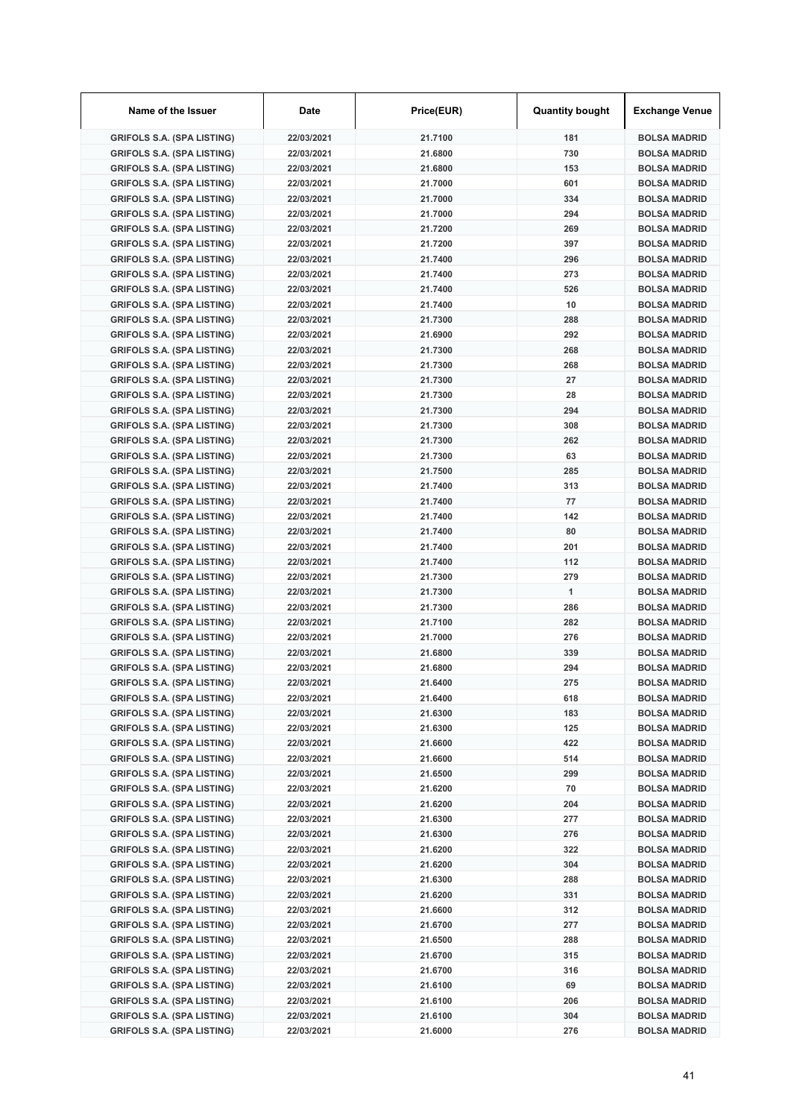| Name of the Issuer                                                     | Date                     | Price(EUR)         | <b>Quantity bought</b> | <b>Exchange Venue</b>                      |
|------------------------------------------------------------------------|--------------------------|--------------------|------------------------|--------------------------------------------|
| <b>GRIFOLS S.A. (SPA LISTING)</b>                                      | 22/03/2021               | 21.7100            | 181                    | <b>BOLSA MADRID</b>                        |
| <b>GRIFOLS S.A. (SPA LISTING)</b>                                      | 22/03/2021               | 21.6800            | 730                    | <b>BOLSA MADRID</b>                        |
| <b>GRIFOLS S.A. (SPA LISTING)</b>                                      | 22/03/2021               | 21.6800            | 153                    | <b>BOLSA MADRID</b>                        |
| <b>GRIFOLS S.A. (SPA LISTING)</b>                                      | 22/03/2021               | 21.7000            | 601                    | <b>BOLSA MADRID</b>                        |
| <b>GRIFOLS S.A. (SPA LISTING)</b>                                      | 22/03/2021               | 21.7000            | 334                    | <b>BOLSA MADRID</b>                        |
| <b>GRIFOLS S.A. (SPA LISTING)</b>                                      | 22/03/2021               | 21.7000            | 294                    | <b>BOLSA MADRID</b>                        |
| <b>GRIFOLS S.A. (SPA LISTING)</b>                                      | 22/03/2021               | 21.7200            | 269                    | <b>BOLSA MADRID</b>                        |
| <b>GRIFOLS S.A. (SPA LISTING)</b>                                      | 22/03/2021               | 21.7200            | 397                    | <b>BOLSA MADRID</b>                        |
| <b>GRIFOLS S.A. (SPA LISTING)</b>                                      | 22/03/2021               | 21.7400            | 296                    | <b>BOLSA MADRID</b>                        |
| <b>GRIFOLS S.A. (SPA LISTING)</b>                                      | 22/03/2021               | 21.7400            | 273                    | <b>BOLSA MADRID</b>                        |
| <b>GRIFOLS S.A. (SPA LISTING)</b>                                      | 22/03/2021               | 21.7400            | 526                    | <b>BOLSA MADRID</b>                        |
| <b>GRIFOLS S.A. (SPA LISTING)</b>                                      | 22/03/2021               | 21.7400            | 10                     | <b>BOLSA MADRID</b>                        |
| <b>GRIFOLS S.A. (SPA LISTING)</b>                                      | 22/03/2021               | 21.7300            | 288                    | <b>BOLSA MADRID</b>                        |
| <b>GRIFOLS S.A. (SPA LISTING)</b>                                      | 22/03/2021               | 21.6900            | 292                    | <b>BOLSA MADRID</b>                        |
| <b>GRIFOLS S.A. (SPA LISTING)</b>                                      | 22/03/2021               | 21.7300            | 268                    | <b>BOLSA MADRID</b>                        |
| <b>GRIFOLS S.A. (SPA LISTING)</b>                                      | 22/03/2021               | 21.7300            | 268                    | <b>BOLSA MADRID</b>                        |
| <b>GRIFOLS S.A. (SPA LISTING)</b>                                      | 22/03/2021               | 21.7300            | 27                     | <b>BOLSA MADRID</b>                        |
| <b>GRIFOLS S.A. (SPA LISTING)</b>                                      | 22/03/2021               | 21.7300            | 28                     | <b>BOLSA MADRID</b>                        |
| <b>GRIFOLS S.A. (SPA LISTING)</b>                                      | 22/03/2021               | 21.7300            | 294                    | <b>BOLSA MADRID</b>                        |
| <b>GRIFOLS S.A. (SPA LISTING)</b>                                      | 22/03/2021               | 21.7300            | 308                    | <b>BOLSA MADRID</b>                        |
| <b>GRIFOLS S.A. (SPA LISTING)</b>                                      | 22/03/2021               | 21.7300            | 262                    | <b>BOLSA MADRID</b>                        |
| <b>GRIFOLS S.A. (SPA LISTING)</b>                                      | 22/03/2021               | 21.7300            | 63                     | <b>BOLSA MADRID</b>                        |
| <b>GRIFOLS S.A. (SPA LISTING)</b>                                      | 22/03/2021               | 21.7500            | 285                    | <b>BOLSA MADRID</b>                        |
| <b>GRIFOLS S.A. (SPA LISTING)</b>                                      | 22/03/2021               | 21.7400            | 313                    | <b>BOLSA MADRID</b>                        |
| <b>GRIFOLS S.A. (SPA LISTING)</b>                                      | 22/03/2021               | 21.7400            | 77                     | <b>BOLSA MADRID</b>                        |
| <b>GRIFOLS S.A. (SPA LISTING)</b>                                      | 22/03/2021               | 21.7400            | 142                    | <b>BOLSA MADRID</b>                        |
| <b>GRIFOLS S.A. (SPA LISTING)</b>                                      | 22/03/2021               | 21.7400            | 80                     | <b>BOLSA MADRID</b>                        |
| <b>GRIFOLS S.A. (SPA LISTING)</b>                                      | 22/03/2021               | 21.7400            | 201                    | <b>BOLSA MADRID</b>                        |
| <b>GRIFOLS S.A. (SPA LISTING)</b>                                      | 22/03/2021               | 21.7400            | 112                    | <b>BOLSA MADRID</b>                        |
| <b>GRIFOLS S.A. (SPA LISTING)</b>                                      | 22/03/2021               | 21.7300            | 279                    | <b>BOLSA MADRID</b>                        |
| <b>GRIFOLS S.A. (SPA LISTING)</b>                                      | 22/03/2021               | 21.7300            | 1                      | <b>BOLSA MADRID</b>                        |
| <b>GRIFOLS S.A. (SPA LISTING)</b>                                      | 22/03/2021               | 21.7300            | 286                    | <b>BOLSA MADRID</b>                        |
| <b>GRIFOLS S.A. (SPA LISTING)</b>                                      | 22/03/2021               | 21.7100            | 282                    | <b>BOLSA MADRID</b>                        |
| <b>GRIFOLS S.A. (SPA LISTING)</b>                                      | 22/03/2021               | 21.7000            | 276                    | <b>BOLSA MADRID</b>                        |
| <b>GRIFOLS S.A. (SPA LISTING)</b>                                      | 22/03/2021               | 21.6800            | 339                    | <b>BOLSA MADRID</b>                        |
| <b>GRIFOLS S.A. (SPA LISTING)</b>                                      | 22/03/2021               | 21.6800            | 294                    | <b>BOLSA MADRID</b>                        |
| <b>GRIFOLS S.A. (SPA LISTING)</b>                                      | 22/03/2021               | 21.6400            | 275                    | <b>BOLSA MADRID</b>                        |
| <b>GRIFOLS S.A. (SPA LISTING)</b>                                      | 22/03/2021               | 21.6400            | 618                    | <b>BOLSA MADRID</b>                        |
| <b>GRIFOLS S.A. (SPA LISTING)</b>                                      | 22/03/2021               | 21.6300            | 183                    | <b>BOLSA MADRID</b>                        |
| <b>GRIFOLS S.A. (SPA LISTING)</b>                                      | 22/03/2021               | 21.6300            | 125                    | <b>BOLSA MADRID</b>                        |
| <b>GRIFOLS S.A. (SPA LISTING)</b>                                      | 22/03/2021               | 21.6600            | 422                    | <b>BOLSA MADRID</b>                        |
| <b>GRIFOLS S.A. (SPA LISTING)</b>                                      | 22/03/2021               | 21.6600            | 514                    | <b>BOLSA MADRID</b>                        |
| <b>GRIFOLS S.A. (SPA LISTING)</b>                                      | 22/03/2021               | 21.6500            | 299                    | <b>BOLSA MADRID</b>                        |
| <b>GRIFOLS S.A. (SPA LISTING)</b>                                      | 22/03/2021               | 21.6200            | 70                     | <b>BOLSA MADRID</b>                        |
| <b>GRIFOLS S.A. (SPA LISTING)</b>                                      | 22/03/2021               | 21.6200            | 204                    | <b>BOLSA MADRID</b>                        |
| <b>GRIFOLS S.A. (SPA LISTING)</b>                                      | 22/03/2021               | 21.6300            | 277                    | <b>BOLSA MADRID</b>                        |
| <b>GRIFOLS S.A. (SPA LISTING)</b>                                      | 22/03/2021               | 21.6300            | 276                    | <b>BOLSA MADRID</b>                        |
| <b>GRIFOLS S.A. (SPA LISTING)</b>                                      | 22/03/2021               | 21.6200            | 322                    | <b>BOLSA MADRID</b>                        |
| <b>GRIFOLS S.A. (SPA LISTING)</b>                                      | 22/03/2021               | 21.6200            | 304                    | <b>BOLSA MADRID</b>                        |
| <b>GRIFOLS S.A. (SPA LISTING)</b>                                      | 22/03/2021               | 21.6300            | 288<br>331             | <b>BOLSA MADRID</b>                        |
| <b>GRIFOLS S.A. (SPA LISTING)</b>                                      | 22/03/2021               | 21.6200            |                        | <b>BOLSA MADRID</b>                        |
| <b>GRIFOLS S.A. (SPA LISTING)</b>                                      | 22/03/2021               | 21.6600            | 312<br>277             | <b>BOLSA MADRID</b>                        |
| <b>GRIFOLS S.A. (SPA LISTING)</b>                                      | 22/03/2021               | 21.6700<br>21.6500 | 288                    | <b>BOLSA MADRID</b>                        |
| <b>GRIFOLS S.A. (SPA LISTING)</b><br><b>GRIFOLS S.A. (SPA LISTING)</b> | 22/03/2021<br>22/03/2021 | 21.6700            | 315                    | <b>BOLSA MADRID</b><br><b>BOLSA MADRID</b> |
| <b>GRIFOLS S.A. (SPA LISTING)</b>                                      | 22/03/2021               | 21.6700            | 316                    | <b>BOLSA MADRID</b>                        |
| <b>GRIFOLS S.A. (SPA LISTING)</b>                                      | 22/03/2021               | 21.6100            | 69                     | <b>BOLSA MADRID</b>                        |
| <b>GRIFOLS S.A. (SPA LISTING)</b>                                      | 22/03/2021               | 21.6100            | 206                    | <b>BOLSA MADRID</b>                        |
| <b>GRIFOLS S.A. (SPA LISTING)</b>                                      | 22/03/2021               | 21.6100            | 304                    | <b>BOLSA MADRID</b>                        |
| <b>GRIFOLS S.A. (SPA LISTING)</b>                                      | 22/03/2021               | 21.6000            | 276                    | <b>BOLSA MADRID</b>                        |
|                                                                        |                          |                    |                        |                                            |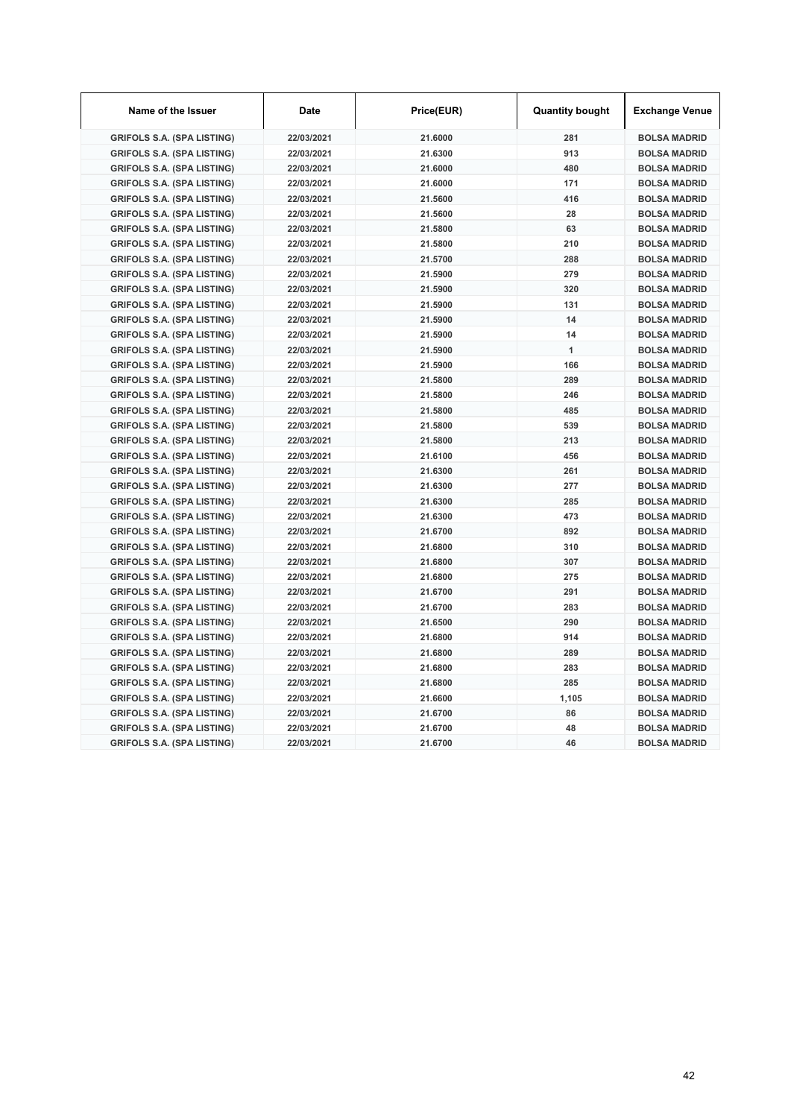| Name of the Issuer                | Date       | Price(EUR) | <b>Quantity bought</b> | <b>Exchange Venue</b> |
|-----------------------------------|------------|------------|------------------------|-----------------------|
| <b>GRIFOLS S.A. (SPA LISTING)</b> | 22/03/2021 | 21.6000    | 281                    | <b>BOLSA MADRID</b>   |
| <b>GRIFOLS S.A. (SPA LISTING)</b> | 22/03/2021 | 21.6300    | 913                    | <b>BOLSA MADRID</b>   |
| <b>GRIFOLS S.A. (SPA LISTING)</b> | 22/03/2021 | 21.6000    | 480                    | <b>BOLSA MADRID</b>   |
| <b>GRIFOLS S.A. (SPA LISTING)</b> | 22/03/2021 | 21.6000    | 171                    | <b>BOLSA MADRID</b>   |
| <b>GRIFOLS S.A. (SPA LISTING)</b> | 22/03/2021 | 21.5600    | 416                    | <b>BOLSA MADRID</b>   |
| <b>GRIFOLS S.A. (SPA LISTING)</b> | 22/03/2021 | 21.5600    | 28                     | <b>BOLSA MADRID</b>   |
| <b>GRIFOLS S.A. (SPA LISTING)</b> | 22/03/2021 | 21.5800    | 63                     | <b>BOLSA MADRID</b>   |
| <b>GRIFOLS S.A. (SPA LISTING)</b> | 22/03/2021 | 21.5800    | 210                    | <b>BOLSA MADRID</b>   |
| <b>GRIFOLS S.A. (SPA LISTING)</b> | 22/03/2021 | 21.5700    | 288                    | <b>BOLSA MADRID</b>   |
| <b>GRIFOLS S.A. (SPA LISTING)</b> | 22/03/2021 | 21.5900    | 279                    | <b>BOLSA MADRID</b>   |
| <b>GRIFOLS S.A. (SPA LISTING)</b> | 22/03/2021 | 21.5900    | 320                    | <b>BOLSA MADRID</b>   |
| <b>GRIFOLS S.A. (SPA LISTING)</b> | 22/03/2021 | 21.5900    | 131                    | <b>BOLSA MADRID</b>   |
| <b>GRIFOLS S.A. (SPA LISTING)</b> | 22/03/2021 | 21.5900    | 14                     | <b>BOLSA MADRID</b>   |
| <b>GRIFOLS S.A. (SPA LISTING)</b> | 22/03/2021 | 21.5900    | 14                     | <b>BOLSA MADRID</b>   |
| <b>GRIFOLS S.A. (SPA LISTING)</b> | 22/03/2021 | 21.5900    | 1                      | <b>BOLSA MADRID</b>   |
| <b>GRIFOLS S.A. (SPA LISTING)</b> | 22/03/2021 | 21.5900    | 166                    | <b>BOLSA MADRID</b>   |
| <b>GRIFOLS S.A. (SPA LISTING)</b> | 22/03/2021 | 21.5800    | 289                    | <b>BOLSA MADRID</b>   |
| <b>GRIFOLS S.A. (SPA LISTING)</b> | 22/03/2021 | 21.5800    | 246                    | <b>BOLSA MADRID</b>   |
| <b>GRIFOLS S.A. (SPA LISTING)</b> | 22/03/2021 | 21.5800    | 485                    | <b>BOLSA MADRID</b>   |
| <b>GRIFOLS S.A. (SPA LISTING)</b> | 22/03/2021 | 21.5800    | 539                    | <b>BOLSA MADRID</b>   |
| <b>GRIFOLS S.A. (SPA LISTING)</b> | 22/03/2021 | 21.5800    | 213                    | <b>BOLSA MADRID</b>   |
| <b>GRIFOLS S.A. (SPA LISTING)</b> | 22/03/2021 | 21.6100    | 456                    | <b>BOLSA MADRID</b>   |
| <b>GRIFOLS S.A. (SPA LISTING)</b> | 22/03/2021 | 21.6300    | 261                    | <b>BOLSA MADRID</b>   |
| <b>GRIFOLS S.A. (SPA LISTING)</b> | 22/03/2021 | 21.6300    | 277                    | <b>BOLSA MADRID</b>   |
| <b>GRIFOLS S.A. (SPA LISTING)</b> | 22/03/2021 | 21.6300    | 285                    | <b>BOLSA MADRID</b>   |
| <b>GRIFOLS S.A. (SPA LISTING)</b> | 22/03/2021 | 21.6300    | 473                    | <b>BOLSA MADRID</b>   |
| <b>GRIFOLS S.A. (SPA LISTING)</b> | 22/03/2021 | 21.6700    | 892                    | <b>BOLSA MADRID</b>   |
| <b>GRIFOLS S.A. (SPA LISTING)</b> | 22/03/2021 | 21.6800    | 310                    | <b>BOLSA MADRID</b>   |
| <b>GRIFOLS S.A. (SPA LISTING)</b> | 22/03/2021 | 21.6800    | 307                    | <b>BOLSA MADRID</b>   |
| <b>GRIFOLS S.A. (SPA LISTING)</b> | 22/03/2021 | 21.6800    | 275                    | <b>BOLSA MADRID</b>   |
| <b>GRIFOLS S.A. (SPA LISTING)</b> | 22/03/2021 | 21.6700    | 291                    | <b>BOLSA MADRID</b>   |
| <b>GRIFOLS S.A. (SPA LISTING)</b> | 22/03/2021 | 21.6700    | 283                    | <b>BOLSA MADRID</b>   |
| <b>GRIFOLS S.A. (SPA LISTING)</b> | 22/03/2021 | 21.6500    | 290                    | <b>BOLSA MADRID</b>   |
| <b>GRIFOLS S.A. (SPA LISTING)</b> | 22/03/2021 | 21.6800    | 914                    | <b>BOLSA MADRID</b>   |
| <b>GRIFOLS S.A. (SPA LISTING)</b> | 22/03/2021 | 21.6800    | 289                    | <b>BOLSA MADRID</b>   |
| <b>GRIFOLS S.A. (SPA LISTING)</b> | 22/03/2021 | 21.6800    | 283                    | <b>BOLSA MADRID</b>   |
| <b>GRIFOLS S.A. (SPA LISTING)</b> | 22/03/2021 | 21.6800    | 285                    | <b>BOLSA MADRID</b>   |
| <b>GRIFOLS S.A. (SPA LISTING)</b> | 22/03/2021 | 21.6600    | 1,105                  | <b>BOLSA MADRID</b>   |
| <b>GRIFOLS S.A. (SPA LISTING)</b> | 22/03/2021 | 21.6700    | 86                     | <b>BOLSA MADRID</b>   |
| <b>GRIFOLS S.A. (SPA LISTING)</b> | 22/03/2021 | 21.6700    | 48                     | <b>BOLSA MADRID</b>   |
| <b>GRIFOLS S.A. (SPA LISTING)</b> | 22/03/2021 | 21.6700    | 46                     | <b>BOLSA MADRID</b>   |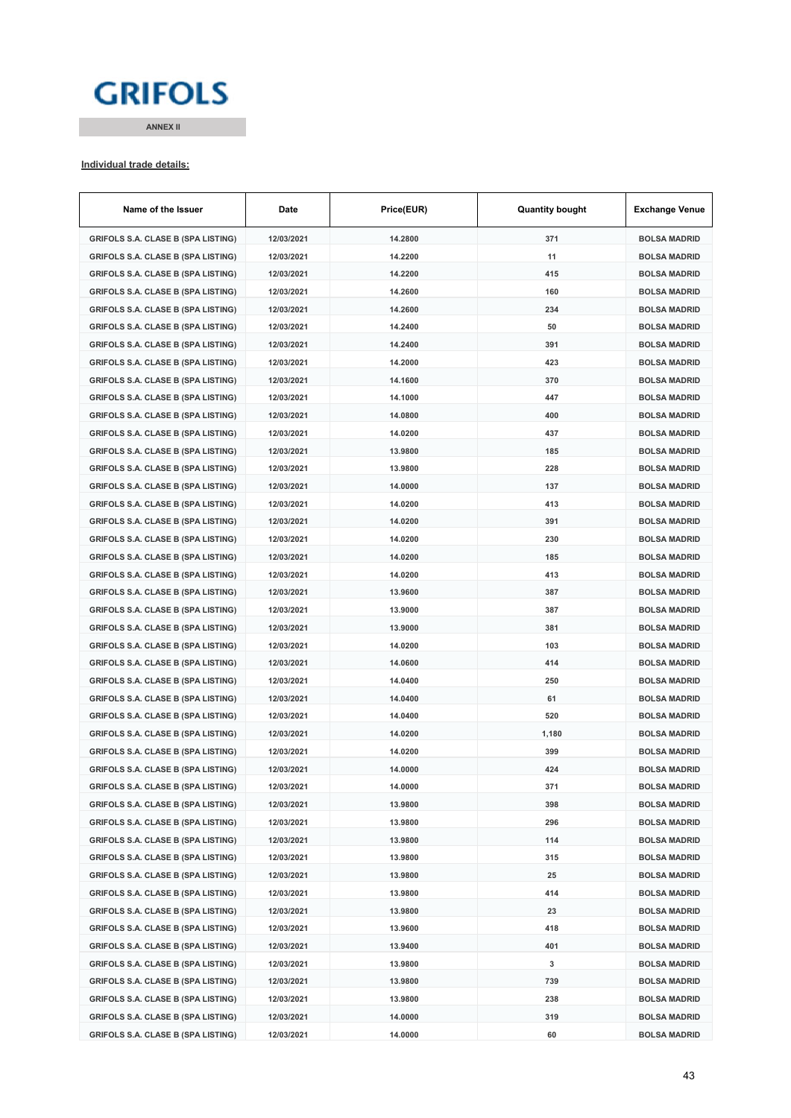# **GRIFOLS**

**ANNEX II**

#### **Individual trade details:**

| Name of the Issuer                        | Date       | Price(EUR)         | <b>Quantity bought</b> | <b>Exchange Venue</b> |
|-------------------------------------------|------------|--------------------|------------------------|-----------------------|
| <b>GRIFOLS S.A. CLASE B (SPA LISTING)</b> | 12/03/2021 | 14.2800            | 371                    | <b>BOLSA MADRID</b>   |
| <b>GRIFOLS S.A. CLASE B (SPA LISTING)</b> | 12/03/2021 | 14.2200            | 11                     | <b>BOLSA MADRID</b>   |
| <b>GRIFOLS S.A. CLASE B (SPA LISTING)</b> | 12/03/2021 | 14.2200            | 415                    | <b>BOLSA MADRID</b>   |
| <b>GRIFOLS S.A. CLASE B (SPA LISTING)</b> | 12/03/2021 | 14.2600            | 160                    | <b>BOLSA MADRID</b>   |
| <b>GRIFOLS S.A. CLASE B (SPA LISTING)</b> | 12/03/2021 | 14.2600            | 234                    | <b>BOLSA MADRID</b>   |
| <b>GRIFOLS S.A. CLASE B (SPA LISTING)</b> | 12/03/2021 | 14.2400            | 50                     | <b>BOLSA MADRID</b>   |
| <b>GRIFOLS S.A. CLASE B (SPA LISTING)</b> | 12/03/2021 | 14.2400            | 391                    | <b>BOLSA MADRID</b>   |
| <b>GRIFOLS S.A. CLASE B (SPA LISTING)</b> | 12/03/2021 | 14.2000            | 423                    | <b>BOLSA MADRID</b>   |
| <b>GRIFOLS S.A. CLASE B (SPA LISTING)</b> | 12/03/2021 | 14.1600            | 370                    | <b>BOLSA MADRID</b>   |
| <b>GRIFOLS S.A. CLASE B (SPA LISTING)</b> | 12/03/2021 | 14.1000            | 447                    | <b>BOLSA MADRID</b>   |
| <b>GRIFOLS S.A. CLASE B (SPA LISTING)</b> | 12/03/2021 | 14.0800            | 400                    | <b>BOLSA MADRID</b>   |
| <b>GRIFOLS S.A. CLASE B (SPA LISTING)</b> | 12/03/2021 | 14.0200            | 437                    | <b>BOLSA MADRID</b>   |
| <b>GRIFOLS S.A. CLASE B (SPA LISTING)</b> | 12/03/2021 | 13.9800            | 185                    | <b>BOLSA MADRID</b>   |
| <b>GRIFOLS S.A. CLASE B (SPA LISTING)</b> | 12/03/2021 | 13.9800            | 228                    | <b>BOLSA MADRID</b>   |
| <b>GRIFOLS S.A. CLASE B (SPA LISTING)</b> | 12/03/2021 | 14.0000            | 137                    | <b>BOLSA MADRID</b>   |
| <b>GRIFOLS S.A. CLASE B (SPA LISTING)</b> | 12/03/2021 | 14.0200            | 413                    | <b>BOLSA MADRID</b>   |
| <b>GRIFOLS S.A. CLASE B (SPA LISTING)</b> | 12/03/2021 | 14.0200            | 391                    | <b>BOLSA MADRID</b>   |
| <b>GRIFOLS S.A. CLASE B (SPA LISTING)</b> | 12/03/2021 | 14.0200            | 230                    | <b>BOLSA MADRID</b>   |
| <b>GRIFOLS S.A. CLASE B (SPA LISTING)</b> | 12/03/2021 | 14.0200            | 185                    | <b>BOLSA MADRID</b>   |
| <b>GRIFOLS S.A. CLASE B (SPA LISTING)</b> | 12/03/2021 | 14.0200            | 413                    | <b>BOLSA MADRID</b>   |
| <b>GRIFOLS S.A. CLASE B (SPA LISTING)</b> | 12/03/2021 | 13.9600            | 387                    | <b>BOLSA MADRID</b>   |
| <b>GRIFOLS S.A. CLASE B (SPA LISTING)</b> | 12/03/2021 | 13.9000            | 387                    | <b>BOLSA MADRID</b>   |
| <b>GRIFOLS S.A. CLASE B (SPA LISTING)</b> | 12/03/2021 | 13.9000            | 381                    | <b>BOLSA MADRID</b>   |
| <b>GRIFOLS S.A. CLASE B (SPA LISTING)</b> | 12/03/2021 | 14.0200            | 103                    | <b>BOLSA MADRID</b>   |
| <b>GRIFOLS S.A. CLASE B (SPA LISTING)</b> | 12/03/2021 | 14.0600            | 414                    | <b>BOLSA MADRID</b>   |
| <b>GRIFOLS S.A. CLASE B (SPA LISTING)</b> | 12/03/2021 | 14.0400            | 250                    | <b>BOLSA MADRID</b>   |
|                                           | 12/03/2021 | 14.0400            | 61                     | <b>BOLSA MADRID</b>   |
| <b>GRIFOLS S.A. CLASE B (SPA LISTING)</b> |            |                    | 520                    | <b>BOLSA MADRID</b>   |
| <b>GRIFOLS S.A. CLASE B (SPA LISTING)</b> | 12/03/2021 | 14.0400<br>14.0200 |                        |                       |
| <b>GRIFOLS S.A. CLASE B (SPA LISTING)</b> | 12/03/2021 |                    | 1,180                  | <b>BOLSA MADRID</b>   |
| <b>GRIFOLS S.A. CLASE B (SPA LISTING)</b> | 12/03/2021 | 14.0200            | 399                    | <b>BOLSA MADRID</b>   |
| <b>GRIFOLS S.A. CLASE B (SPA LISTING)</b> | 12/03/2021 | 14.0000            | 424                    | <b>BOLSA MADRID</b>   |
| <b>GRIFOLS S.A. CLASE B (SPA LISTING)</b> | 12/03/2021 | 14.0000            | 371                    | <b>BOLSA MADRID</b>   |
| <b>GRIFOLS S.A. CLASE B (SPA LISTING)</b> | 12/03/2021 | 13.9800            | 398                    | <b>BOLSA MADRID</b>   |
| <b>GRIFOLS S.A. CLASE B (SPA LISTING)</b> | 12/03/2021 | 13.9800            | 296                    | <b>BOLSA MADRID</b>   |
| <b>GRIFOLS S.A. CLASE B (SPA LISTING)</b> | 12/03/2021 | 13.9800            | 114                    | <b>BOLSA MADRID</b>   |
| <b>GRIFOLS S.A. CLASE B (SPA LISTING)</b> | 12/03/2021 | 13.9800            | 315                    | <b>BOLSA MADRID</b>   |
| <b>GRIFOLS S.A. CLASE B (SPA LISTING)</b> | 12/03/2021 | 13.9800            | 25                     | <b>BOLSA MADRID</b>   |
| <b>GRIFOLS S.A. CLASE B (SPA LISTING)</b> | 12/03/2021 | 13.9800            | 414                    | <b>BOLSA MADRID</b>   |
| <b>GRIFOLS S.A. CLASE B (SPA LISTING)</b> | 12/03/2021 | 13.9800            | 23                     | <b>BOLSA MADRID</b>   |
| <b>GRIFOLS S.A. CLASE B (SPA LISTING)</b> | 12/03/2021 | 13.9600            | 418                    | <b>BOLSA MADRID</b>   |
| <b>GRIFOLS S.A. CLASE B (SPA LISTING)</b> | 12/03/2021 | 13.9400            | 401                    | <b>BOLSA MADRID</b>   |
| <b>GRIFOLS S.A. CLASE B (SPA LISTING)</b> | 12/03/2021 | 13.9800            | 3                      | <b>BOLSA MADRID</b>   |
| <b>GRIFOLS S.A. CLASE B (SPA LISTING)</b> | 12/03/2021 | 13.9800            | 739                    | <b>BOLSA MADRID</b>   |
| <b>GRIFOLS S.A. CLASE B (SPA LISTING)</b> | 12/03/2021 | 13.9800            | 238                    | <b>BOLSA MADRID</b>   |
| <b>GRIFOLS S.A. CLASE B (SPA LISTING)</b> | 12/03/2021 | 14.0000            | 319                    | <b>BOLSA MADRID</b>   |
| <b>GRIFOLS S.A. CLASE B (SPA LISTING)</b> | 12/03/2021 | 14.0000            | 60                     | <b>BOLSA MADRID</b>   |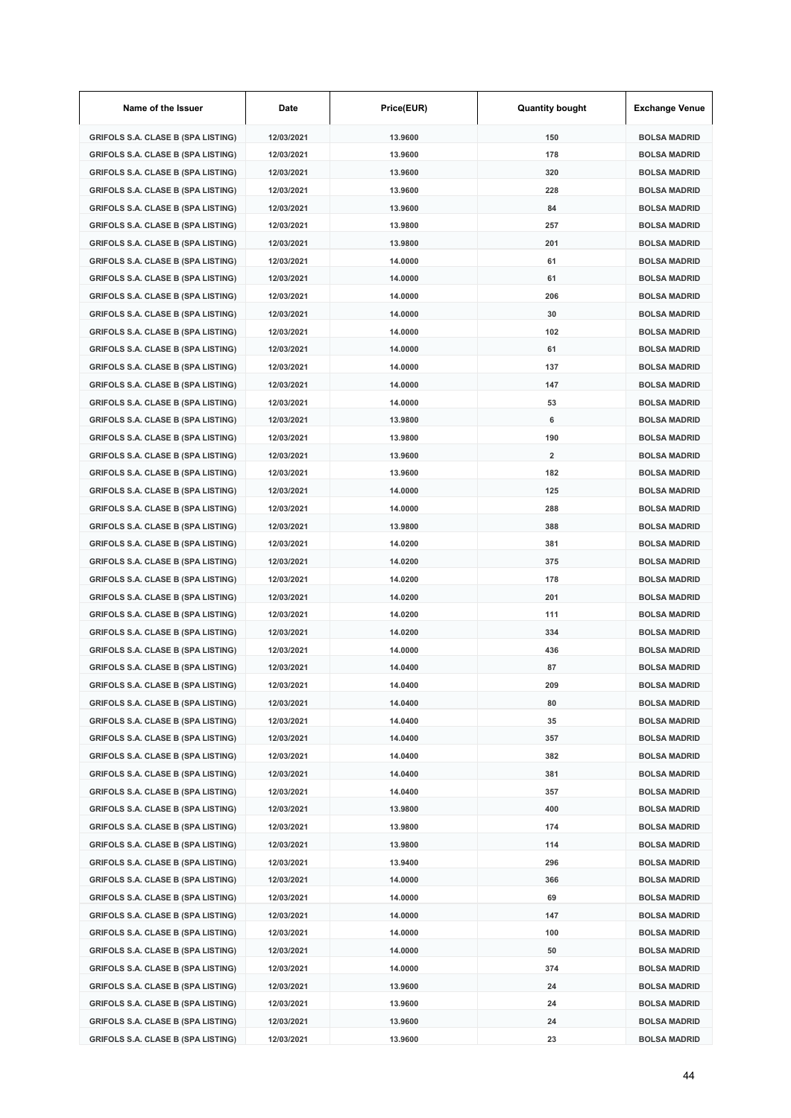| Name of the Issuer                                                                     | Date                     | Price(EUR)         | <b>Quantity bought</b>  | <b>Exchange Venue</b>                      |
|----------------------------------------------------------------------------------------|--------------------------|--------------------|-------------------------|--------------------------------------------|
| <b>GRIFOLS S.A. CLASE B (SPA LISTING)</b>                                              | 12/03/2021               | 13.9600            | 150                     | <b>BOLSA MADRID</b>                        |
| <b>GRIFOLS S.A. CLASE B (SPA LISTING)</b>                                              | 12/03/2021               | 13.9600            | 178                     | <b>BOLSA MADRID</b>                        |
| <b>GRIFOLS S.A. CLASE B (SPA LISTING)</b>                                              | 12/03/2021               | 13.9600            | 320                     | <b>BOLSA MADRID</b>                        |
| <b>GRIFOLS S.A. CLASE B (SPA LISTING)</b>                                              | 12/03/2021               | 13.9600            | 228                     | <b>BOLSA MADRID</b>                        |
| <b>GRIFOLS S.A. CLASE B (SPA LISTING)</b>                                              | 12/03/2021               | 13.9600            | 84                      | <b>BOLSA MADRID</b>                        |
| <b>GRIFOLS S.A. CLASE B (SPA LISTING)</b>                                              | 12/03/2021               | 13.9800            | 257                     | <b>BOLSA MADRID</b>                        |
| <b>GRIFOLS S.A. CLASE B (SPA LISTING)</b>                                              | 12/03/2021               | 13.9800            | 201                     | <b>BOLSA MADRID</b>                        |
| <b>GRIFOLS S.A. CLASE B (SPA LISTING)</b>                                              | 12/03/2021               | 14.0000            | 61                      | <b>BOLSA MADRID</b>                        |
| <b>GRIFOLS S.A. CLASE B (SPA LISTING)</b>                                              | 12/03/2021               | 14.0000            | 61                      | <b>BOLSA MADRID</b>                        |
| <b>GRIFOLS S.A. CLASE B (SPA LISTING)</b>                                              | 12/03/2021               | 14.0000            | 206                     | <b>BOLSA MADRID</b>                        |
| <b>GRIFOLS S.A. CLASE B (SPA LISTING)</b>                                              | 12/03/2021               | 14.0000            | 30                      | <b>BOLSA MADRID</b>                        |
| <b>GRIFOLS S.A. CLASE B (SPA LISTING)</b>                                              | 12/03/2021               | 14.0000            | 102                     | <b>BOLSA MADRID</b>                        |
| <b>GRIFOLS S.A. CLASE B (SPA LISTING)</b>                                              | 12/03/2021               | 14.0000            | 61                      | <b>BOLSA MADRID</b>                        |
| <b>GRIFOLS S.A. CLASE B (SPA LISTING)</b>                                              | 12/03/2021               | 14.0000            | 137                     | <b>BOLSA MADRID</b>                        |
| <b>GRIFOLS S.A. CLASE B (SPA LISTING)</b>                                              | 12/03/2021               | 14.0000            | 147                     | <b>BOLSA MADRID</b>                        |
| <b>GRIFOLS S.A. CLASE B (SPA LISTING)</b>                                              | 12/03/2021               | 14.0000            | 53                      | <b>BOLSA MADRID</b>                        |
| <b>GRIFOLS S.A. CLASE B (SPA LISTING)</b>                                              | 12/03/2021               | 13.9800            | 6                       | <b>BOLSA MADRID</b>                        |
| <b>GRIFOLS S.A. CLASE B (SPA LISTING)</b>                                              | 12/03/2021               | 13.9800            | 190                     | <b>BOLSA MADRID</b>                        |
| <b>GRIFOLS S.A. CLASE B (SPA LISTING)</b>                                              | 12/03/2021               | 13.9600            | $\overline{\mathbf{2}}$ | <b>BOLSA MADRID</b>                        |
| <b>GRIFOLS S.A. CLASE B (SPA LISTING)</b>                                              | 12/03/2021               | 13.9600            | 182                     | <b>BOLSA MADRID</b>                        |
| <b>GRIFOLS S.A. CLASE B (SPA LISTING)</b>                                              | 12/03/2021               | 14.0000            | 125                     | <b>BOLSA MADRID</b>                        |
| <b>GRIFOLS S.A. CLASE B (SPA LISTING)</b>                                              | 12/03/2021               | 14.0000            | 288                     | <b>BOLSA MADRID</b>                        |
| <b>GRIFOLS S.A. CLASE B (SPA LISTING)</b>                                              | 12/03/2021               | 13.9800            | 388                     | <b>BOLSA MADRID</b>                        |
| <b>GRIFOLS S.A. CLASE B (SPA LISTING)</b>                                              | 12/03/2021               | 14.0200            | 381                     | <b>BOLSA MADRID</b>                        |
| <b>GRIFOLS S.A. CLASE B (SPA LISTING)</b>                                              | 12/03/2021               | 14.0200            | 375                     | <b>BOLSA MADRID</b>                        |
| <b>GRIFOLS S.A. CLASE B (SPA LISTING)</b>                                              | 12/03/2021               | 14.0200            | 178                     | <b>BOLSA MADRID</b>                        |
| <b>GRIFOLS S.A. CLASE B (SPA LISTING)</b>                                              | 12/03/2021               | 14.0200            | 201                     | <b>BOLSA MADRID</b>                        |
| <b>GRIFOLS S.A. CLASE B (SPA LISTING)</b>                                              | 12/03/2021               | 14.0200            | 111                     | <b>BOLSA MADRID</b>                        |
| <b>GRIFOLS S.A. CLASE B (SPA LISTING)</b>                                              | 12/03/2021               | 14.0200            | 334                     | <b>BOLSA MADRID</b>                        |
| <b>GRIFOLS S.A. CLASE B (SPA LISTING)</b>                                              | 12/03/2021               | 14.0000            | 436                     | <b>BOLSA MADRID</b>                        |
| <b>GRIFOLS S.A. CLASE B (SPA LISTING)</b>                                              | 12/03/2021               | 14.0400            | 87                      | <b>BOLSA MADRID</b>                        |
| <b>GRIFOLS S.A. CLASE B (SPA LISTING)</b>                                              | 12/03/2021               | 14.0400            | 209                     | BOLSA MADRID                               |
| <b>GRIFOLS S.A. CLASE B (SPA LISTING)</b>                                              | 12/03/2021               | 14.0400            | 80                      | <b>BOLSA MADRID</b>                        |
| <b>GRIFOLS S.A. CLASE B (SPA LISTING)</b>                                              | 12/03/2021               | 14.0400            | 35                      | <b>BOLSA MADRID</b>                        |
| <b>GRIFOLS S.A. CLASE B (SPA LISTING)</b>                                              | 12/03/2021               | 14.0400            | 357                     | <b>BOLSA MADRID</b>                        |
| <b>GRIFOLS S.A. CLASE B (SPA LISTING)</b>                                              | 12/03/2021               | 14.0400            | 382                     | <b>BOLSA MADRID</b>                        |
| <b>GRIFOLS S.A. CLASE B (SPA LISTING)</b>                                              | 12/03/2021               | 14.0400            | 381                     | <b>BOLSA MADRID</b>                        |
| <b>GRIFOLS S.A. CLASE B (SPA LISTING)</b>                                              | 12/03/2021               | 14.0400            | 357                     | <b>BOLSA MADRID</b>                        |
| <b>GRIFOLS S.A. CLASE B (SPA LISTING)</b>                                              | 12/03/2021               | 13.9800            | 400                     | <b>BOLSA MADRID</b>                        |
| <b>GRIFOLS S.A. CLASE B (SPA LISTING)</b>                                              | 12/03/2021               | 13.9800            | 174                     | <b>BOLSA MADRID</b>                        |
| <b>GRIFOLS S.A. CLASE B (SPA LISTING)</b>                                              | 12/03/2021               | 13.9800            | 114                     | <b>BOLSA MADRID</b>                        |
| <b>GRIFOLS S.A. CLASE B (SPA LISTING)</b>                                              | 12/03/2021               | 13.9400            | 296                     | <b>BOLSA MADRID</b>                        |
| <b>GRIFOLS S.A. CLASE B (SPA LISTING)</b>                                              | 12/03/2021               | 14.0000            | 366                     | <b>BOLSA MADRID</b>                        |
| <b>GRIFOLS S.A. CLASE B (SPA LISTING)</b>                                              | 12/03/2021               | 14.0000            | 69                      | <b>BOLSA MADRID</b>                        |
| <b>GRIFOLS S.A. CLASE B (SPA LISTING)</b>                                              | 12/03/2021               | 14.0000            | 147                     | <b>BOLSA MADRID</b>                        |
| <b>GRIFOLS S.A. CLASE B (SPA LISTING)</b>                                              | 12/03/2021               | 14.0000            | 100                     | <b>BOLSA MADRID</b>                        |
| <b>GRIFOLS S.A. CLASE B (SPA LISTING)</b>                                              | 12/03/2021               | 14.0000            | 50                      | <b>BOLSA MADRID</b>                        |
| <b>GRIFOLS S.A. CLASE B (SPA LISTING)</b><br><b>GRIFOLS S.A. CLASE B (SPA LISTING)</b> | 12/03/2021<br>12/03/2021 | 14.0000<br>13.9600 | 374<br>24               | <b>BOLSA MADRID</b><br><b>BOLSA MADRID</b> |
| <b>GRIFOLS S.A. CLASE B (SPA LISTING)</b>                                              | 12/03/2021               | 13.9600            | 24                      | <b>BOLSA MADRID</b>                        |
| <b>GRIFOLS S.A. CLASE B (SPA LISTING)</b>                                              | 12/03/2021               | 13.9600            | 24                      | <b>BOLSA MADRID</b>                        |
| <b>GRIFOLS S.A. CLASE B (SPA LISTING)</b>                                              | 12/03/2021               | 13.9600            | 23                      | <b>BOLSA MADRID</b>                        |
|                                                                                        |                          |                    |                         |                                            |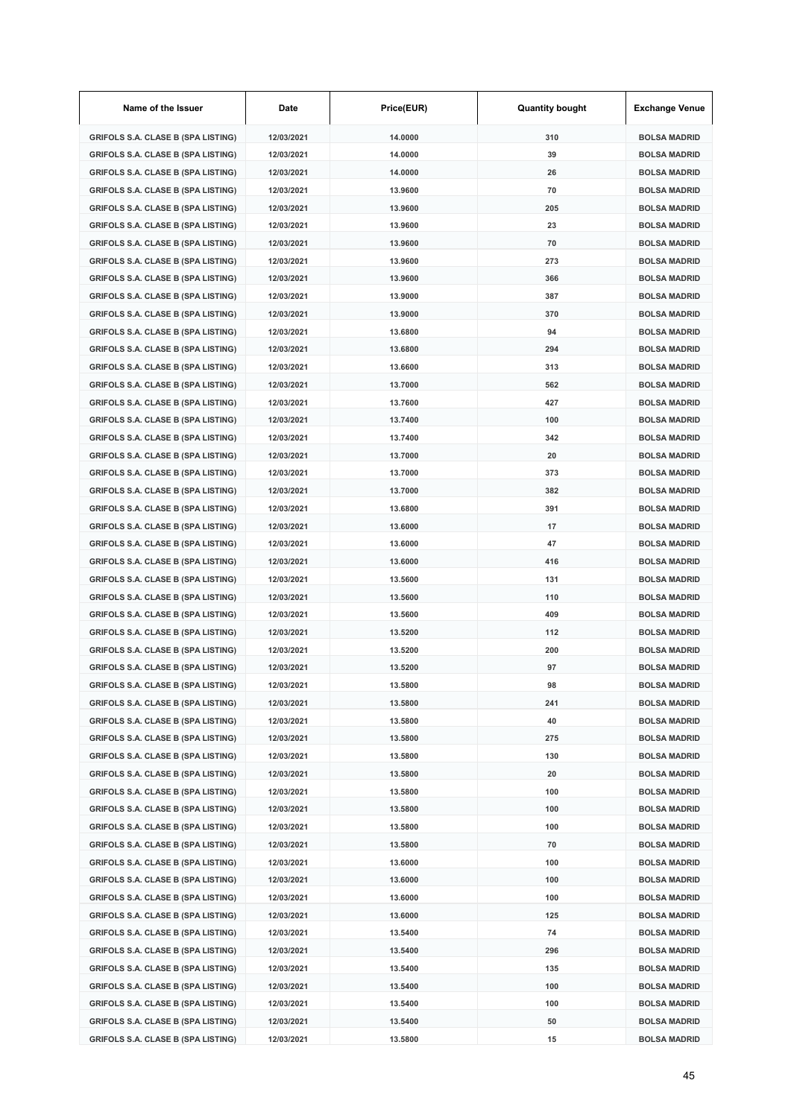| Name of the Issuer                        | Date       | Price(EUR) | <b>Quantity bought</b> | <b>Exchange Venue</b> |
|-------------------------------------------|------------|------------|------------------------|-----------------------|
| <b>GRIFOLS S.A. CLASE B (SPA LISTING)</b> | 12/03/2021 | 14.0000    | 310                    | <b>BOLSA MADRID</b>   |
| <b>GRIFOLS S.A. CLASE B (SPA LISTING)</b> | 12/03/2021 | 14.0000    | 39                     | <b>BOLSA MADRID</b>   |
| <b>GRIFOLS S.A. CLASE B (SPA LISTING)</b> | 12/03/2021 | 14.0000    | 26                     | <b>BOLSA MADRID</b>   |
| <b>GRIFOLS S.A. CLASE B (SPA LISTING)</b> | 12/03/2021 | 13.9600    | 70                     | <b>BOLSA MADRID</b>   |
| <b>GRIFOLS S.A. CLASE B (SPA LISTING)</b> | 12/03/2021 | 13.9600    | 205                    | <b>BOLSA MADRID</b>   |
| <b>GRIFOLS S.A. CLASE B (SPA LISTING)</b> | 12/03/2021 | 13.9600    | 23                     | <b>BOLSA MADRID</b>   |
| <b>GRIFOLS S.A. CLASE B (SPA LISTING)</b> | 12/03/2021 | 13.9600    | 70                     | <b>BOLSA MADRID</b>   |
| <b>GRIFOLS S.A. CLASE B (SPA LISTING)</b> | 12/03/2021 | 13.9600    | 273                    | <b>BOLSA MADRID</b>   |
| <b>GRIFOLS S.A. CLASE B (SPA LISTING)</b> | 12/03/2021 | 13.9600    | 366                    | <b>BOLSA MADRID</b>   |
| <b>GRIFOLS S.A. CLASE B (SPA LISTING)</b> | 12/03/2021 | 13.9000    | 387                    | <b>BOLSA MADRID</b>   |
| <b>GRIFOLS S.A. CLASE B (SPA LISTING)</b> | 12/03/2021 | 13.9000    | 370                    | <b>BOLSA MADRID</b>   |
| <b>GRIFOLS S.A. CLASE B (SPA LISTING)</b> | 12/03/2021 | 13.6800    | 94                     | <b>BOLSA MADRID</b>   |
| <b>GRIFOLS S.A. CLASE B (SPA LISTING)</b> | 12/03/2021 | 13.6800    | 294                    | <b>BOLSA MADRID</b>   |
| <b>GRIFOLS S.A. CLASE B (SPA LISTING)</b> | 12/03/2021 | 13.6600    | 313                    | <b>BOLSA MADRID</b>   |
| <b>GRIFOLS S.A. CLASE B (SPA LISTING)</b> | 12/03/2021 | 13.7000    | 562                    | <b>BOLSA MADRID</b>   |
| <b>GRIFOLS S.A. CLASE B (SPA LISTING)</b> | 12/03/2021 | 13.7600    | 427                    | <b>BOLSA MADRID</b>   |
| <b>GRIFOLS S.A. CLASE B (SPA LISTING)</b> | 12/03/2021 | 13.7400    | 100                    | <b>BOLSA MADRID</b>   |
| <b>GRIFOLS S.A. CLASE B (SPA LISTING)</b> | 12/03/2021 | 13.7400    | 342                    | <b>BOLSA MADRID</b>   |
| <b>GRIFOLS S.A. CLASE B (SPA LISTING)</b> | 12/03/2021 | 13.7000    | 20                     | <b>BOLSA MADRID</b>   |
| <b>GRIFOLS S.A. CLASE B (SPA LISTING)</b> | 12/03/2021 | 13.7000    | 373                    | <b>BOLSA MADRID</b>   |
| <b>GRIFOLS S.A. CLASE B (SPA LISTING)</b> | 12/03/2021 | 13.7000    | 382                    | <b>BOLSA MADRID</b>   |
| <b>GRIFOLS S.A. CLASE B (SPA LISTING)</b> | 12/03/2021 | 13.6800    | 391                    | <b>BOLSA MADRID</b>   |
| <b>GRIFOLS S.A. CLASE B (SPA LISTING)</b> | 12/03/2021 | 13.6000    | 17                     | <b>BOLSA MADRID</b>   |
| <b>GRIFOLS S.A. CLASE B (SPA LISTING)</b> | 12/03/2021 | 13.6000    | 47                     | <b>BOLSA MADRID</b>   |
| <b>GRIFOLS S.A. CLASE B (SPA LISTING)</b> | 12/03/2021 | 13.6000    | 416                    | <b>BOLSA MADRID</b>   |
| <b>GRIFOLS S.A. CLASE B (SPA LISTING)</b> | 12/03/2021 | 13.5600    | 131                    | <b>BOLSA MADRID</b>   |
| <b>GRIFOLS S.A. CLASE B (SPA LISTING)</b> | 12/03/2021 | 13.5600    | 110                    | <b>BOLSA MADRID</b>   |
| <b>GRIFOLS S.A. CLASE B (SPA LISTING)</b> | 12/03/2021 | 13.5600    | 409                    | <b>BOLSA MADRID</b>   |
| <b>GRIFOLS S.A. CLASE B (SPA LISTING)</b> | 12/03/2021 | 13.5200    | 112                    | <b>BOLSA MADRID</b>   |
| <b>GRIFOLS S.A. CLASE B (SPA LISTING)</b> | 12/03/2021 | 13.5200    | 200                    | <b>BOLSA MADRID</b>   |
| <b>GRIFOLS S.A. CLASE B (SPA LISTING)</b> | 12/03/2021 | 13.5200    | 97                     | <b>BOLSA MADRID</b>   |
| <b>GRIFOLS S.A. CLASE B (SPA LISTING)</b> | 12/03/2021 | 13.5800    | 98                     | <b>BOLSA MADRID</b>   |
| <b>GRIFOLS S.A. CLASE B (SPA LISTING)</b> | 12/03/2021 | 13.5800    | 241                    | <b>BOLSA MADRID</b>   |
| <b>GRIFOLS S.A. CLASE B (SPA LISTING)</b> | 12/03/2021 | 13.5800    | 40                     | <b>BOLSA MADRID</b>   |
| <b>GRIFOLS S.A. CLASE B (SPA LISTING)</b> | 12/03/2021 | 13.5800    | 275                    | <b>BOLSA MADRID</b>   |
| <b>GRIFOLS S.A. CLASE B (SPA LISTING)</b> | 12/03/2021 | 13.5800    | 130                    | <b>BOLSA MADRID</b>   |
| <b>GRIFOLS S.A. CLASE B (SPA LISTING)</b> | 12/03/2021 | 13.5800    | 20                     | <b>BOLSA MADRID</b>   |
| <b>GRIFOLS S.A. CLASE B (SPA LISTING)</b> | 12/03/2021 | 13.5800    | 100                    | <b>BOLSA MADRID</b>   |
| <b>GRIFOLS S.A. CLASE B (SPA LISTING)</b> | 12/03/2021 | 13.5800    | 100                    | <b>BOLSA MADRID</b>   |
| <b>GRIFOLS S.A. CLASE B (SPA LISTING)</b> | 12/03/2021 | 13.5800    | 100                    | <b>BOLSA MADRID</b>   |
| <b>GRIFOLS S.A. CLASE B (SPA LISTING)</b> | 12/03/2021 | 13.5800    | 70                     | <b>BOLSA MADRID</b>   |
| <b>GRIFOLS S.A. CLASE B (SPA LISTING)</b> | 12/03/2021 | 13.6000    | 100                    | <b>BOLSA MADRID</b>   |
| <b>GRIFOLS S.A. CLASE B (SPA LISTING)</b> | 12/03/2021 | 13.6000    | 100                    | <b>BOLSA MADRID</b>   |
| <b>GRIFOLS S.A. CLASE B (SPA LISTING)</b> | 12/03/2021 | 13.6000    | 100                    | <b>BOLSA MADRID</b>   |
| <b>GRIFOLS S.A. CLASE B (SPA LISTING)</b> | 12/03/2021 | 13.6000    | 125                    | <b>BOLSA MADRID</b>   |
| <b>GRIFOLS S.A. CLASE B (SPA LISTING)</b> | 12/03/2021 | 13.5400    | 74                     | <b>BOLSA MADRID</b>   |
| <b>GRIFOLS S.A. CLASE B (SPA LISTING)</b> | 12/03/2021 | 13.5400    | 296                    | <b>BOLSA MADRID</b>   |
| <b>GRIFOLS S.A. CLASE B (SPA LISTING)</b> | 12/03/2021 | 13.5400    | 135                    | <b>BOLSA MADRID</b>   |
| <b>GRIFOLS S.A. CLASE B (SPA LISTING)</b> | 12/03/2021 | 13.5400    | 100                    | <b>BOLSA MADRID</b>   |
| <b>GRIFOLS S.A. CLASE B (SPA LISTING)</b> | 12/03/2021 | 13.5400    | 100                    | <b>BOLSA MADRID</b>   |
| <b>GRIFOLS S.A. CLASE B (SPA LISTING)</b> | 12/03/2021 | 13.5400    | 50                     | <b>BOLSA MADRID</b>   |
| <b>GRIFOLS S.A. CLASE B (SPA LISTING)</b> | 12/03/2021 | 13.5800    | 15                     | <b>BOLSA MADRID</b>   |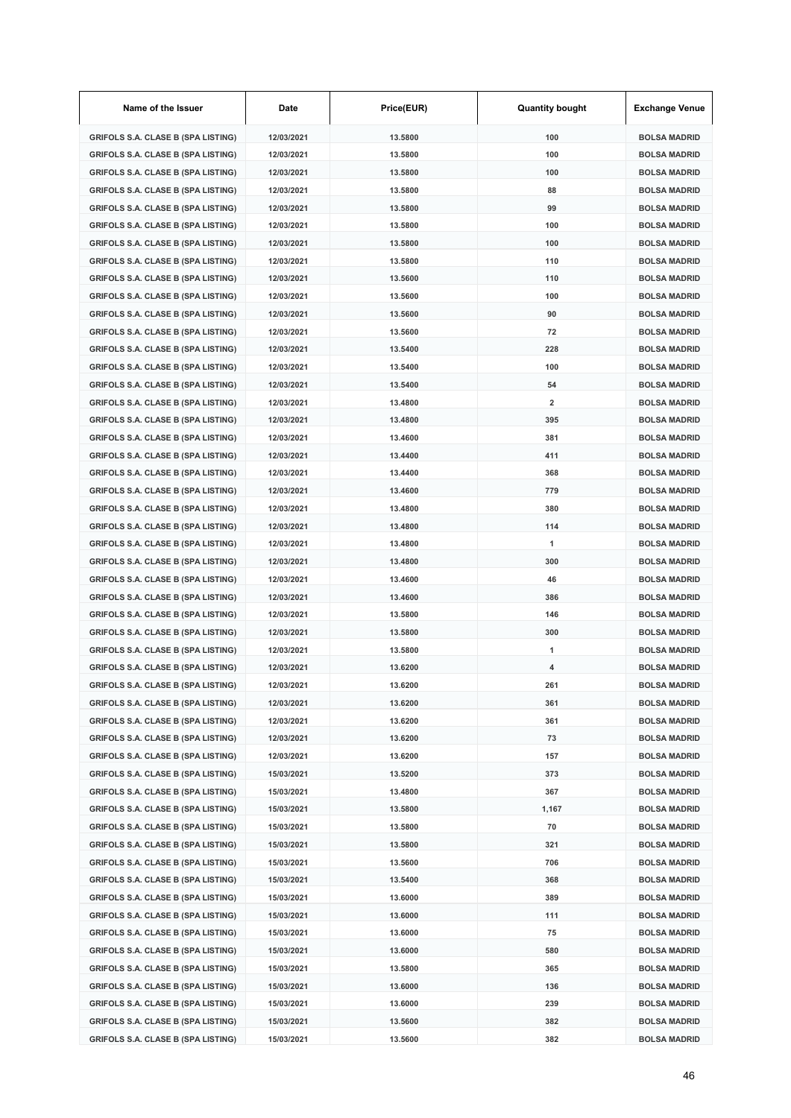| Name of the Issuer                        | Date       | Price(EUR) | <b>Quantity bought</b>  | <b>Exchange Venue</b> |
|-------------------------------------------|------------|------------|-------------------------|-----------------------|
| <b>GRIFOLS S.A. CLASE B (SPA LISTING)</b> | 12/03/2021 | 13.5800    | 100                     | <b>BOLSA MADRID</b>   |
| <b>GRIFOLS S.A. CLASE B (SPA LISTING)</b> | 12/03/2021 | 13.5800    | 100                     | <b>BOLSA MADRID</b>   |
| <b>GRIFOLS S.A. CLASE B (SPA LISTING)</b> | 12/03/2021 | 13.5800    | 100                     | <b>BOLSA MADRID</b>   |
| <b>GRIFOLS S.A. CLASE B (SPA LISTING)</b> | 12/03/2021 | 13.5800    | 88                      | <b>BOLSA MADRID</b>   |
| <b>GRIFOLS S.A. CLASE B (SPA LISTING)</b> | 12/03/2021 | 13.5800    | 99                      | <b>BOLSA MADRID</b>   |
| <b>GRIFOLS S.A. CLASE B (SPA LISTING)</b> | 12/03/2021 | 13.5800    | 100                     | <b>BOLSA MADRID</b>   |
| <b>GRIFOLS S.A. CLASE B (SPA LISTING)</b> | 12/03/2021 | 13.5800    | 100                     | <b>BOLSA MADRID</b>   |
| <b>GRIFOLS S.A. CLASE B (SPA LISTING)</b> | 12/03/2021 | 13.5800    | 110                     | <b>BOLSA MADRID</b>   |
| <b>GRIFOLS S.A. CLASE B (SPA LISTING)</b> | 12/03/2021 | 13.5600    | 110                     | <b>BOLSA MADRID</b>   |
| <b>GRIFOLS S.A. CLASE B (SPA LISTING)</b> | 12/03/2021 | 13.5600    | 100                     | <b>BOLSA MADRID</b>   |
| <b>GRIFOLS S.A. CLASE B (SPA LISTING)</b> | 12/03/2021 | 13.5600    | 90                      | <b>BOLSA MADRID</b>   |
| <b>GRIFOLS S.A. CLASE B (SPA LISTING)</b> | 12/03/2021 | 13.5600    | 72                      | <b>BOLSA MADRID</b>   |
| <b>GRIFOLS S.A. CLASE B (SPA LISTING)</b> | 12/03/2021 | 13.5400    | 228                     | <b>BOLSA MADRID</b>   |
| <b>GRIFOLS S.A. CLASE B (SPA LISTING)</b> | 12/03/2021 | 13.5400    | 100                     | <b>BOLSA MADRID</b>   |
| <b>GRIFOLS S.A. CLASE B (SPA LISTING)</b> | 12/03/2021 | 13.5400    | 54                      | <b>BOLSA MADRID</b>   |
| <b>GRIFOLS S.A. CLASE B (SPA LISTING)</b> | 12/03/2021 | 13.4800    | $\overline{\mathbf{2}}$ | <b>BOLSA MADRID</b>   |
| <b>GRIFOLS S.A. CLASE B (SPA LISTING)</b> | 12/03/2021 | 13.4800    | 395                     | <b>BOLSA MADRID</b>   |
| <b>GRIFOLS S.A. CLASE B (SPA LISTING)</b> | 12/03/2021 | 13.4600    | 381                     | <b>BOLSA MADRID</b>   |
| <b>GRIFOLS S.A. CLASE B (SPA LISTING)</b> | 12/03/2021 | 13.4400    | 411                     | <b>BOLSA MADRID</b>   |
| <b>GRIFOLS S.A. CLASE B (SPA LISTING)</b> | 12/03/2021 | 13.4400    | 368                     | <b>BOLSA MADRID</b>   |
| <b>GRIFOLS S.A. CLASE B (SPA LISTING)</b> | 12/03/2021 | 13.4600    | 779                     | <b>BOLSA MADRID</b>   |
| <b>GRIFOLS S.A. CLASE B (SPA LISTING)</b> | 12/03/2021 | 13.4800    | 380                     | <b>BOLSA MADRID</b>   |
| <b>GRIFOLS S.A. CLASE B (SPA LISTING)</b> | 12/03/2021 | 13.4800    | 114                     | <b>BOLSA MADRID</b>   |
| <b>GRIFOLS S.A. CLASE B (SPA LISTING)</b> | 12/03/2021 | 13.4800    | 1                       | <b>BOLSA MADRID</b>   |
| <b>GRIFOLS S.A. CLASE B (SPA LISTING)</b> | 12/03/2021 | 13.4800    | 300                     | <b>BOLSA MADRID</b>   |
| <b>GRIFOLS S.A. CLASE B (SPA LISTING)</b> | 12/03/2021 | 13.4600    | 46                      | <b>BOLSA MADRID</b>   |
| <b>GRIFOLS S.A. CLASE B (SPA LISTING)</b> | 12/03/2021 | 13.4600    | 386                     | <b>BOLSA MADRID</b>   |
| <b>GRIFOLS S.A. CLASE B (SPA LISTING)</b> | 12/03/2021 | 13.5800    | 146                     | <b>BOLSA MADRID</b>   |
| <b>GRIFOLS S.A. CLASE B (SPA LISTING)</b> | 12/03/2021 | 13.5800    | 300                     | <b>BOLSA MADRID</b>   |
| <b>GRIFOLS S.A. CLASE B (SPA LISTING)</b> | 12/03/2021 | 13.5800    | 1                       | <b>BOLSA MADRID</b>   |
| <b>GRIFOLS S.A. CLASE B (SPA LISTING)</b> | 12/03/2021 | 13.6200    | 4                       | <b>BOLSA MADRID</b>   |
| <b>GRIFOLS S.A. CLASE B (SPA LISTING)</b> | 12/03/2021 | 13.6200    | 261                     | <b>BOLSA MADRID</b>   |
| <b>GRIFOLS S.A. CLASE B (SPA LISTING)</b> | 12/03/2021 | 13.6200    | 361                     | <b>BOLSA MADRID</b>   |
| <b>GRIFOLS S.A. CLASE B (SPA LISTING)</b> | 12/03/2021 | 13.6200    | 361                     | <b>BOLSA MADRID</b>   |
| <b>GRIFOLS S.A. CLASE B (SPA LISTING)</b> | 12/03/2021 | 13.6200    | 73                      | <b>BOLSA MADRID</b>   |
| <b>GRIFOLS S.A. CLASE B (SPA LISTING)</b> | 12/03/2021 | 13.6200    | 157                     | <b>BOLSA MADRID</b>   |
| <b>GRIFOLS S.A. CLASE B (SPA LISTING)</b> | 15/03/2021 | 13.5200    | 373                     | <b>BOLSA MADRID</b>   |
| <b>GRIFOLS S.A. CLASE B (SPA LISTING)</b> | 15/03/2021 | 13.4800    | 367                     | <b>BOLSA MADRID</b>   |
| <b>GRIFOLS S.A. CLASE B (SPA LISTING)</b> | 15/03/2021 | 13.5800    | 1,167                   | <b>BOLSA MADRID</b>   |
| <b>GRIFOLS S.A. CLASE B (SPA LISTING)</b> | 15/03/2021 | 13.5800    | 70                      | <b>BOLSA MADRID</b>   |
| <b>GRIFOLS S.A. CLASE B (SPA LISTING)</b> | 15/03/2021 | 13.5800    | 321                     | <b>BOLSA MADRID</b>   |
| <b>GRIFOLS S.A. CLASE B (SPA LISTING)</b> | 15/03/2021 | 13.5600    | 706                     | <b>BOLSA MADRID</b>   |
| <b>GRIFOLS S.A. CLASE B (SPA LISTING)</b> | 15/03/2021 | 13.5400    | 368                     | <b>BOLSA MADRID</b>   |
| <b>GRIFOLS S.A. CLASE B (SPA LISTING)</b> | 15/03/2021 | 13.6000    | 389                     | <b>BOLSA MADRID</b>   |
| <b>GRIFOLS S.A. CLASE B (SPA LISTING)</b> | 15/03/2021 | 13.6000    | 111                     | <b>BOLSA MADRID</b>   |
| <b>GRIFOLS S.A. CLASE B (SPA LISTING)</b> | 15/03/2021 | 13.6000    | 75                      | <b>BOLSA MADRID</b>   |
| <b>GRIFOLS S.A. CLASE B (SPA LISTING)</b> | 15/03/2021 | 13.6000    | 580                     | <b>BOLSA MADRID</b>   |
| <b>GRIFOLS S.A. CLASE B (SPA LISTING)</b> | 15/03/2021 | 13.5800    | 365                     | <b>BOLSA MADRID</b>   |
| <b>GRIFOLS S.A. CLASE B (SPA LISTING)</b> | 15/03/2021 | 13.6000    | 136                     | <b>BOLSA MADRID</b>   |
| <b>GRIFOLS S.A. CLASE B (SPA LISTING)</b> | 15/03/2021 | 13.6000    | 239                     | <b>BOLSA MADRID</b>   |
| <b>GRIFOLS S.A. CLASE B (SPA LISTING)</b> | 15/03/2021 | 13.5600    | 382                     | <b>BOLSA MADRID</b>   |
| <b>GRIFOLS S.A. CLASE B (SPA LISTING)</b> | 15/03/2021 | 13.5600    | 382                     | <b>BOLSA MADRID</b>   |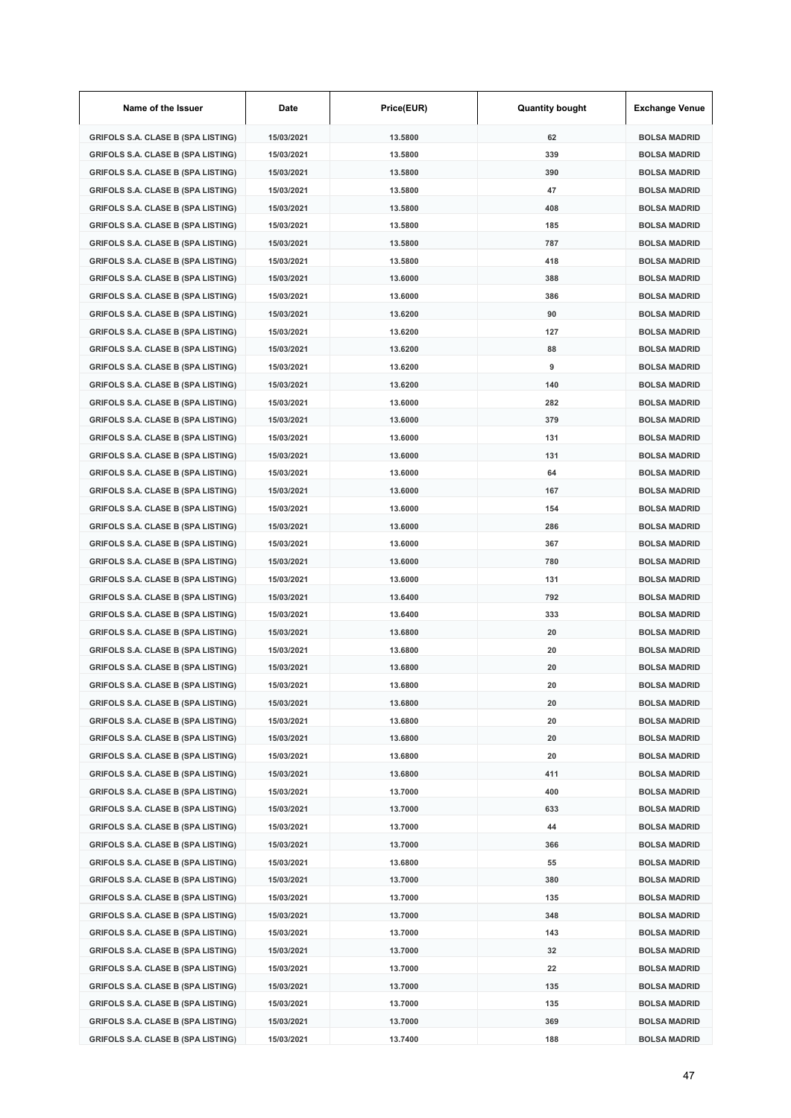| Name of the Issuer                        | Date       | Price(EUR) | <b>Quantity bought</b> | <b>Exchange Venue</b> |
|-------------------------------------------|------------|------------|------------------------|-----------------------|
| <b>GRIFOLS S.A. CLASE B (SPA LISTING)</b> | 15/03/2021 | 13.5800    | 62                     | <b>BOLSA MADRID</b>   |
| <b>GRIFOLS S.A. CLASE B (SPA LISTING)</b> | 15/03/2021 | 13.5800    | 339                    | <b>BOLSA MADRID</b>   |
| <b>GRIFOLS S.A. CLASE B (SPA LISTING)</b> | 15/03/2021 | 13.5800    | 390                    | <b>BOLSA MADRID</b>   |
| <b>GRIFOLS S.A. CLASE B (SPA LISTING)</b> | 15/03/2021 | 13.5800    | 47                     | <b>BOLSA MADRID</b>   |
| <b>GRIFOLS S.A. CLASE B (SPA LISTING)</b> | 15/03/2021 | 13.5800    | 408                    | <b>BOLSA MADRID</b>   |
| <b>GRIFOLS S.A. CLASE B (SPA LISTING)</b> | 15/03/2021 | 13.5800    | 185                    | <b>BOLSA MADRID</b>   |
| <b>GRIFOLS S.A. CLASE B (SPA LISTING)</b> | 15/03/2021 | 13.5800    | 787                    | <b>BOLSA MADRID</b>   |
| <b>GRIFOLS S.A. CLASE B (SPA LISTING)</b> | 15/03/2021 | 13.5800    | 418                    | <b>BOLSA MADRID</b>   |
| <b>GRIFOLS S.A. CLASE B (SPA LISTING)</b> | 15/03/2021 | 13.6000    | 388                    | <b>BOLSA MADRID</b>   |
| <b>GRIFOLS S.A. CLASE B (SPA LISTING)</b> | 15/03/2021 | 13.6000    | 386                    | <b>BOLSA MADRID</b>   |
| <b>GRIFOLS S.A. CLASE B (SPA LISTING)</b> | 15/03/2021 | 13.6200    | 90                     | <b>BOLSA MADRID</b>   |
| <b>GRIFOLS S.A. CLASE B (SPA LISTING)</b> | 15/03/2021 | 13.6200    | 127                    | <b>BOLSA MADRID</b>   |
| <b>GRIFOLS S.A. CLASE B (SPA LISTING)</b> | 15/03/2021 | 13.6200    | 88                     | <b>BOLSA MADRID</b>   |
| <b>GRIFOLS S.A. CLASE B (SPA LISTING)</b> | 15/03/2021 | 13.6200    | 9                      | <b>BOLSA MADRID</b>   |
| <b>GRIFOLS S.A. CLASE B (SPA LISTING)</b> | 15/03/2021 | 13.6200    | 140                    | <b>BOLSA MADRID</b>   |
| <b>GRIFOLS S.A. CLASE B (SPA LISTING)</b> | 15/03/2021 | 13.6000    | 282                    | <b>BOLSA MADRID</b>   |
| <b>GRIFOLS S.A. CLASE B (SPA LISTING)</b> | 15/03/2021 | 13.6000    | 379                    | <b>BOLSA MADRID</b>   |
| <b>GRIFOLS S.A. CLASE B (SPA LISTING)</b> | 15/03/2021 | 13.6000    | 131                    | <b>BOLSA MADRID</b>   |
| <b>GRIFOLS S.A. CLASE B (SPA LISTING)</b> | 15/03/2021 | 13.6000    | 131                    | <b>BOLSA MADRID</b>   |
| <b>GRIFOLS S.A. CLASE B (SPA LISTING)</b> | 15/03/2021 | 13.6000    | 64                     | <b>BOLSA MADRID</b>   |
| <b>GRIFOLS S.A. CLASE B (SPA LISTING)</b> | 15/03/2021 | 13.6000    | 167                    | <b>BOLSA MADRID</b>   |
| <b>GRIFOLS S.A. CLASE B (SPA LISTING)</b> | 15/03/2021 | 13.6000    | 154                    | <b>BOLSA MADRID</b>   |
| <b>GRIFOLS S.A. CLASE B (SPA LISTING)</b> | 15/03/2021 | 13.6000    | 286                    | <b>BOLSA MADRID</b>   |
| <b>GRIFOLS S.A. CLASE B (SPA LISTING)</b> | 15/03/2021 | 13.6000    | 367                    | <b>BOLSA MADRID</b>   |
| <b>GRIFOLS S.A. CLASE B (SPA LISTING)</b> | 15/03/2021 | 13.6000    | 780                    | <b>BOLSA MADRID</b>   |
| <b>GRIFOLS S.A. CLASE B (SPA LISTING)</b> | 15/03/2021 | 13.6000    | 131                    | <b>BOLSA MADRID</b>   |
| <b>GRIFOLS S.A. CLASE B (SPA LISTING)</b> | 15/03/2021 | 13.6400    | 792                    | <b>BOLSA MADRID</b>   |
| <b>GRIFOLS S.A. CLASE B (SPA LISTING)</b> | 15/03/2021 | 13.6400    | 333                    | <b>BOLSA MADRID</b>   |
| <b>GRIFOLS S.A. CLASE B (SPA LISTING)</b> | 15/03/2021 | 13.6800    | 20                     | <b>BOLSA MADRID</b>   |
| <b>GRIFOLS S.A. CLASE B (SPA LISTING)</b> | 15/03/2021 | 13.6800    | 20                     | <b>BOLSA MADRID</b>   |
| GRIFOLS S.A. CLASE B (SPA LISTING)        | 15/03/2021 | 13.6800    | 20                     | <b>BOLSA MADRID</b>   |
| GRIFOLS S.A. CLASE B (SPA LISTING)        | 15/03/2021 | 13.6800    | 20                     | BOLSA MADRID          |
| <b>GRIFOLS S.A. CLASE B (SPA LISTING)</b> | 15/03/2021 | 13.6800    | 20                     | <b>BOLSA MADRID</b>   |
| <b>GRIFOLS S.A. CLASE B (SPA LISTING)</b> | 15/03/2021 | 13.6800    | 20                     | <b>BOLSA MADRID</b>   |
| <b>GRIFOLS S.A. CLASE B (SPA LISTING)</b> | 15/03/2021 | 13.6800    | 20                     | <b>BOLSA MADRID</b>   |
| <b>GRIFOLS S.A. CLASE B (SPA LISTING)</b> | 15/03/2021 | 13.6800    | 20                     | <b>BOLSA MADRID</b>   |
| <b>GRIFOLS S.A. CLASE B (SPA LISTING)</b> | 15/03/2021 | 13.6800    | 411                    | <b>BOLSA MADRID</b>   |
| <b>GRIFOLS S.A. CLASE B (SPA LISTING)</b> | 15/03/2021 | 13.7000    | 400                    | <b>BOLSA MADRID</b>   |
| <b>GRIFOLS S.A. CLASE B (SPA LISTING)</b> | 15/03/2021 | 13.7000    | 633                    | <b>BOLSA MADRID</b>   |
| <b>GRIFOLS S.A. CLASE B (SPA LISTING)</b> | 15/03/2021 | 13.7000    | 44                     | <b>BOLSA MADRID</b>   |
| <b>GRIFOLS S.A. CLASE B (SPA LISTING)</b> | 15/03/2021 | 13.7000    | 366                    | <b>BOLSA MADRID</b>   |
| <b>GRIFOLS S.A. CLASE B (SPA LISTING)</b> | 15/03/2021 | 13.6800    | 55                     | <b>BOLSA MADRID</b>   |
| <b>GRIFOLS S.A. CLASE B (SPA LISTING)</b> | 15/03/2021 | 13.7000    | 380                    | <b>BOLSA MADRID</b>   |
| <b>GRIFOLS S.A. CLASE B (SPA LISTING)</b> | 15/03/2021 | 13.7000    | 135                    | <b>BOLSA MADRID</b>   |
| <b>GRIFOLS S.A. CLASE B (SPA LISTING)</b> | 15/03/2021 | 13.7000    | 348                    | <b>BOLSA MADRID</b>   |
| <b>GRIFOLS S.A. CLASE B (SPA LISTING)</b> | 15/03/2021 | 13.7000    | 143                    | <b>BOLSA MADRID</b>   |
| <b>GRIFOLS S.A. CLASE B (SPA LISTING)</b> | 15/03/2021 | 13.7000    | 32                     | <b>BOLSA MADRID</b>   |
| <b>GRIFOLS S.A. CLASE B (SPA LISTING)</b> | 15/03/2021 | 13.7000    | 22                     | <b>BOLSA MADRID</b>   |
| <b>GRIFOLS S.A. CLASE B (SPA LISTING)</b> | 15/03/2021 | 13.7000    | 135                    | <b>BOLSA MADRID</b>   |
| <b>GRIFOLS S.A. CLASE B (SPA LISTING)</b> | 15/03/2021 | 13.7000    | 135                    | <b>BOLSA MADRID</b>   |
| <b>GRIFOLS S.A. CLASE B (SPA LISTING)</b> | 15/03/2021 | 13.7000    | 369                    | <b>BOLSA MADRID</b>   |
| <b>GRIFOLS S.A. CLASE B (SPA LISTING)</b> | 15/03/2021 | 13.7400    | 188                    | <b>BOLSA MADRID</b>   |
|                                           |            |            |                        |                       |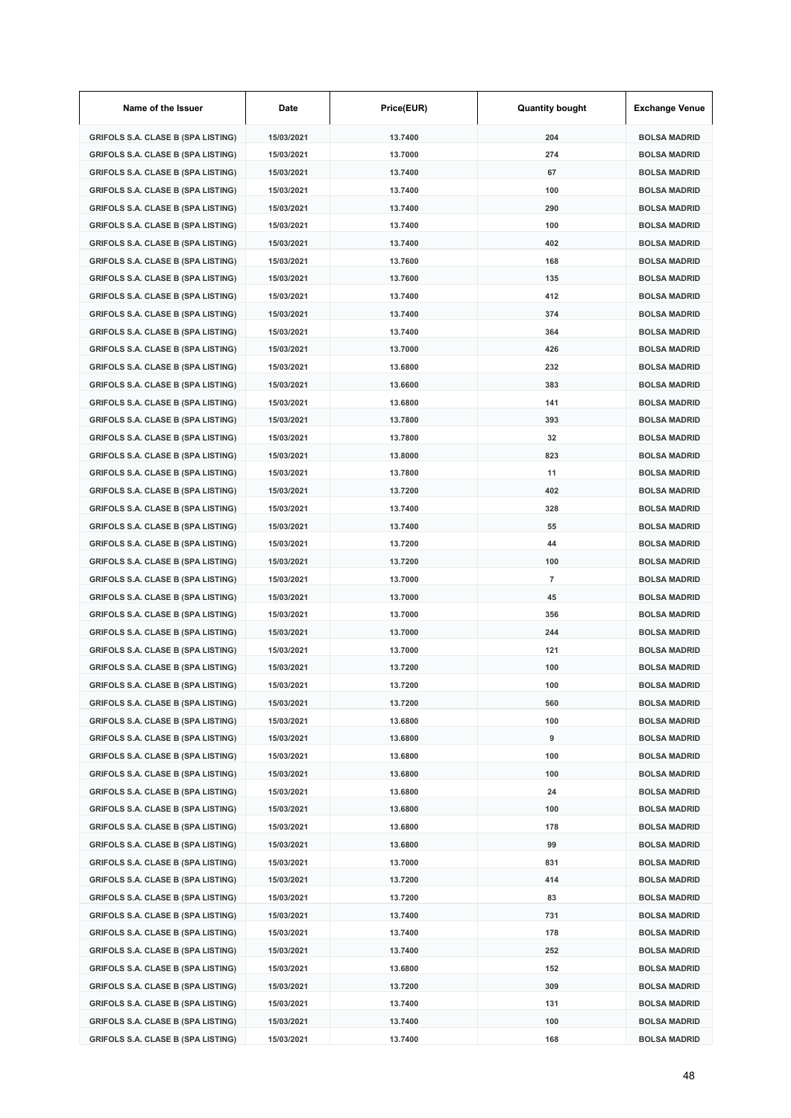| Name of the Issuer                        | Date       | Price(EUR) | <b>Quantity bought</b> | <b>Exchange Venue</b> |
|-------------------------------------------|------------|------------|------------------------|-----------------------|
| <b>GRIFOLS S.A. CLASE B (SPA LISTING)</b> | 15/03/2021 | 13.7400    | 204                    | <b>BOLSA MADRID</b>   |
| <b>GRIFOLS S.A. CLASE B (SPA LISTING)</b> | 15/03/2021 | 13.7000    | 274                    | <b>BOLSA MADRID</b>   |
| <b>GRIFOLS S.A. CLASE B (SPA LISTING)</b> | 15/03/2021 | 13.7400    | 67                     | <b>BOLSA MADRID</b>   |
| <b>GRIFOLS S.A. CLASE B (SPA LISTING)</b> | 15/03/2021 | 13.7400    | 100                    | <b>BOLSA MADRID</b>   |
| <b>GRIFOLS S.A. CLASE B (SPA LISTING)</b> | 15/03/2021 | 13.7400    | 290                    | <b>BOLSA MADRID</b>   |
| <b>GRIFOLS S.A. CLASE B (SPA LISTING)</b> | 15/03/2021 | 13.7400    | 100                    | <b>BOLSA MADRID</b>   |
| <b>GRIFOLS S.A. CLASE B (SPA LISTING)</b> | 15/03/2021 | 13.7400    | 402                    | <b>BOLSA MADRID</b>   |
| <b>GRIFOLS S.A. CLASE B (SPA LISTING)</b> | 15/03/2021 | 13.7600    | 168                    | <b>BOLSA MADRID</b>   |
| <b>GRIFOLS S.A. CLASE B (SPA LISTING)</b> | 15/03/2021 | 13.7600    | 135                    | <b>BOLSA MADRID</b>   |
| <b>GRIFOLS S.A. CLASE B (SPA LISTING)</b> | 15/03/2021 | 13.7400    | 412                    | <b>BOLSA MADRID</b>   |
| <b>GRIFOLS S.A. CLASE B (SPA LISTING)</b> | 15/03/2021 | 13.7400    | 374                    | <b>BOLSA MADRID</b>   |
| <b>GRIFOLS S.A. CLASE B (SPA LISTING)</b> | 15/03/2021 | 13.7400    | 364                    | <b>BOLSA MADRID</b>   |
| <b>GRIFOLS S.A. CLASE B (SPA LISTING)</b> | 15/03/2021 | 13.7000    | 426                    | <b>BOLSA MADRID</b>   |
| <b>GRIFOLS S.A. CLASE B (SPA LISTING)</b> | 15/03/2021 | 13.6800    | 232                    | <b>BOLSA MADRID</b>   |
| <b>GRIFOLS S.A. CLASE B (SPA LISTING)</b> | 15/03/2021 | 13.6600    | 383                    | <b>BOLSA MADRID</b>   |
| <b>GRIFOLS S.A. CLASE B (SPA LISTING)</b> | 15/03/2021 | 13.6800    | 141                    | <b>BOLSA MADRID</b>   |
| <b>GRIFOLS S.A. CLASE B (SPA LISTING)</b> | 15/03/2021 | 13.7800    | 393                    | <b>BOLSA MADRID</b>   |
| <b>GRIFOLS S.A. CLASE B (SPA LISTING)</b> | 15/03/2021 | 13.7800    | 32                     | <b>BOLSA MADRID</b>   |
| <b>GRIFOLS S.A. CLASE B (SPA LISTING)</b> | 15/03/2021 | 13.8000    | 823                    | <b>BOLSA MADRID</b>   |
| <b>GRIFOLS S.A. CLASE B (SPA LISTING)</b> | 15/03/2021 | 13.7800    | 11                     | <b>BOLSA MADRID</b>   |
| <b>GRIFOLS S.A. CLASE B (SPA LISTING)</b> | 15/03/2021 | 13.7200    | 402                    | <b>BOLSA MADRID</b>   |
| <b>GRIFOLS S.A. CLASE B (SPA LISTING)</b> | 15/03/2021 | 13.7400    | 328                    | <b>BOLSA MADRID</b>   |
| <b>GRIFOLS S.A. CLASE B (SPA LISTING)</b> | 15/03/2021 | 13.7400    | 55                     | <b>BOLSA MADRID</b>   |
| <b>GRIFOLS S.A. CLASE B (SPA LISTING)</b> | 15/03/2021 | 13.7200    | 44                     | <b>BOLSA MADRID</b>   |
| <b>GRIFOLS S.A. CLASE B (SPA LISTING)</b> | 15/03/2021 | 13.7200    | 100                    | <b>BOLSA MADRID</b>   |
| <b>GRIFOLS S.A. CLASE B (SPA LISTING)</b> | 15/03/2021 | 13.7000    | $\overline{7}$         | <b>BOLSA MADRID</b>   |
| <b>GRIFOLS S.A. CLASE B (SPA LISTING)</b> | 15/03/2021 | 13.7000    | 45                     | <b>BOLSA MADRID</b>   |
| <b>GRIFOLS S.A. CLASE B (SPA LISTING)</b> | 15/03/2021 | 13.7000    | 356                    | <b>BOLSA MADRID</b>   |
| <b>GRIFOLS S.A. CLASE B (SPA LISTING)</b> | 15/03/2021 | 13.7000    | 244                    | <b>BOLSA MADRID</b>   |
| <b>GRIFOLS S.A. CLASE B (SPA LISTING)</b> | 15/03/2021 | 13.7000    | 121                    | <b>BOLSA MADRID</b>   |
| GRIFOLS S.A. CLASE B (SPA LISTING)        | 15/03/2021 | 13.7200    | 100                    | <b>BOLSA MADRID</b>   |
| <b>GRIFOLS S.A. CLASE B (SPA LISTING)</b> | 15/03/2021 | 13.7200    | 100                    | BOLSA MADRID          |
| <b>GRIFOLS S.A. CLASE B (SPA LISTING)</b> | 15/03/2021 | 13.7200    | 560                    | <b>BOLSA MADRID</b>   |
| <b>GRIFOLS S.A. CLASE B (SPA LISTING)</b> | 15/03/2021 | 13.6800    | 100                    | <b>BOLSA MADRID</b>   |
| <b>GRIFOLS S.A. CLASE B (SPA LISTING)</b> | 15/03/2021 | 13.6800    | 9                      | <b>BOLSA MADRID</b>   |
| <b>GRIFOLS S.A. CLASE B (SPA LISTING)</b> | 15/03/2021 | 13.6800    | 100                    | <b>BOLSA MADRID</b>   |
| <b>GRIFOLS S.A. CLASE B (SPA LISTING)</b> | 15/03/2021 | 13.6800    | 100                    | <b>BOLSA MADRID</b>   |
| <b>GRIFOLS S.A. CLASE B (SPA LISTING)</b> | 15/03/2021 | 13.6800    | 24                     | <b>BOLSA MADRID</b>   |
| <b>GRIFOLS S.A. CLASE B (SPA LISTING)</b> | 15/03/2021 | 13.6800    | 100                    | <b>BOLSA MADRID</b>   |
| <b>GRIFOLS S.A. CLASE B (SPA LISTING)</b> | 15/03/2021 | 13.6800    | 178                    | <b>BOLSA MADRID</b>   |
| <b>GRIFOLS S.A. CLASE B (SPA LISTING)</b> | 15/03/2021 | 13.6800    | 99                     | <b>BOLSA MADRID</b>   |
| <b>GRIFOLS S.A. CLASE B (SPA LISTING)</b> | 15/03/2021 | 13.7000    | 831                    | <b>BOLSA MADRID</b>   |
| <b>GRIFOLS S.A. CLASE B (SPA LISTING)</b> | 15/03/2021 | 13.7200    | 414                    | <b>BOLSA MADRID</b>   |
| <b>GRIFOLS S.A. CLASE B (SPA LISTING)</b> | 15/03/2021 | 13.7200    | 83                     | <b>BOLSA MADRID</b>   |
| <b>GRIFOLS S.A. CLASE B (SPA LISTING)</b> | 15/03/2021 | 13.7400    | 731                    | <b>BOLSA MADRID</b>   |
| <b>GRIFOLS S.A. CLASE B (SPA LISTING)</b> | 15/03/2021 | 13.7400    | 178                    | <b>BOLSA MADRID</b>   |
| <b>GRIFOLS S.A. CLASE B (SPA LISTING)</b> | 15/03/2021 | 13.7400    | 252                    | <b>BOLSA MADRID</b>   |
| <b>GRIFOLS S.A. CLASE B (SPA LISTING)</b> | 15/03/2021 | 13.6800    | 152                    | <b>BOLSA MADRID</b>   |
| <b>GRIFOLS S.A. CLASE B (SPA LISTING)</b> | 15/03/2021 | 13.7200    | 309                    | <b>BOLSA MADRID</b>   |
| <b>GRIFOLS S.A. CLASE B (SPA LISTING)</b> | 15/03/2021 | 13.7400    | 131                    | <b>BOLSA MADRID</b>   |
| <b>GRIFOLS S.A. CLASE B (SPA LISTING)</b> | 15/03/2021 | 13.7400    | 100                    | <b>BOLSA MADRID</b>   |
| <b>GRIFOLS S.A. CLASE B (SPA LISTING)</b> | 15/03/2021 | 13.7400    | 168                    | <b>BOLSA MADRID</b>   |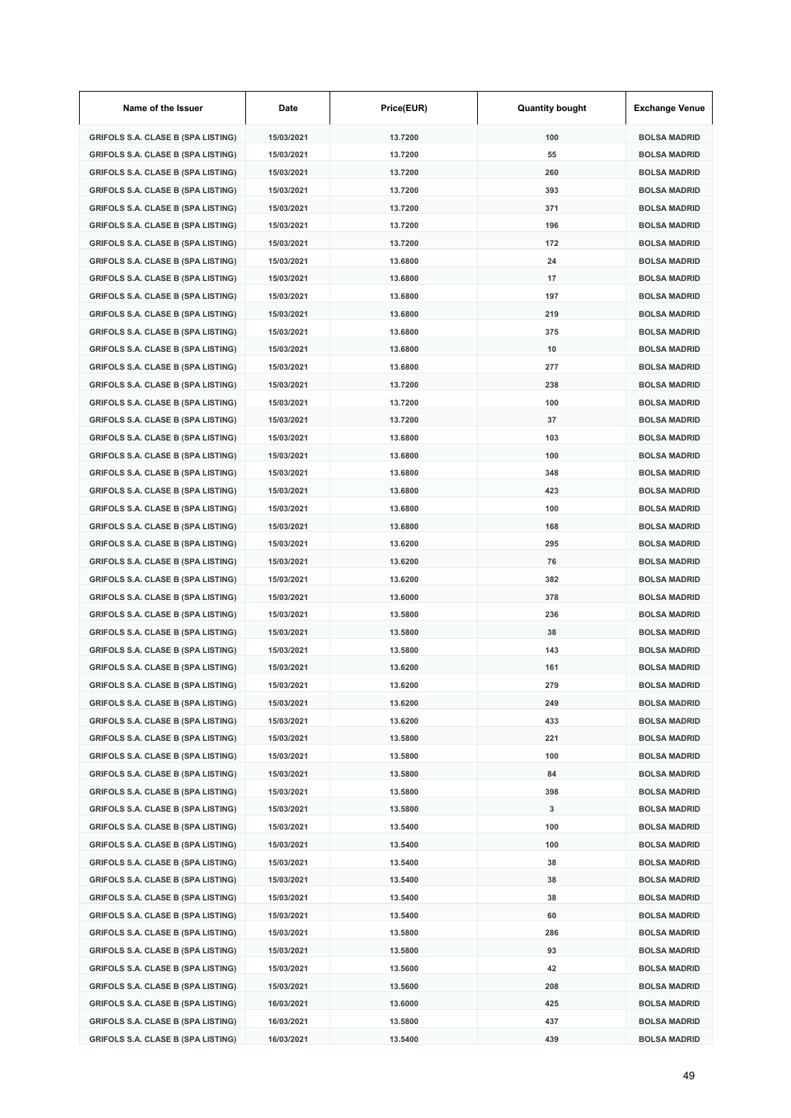| Name of the Issuer                        | Date       | Price(EUR) | <b>Quantity bought</b> | <b>Exchange Venue</b> |
|-------------------------------------------|------------|------------|------------------------|-----------------------|
| <b>GRIFOLS S.A. CLASE B (SPA LISTING)</b> | 15/03/2021 | 13.7200    | 100                    | <b>BOLSA MADRID</b>   |
| <b>GRIFOLS S.A. CLASE B (SPA LISTING)</b> | 15/03/2021 | 13.7200    | 55                     | <b>BOLSA MADRID</b>   |
| <b>GRIFOLS S.A. CLASE B (SPA LISTING)</b> | 15/03/2021 | 13.7200    | 260                    | <b>BOLSA MADRID</b>   |
| <b>GRIFOLS S.A. CLASE B (SPA LISTING)</b> | 15/03/2021 | 13.7200    | 393                    | <b>BOLSA MADRID</b>   |
| <b>GRIFOLS S.A. CLASE B (SPA LISTING)</b> | 15/03/2021 | 13.7200    | 371                    | <b>BOLSA MADRID</b>   |
| <b>GRIFOLS S.A. CLASE B (SPA LISTING)</b> | 15/03/2021 | 13.7200    | 196                    | <b>BOLSA MADRID</b>   |
| <b>GRIFOLS S.A. CLASE B (SPA LISTING)</b> | 15/03/2021 | 13.7200    | 172                    | <b>BOLSA MADRID</b>   |
| <b>GRIFOLS S.A. CLASE B (SPA LISTING)</b> | 15/03/2021 | 13.6800    | 24                     | <b>BOLSA MADRID</b>   |
| <b>GRIFOLS S.A. CLASE B (SPA LISTING)</b> | 15/03/2021 | 13.6800    | 17                     | <b>BOLSA MADRID</b>   |
| <b>GRIFOLS S.A. CLASE B (SPA LISTING)</b> | 15/03/2021 | 13.6800    | 197                    | <b>BOLSA MADRID</b>   |
| <b>GRIFOLS S.A. CLASE B (SPA LISTING)</b> | 15/03/2021 | 13.6800    | 219                    | <b>BOLSA MADRID</b>   |
| <b>GRIFOLS S.A. CLASE B (SPA LISTING)</b> | 15/03/2021 | 13.6800    | 375                    | <b>BOLSA MADRID</b>   |
| <b>GRIFOLS S.A. CLASE B (SPA LISTING)</b> | 15/03/2021 | 13.6800    | 10                     | <b>BOLSA MADRID</b>   |
| <b>GRIFOLS S.A. CLASE B (SPA LISTING)</b> | 15/03/2021 | 13.6800    | 277                    | <b>BOLSA MADRID</b>   |
| <b>GRIFOLS S.A. CLASE B (SPA LISTING)</b> | 15/03/2021 | 13.7200    | 238                    | <b>BOLSA MADRID</b>   |
| <b>GRIFOLS S.A. CLASE B (SPA LISTING)</b> | 15/03/2021 | 13.7200    | 100                    | <b>BOLSA MADRID</b>   |
| <b>GRIFOLS S.A. CLASE B (SPA LISTING)</b> | 15/03/2021 | 13.7200    | 37                     | <b>BOLSA MADRID</b>   |
| <b>GRIFOLS S.A. CLASE B (SPA LISTING)</b> | 15/03/2021 | 13.6800    | 103                    | <b>BOLSA MADRID</b>   |
| <b>GRIFOLS S.A. CLASE B (SPA LISTING)</b> | 15/03/2021 | 13.6800    | 100                    | <b>BOLSA MADRID</b>   |
| <b>GRIFOLS S.A. CLASE B (SPA LISTING)</b> | 15/03/2021 | 13.6800    | 348                    | <b>BOLSA MADRID</b>   |
| <b>GRIFOLS S.A. CLASE B (SPA LISTING)</b> | 15/03/2021 | 13.6800    | 423                    | <b>BOLSA MADRID</b>   |
| <b>GRIFOLS S.A. CLASE B (SPA LISTING)</b> | 15/03/2021 | 13.6800    | 100                    | <b>BOLSA MADRID</b>   |
| <b>GRIFOLS S.A. CLASE B (SPA LISTING)</b> | 15/03/2021 | 13.6800    | 168                    | <b>BOLSA MADRID</b>   |
| <b>GRIFOLS S.A. CLASE B (SPA LISTING)</b> | 15/03/2021 | 13.6200    | 295                    | <b>BOLSA MADRID</b>   |
| <b>GRIFOLS S.A. CLASE B (SPA LISTING)</b> | 15/03/2021 | 13.6200    | 76                     | <b>BOLSA MADRID</b>   |
| <b>GRIFOLS S.A. CLASE B (SPA LISTING)</b> | 15/03/2021 | 13.6200    | 382                    | <b>BOLSA MADRID</b>   |
| <b>GRIFOLS S.A. CLASE B (SPA LISTING)</b> | 15/03/2021 | 13.6000    | 378                    | <b>BOLSA MADRID</b>   |
| <b>GRIFOLS S.A. CLASE B (SPA LISTING)</b> | 15/03/2021 | 13.5800    | 236                    | <b>BOLSA MADRID</b>   |
| <b>GRIFOLS S.A. CLASE B (SPA LISTING)</b> | 15/03/2021 | 13.5800    | 38                     | <b>BOLSA MADRID</b>   |
| <b>GRIFOLS S.A. CLASE B (SPA LISTING)</b> | 15/03/2021 | 13.5800    | 143                    | <b>BOLSA MADRID</b>   |
| GRIFOLS S.A. CLASE B (SPA LISTING)        | 15/03/2021 | 13.6200    | 161                    | <b>BOLSA MADRID</b>   |
| <b>GRIFOLS S.A. CLASE B (SPA LISTING)</b> | 15/03/2021 | 13.6200    | 279                    | <b>BOLSA MADRID</b>   |
| <b>GRIFOLS S.A. CLASE B (SPA LISTING)</b> | 15/03/2021 | 13.6200    | 249                    | <b>BOLSA MADRID</b>   |
| <b>GRIFOLS S.A. CLASE B (SPA LISTING)</b> | 15/03/2021 | 13.6200    | 433                    | <b>BOLSA MADRID</b>   |
| <b>GRIFOLS S.A. CLASE B (SPA LISTING)</b> | 15/03/2021 | 13.5800    | 221                    | <b>BOLSA MADRID</b>   |
| <b>GRIFOLS S.A. CLASE B (SPA LISTING)</b> | 15/03/2021 | 13.5800    | 100                    | <b>BOLSA MADRID</b>   |
| <b>GRIFOLS S.A. CLASE B (SPA LISTING)</b> | 15/03/2021 | 13.5800    | 84                     | <b>BOLSA MADRID</b>   |
| <b>GRIFOLS S.A. CLASE B (SPA LISTING)</b> | 15/03/2021 | 13.5800    | 398                    | <b>BOLSA MADRID</b>   |
| <b>GRIFOLS S.A. CLASE B (SPA LISTING)</b> | 15/03/2021 | 13.5800    | 3                      | <b>BOLSA MADRID</b>   |
| <b>GRIFOLS S.A. CLASE B (SPA LISTING)</b> | 15/03/2021 | 13.5400    | 100                    | <b>BOLSA MADRID</b>   |
| <b>GRIFOLS S.A. CLASE B (SPA LISTING)</b> | 15/03/2021 | 13.5400    | 100                    | <b>BOLSA MADRID</b>   |
| <b>GRIFOLS S.A. CLASE B (SPA LISTING)</b> | 15/03/2021 | 13.5400    | 38                     | <b>BOLSA MADRID</b>   |
| <b>GRIFOLS S.A. CLASE B (SPA LISTING)</b> | 15/03/2021 | 13.5400    | 38                     | <b>BOLSA MADRID</b>   |
| <b>GRIFOLS S.A. CLASE B (SPA LISTING)</b> | 15/03/2021 | 13.5400    | 38                     | <b>BOLSA MADRID</b>   |
| <b>GRIFOLS S.A. CLASE B (SPA LISTING)</b> | 15/03/2021 | 13.5400    | 60                     | <b>BOLSA MADRID</b>   |
| <b>GRIFOLS S.A. CLASE B (SPA LISTING)</b> | 15/03/2021 | 13.5800    | 286                    | <b>BOLSA MADRID</b>   |
| <b>GRIFOLS S.A. CLASE B (SPA LISTING)</b> | 15/03/2021 | 13.5800    | 93                     | <b>BOLSA MADRID</b>   |
| <b>GRIFOLS S.A. CLASE B (SPA LISTING)</b> | 15/03/2021 | 13.5600    | 42                     | <b>BOLSA MADRID</b>   |
| <b>GRIFOLS S.A. CLASE B (SPA LISTING)</b> | 15/03/2021 | 13.5600    | 208                    | <b>BOLSA MADRID</b>   |
| <b>GRIFOLS S.A. CLASE B (SPA LISTING)</b> | 16/03/2021 | 13.6000    | 425                    | <b>BOLSA MADRID</b>   |
| <b>GRIFOLS S.A. CLASE B (SPA LISTING)</b> | 16/03/2021 | 13.5800    | 437                    | <b>BOLSA MADRID</b>   |
| <b>GRIFOLS S.A. CLASE B (SPA LISTING)</b> | 16/03/2021 | 13.5400    | 439                    | <b>BOLSA MADRID</b>   |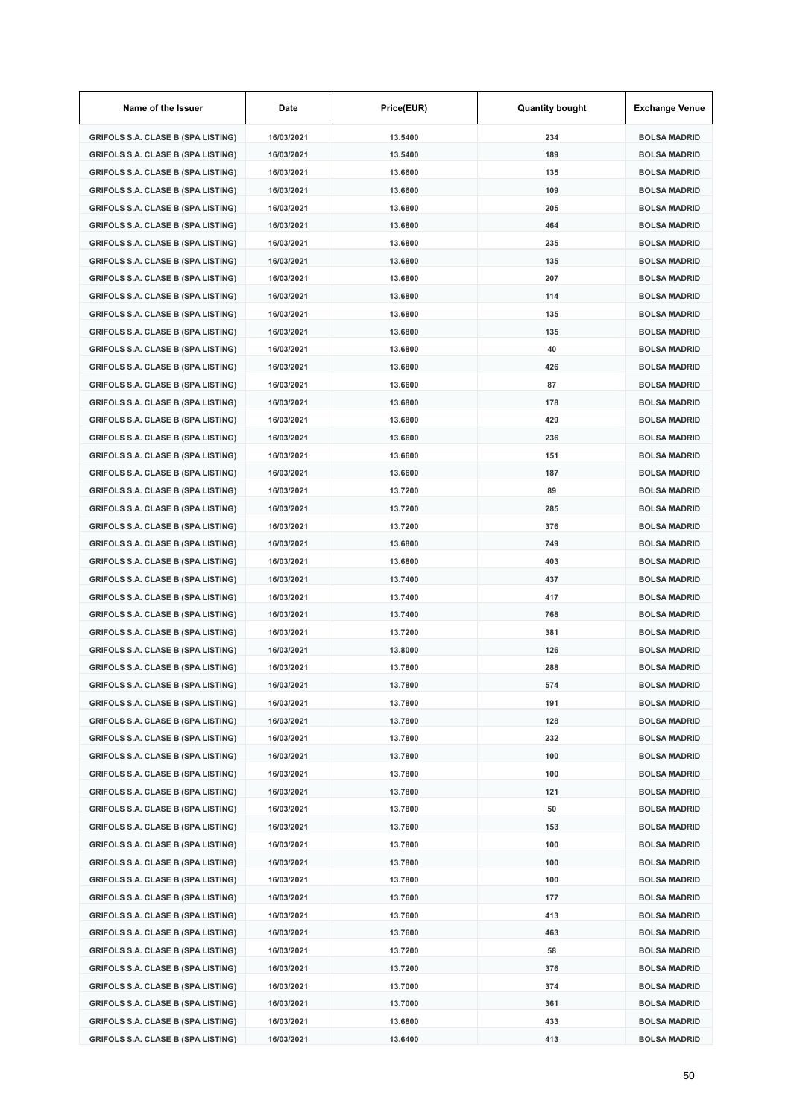| Name of the Issuer                        | Date       | Price(EUR) | <b>Quantity bought</b> | <b>Exchange Venue</b> |
|-------------------------------------------|------------|------------|------------------------|-----------------------|
| <b>GRIFOLS S.A. CLASE B (SPA LISTING)</b> | 16/03/2021 | 13.5400    | 234                    | <b>BOLSA MADRID</b>   |
| <b>GRIFOLS S.A. CLASE B (SPA LISTING)</b> | 16/03/2021 | 13.5400    | 189                    | <b>BOLSA MADRID</b>   |
| <b>GRIFOLS S.A. CLASE B (SPA LISTING)</b> | 16/03/2021 | 13.6600    | 135                    | <b>BOLSA MADRID</b>   |
| <b>GRIFOLS S.A. CLASE B (SPA LISTING)</b> | 16/03/2021 | 13.6600    | 109                    | <b>BOLSA MADRID</b>   |
| <b>GRIFOLS S.A. CLASE B (SPA LISTING)</b> | 16/03/2021 | 13.6800    | 205                    | <b>BOLSA MADRID</b>   |
| <b>GRIFOLS S.A. CLASE B (SPA LISTING)</b> | 16/03/2021 | 13.6800    | 464                    | <b>BOLSA MADRID</b>   |
| <b>GRIFOLS S.A. CLASE B (SPA LISTING)</b> | 16/03/2021 | 13.6800    | 235                    | <b>BOLSA MADRID</b>   |
| <b>GRIFOLS S.A. CLASE B (SPA LISTING)</b> | 16/03/2021 | 13.6800    | 135                    | <b>BOLSA MADRID</b>   |
| <b>GRIFOLS S.A. CLASE B (SPA LISTING)</b> | 16/03/2021 | 13,6800    | 207                    | <b>BOLSA MADRID</b>   |
| <b>GRIFOLS S.A. CLASE B (SPA LISTING)</b> | 16/03/2021 | 13.6800    | 114                    | <b>BOLSA MADRID</b>   |
| <b>GRIFOLS S.A. CLASE B (SPA LISTING)</b> | 16/03/2021 | 13.6800    | 135                    | <b>BOLSA MADRID</b>   |
| <b>GRIFOLS S.A. CLASE B (SPA LISTING)</b> | 16/03/2021 | 13.6800    | 135                    | <b>BOLSA MADRID</b>   |
| <b>GRIFOLS S.A. CLASE B (SPA LISTING)</b> | 16/03/2021 | 13.6800    | 40                     | <b>BOLSA MADRID</b>   |
| <b>GRIFOLS S.A. CLASE B (SPA LISTING)</b> | 16/03/2021 | 13.6800    | 426                    | <b>BOLSA MADRID</b>   |
| <b>GRIFOLS S.A. CLASE B (SPA LISTING)</b> | 16/03/2021 | 13.6600    | 87                     | <b>BOLSA MADRID</b>   |
| <b>GRIFOLS S.A. CLASE B (SPA LISTING)</b> | 16/03/2021 | 13.6800    | 178                    | <b>BOLSA MADRID</b>   |
| <b>GRIFOLS S.A. CLASE B (SPA LISTING)</b> | 16/03/2021 | 13.6800    | 429                    | <b>BOLSA MADRID</b>   |
| <b>GRIFOLS S.A. CLASE B (SPA LISTING)</b> | 16/03/2021 | 13.6600    | 236                    | <b>BOLSA MADRID</b>   |
| <b>GRIFOLS S.A. CLASE B (SPA LISTING)</b> | 16/03/2021 | 13.6600    | 151                    | <b>BOLSA MADRID</b>   |
| <b>GRIFOLS S.A. CLASE B (SPA LISTING)</b> | 16/03/2021 | 13.6600    | 187                    | <b>BOLSA MADRID</b>   |
| <b>GRIFOLS S.A. CLASE B (SPA LISTING)</b> | 16/03/2021 | 13.7200    | 89                     | <b>BOLSA MADRID</b>   |
| <b>GRIFOLS S.A. CLASE B (SPA LISTING)</b> | 16/03/2021 | 13.7200    | 285                    | <b>BOLSA MADRID</b>   |
| <b>GRIFOLS S.A. CLASE B (SPA LISTING)</b> | 16/03/2021 | 13.7200    | 376                    | <b>BOLSA MADRID</b>   |
| <b>GRIFOLS S.A. CLASE B (SPA LISTING)</b> | 16/03/2021 | 13.6800    | 749                    | <b>BOLSA MADRID</b>   |
| <b>GRIFOLS S.A. CLASE B (SPA LISTING)</b> | 16/03/2021 | 13.6800    | 403                    | <b>BOLSA MADRID</b>   |
| <b>GRIFOLS S.A. CLASE B (SPA LISTING)</b> | 16/03/2021 | 13.7400    | 437                    | <b>BOLSA MADRID</b>   |
| <b>GRIFOLS S.A. CLASE B (SPA LISTING)</b> | 16/03/2021 | 13.7400    | 417                    | <b>BOLSA MADRID</b>   |
| <b>GRIFOLS S.A. CLASE B (SPA LISTING)</b> | 16/03/2021 | 13.7400    | 768                    | <b>BOLSA MADRID</b>   |
| <b>GRIFOLS S.A. CLASE B (SPA LISTING)</b> | 16/03/2021 | 13.7200    | 381                    | <b>BOLSA MADRID</b>   |
| <b>GRIFOLS S.A. CLASE B (SPA LISTING)</b> | 16/03/2021 | 13.8000    | 126                    | <b>BOLSA MADRID</b>   |
| <b>GRIFOLS S.A. CLASE B (SPA LISTING)</b> | 16/03/2021 | 13.7800    | 288                    | <b>BOLSA MADRID</b>   |
| GRIFOLS S.A. CLASE B (SPA LISTING)        | 16/03/2021 | 13.7800    | 574                    | <b>BOLSA MADRID</b>   |
| <b>GRIFOLS S.A. CLASE B (SPA LISTING)</b> | 16/03/2021 | 13.7800    | 191                    | <b>BOLSA MADRID</b>   |
| <b>GRIFOLS S.A. CLASE B (SPA LISTING)</b> | 16/03/2021 | 13.7800    | 128                    | <b>BOLSA MADRID</b>   |
| <b>GRIFOLS S.A. CLASE B (SPA LISTING)</b> | 16/03/2021 | 13.7800    | 232                    | <b>BOLSA MADRID</b>   |
| <b>GRIFOLS S.A. CLASE B (SPA LISTING)</b> | 16/03/2021 | 13.7800    | 100                    | <b>BOLSA MADRID</b>   |
| <b>GRIFOLS S.A. CLASE B (SPA LISTING)</b> | 16/03/2021 | 13.7800    | 100                    | <b>BOLSA MADRID</b>   |
| <b>GRIFOLS S.A. CLASE B (SPA LISTING)</b> | 16/03/2021 | 13.7800    | 121                    | <b>BOLSA MADRID</b>   |
| <b>GRIFOLS S.A. CLASE B (SPA LISTING)</b> | 16/03/2021 | 13.7800    | 50                     | <b>BOLSA MADRID</b>   |
| <b>GRIFOLS S.A. CLASE B (SPA LISTING)</b> | 16/03/2021 | 13.7600    | 153                    | <b>BOLSA MADRID</b>   |
| <b>GRIFOLS S.A. CLASE B (SPA LISTING)</b> | 16/03/2021 | 13.7800    | 100                    | <b>BOLSA MADRID</b>   |
| <b>GRIFOLS S.A. CLASE B (SPA LISTING)</b> | 16/03/2021 | 13.7800    | 100                    | <b>BOLSA MADRID</b>   |
| <b>GRIFOLS S.A. CLASE B (SPA LISTING)</b> | 16/03/2021 | 13.7800    | 100                    | <b>BOLSA MADRID</b>   |
| <b>GRIFOLS S.A. CLASE B (SPA LISTING)</b> | 16/03/2021 | 13.7600    | 177                    | <b>BOLSA MADRID</b>   |
| <b>GRIFOLS S.A. CLASE B (SPA LISTING)</b> | 16/03/2021 | 13.7600    | 413                    | <b>BOLSA MADRID</b>   |
| <b>GRIFOLS S.A. CLASE B (SPA LISTING)</b> | 16/03/2021 | 13.7600    | 463                    | <b>BOLSA MADRID</b>   |
| <b>GRIFOLS S.A. CLASE B (SPA LISTING)</b> | 16/03/2021 | 13.7200    | 58                     | <b>BOLSA MADRID</b>   |
| <b>GRIFOLS S.A. CLASE B (SPA LISTING)</b> | 16/03/2021 | 13.7200    | 376                    | <b>BOLSA MADRID</b>   |
| <b>GRIFOLS S.A. CLASE B (SPA LISTING)</b> | 16/03/2021 | 13.7000    | 374                    | <b>BOLSA MADRID</b>   |
| <b>GRIFOLS S.A. CLASE B (SPA LISTING)</b> | 16/03/2021 | 13.7000    | 361                    | <b>BOLSA MADRID</b>   |
| <b>GRIFOLS S.A. CLASE B (SPA LISTING)</b> | 16/03/2021 | 13.6800    | 433                    | <b>BOLSA MADRID</b>   |
| <b>GRIFOLS S.A. CLASE B (SPA LISTING)</b> | 16/03/2021 | 13.6400    | 413                    | <b>BOLSA MADRID</b>   |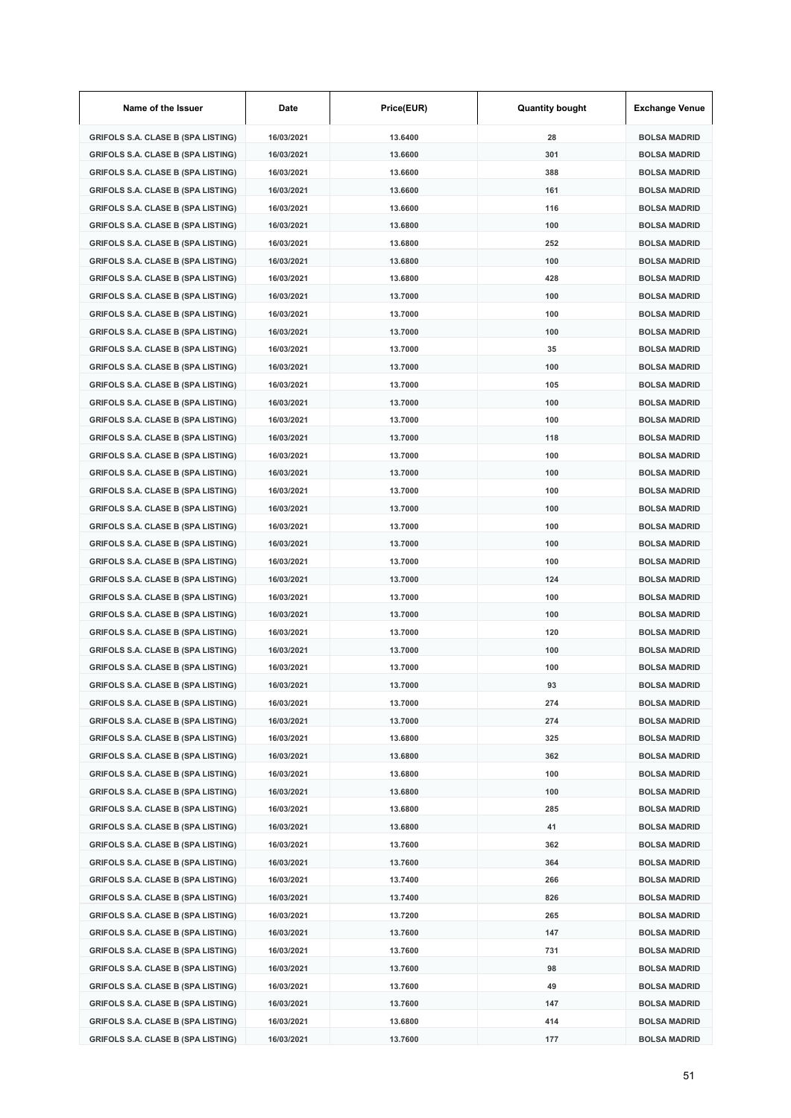| Name of the Issuer                        | Date       | Price(EUR) | <b>Quantity bought</b> | <b>Exchange Venue</b> |
|-------------------------------------------|------------|------------|------------------------|-----------------------|
| <b>GRIFOLS S.A. CLASE B (SPA LISTING)</b> | 16/03/2021 | 13.6400    | 28                     | <b>BOLSA MADRID</b>   |
| <b>GRIFOLS S.A. CLASE B (SPA LISTING)</b> | 16/03/2021 | 13.6600    | 301                    | <b>BOLSA MADRID</b>   |
| <b>GRIFOLS S.A. CLASE B (SPA LISTING)</b> | 16/03/2021 | 13.6600    | 388                    | <b>BOLSA MADRID</b>   |
| <b>GRIFOLS S.A. CLASE B (SPA LISTING)</b> | 16/03/2021 | 13.6600    | 161                    | <b>BOLSA MADRID</b>   |
| <b>GRIFOLS S.A. CLASE B (SPA LISTING)</b> | 16/03/2021 | 13.6600    | 116                    | <b>BOLSA MADRID</b>   |
| <b>GRIFOLS S.A. CLASE B (SPA LISTING)</b> | 16/03/2021 | 13.6800    | 100                    | <b>BOLSA MADRID</b>   |
| <b>GRIFOLS S.A. CLASE B (SPA LISTING)</b> | 16/03/2021 | 13.6800    | 252                    | <b>BOLSA MADRID</b>   |
| <b>GRIFOLS S.A. CLASE B (SPA LISTING)</b> | 16/03/2021 | 13.6800    | 100                    | <b>BOLSA MADRID</b>   |
| <b>GRIFOLS S.A. CLASE B (SPA LISTING)</b> | 16/03/2021 | 13.6800    | 428                    | <b>BOLSA MADRID</b>   |
| <b>GRIFOLS S.A. CLASE B (SPA LISTING)</b> | 16/03/2021 | 13.7000    | 100                    | <b>BOLSA MADRID</b>   |
| <b>GRIFOLS S.A. CLASE B (SPA LISTING)</b> | 16/03/2021 | 13.7000    | 100                    | <b>BOLSA MADRID</b>   |
| <b>GRIFOLS S.A. CLASE B (SPA LISTING)</b> | 16/03/2021 | 13.7000    | 100                    | <b>BOLSA MADRID</b>   |
| <b>GRIFOLS S.A. CLASE B (SPA LISTING)</b> | 16/03/2021 | 13.7000    | 35                     | <b>BOLSA MADRID</b>   |
| <b>GRIFOLS S.A. CLASE B (SPA LISTING)</b> | 16/03/2021 | 13.7000    | 100                    | <b>BOLSA MADRID</b>   |
| <b>GRIFOLS S.A. CLASE B (SPA LISTING)</b> | 16/03/2021 | 13.7000    | 105                    | <b>BOLSA MADRID</b>   |
| <b>GRIFOLS S.A. CLASE B (SPA LISTING)</b> | 16/03/2021 | 13.7000    | 100                    | <b>BOLSA MADRID</b>   |
| <b>GRIFOLS S.A. CLASE B (SPA LISTING)</b> | 16/03/2021 | 13.7000    | 100                    | <b>BOLSA MADRID</b>   |
| <b>GRIFOLS S.A. CLASE B (SPA LISTING)</b> | 16/03/2021 | 13.7000    | 118                    | <b>BOLSA MADRID</b>   |
| <b>GRIFOLS S.A. CLASE B (SPA LISTING)</b> | 16/03/2021 | 13.7000    | 100                    | <b>BOLSA MADRID</b>   |
| <b>GRIFOLS S.A. CLASE B (SPA LISTING)</b> | 16/03/2021 | 13.7000    | 100                    | <b>BOLSA MADRID</b>   |
| <b>GRIFOLS S.A. CLASE B (SPA LISTING)</b> | 16/03/2021 | 13.7000    | 100                    | <b>BOLSA MADRID</b>   |
| <b>GRIFOLS S.A. CLASE B (SPA LISTING)</b> | 16/03/2021 | 13.7000    | 100                    | <b>BOLSA MADRID</b>   |
| <b>GRIFOLS S.A. CLASE B (SPA LISTING)</b> | 16/03/2021 | 13.7000    | 100                    | <b>BOLSA MADRID</b>   |
| <b>GRIFOLS S.A. CLASE B (SPA LISTING)</b> | 16/03/2021 | 13.7000    | 100                    | <b>BOLSA MADRID</b>   |
| <b>GRIFOLS S.A. CLASE B (SPA LISTING)</b> | 16/03/2021 | 13.7000    | 100                    | <b>BOLSA MADRID</b>   |
| <b>GRIFOLS S.A. CLASE B (SPA LISTING)</b> | 16/03/2021 | 13.7000    | 124                    | <b>BOLSA MADRID</b>   |
| <b>GRIFOLS S.A. CLASE B (SPA LISTING)</b> | 16/03/2021 | 13.7000    | 100                    | <b>BOLSA MADRID</b>   |
| <b>GRIFOLS S.A. CLASE B (SPA LISTING)</b> | 16/03/2021 | 13.7000    | 100                    | <b>BOLSA MADRID</b>   |
| <b>GRIFOLS S.A. CLASE B (SPA LISTING)</b> | 16/03/2021 | 13.7000    | 120                    | <b>BOLSA MADRID</b>   |
| <b>GRIFOLS S.A. CLASE B (SPA LISTING)</b> | 16/03/2021 | 13.7000    | 100                    | <b>BOLSA MADRID</b>   |
| <b>GRIFOLS S.A. CLASE B (SPA LISTING)</b> | 16/03/2021 | 13.7000    | 100                    | <b>BOLSA MADRID</b>   |
| <b>GRIFOLS S.A. CLASE B (SPA LISTING)</b> | 16/03/2021 | 13.7000    | 93                     | <b>BOLSA MADRID</b>   |
| <b>GRIFOLS S.A. CLASE B (SPA LISTING)</b> | 16/03/2021 | 13.7000    | 274                    | <b>BOLSA MADRID</b>   |
| <b>GRIFOLS S.A. CLASE B (SPA LISTING)</b> | 16/03/2021 | 13.7000    | 274                    | <b>BOLSA MADRID</b>   |
| <b>GRIFOLS S.A. CLASE B (SPA LISTING)</b> | 16/03/2021 | 13.6800    | 325                    | <b>BOLSA MADRID</b>   |
| <b>GRIFOLS S.A. CLASE B (SPA LISTING)</b> | 16/03/2021 | 13.6800    | 362                    | <b>BOLSA MADRID</b>   |
| <b>GRIFOLS S.A. CLASE B (SPA LISTING)</b> | 16/03/2021 | 13.6800    | 100                    | <b>BOLSA MADRID</b>   |
| <b>GRIFOLS S.A. CLASE B (SPA LISTING)</b> | 16/03/2021 | 13.6800    | 100                    | <b>BOLSA MADRID</b>   |
| <b>GRIFOLS S.A. CLASE B (SPA LISTING)</b> | 16/03/2021 | 13.6800    | 285                    | <b>BOLSA MADRID</b>   |
| <b>GRIFOLS S.A. CLASE B (SPA LISTING)</b> | 16/03/2021 | 13.6800    | 41                     | <b>BOLSA MADRID</b>   |
| <b>GRIFOLS S.A. CLASE B (SPA LISTING)</b> | 16/03/2021 | 13.7600    | 362                    | <b>BOLSA MADRID</b>   |
| <b>GRIFOLS S.A. CLASE B (SPA LISTING)</b> | 16/03/2021 | 13.7600    | 364                    | <b>BOLSA MADRID</b>   |
| <b>GRIFOLS S.A. CLASE B (SPA LISTING)</b> | 16/03/2021 | 13.7400    | 266                    | <b>BOLSA MADRID</b>   |
| <b>GRIFOLS S.A. CLASE B (SPA LISTING)</b> | 16/03/2021 | 13.7400    | 826                    | <b>BOLSA MADRID</b>   |
| <b>GRIFOLS S.A. CLASE B (SPA LISTING)</b> | 16/03/2021 | 13.7200    | 265                    | <b>BOLSA MADRID</b>   |
| <b>GRIFOLS S.A. CLASE B (SPA LISTING)</b> | 16/03/2021 | 13.7600    | 147                    | <b>BOLSA MADRID</b>   |
| <b>GRIFOLS S.A. CLASE B (SPA LISTING)</b> | 16/03/2021 | 13.7600    | 731                    | <b>BOLSA MADRID</b>   |
| <b>GRIFOLS S.A. CLASE B (SPA LISTING)</b> | 16/03/2021 | 13.7600    | 98                     | <b>BOLSA MADRID</b>   |
| <b>GRIFOLS S.A. CLASE B (SPA LISTING)</b> | 16/03/2021 | 13.7600    | 49                     | <b>BOLSA MADRID</b>   |
| <b>GRIFOLS S.A. CLASE B (SPA LISTING)</b> | 16/03/2021 | 13.7600    | 147                    | <b>BOLSA MADRID</b>   |
| <b>GRIFOLS S.A. CLASE B (SPA LISTING)</b> | 16/03/2021 | 13.6800    | 414                    | <b>BOLSA MADRID</b>   |
| <b>GRIFOLS S.A. CLASE B (SPA LISTING)</b> | 16/03/2021 | 13.7600    | 177                    | <b>BOLSA MADRID</b>   |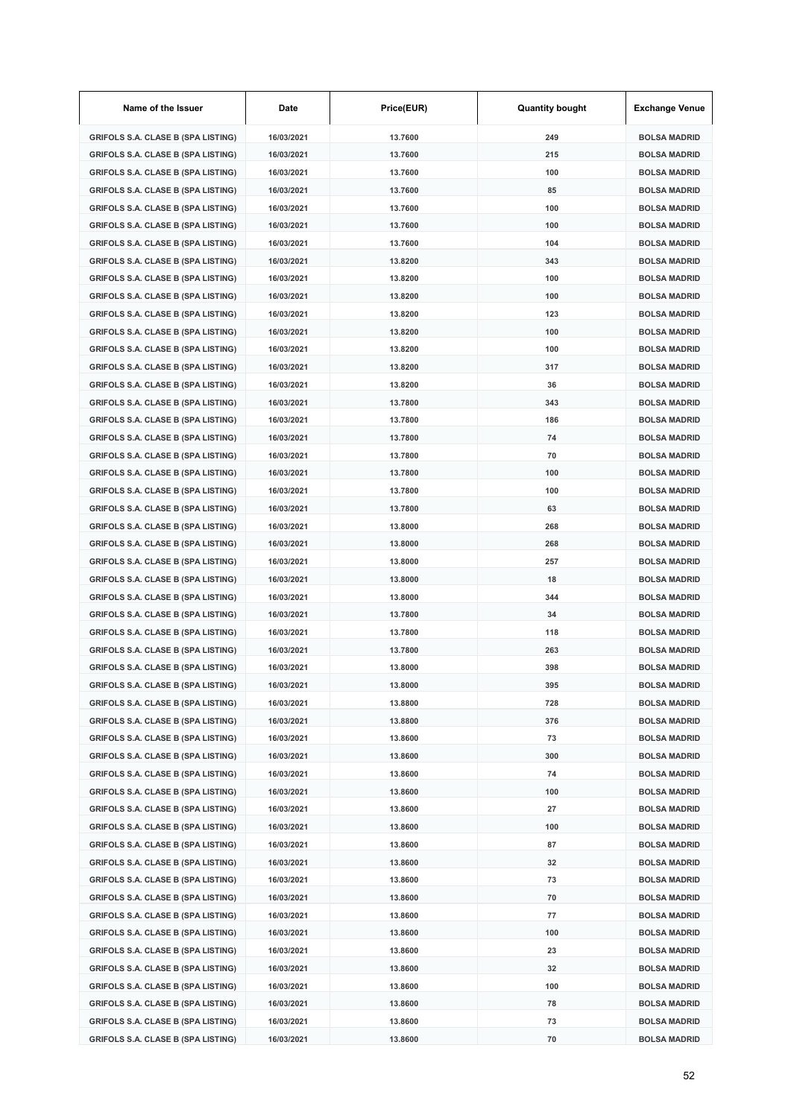| Name of the Issuer                        | Date       | Price(EUR) | <b>Quantity bought</b> | <b>Exchange Venue</b> |
|-------------------------------------------|------------|------------|------------------------|-----------------------|
| <b>GRIFOLS S.A. CLASE B (SPA LISTING)</b> | 16/03/2021 | 13.7600    | 249                    | <b>BOLSA MADRID</b>   |
| <b>GRIFOLS S.A. CLASE B (SPA LISTING)</b> | 16/03/2021 | 13.7600    | 215                    | <b>BOLSA MADRID</b>   |
| <b>GRIFOLS S.A. CLASE B (SPA LISTING)</b> | 16/03/2021 | 13.7600    | 100                    | <b>BOLSA MADRID</b>   |
| <b>GRIFOLS S.A. CLASE B (SPA LISTING)</b> | 16/03/2021 | 13.7600    | 85                     | <b>BOLSA MADRID</b>   |
| <b>GRIFOLS S.A. CLASE B (SPA LISTING)</b> | 16/03/2021 | 13.7600    | 100                    | <b>BOLSA MADRID</b>   |
| <b>GRIFOLS S.A. CLASE B (SPA LISTING)</b> | 16/03/2021 | 13.7600    | 100                    | <b>BOLSA MADRID</b>   |
| <b>GRIFOLS S.A. CLASE B (SPA LISTING)</b> | 16/03/2021 | 13.7600    | 104                    | <b>BOLSA MADRID</b>   |
| <b>GRIFOLS S.A. CLASE B (SPA LISTING)</b> | 16/03/2021 | 13.8200    | 343                    | <b>BOLSA MADRID</b>   |
| <b>GRIFOLS S.A. CLASE B (SPA LISTING)</b> | 16/03/2021 | 13.8200    | 100                    | <b>BOLSA MADRID</b>   |
| <b>GRIFOLS S.A. CLASE B (SPA LISTING)</b> | 16/03/2021 | 13.8200    | 100                    | <b>BOLSA MADRID</b>   |
| <b>GRIFOLS S.A. CLASE B (SPA LISTING)</b> | 16/03/2021 | 13.8200    | 123                    | <b>BOLSA MADRID</b>   |
| <b>GRIFOLS S.A. CLASE B (SPA LISTING)</b> | 16/03/2021 | 13.8200    | 100                    | <b>BOLSA MADRID</b>   |
| <b>GRIFOLS S.A. CLASE B (SPA LISTING)</b> | 16/03/2021 | 13.8200    | 100                    | <b>BOLSA MADRID</b>   |
| <b>GRIFOLS S.A. CLASE B (SPA LISTING)</b> | 16/03/2021 | 13.8200    | 317                    | <b>BOLSA MADRID</b>   |
| <b>GRIFOLS S.A. CLASE B (SPA LISTING)</b> | 16/03/2021 | 13.8200    | 36                     | <b>BOLSA MADRID</b>   |
| <b>GRIFOLS S.A. CLASE B (SPA LISTING)</b> | 16/03/2021 | 13.7800    | 343                    | <b>BOLSA MADRID</b>   |
| <b>GRIFOLS S.A. CLASE B (SPA LISTING)</b> | 16/03/2021 | 13.7800    | 186                    | <b>BOLSA MADRID</b>   |
| <b>GRIFOLS S.A. CLASE B (SPA LISTING)</b> | 16/03/2021 | 13.7800    | 74                     | <b>BOLSA MADRID</b>   |
| <b>GRIFOLS S.A. CLASE B (SPA LISTING)</b> | 16/03/2021 | 13.7800    | 70                     | <b>BOLSA MADRID</b>   |
| <b>GRIFOLS S.A. CLASE B (SPA LISTING)</b> | 16/03/2021 | 13.7800    | 100                    | <b>BOLSA MADRID</b>   |
| <b>GRIFOLS S.A. CLASE B (SPA LISTING)</b> | 16/03/2021 | 13.7800    | 100                    | <b>BOLSA MADRID</b>   |
| <b>GRIFOLS S.A. CLASE B (SPA LISTING)</b> | 16/03/2021 | 13.7800    | 63                     | <b>BOLSA MADRID</b>   |
| <b>GRIFOLS S.A. CLASE B (SPA LISTING)</b> | 16/03/2021 | 13.8000    | 268                    | <b>BOLSA MADRID</b>   |
| <b>GRIFOLS S.A. CLASE B (SPA LISTING)</b> | 16/03/2021 | 13.8000    | 268                    | <b>BOLSA MADRID</b>   |
| <b>GRIFOLS S.A. CLASE B (SPA LISTING)</b> | 16/03/2021 | 13.8000    | 257                    | <b>BOLSA MADRID</b>   |
| <b>GRIFOLS S.A. CLASE B (SPA LISTING)</b> | 16/03/2021 | 13.8000    | 18                     | <b>BOLSA MADRID</b>   |
| <b>GRIFOLS S.A. CLASE B (SPA LISTING)</b> | 16/03/2021 | 13.8000    | 344                    | <b>BOLSA MADRID</b>   |
| <b>GRIFOLS S.A. CLASE B (SPA LISTING)</b> | 16/03/2021 | 13.7800    | 34                     | <b>BOLSA MADRID</b>   |
| <b>GRIFOLS S.A. CLASE B (SPA LISTING)</b> | 16/03/2021 | 13.7800    | 118                    | <b>BOLSA MADRID</b>   |
| <b>GRIFOLS S.A. CLASE B (SPA LISTING)</b> | 16/03/2021 | 13.7800    | 263                    | <b>BOLSA MADRID</b>   |
| <b>GRIFOLS S.A. CLASE B (SPA LISTING)</b> | 16/03/2021 | 13.8000    | 398                    | <b>BOLSA MADRID</b>   |
| GRIFOLS S.A. CLASE B (SPA LISTING)        | 16/03/2021 | 13.8000    | 395                    | <b>BOLSA MADRID</b>   |
| <b>GRIFOLS S.A. CLASE B (SPA LISTING)</b> | 16/03/2021 | 13.8800    | 728                    | <b>BOLSA MADRID</b>   |
| <b>GRIFOLS S.A. CLASE B (SPA LISTING)</b> | 16/03/2021 | 13.8800    | 376                    | <b>BOLSA MADRID</b>   |
| <b>GRIFOLS S.A. CLASE B (SPA LISTING)</b> | 16/03/2021 | 13.8600    | 73                     | <b>BOLSA MADRID</b>   |
| <b>GRIFOLS S.A. CLASE B (SPA LISTING)</b> | 16/03/2021 | 13.8600    | 300                    | <b>BOLSA MADRID</b>   |
| <b>GRIFOLS S.A. CLASE B (SPA LISTING)</b> | 16/03/2021 | 13.8600    | 74                     | <b>BOLSA MADRID</b>   |
| <b>GRIFOLS S.A. CLASE B (SPA LISTING)</b> | 16/03/2021 | 13.8600    | 100                    | <b>BOLSA MADRID</b>   |
| <b>GRIFOLS S.A. CLASE B (SPA LISTING)</b> | 16/03/2021 | 13.8600    | 27                     | <b>BOLSA MADRID</b>   |
| <b>GRIFOLS S.A. CLASE B (SPA LISTING)</b> | 16/03/2021 | 13.8600    | 100                    | <b>BOLSA MADRID</b>   |
| <b>GRIFOLS S.A. CLASE B (SPA LISTING)</b> | 16/03/2021 | 13.8600    | 87                     | <b>BOLSA MADRID</b>   |
| <b>GRIFOLS S.A. CLASE B (SPA LISTING)</b> | 16/03/2021 | 13.8600    | 32                     | <b>BOLSA MADRID</b>   |
| <b>GRIFOLS S.A. CLASE B (SPA LISTING)</b> | 16/03/2021 | 13.8600    | 73                     | <b>BOLSA MADRID</b>   |
| <b>GRIFOLS S.A. CLASE B (SPA LISTING)</b> | 16/03/2021 | 13.8600    | 70                     | <b>BOLSA MADRID</b>   |
| <b>GRIFOLS S.A. CLASE B (SPA LISTING)</b> | 16/03/2021 | 13.8600    | 77                     | <b>BOLSA MADRID</b>   |
| <b>GRIFOLS S.A. CLASE B (SPA LISTING)</b> | 16/03/2021 | 13.8600    | 100                    | <b>BOLSA MADRID</b>   |
| <b>GRIFOLS S.A. CLASE B (SPA LISTING)</b> | 16/03/2021 | 13.8600    | 23                     | <b>BOLSA MADRID</b>   |
| <b>GRIFOLS S.A. CLASE B (SPA LISTING)</b> | 16/03/2021 | 13.8600    | 32                     | <b>BOLSA MADRID</b>   |
| <b>GRIFOLS S.A. CLASE B (SPA LISTING)</b> | 16/03/2021 | 13.8600    | 100                    | <b>BOLSA MADRID</b>   |
| <b>GRIFOLS S.A. CLASE B (SPA LISTING)</b> | 16/03/2021 | 13.8600    | 78                     | <b>BOLSA MADRID</b>   |
| <b>GRIFOLS S.A. CLASE B (SPA LISTING)</b> | 16/03/2021 | 13.8600    | 73                     | <b>BOLSA MADRID</b>   |
| <b>GRIFOLS S.A. CLASE B (SPA LISTING)</b> | 16/03/2021 | 13.8600    | 70                     | <b>BOLSA MADRID</b>   |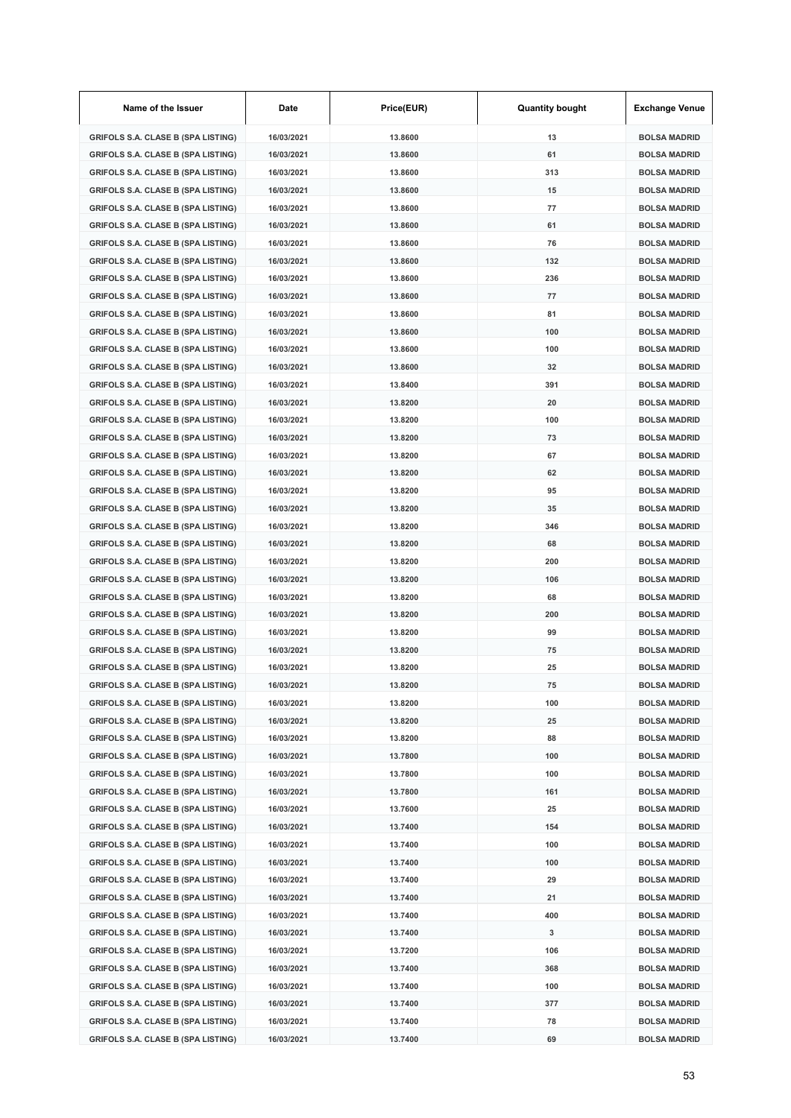| Name of the Issuer                        | Date       | Price(EUR) | <b>Quantity bought</b> | <b>Exchange Venue</b> |
|-------------------------------------------|------------|------------|------------------------|-----------------------|
| <b>GRIFOLS S.A. CLASE B (SPA LISTING)</b> | 16/03/2021 | 13.8600    | 13                     | <b>BOLSA MADRID</b>   |
| <b>GRIFOLS S.A. CLASE B (SPA LISTING)</b> | 16/03/2021 | 13.8600    | 61                     | <b>BOLSA MADRID</b>   |
| <b>GRIFOLS S.A. CLASE B (SPA LISTING)</b> | 16/03/2021 | 13.8600    | 313                    | <b>BOLSA MADRID</b>   |
| <b>GRIFOLS S.A. CLASE B (SPA LISTING)</b> | 16/03/2021 | 13.8600    | 15                     | <b>BOLSA MADRID</b>   |
| <b>GRIFOLS S.A. CLASE B (SPA LISTING)</b> | 16/03/2021 | 13.8600    | 77                     | <b>BOLSA MADRID</b>   |
| <b>GRIFOLS S.A. CLASE B (SPA LISTING)</b> | 16/03/2021 | 13.8600    | 61                     | <b>BOLSA MADRID</b>   |
| <b>GRIFOLS S.A. CLASE B (SPA LISTING)</b> | 16/03/2021 | 13.8600    | 76                     | <b>BOLSA MADRID</b>   |
| <b>GRIFOLS S.A. CLASE B (SPA LISTING)</b> | 16/03/2021 | 13.8600    | 132                    | <b>BOLSA MADRID</b>   |
| <b>GRIFOLS S.A. CLASE B (SPA LISTING)</b> | 16/03/2021 | 13.8600    | 236                    | <b>BOLSA MADRID</b>   |
| <b>GRIFOLS S.A. CLASE B (SPA LISTING)</b> | 16/03/2021 | 13.8600    | 77                     | <b>BOLSA MADRID</b>   |
| <b>GRIFOLS S.A. CLASE B (SPA LISTING)</b> | 16/03/2021 | 13.8600    | 81                     | <b>BOLSA MADRID</b>   |
| <b>GRIFOLS S.A. CLASE B (SPA LISTING)</b> | 16/03/2021 | 13.8600    | 100                    | <b>BOLSA MADRID</b>   |
| <b>GRIFOLS S.A. CLASE B (SPA LISTING)</b> | 16/03/2021 | 13.8600    | 100                    | <b>BOLSA MADRID</b>   |
| <b>GRIFOLS S.A. CLASE B (SPA LISTING)</b> | 16/03/2021 | 13.8600    | 32                     | <b>BOLSA MADRID</b>   |
| <b>GRIFOLS S.A. CLASE B (SPA LISTING)</b> | 16/03/2021 | 13.8400    | 391                    | <b>BOLSA MADRID</b>   |
| <b>GRIFOLS S.A. CLASE B (SPA LISTING)</b> | 16/03/2021 | 13.8200    | 20                     | <b>BOLSA MADRID</b>   |
| <b>GRIFOLS S.A. CLASE B (SPA LISTING)</b> | 16/03/2021 | 13.8200    | 100                    | <b>BOLSA MADRID</b>   |
| <b>GRIFOLS S.A. CLASE B (SPA LISTING)</b> | 16/03/2021 | 13.8200    | 73                     | <b>BOLSA MADRID</b>   |
| <b>GRIFOLS S.A. CLASE B (SPA LISTING)</b> | 16/03/2021 | 13.8200    | 67                     | <b>BOLSA MADRID</b>   |
| <b>GRIFOLS S.A. CLASE B (SPA LISTING)</b> | 16/03/2021 | 13.8200    | 62                     | <b>BOLSA MADRID</b>   |
| <b>GRIFOLS S.A. CLASE B (SPA LISTING)</b> | 16/03/2021 | 13.8200    | 95                     | <b>BOLSA MADRID</b>   |
| <b>GRIFOLS S.A. CLASE B (SPA LISTING)</b> | 16/03/2021 | 13.8200    | 35                     | <b>BOLSA MADRID</b>   |
| <b>GRIFOLS S.A. CLASE B (SPA LISTING)</b> | 16/03/2021 | 13.8200    | 346                    | <b>BOLSA MADRID</b>   |
| <b>GRIFOLS S.A. CLASE B (SPA LISTING)</b> | 16/03/2021 | 13.8200    | 68                     | <b>BOLSA MADRID</b>   |
| <b>GRIFOLS S.A. CLASE B (SPA LISTING)</b> | 16/03/2021 | 13.8200    | 200                    | <b>BOLSA MADRID</b>   |
| <b>GRIFOLS S.A. CLASE B (SPA LISTING)</b> | 16/03/2021 | 13.8200    | 106                    | <b>BOLSA MADRID</b>   |
| <b>GRIFOLS S.A. CLASE B (SPA LISTING)</b> | 16/03/2021 | 13.8200    | 68                     | <b>BOLSA MADRID</b>   |
| <b>GRIFOLS S.A. CLASE B (SPA LISTING)</b> | 16/03/2021 | 13.8200    | 200                    | <b>BOLSA MADRID</b>   |
| <b>GRIFOLS S.A. CLASE B (SPA LISTING)</b> | 16/03/2021 | 13.8200    | 99                     | <b>BOLSA MADRID</b>   |
| <b>GRIFOLS S.A. CLASE B (SPA LISTING)</b> | 16/03/2021 | 13.8200    | 75                     | <b>BOLSA MADRID</b>   |
| <b>GRIFOLS S.A. CLASE B (SPA LISTING)</b> | 16/03/2021 | 13.8200    | 25                     | <b>BOLSA MADRID</b>   |
| GRIFOLS S.A. CLASE B (SPA LISTING)        | 16/03/2021 | 13.8200    | 75                     | BOLSA MADRID          |
| <b>GRIFOLS S.A. CLASE B (SPA LISTING)</b> | 16/03/2021 | 13.8200    | 100                    | <b>BOLSA MADRID</b>   |
| <b>GRIFOLS S.A. CLASE B (SPA LISTING)</b> | 16/03/2021 | 13.8200    | 25                     | <b>BOLSA MADRID</b>   |
| <b>GRIFOLS S.A. CLASE B (SPA LISTING)</b> | 16/03/2021 | 13.8200    | 88                     | <b>BOLSA MADRID</b>   |
| <b>GRIFOLS S.A. CLASE B (SPA LISTING)</b> | 16/03/2021 | 13.7800    | 100                    | <b>BOLSA MADRID</b>   |
| <b>GRIFOLS S.A. CLASE B (SPA LISTING)</b> | 16/03/2021 | 13.7800    | 100                    | <b>BOLSA MADRID</b>   |
| <b>GRIFOLS S.A. CLASE B (SPA LISTING)</b> | 16/03/2021 | 13.7800    | 161                    | <b>BOLSA MADRID</b>   |
| <b>GRIFOLS S.A. CLASE B (SPA LISTING)</b> | 16/03/2021 | 13.7600    | 25                     | <b>BOLSA MADRID</b>   |
| <b>GRIFOLS S.A. CLASE B (SPA LISTING)</b> | 16/03/2021 | 13.7400    | 154                    | <b>BOLSA MADRID</b>   |
| <b>GRIFOLS S.A. CLASE B (SPA LISTING)</b> | 16/03/2021 | 13.7400    | 100                    | <b>BOLSA MADRID</b>   |
| <b>GRIFOLS S.A. CLASE B (SPA LISTING)</b> | 16/03/2021 | 13.7400    | 100                    | <b>BOLSA MADRID</b>   |
| <b>GRIFOLS S.A. CLASE B (SPA LISTING)</b> | 16/03/2021 | 13.7400    | 29                     | <b>BOLSA MADRID</b>   |
| <b>GRIFOLS S.A. CLASE B (SPA LISTING)</b> | 16/03/2021 | 13.7400    | 21                     | <b>BOLSA MADRID</b>   |
| <b>GRIFOLS S.A. CLASE B (SPA LISTING)</b> | 16/03/2021 | 13.7400    | 400                    | <b>BOLSA MADRID</b>   |
| <b>GRIFOLS S.A. CLASE B (SPA LISTING)</b> | 16/03/2021 | 13.7400    | 3                      | <b>BOLSA MADRID</b>   |
| <b>GRIFOLS S.A. CLASE B (SPA LISTING)</b> | 16/03/2021 | 13.7200    | 106                    | <b>BOLSA MADRID</b>   |
| <b>GRIFOLS S.A. CLASE B (SPA LISTING)</b> | 16/03/2021 | 13.7400    | 368                    | <b>BOLSA MADRID</b>   |
| <b>GRIFOLS S.A. CLASE B (SPA LISTING)</b> | 16/03/2021 | 13.7400    | 100                    | <b>BOLSA MADRID</b>   |
| <b>GRIFOLS S.A. CLASE B (SPA LISTING)</b> | 16/03/2021 | 13.7400    | 377                    | <b>BOLSA MADRID</b>   |
| <b>GRIFOLS S.A. CLASE B (SPA LISTING)</b> | 16/03/2021 | 13.7400    | 78                     | <b>BOLSA MADRID</b>   |
| <b>GRIFOLS S.A. CLASE B (SPA LISTING)</b> | 16/03/2021 | 13.7400    | 69                     | <b>BOLSA MADRID</b>   |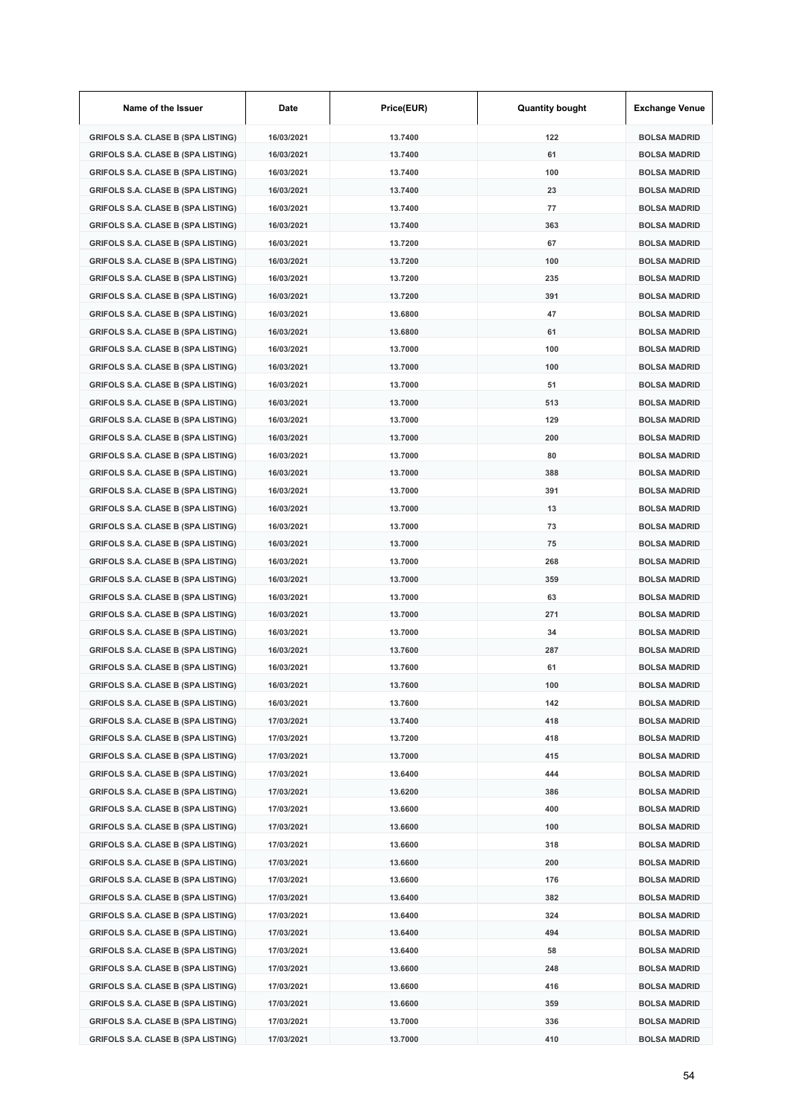| Name of the Issuer                        | Date       | Price(EUR) | <b>Quantity bought</b> | <b>Exchange Venue</b> |
|-------------------------------------------|------------|------------|------------------------|-----------------------|
| <b>GRIFOLS S.A. CLASE B (SPA LISTING)</b> | 16/03/2021 | 13.7400    | 122                    | <b>BOLSA MADRID</b>   |
| <b>GRIFOLS S.A. CLASE B (SPA LISTING)</b> | 16/03/2021 | 13.7400    | 61                     | <b>BOLSA MADRID</b>   |
| <b>GRIFOLS S.A. CLASE B (SPA LISTING)</b> | 16/03/2021 | 13.7400    | 100                    | <b>BOLSA MADRID</b>   |
| <b>GRIFOLS S.A. CLASE B (SPA LISTING)</b> | 16/03/2021 | 13.7400    | 23                     | <b>BOLSA MADRID</b>   |
| <b>GRIFOLS S.A. CLASE B (SPA LISTING)</b> | 16/03/2021 | 13.7400    | 77                     | <b>BOLSA MADRID</b>   |
| <b>GRIFOLS S.A. CLASE B (SPA LISTING)</b> | 16/03/2021 | 13.7400    | 363                    | <b>BOLSA MADRID</b>   |
| <b>GRIFOLS S.A. CLASE B (SPA LISTING)</b> | 16/03/2021 | 13.7200    | 67                     | <b>BOLSA MADRID</b>   |
| <b>GRIFOLS S.A. CLASE B (SPA LISTING)</b> | 16/03/2021 | 13.7200    | 100                    | <b>BOLSA MADRID</b>   |
| <b>GRIFOLS S.A. CLASE B (SPA LISTING)</b> | 16/03/2021 | 13.7200    | 235                    | <b>BOLSA MADRID</b>   |
| <b>GRIFOLS S.A. CLASE B (SPA LISTING)</b> | 16/03/2021 | 13.7200    | 391                    | <b>BOLSA MADRID</b>   |
| <b>GRIFOLS S.A. CLASE B (SPA LISTING)</b> | 16/03/2021 | 13.6800    | 47                     | <b>BOLSA MADRID</b>   |
| <b>GRIFOLS S.A. CLASE B (SPA LISTING)</b> | 16/03/2021 | 13.6800    | 61                     | <b>BOLSA MADRID</b>   |
| <b>GRIFOLS S.A. CLASE B (SPA LISTING)</b> | 16/03/2021 | 13.7000    | 100                    | <b>BOLSA MADRID</b>   |
| <b>GRIFOLS S.A. CLASE B (SPA LISTING)</b> | 16/03/2021 | 13.7000    | 100                    | <b>BOLSA MADRID</b>   |
| <b>GRIFOLS S.A. CLASE B (SPA LISTING)</b> | 16/03/2021 | 13.7000    | 51                     | <b>BOLSA MADRID</b>   |
| <b>GRIFOLS S.A. CLASE B (SPA LISTING)</b> | 16/03/2021 | 13.7000    | 513                    | <b>BOLSA MADRID</b>   |
| <b>GRIFOLS S.A. CLASE B (SPA LISTING)</b> | 16/03/2021 | 13.7000    | 129                    | <b>BOLSA MADRID</b>   |
| <b>GRIFOLS S.A. CLASE B (SPA LISTING)</b> | 16/03/2021 | 13.7000    | 200                    | <b>BOLSA MADRID</b>   |
| <b>GRIFOLS S.A. CLASE B (SPA LISTING)</b> | 16/03/2021 | 13.7000    | 80                     | <b>BOLSA MADRID</b>   |
| <b>GRIFOLS S.A. CLASE B (SPA LISTING)</b> | 16/03/2021 | 13.7000    | 388                    | <b>BOLSA MADRID</b>   |
| <b>GRIFOLS S.A. CLASE B (SPA LISTING)</b> | 16/03/2021 | 13.7000    | 391                    | <b>BOLSA MADRID</b>   |
| <b>GRIFOLS S.A. CLASE B (SPA LISTING)</b> | 16/03/2021 | 13.7000    | 13                     | <b>BOLSA MADRID</b>   |
| <b>GRIFOLS S.A. CLASE B (SPA LISTING)</b> | 16/03/2021 | 13.7000    | 73                     | <b>BOLSA MADRID</b>   |
| <b>GRIFOLS S.A. CLASE B (SPA LISTING)</b> | 16/03/2021 | 13.7000    | 75                     | <b>BOLSA MADRID</b>   |
| <b>GRIFOLS S.A. CLASE B (SPA LISTING)</b> | 16/03/2021 | 13.7000    | 268                    | <b>BOLSA MADRID</b>   |
| <b>GRIFOLS S.A. CLASE B (SPA LISTING)</b> | 16/03/2021 | 13.7000    | 359                    | <b>BOLSA MADRID</b>   |
| <b>GRIFOLS S.A. CLASE B (SPA LISTING)</b> | 16/03/2021 | 13.7000    | 63                     | <b>BOLSA MADRID</b>   |
| GRIFOLS S.A. CLASE B (SPA LISTING)        | 16/03/2021 | 13.7000    | 271                    | <b>BOLSA MADRID</b>   |
| <b>GRIFOLS S.A. CLASE B (SPA LISTING)</b> | 16/03/2021 | 13.7000    | 34                     | <b>BOLSA MADRID</b>   |
| <b>GRIFOLS S.A. CLASE B (SPA LISTING)</b> | 16/03/2021 | 13.7600    | 287                    | <b>BOLSA MADRID</b>   |
| GRIFOLS S.A. CLASE B (SPA LISTING)        | 16/03/2021 | 13.7600    | 61                     | <b>BOLSA MADRID</b>   |
| GRIFOLS S.A. CLASE B (SPA LISTING)        | 16/03/2021 | 13.7600    | 100                    | BOLSA MADRID          |
| <b>GRIFOLS S.A. CLASE B (SPA LISTING)</b> | 16/03/2021 | 13.7600    | 142                    | <b>BOLSA MADRID</b>   |
| <b>GRIFOLS S.A. CLASE B (SPA LISTING)</b> | 17/03/2021 | 13.7400    | 418                    | <b>BOLSA MADRID</b>   |
| <b>GRIFOLS S.A. CLASE B (SPA LISTING)</b> | 17/03/2021 | 13.7200    | 418                    | <b>BOLSA MADRID</b>   |
| <b>GRIFOLS S.A. CLASE B (SPA LISTING)</b> | 17/03/2021 | 13.7000    | 415                    | <b>BOLSA MADRID</b>   |
| <b>GRIFOLS S.A. CLASE B (SPA LISTING)</b> | 17/03/2021 | 13.6400    | 444                    | <b>BOLSA MADRID</b>   |
| <b>GRIFOLS S.A. CLASE B (SPA LISTING)</b> | 17/03/2021 | 13.6200    | 386                    | <b>BOLSA MADRID</b>   |
| <b>GRIFOLS S.A. CLASE B (SPA LISTING)</b> | 17/03/2021 | 13.6600    | 400                    | <b>BOLSA MADRID</b>   |
| <b>GRIFOLS S.A. CLASE B (SPA LISTING)</b> | 17/03/2021 | 13.6600    | 100                    | <b>BOLSA MADRID</b>   |
| <b>GRIFOLS S.A. CLASE B (SPA LISTING)</b> | 17/03/2021 | 13.6600    | 318                    | <b>BOLSA MADRID</b>   |
| <b>GRIFOLS S.A. CLASE B (SPA LISTING)</b> | 17/03/2021 | 13.6600    | 200                    | <b>BOLSA MADRID</b>   |
| <b>GRIFOLS S.A. CLASE B (SPA LISTING)</b> | 17/03/2021 | 13.6600    | 176                    | <b>BOLSA MADRID</b>   |
| <b>GRIFOLS S.A. CLASE B (SPA LISTING)</b> | 17/03/2021 | 13.6400    | 382                    | <b>BOLSA MADRID</b>   |
| <b>GRIFOLS S.A. CLASE B (SPA LISTING)</b> | 17/03/2021 | 13.6400    | 324                    | <b>BOLSA MADRID</b>   |
| <b>GRIFOLS S.A. CLASE B (SPA LISTING)</b> | 17/03/2021 | 13.6400    | 494                    | <b>BOLSA MADRID</b>   |
| <b>GRIFOLS S.A. CLASE B (SPA LISTING)</b> | 17/03/2021 | 13.6400    | 58                     | <b>BOLSA MADRID</b>   |
| <b>GRIFOLS S.A. CLASE B (SPA LISTING)</b> | 17/03/2021 | 13.6600    | 248                    | <b>BOLSA MADRID</b>   |
| <b>GRIFOLS S.A. CLASE B (SPA LISTING)</b> | 17/03/2021 | 13.6600    | 416                    | <b>BOLSA MADRID</b>   |
| <b>GRIFOLS S.A. CLASE B (SPA LISTING)</b> | 17/03/2021 | 13.6600    | 359                    | <b>BOLSA MADRID</b>   |
| <b>GRIFOLS S.A. CLASE B (SPA LISTING)</b> | 17/03/2021 | 13.7000    | 336                    | <b>BOLSA MADRID</b>   |
| <b>GRIFOLS S.A. CLASE B (SPA LISTING)</b> | 17/03/2021 | 13.7000    | 410                    | <b>BOLSA MADRID</b>   |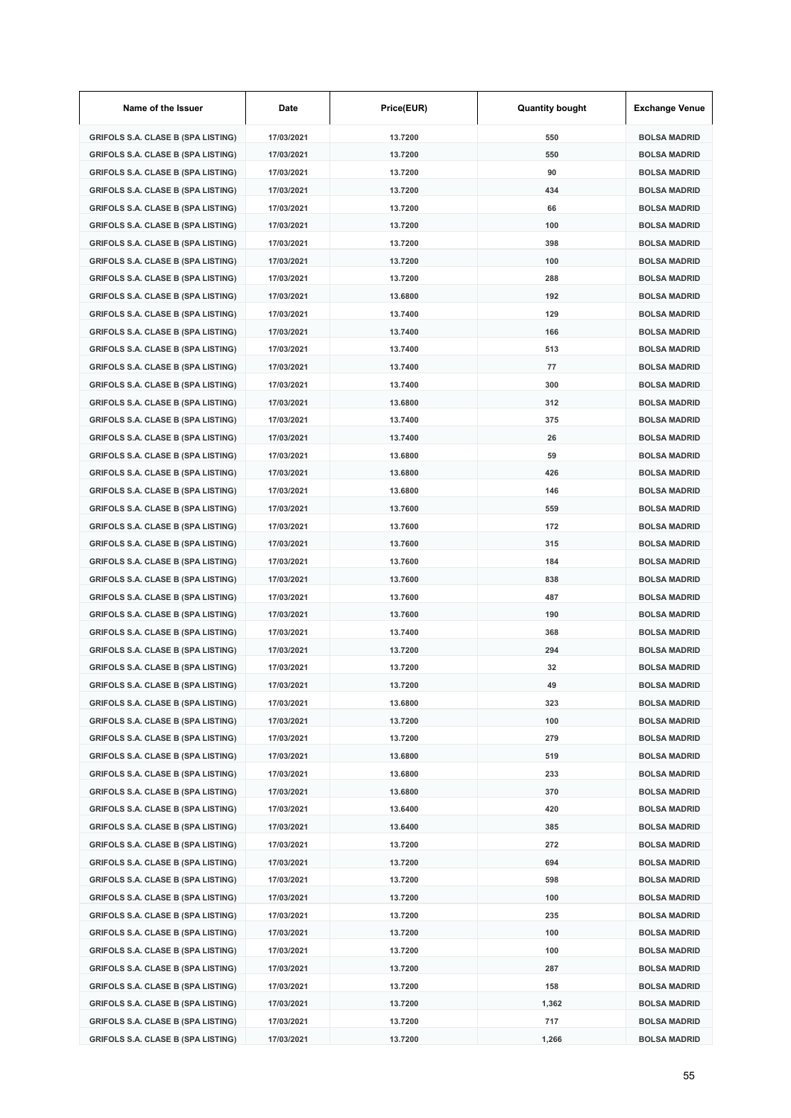| Name of the Issuer                        | Date       | Price(EUR) | <b>Quantity bought</b> | <b>Exchange Venue</b> |
|-------------------------------------------|------------|------------|------------------------|-----------------------|
| <b>GRIFOLS S.A. CLASE B (SPA LISTING)</b> | 17/03/2021 | 13.7200    | 550                    | <b>BOLSA MADRID</b>   |
| <b>GRIFOLS S.A. CLASE B (SPA LISTING)</b> | 17/03/2021 | 13.7200    | 550                    | <b>BOLSA MADRID</b>   |
| <b>GRIFOLS S.A. CLASE B (SPA LISTING)</b> | 17/03/2021 | 13.7200    | 90                     | <b>BOLSA MADRID</b>   |
| <b>GRIFOLS S.A. CLASE B (SPA LISTING)</b> | 17/03/2021 | 13.7200    | 434                    | <b>BOLSA MADRID</b>   |
| <b>GRIFOLS S.A. CLASE B (SPA LISTING)</b> | 17/03/2021 | 13.7200    | 66                     | <b>BOLSA MADRID</b>   |
| <b>GRIFOLS S.A. CLASE B (SPA LISTING)</b> | 17/03/2021 | 13.7200    | 100                    | <b>BOLSA MADRID</b>   |
| <b>GRIFOLS S.A. CLASE B (SPA LISTING)</b> | 17/03/2021 | 13.7200    | 398                    | <b>BOLSA MADRID</b>   |
| <b>GRIFOLS S.A. CLASE B (SPA LISTING)</b> | 17/03/2021 | 13.7200    | 100                    | <b>BOLSA MADRID</b>   |
| <b>GRIFOLS S.A. CLASE B (SPA LISTING)</b> | 17/03/2021 | 13.7200    | 288                    | <b>BOLSA MADRID</b>   |
| <b>GRIFOLS S.A. CLASE B (SPA LISTING)</b> | 17/03/2021 | 13.6800    | 192                    | <b>BOLSA MADRID</b>   |
| <b>GRIFOLS S.A. CLASE B (SPA LISTING)</b> | 17/03/2021 | 13.7400    | 129                    | <b>BOLSA MADRID</b>   |
| <b>GRIFOLS S.A. CLASE B (SPA LISTING)</b> | 17/03/2021 | 13.7400    | 166                    | <b>BOLSA MADRID</b>   |
| <b>GRIFOLS S.A. CLASE B (SPA LISTING)</b> | 17/03/2021 | 13.7400    | 513                    | <b>BOLSA MADRID</b>   |
| <b>GRIFOLS S.A. CLASE B (SPA LISTING)</b> | 17/03/2021 | 13.7400    | 77                     | <b>BOLSA MADRID</b>   |
| <b>GRIFOLS S.A. CLASE B (SPA LISTING)</b> | 17/03/2021 | 13.7400    | 300                    | <b>BOLSA MADRID</b>   |
| <b>GRIFOLS S.A. CLASE B (SPA LISTING)</b> | 17/03/2021 | 13.6800    | 312                    | <b>BOLSA MADRID</b>   |
| <b>GRIFOLS S.A. CLASE B (SPA LISTING)</b> | 17/03/2021 | 13.7400    | 375                    | <b>BOLSA MADRID</b>   |
| <b>GRIFOLS S.A. CLASE B (SPA LISTING)</b> | 17/03/2021 | 13.7400    | 26                     | <b>BOLSA MADRID</b>   |
| <b>GRIFOLS S.A. CLASE B (SPA LISTING)</b> | 17/03/2021 | 13.6800    | 59                     | <b>BOLSA MADRID</b>   |
| <b>GRIFOLS S.A. CLASE B (SPA LISTING)</b> | 17/03/2021 | 13.6800    | 426                    | <b>BOLSA MADRID</b>   |
| GRIFOLS S.A. CLASE B (SPA LISTING)        | 17/03/2021 | 13.6800    | 146                    | <b>BOLSA MADRID</b>   |
| <b>GRIFOLS S.A. CLASE B (SPA LISTING)</b> | 17/03/2021 | 13.7600    | 559                    | <b>BOLSA MADRID</b>   |
| <b>GRIFOLS S.A. CLASE B (SPA LISTING)</b> | 17/03/2021 | 13.7600    | 172                    | <b>BOLSA MADRID</b>   |
| <b>GRIFOLS S.A. CLASE B (SPA LISTING)</b> | 17/03/2021 | 13.7600    | 315                    | <b>BOLSA MADRID</b>   |
| <b>GRIFOLS S.A. CLASE B (SPA LISTING)</b> | 17/03/2021 | 13.7600    | 184                    | <b>BOLSA MADRID</b>   |
| <b>GRIFOLS S.A. CLASE B (SPA LISTING)</b> | 17/03/2021 | 13.7600    | 838                    | <b>BOLSA MADRID</b>   |
| <b>GRIFOLS S.A. CLASE B (SPA LISTING)</b> | 17/03/2021 | 13.7600    | 487                    | <b>BOLSA MADRID</b>   |
| <b>GRIFOLS S.A. CLASE B (SPA LISTING)</b> | 17/03/2021 | 13.7600    | 190                    | <b>BOLSA MADRID</b>   |
| <b>GRIFOLS S.A. CLASE B (SPA LISTING)</b> | 17/03/2021 | 13.7400    | 368                    | <b>BOLSA MADRID</b>   |
| <b>GRIFOLS S.A. CLASE B (SPA LISTING)</b> | 17/03/2021 | 13.7200    | 294                    | <b>BOLSA MADRID</b>   |
| <b>GRIFOLS S.A. CLASE B (SPA LISTING)</b> | 17/03/2021 | 13.7200    | 32                     | <b>BOLSA MADRID</b>   |
| GRIFOLS S.A. CLASE B (SPA LISTING)        | 17/03/2021 | 13.7200    | 49                     | <b>BOLSA MADRID</b>   |
| <b>GRIFOLS S.A. CLASE B (SPA LISTING)</b> | 17/03/2021 | 13.6800    | 323                    | <b>BOLSA MADRID</b>   |
| <b>GRIFOLS S.A. CLASE B (SPA LISTING)</b> | 17/03/2021 | 13.7200    | 100                    | <b>BOLSA MADRID</b>   |
| <b>GRIFOLS S.A. CLASE B (SPA LISTING)</b> | 17/03/2021 | 13.7200    | 279                    | <b>BOLSA MADRID</b>   |
| <b>GRIFOLS S.A. CLASE B (SPA LISTING)</b> | 17/03/2021 | 13.6800    | 519                    | <b>BOLSA MADRID</b>   |
| <b>GRIFOLS S.A. CLASE B (SPA LISTING)</b> | 17/03/2021 | 13.6800    | 233                    | <b>BOLSA MADRID</b>   |
| <b>GRIFOLS S.A. CLASE B (SPA LISTING)</b> | 17/03/2021 | 13.6800    | 370                    | <b>BOLSA MADRID</b>   |
| <b>GRIFOLS S.A. CLASE B (SPA LISTING)</b> | 17/03/2021 | 13.6400    | 420                    | <b>BOLSA MADRID</b>   |
| <b>GRIFOLS S.A. CLASE B (SPA LISTING)</b> | 17/03/2021 | 13.6400    | 385                    | <b>BOLSA MADRID</b>   |
| <b>GRIFOLS S.A. CLASE B (SPA LISTING)</b> | 17/03/2021 | 13.7200    | 272                    | <b>BOLSA MADRID</b>   |
| <b>GRIFOLS S.A. CLASE B (SPA LISTING)</b> | 17/03/2021 | 13.7200    | 694                    | <b>BOLSA MADRID</b>   |
| <b>GRIFOLS S.A. CLASE B (SPA LISTING)</b> | 17/03/2021 | 13.7200    | 598                    | <b>BOLSA MADRID</b>   |
| <b>GRIFOLS S.A. CLASE B (SPA LISTING)</b> | 17/03/2021 | 13.7200    | 100                    | <b>BOLSA MADRID</b>   |
| <b>GRIFOLS S.A. CLASE B (SPA LISTING)</b> | 17/03/2021 | 13.7200    | 235                    | <b>BOLSA MADRID</b>   |
| <b>GRIFOLS S.A. CLASE B (SPA LISTING)</b> | 17/03/2021 | 13.7200    | 100                    | <b>BOLSA MADRID</b>   |
| <b>GRIFOLS S.A. CLASE B (SPA LISTING)</b> | 17/03/2021 | 13.7200    | 100                    | <b>BOLSA MADRID</b>   |
| <b>GRIFOLS S.A. CLASE B (SPA LISTING)</b> | 17/03/2021 | 13.7200    | 287                    | <b>BOLSA MADRID</b>   |
| <b>GRIFOLS S.A. CLASE B (SPA LISTING)</b> | 17/03/2021 | 13.7200    | 158                    | <b>BOLSA MADRID</b>   |
| <b>GRIFOLS S.A. CLASE B (SPA LISTING)</b> | 17/03/2021 | 13.7200    | 1,362                  | <b>BOLSA MADRID</b>   |
| <b>GRIFOLS S.A. CLASE B (SPA LISTING)</b> | 17/03/2021 | 13.7200    | 717                    | <b>BOLSA MADRID</b>   |
| <b>GRIFOLS S.A. CLASE B (SPA LISTING)</b> | 17/03/2021 | 13.7200    | 1,266                  | <b>BOLSA MADRID</b>   |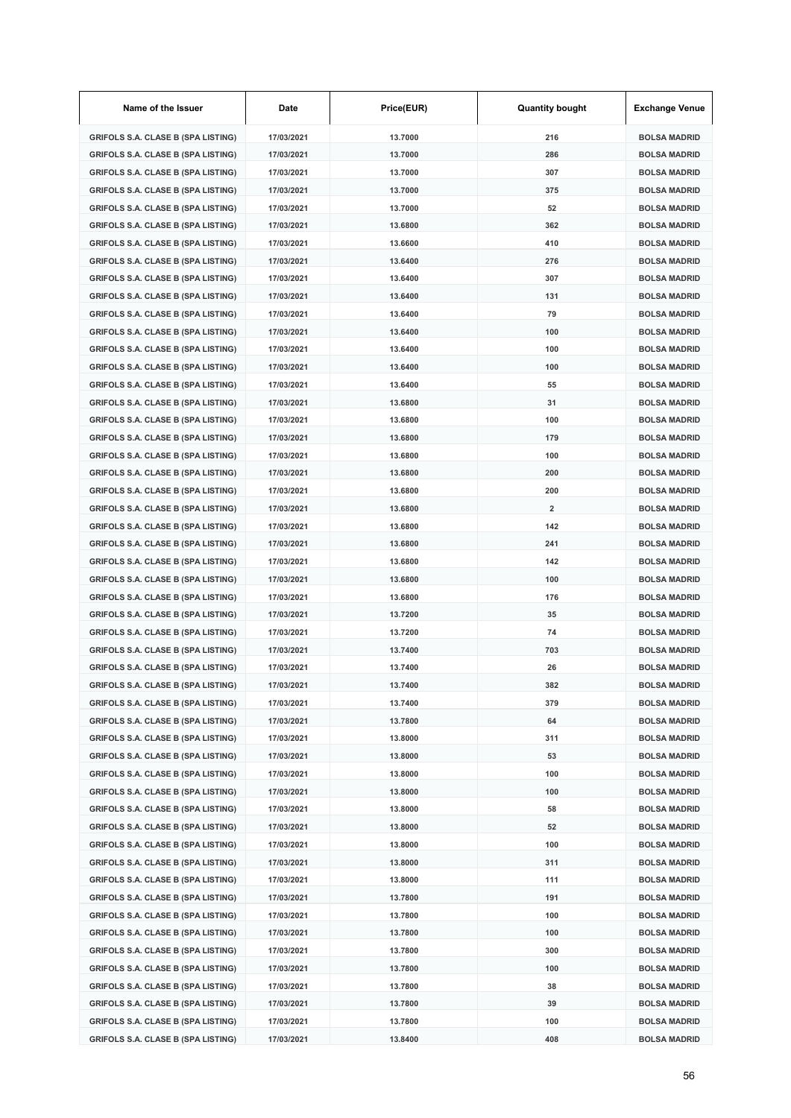| Name of the Issuer                        | Date       | Price(EUR) | <b>Quantity bought</b> | <b>Exchange Venue</b> |
|-------------------------------------------|------------|------------|------------------------|-----------------------|
| <b>GRIFOLS S.A. CLASE B (SPA LISTING)</b> | 17/03/2021 | 13.7000    | 216                    | <b>BOLSA MADRID</b>   |
| <b>GRIFOLS S.A. CLASE B (SPA LISTING)</b> | 17/03/2021 | 13.7000    | 286                    | <b>BOLSA MADRID</b>   |
| <b>GRIFOLS S.A. CLASE B (SPA LISTING)</b> | 17/03/2021 | 13.7000    | 307                    | <b>BOLSA MADRID</b>   |
| <b>GRIFOLS S.A. CLASE B (SPA LISTING)</b> | 17/03/2021 | 13.7000    | 375                    | <b>BOLSA MADRID</b>   |
| <b>GRIFOLS S.A. CLASE B (SPA LISTING)</b> | 17/03/2021 | 13.7000    | 52                     | <b>BOLSA MADRID</b>   |
| <b>GRIFOLS S.A. CLASE B (SPA LISTING)</b> | 17/03/2021 | 13.6800    | 362                    | <b>BOLSA MADRID</b>   |
| <b>GRIFOLS S.A. CLASE B (SPA LISTING)</b> | 17/03/2021 | 13.6600    | 410                    | <b>BOLSA MADRID</b>   |
| <b>GRIFOLS S.A. CLASE B (SPA LISTING)</b> | 17/03/2021 | 13.6400    | 276                    | <b>BOLSA MADRID</b>   |
| <b>GRIFOLS S.A. CLASE B (SPA LISTING)</b> | 17/03/2021 | 13.6400    | 307                    | <b>BOLSA MADRID</b>   |
| <b>GRIFOLS S.A. CLASE B (SPA LISTING)</b> | 17/03/2021 | 13.6400    | 131                    | <b>BOLSA MADRID</b>   |
| <b>GRIFOLS S.A. CLASE B (SPA LISTING)</b> | 17/03/2021 | 13.6400    | 79                     | <b>BOLSA MADRID</b>   |
| <b>GRIFOLS S.A. CLASE B (SPA LISTING)</b> | 17/03/2021 | 13.6400    | 100                    | <b>BOLSA MADRID</b>   |
| <b>GRIFOLS S.A. CLASE B (SPA LISTING)</b> | 17/03/2021 | 13.6400    | 100                    | <b>BOLSA MADRID</b>   |
| <b>GRIFOLS S.A. CLASE B (SPA LISTING)</b> | 17/03/2021 | 13.6400    | 100                    | <b>BOLSA MADRID</b>   |
| <b>GRIFOLS S.A. CLASE B (SPA LISTING)</b> | 17/03/2021 | 13.6400    | 55                     | <b>BOLSA MADRID</b>   |
| <b>GRIFOLS S.A. CLASE B (SPA LISTING)</b> | 17/03/2021 | 13.6800    | 31                     | <b>BOLSA MADRID</b>   |
| <b>GRIFOLS S.A. CLASE B (SPA LISTING)</b> | 17/03/2021 | 13.6800    | 100                    | <b>BOLSA MADRID</b>   |
| <b>GRIFOLS S.A. CLASE B (SPA LISTING)</b> | 17/03/2021 | 13.6800    | 179                    | <b>BOLSA MADRID</b>   |
| <b>GRIFOLS S.A. CLASE B (SPA LISTING)</b> | 17/03/2021 | 13.6800    | 100                    | <b>BOLSA MADRID</b>   |
| <b>GRIFOLS S.A. CLASE B (SPA LISTING)</b> | 17/03/2021 | 13.6800    | 200                    | <b>BOLSA MADRID</b>   |
| <b>GRIFOLS S.A. CLASE B (SPA LISTING)</b> | 17/03/2021 | 13.6800    | 200                    | <b>BOLSA MADRID</b>   |
| <b>GRIFOLS S.A. CLASE B (SPA LISTING)</b> | 17/03/2021 | 13.6800    | $\overline{2}$         | <b>BOLSA MADRID</b>   |
| <b>GRIFOLS S.A. CLASE B (SPA LISTING)</b> | 17/03/2021 | 13.6800    | 142                    | <b>BOLSA MADRID</b>   |
| <b>GRIFOLS S.A. CLASE B (SPA LISTING)</b> | 17/03/2021 | 13.6800    | 241                    | <b>BOLSA MADRID</b>   |
| <b>GRIFOLS S.A. CLASE B (SPA LISTING)</b> | 17/03/2021 | 13.6800    | 142                    | <b>BOLSA MADRID</b>   |
| <b>GRIFOLS S.A. CLASE B (SPA LISTING)</b> | 17/03/2021 | 13.6800    | 100                    | <b>BOLSA MADRID</b>   |
| <b>GRIFOLS S.A. CLASE B (SPA LISTING)</b> | 17/03/2021 | 13.6800    | 176                    | <b>BOLSA MADRID</b>   |
| <b>GRIFOLS S.A. CLASE B (SPA LISTING)</b> | 17/03/2021 | 13.7200    | 35                     | <b>BOLSA MADRID</b>   |
| <b>GRIFOLS S.A. CLASE B (SPA LISTING)</b> | 17/03/2021 | 13.7200    | 74                     | <b>BOLSA MADRID</b>   |
| <b>GRIFOLS S.A. CLASE B (SPA LISTING)</b> | 17/03/2021 | 13.7400    | 703                    | <b>BOLSA MADRID</b>   |
| GRIFOLS S.A. CLASE B (SPA LISTING)        | 17/03/2021 | 13.7400    | 26                     | <b>BOLSA MADRID</b>   |
| GRIFOLS S.A. CLASE B (SPA LISTING)        | 17/03/2021 | 13.7400    | 382                    | <b>BOLSA MADRID</b>   |
| <b>GRIFOLS S.A. CLASE B (SPA LISTING)</b> | 17/03/2021 | 13.7400    | 379                    | <b>BOLSA MADRID</b>   |
| <b>GRIFOLS S.A. CLASE B (SPA LISTING)</b> | 17/03/2021 | 13.7800    | 64                     | <b>BOLSA MADRID</b>   |
| <b>GRIFOLS S.A. CLASE B (SPA LISTING)</b> | 17/03/2021 | 13.8000    | 311                    | <b>BOLSA MADRID</b>   |
| <b>GRIFOLS S.A. CLASE B (SPA LISTING)</b> | 17/03/2021 | 13.8000    | 53                     | <b>BOLSA MADRID</b>   |
| <b>GRIFOLS S.A. CLASE B (SPA LISTING)</b> | 17/03/2021 | 13.8000    | 100                    | <b>BOLSA MADRID</b>   |
| <b>GRIFOLS S.A. CLASE B (SPA LISTING)</b> | 17/03/2021 | 13.8000    | 100                    | <b>BOLSA MADRID</b>   |
| <b>GRIFOLS S.A. CLASE B (SPA LISTING)</b> | 17/03/2021 | 13.8000    | 58                     | <b>BOLSA MADRID</b>   |
| <b>GRIFOLS S.A. CLASE B (SPA LISTING)</b> | 17/03/2021 | 13.8000    | 52                     | <b>BOLSA MADRID</b>   |
| <b>GRIFOLS S.A. CLASE B (SPA LISTING)</b> | 17/03/2021 | 13.8000    | 100                    | <b>BOLSA MADRID</b>   |
| <b>GRIFOLS S.A. CLASE B (SPA LISTING)</b> | 17/03/2021 | 13.8000    | 311                    | <b>BOLSA MADRID</b>   |
| <b>GRIFOLS S.A. CLASE B (SPA LISTING)</b> | 17/03/2021 | 13.8000    | 111                    | <b>BOLSA MADRID</b>   |
| <b>GRIFOLS S.A. CLASE B (SPA LISTING)</b> | 17/03/2021 | 13.7800    | 191                    | <b>BOLSA MADRID</b>   |
| <b>GRIFOLS S.A. CLASE B (SPA LISTING)</b> | 17/03/2021 | 13.7800    | 100                    | <b>BOLSA MADRID</b>   |
| <b>GRIFOLS S.A. CLASE B (SPA LISTING)</b> | 17/03/2021 | 13.7800    | 100                    | <b>BOLSA MADRID</b>   |
| <b>GRIFOLS S.A. CLASE B (SPA LISTING)</b> | 17/03/2021 | 13.7800    | 300                    | <b>BOLSA MADRID</b>   |
| <b>GRIFOLS S.A. CLASE B (SPA LISTING)</b> | 17/03/2021 | 13.7800    | 100                    | <b>BOLSA MADRID</b>   |
| <b>GRIFOLS S.A. CLASE B (SPA LISTING)</b> | 17/03/2021 | 13.7800    | 38                     | <b>BOLSA MADRID</b>   |
| <b>GRIFOLS S.A. CLASE B (SPA LISTING)</b> | 17/03/2021 | 13.7800    | 39                     | <b>BOLSA MADRID</b>   |
| <b>GRIFOLS S.A. CLASE B (SPA LISTING)</b> | 17/03/2021 | 13.7800    | 100                    | <b>BOLSA MADRID</b>   |
| <b>GRIFOLS S.A. CLASE B (SPA LISTING)</b> | 17/03/2021 | 13.8400    | 408                    | <b>BOLSA MADRID</b>   |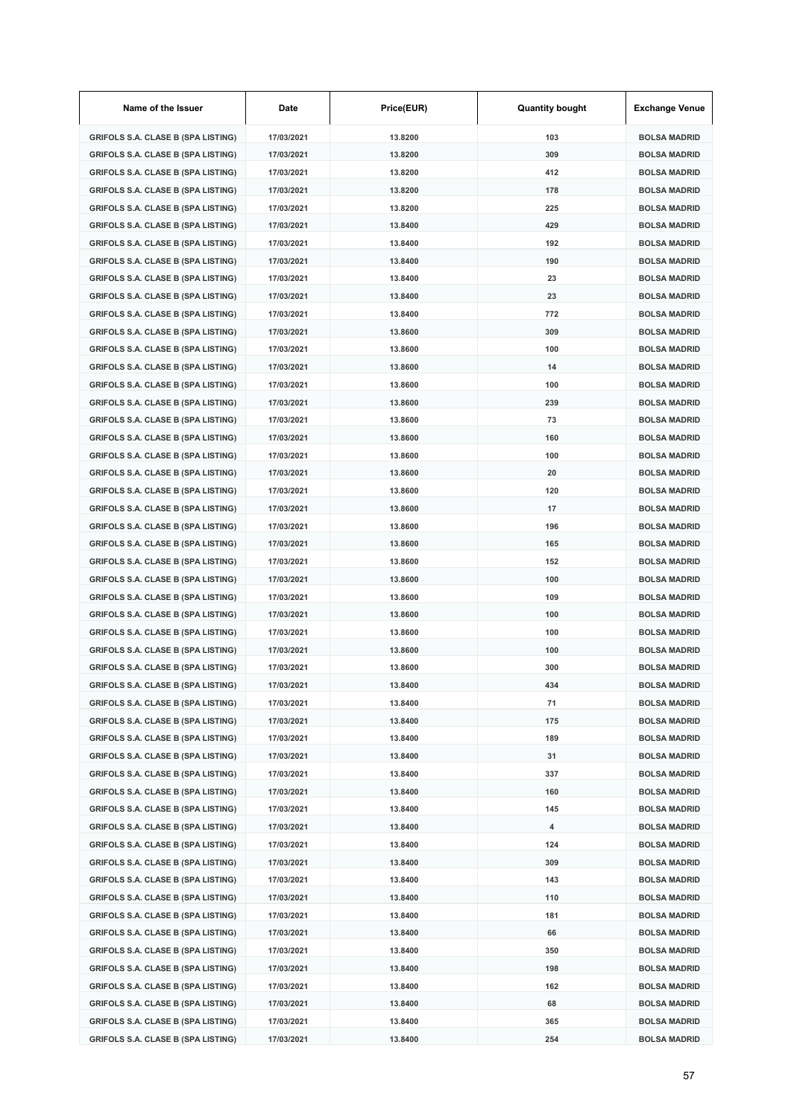| Name of the Issuer                        | Date       | Price(EUR) | <b>Quantity bought</b> | <b>Exchange Venue</b> |
|-------------------------------------------|------------|------------|------------------------|-----------------------|
| <b>GRIFOLS S.A. CLASE B (SPA LISTING)</b> | 17/03/2021 | 13.8200    | 103                    | <b>BOLSA MADRID</b>   |
| <b>GRIFOLS S.A. CLASE B (SPA LISTING)</b> | 17/03/2021 | 13.8200    | 309                    | <b>BOLSA MADRID</b>   |
| <b>GRIFOLS S.A. CLASE B (SPA LISTING)</b> | 17/03/2021 | 13.8200    | 412                    | <b>BOLSA MADRID</b>   |
| <b>GRIFOLS S.A. CLASE B (SPA LISTING)</b> | 17/03/2021 | 13.8200    | 178                    | <b>BOLSA MADRID</b>   |
| <b>GRIFOLS S.A. CLASE B (SPA LISTING)</b> | 17/03/2021 | 13.8200    | 225                    | <b>BOLSA MADRID</b>   |
| <b>GRIFOLS S.A. CLASE B (SPA LISTING)</b> | 17/03/2021 | 13.8400    | 429                    | <b>BOLSA MADRID</b>   |
| <b>GRIFOLS S.A. CLASE B (SPA LISTING)</b> | 17/03/2021 | 13.8400    | 192                    | <b>BOLSA MADRID</b>   |
| <b>GRIFOLS S.A. CLASE B (SPA LISTING)</b> | 17/03/2021 | 13.8400    | 190                    | <b>BOLSA MADRID</b>   |
| <b>GRIFOLS S.A. CLASE B (SPA LISTING)</b> | 17/03/2021 | 13.8400    | 23                     | <b>BOLSA MADRID</b>   |
| <b>GRIFOLS S.A. CLASE B (SPA LISTING)</b> | 17/03/2021 | 13.8400    | 23                     | <b>BOLSA MADRID</b>   |
| <b>GRIFOLS S.A. CLASE B (SPA LISTING)</b> | 17/03/2021 | 13.8400    | 772                    | <b>BOLSA MADRID</b>   |
| <b>GRIFOLS S.A. CLASE B (SPA LISTING)</b> | 17/03/2021 | 13.8600    | 309                    | <b>BOLSA MADRID</b>   |
| <b>GRIFOLS S.A. CLASE B (SPA LISTING)</b> | 17/03/2021 | 13.8600    | 100                    | <b>BOLSA MADRID</b>   |
| <b>GRIFOLS S.A. CLASE B (SPA LISTING)</b> | 17/03/2021 | 13.8600    | 14                     | <b>BOLSA MADRID</b>   |
| <b>GRIFOLS S.A. CLASE B (SPA LISTING)</b> | 17/03/2021 | 13.8600    | 100                    | <b>BOLSA MADRID</b>   |
| <b>GRIFOLS S.A. CLASE B (SPA LISTING)</b> | 17/03/2021 | 13.8600    | 239                    | <b>BOLSA MADRID</b>   |
| <b>GRIFOLS S.A. CLASE B (SPA LISTING)</b> | 17/03/2021 | 13.8600    | 73                     | <b>BOLSA MADRID</b>   |
| <b>GRIFOLS S.A. CLASE B (SPA LISTING)</b> | 17/03/2021 | 13.8600    | 160                    | <b>BOLSA MADRID</b>   |
| <b>GRIFOLS S.A. CLASE B (SPA LISTING)</b> | 17/03/2021 | 13.8600    | 100                    | <b>BOLSA MADRID</b>   |
| <b>GRIFOLS S.A. CLASE B (SPA LISTING)</b> | 17/03/2021 | 13.8600    | 20                     | <b>BOLSA MADRID</b>   |
| <b>GRIFOLS S.A. CLASE B (SPA LISTING)</b> | 17/03/2021 | 13.8600    | 120                    | <b>BOLSA MADRID</b>   |
| <b>GRIFOLS S.A. CLASE B (SPA LISTING)</b> | 17/03/2021 | 13.8600    | 17                     | <b>BOLSA MADRID</b>   |
| <b>GRIFOLS S.A. CLASE B (SPA LISTING)</b> | 17/03/2021 | 13.8600    | 196                    | <b>BOLSA MADRID</b>   |
| <b>GRIFOLS S.A. CLASE B (SPA LISTING)</b> | 17/03/2021 | 13.8600    | 165                    | <b>BOLSA MADRID</b>   |
| <b>GRIFOLS S.A. CLASE B (SPA LISTING)</b> | 17/03/2021 | 13.8600    | 152                    | <b>BOLSA MADRID</b>   |
| <b>GRIFOLS S.A. CLASE B (SPA LISTING)</b> | 17/03/2021 | 13.8600    | 100                    | <b>BOLSA MADRID</b>   |
| <b>GRIFOLS S.A. CLASE B (SPA LISTING)</b> | 17/03/2021 | 13.8600    | 109                    | <b>BOLSA MADRID</b>   |
| <b>GRIFOLS S.A. CLASE B (SPA LISTING)</b> | 17/03/2021 | 13.8600    | 100                    | <b>BOLSA MADRID</b>   |
| <b>GRIFOLS S.A. CLASE B (SPA LISTING)</b> | 17/03/2021 | 13.8600    | 100                    | <b>BOLSA MADRID</b>   |
| <b>GRIFOLS S.A. CLASE B (SPA LISTING)</b> | 17/03/2021 | 13.8600    | 100                    | <b>BOLSA MADRID</b>   |
| <b>GRIFOLS S.A. CLASE B (SPA LISTING)</b> | 17/03/2021 | 13.8600    | 300                    | <b>BOLSA MADRID</b>   |
| <b>GRIFOLS S.A. CLASE B (SPA LISTING)</b> | 17/03/2021 | 13.8400    | 434                    | <b>BOLSA MADRID</b>   |
| <b>GRIFOLS S.A. CLASE B (SPA LISTING)</b> | 17/03/2021 | 13.8400    | 71                     | <b>BOLSA MADRID</b>   |
| <b>GRIFOLS S.A. CLASE B (SPA LISTING)</b> | 17/03/2021 | 13.8400    | 175                    | <b>BOLSA MADRID</b>   |
| <b>GRIFOLS S.A. CLASE B (SPA LISTING)</b> | 17/03/2021 | 13.8400    | 189                    | <b>BOLSA MADRID</b>   |
| <b>GRIFOLS S.A. CLASE B (SPA LISTING)</b> | 17/03/2021 | 13.8400    | 31                     | <b>BOLSA MADRID</b>   |
| <b>GRIFOLS S.A. CLASE B (SPA LISTING)</b> | 17/03/2021 | 13.8400    | 337                    | <b>BOLSA MADRID</b>   |
| <b>GRIFOLS S.A. CLASE B (SPA LISTING)</b> | 17/03/2021 | 13.8400    | 160                    | <b>BOLSA MADRID</b>   |
| <b>GRIFOLS S.A. CLASE B (SPA LISTING)</b> | 17/03/2021 | 13.8400    | 145                    | <b>BOLSA MADRID</b>   |
| <b>GRIFOLS S.A. CLASE B (SPA LISTING)</b> | 17/03/2021 | 13.8400    | 4                      | <b>BOLSA MADRID</b>   |
| <b>GRIFOLS S.A. CLASE B (SPA LISTING)</b> | 17/03/2021 | 13.8400    | 124                    | <b>BOLSA MADRID</b>   |
| <b>GRIFOLS S.A. CLASE B (SPA LISTING)</b> | 17/03/2021 | 13.8400    | 309                    | <b>BOLSA MADRID</b>   |
| <b>GRIFOLS S.A. CLASE B (SPA LISTING)</b> | 17/03/2021 | 13.8400    | 143                    | <b>BOLSA MADRID</b>   |
| <b>GRIFOLS S.A. CLASE B (SPA LISTING)</b> | 17/03/2021 | 13.8400    | 110                    | <b>BOLSA MADRID</b>   |
| <b>GRIFOLS S.A. CLASE B (SPA LISTING)</b> | 17/03/2021 | 13.8400    | 181                    | <b>BOLSA MADRID</b>   |
| <b>GRIFOLS S.A. CLASE B (SPA LISTING)</b> | 17/03/2021 | 13.8400    | 66                     | <b>BOLSA MADRID</b>   |
| <b>GRIFOLS S.A. CLASE B (SPA LISTING)</b> | 17/03/2021 | 13.8400    | 350                    | <b>BOLSA MADRID</b>   |
| <b>GRIFOLS S.A. CLASE B (SPA LISTING)</b> | 17/03/2021 | 13.8400    | 198                    | <b>BOLSA MADRID</b>   |
| <b>GRIFOLS S.A. CLASE B (SPA LISTING)</b> | 17/03/2021 | 13.8400    | 162                    | <b>BOLSA MADRID</b>   |
| <b>GRIFOLS S.A. CLASE B (SPA LISTING)</b> | 17/03/2021 | 13.8400    | 68                     | <b>BOLSA MADRID</b>   |
| <b>GRIFOLS S.A. CLASE B (SPA LISTING)</b> | 17/03/2021 | 13.8400    | 365                    | <b>BOLSA MADRID</b>   |
| <b>GRIFOLS S.A. CLASE B (SPA LISTING)</b> | 17/03/2021 | 13.8400    | 254                    | <b>BOLSA MADRID</b>   |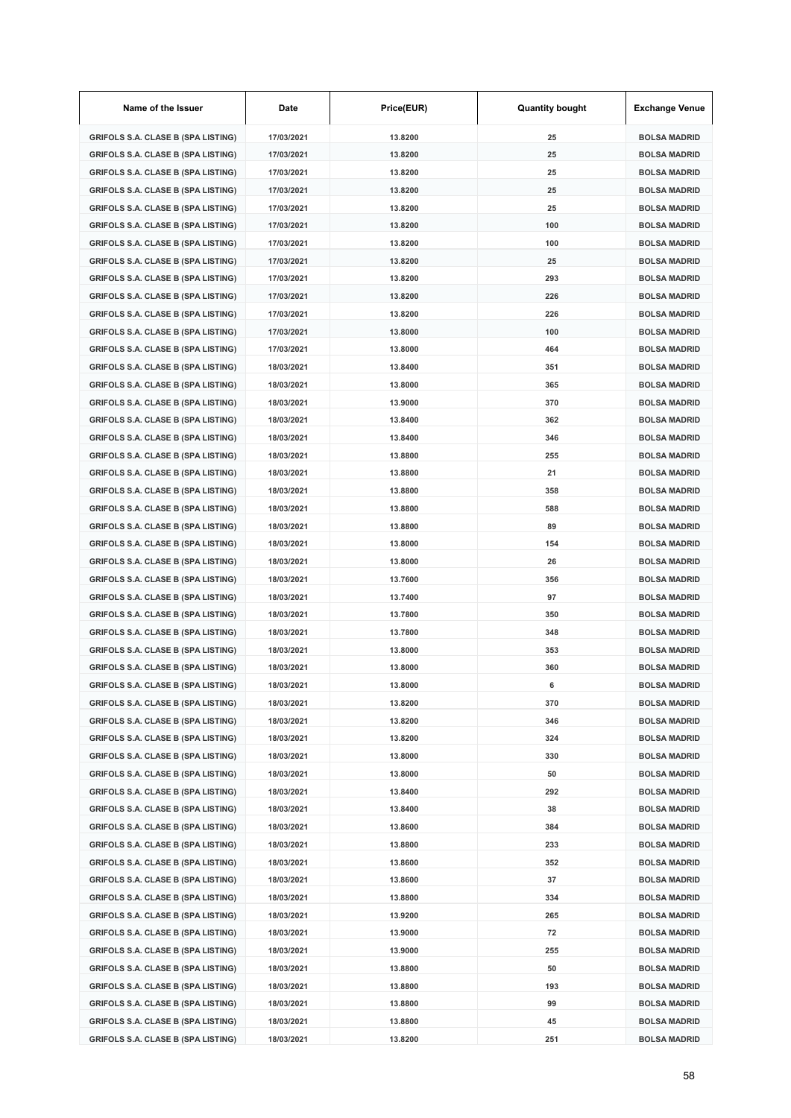| Name of the Issuer                        | Date       | Price(EUR) | <b>Quantity bought</b> | <b>Exchange Venue</b> |
|-------------------------------------------|------------|------------|------------------------|-----------------------|
| <b>GRIFOLS S.A. CLASE B (SPA LISTING)</b> | 17/03/2021 | 13.8200    | 25                     | <b>BOLSA MADRID</b>   |
| <b>GRIFOLS S.A. CLASE B (SPA LISTING)</b> | 17/03/2021 | 13.8200    | 25                     | <b>BOLSA MADRID</b>   |
| <b>GRIFOLS S.A. CLASE B (SPA LISTING)</b> | 17/03/2021 | 13.8200    | 25                     | <b>BOLSA MADRID</b>   |
| <b>GRIFOLS S.A. CLASE B (SPA LISTING)</b> | 17/03/2021 | 13.8200    | 25                     | <b>BOLSA MADRID</b>   |
| <b>GRIFOLS S.A. CLASE B (SPA LISTING)</b> | 17/03/2021 | 13.8200    | 25                     | <b>BOLSA MADRID</b>   |
| <b>GRIFOLS S.A. CLASE B (SPA LISTING)</b> | 17/03/2021 | 13.8200    | 100                    | <b>BOLSA MADRID</b>   |
| <b>GRIFOLS S.A. CLASE B (SPA LISTING)</b> | 17/03/2021 | 13.8200    | 100                    | <b>BOLSA MADRID</b>   |
| <b>GRIFOLS S.A. CLASE B (SPA LISTING)</b> | 17/03/2021 | 13.8200    | 25                     | <b>BOLSA MADRID</b>   |
| <b>GRIFOLS S.A. CLASE B (SPA LISTING)</b> | 17/03/2021 | 13.8200    | 293                    | <b>BOLSA MADRID</b>   |
| <b>GRIFOLS S.A. CLASE B (SPA LISTING)</b> | 17/03/2021 | 13.8200    | 226                    | <b>BOLSA MADRID</b>   |
| <b>GRIFOLS S.A. CLASE B (SPA LISTING)</b> | 17/03/2021 | 13.8200    | 226                    | <b>BOLSA MADRID</b>   |
| <b>GRIFOLS S.A. CLASE B (SPA LISTING)</b> | 17/03/2021 | 13.8000    | 100                    | <b>BOLSA MADRID</b>   |
| <b>GRIFOLS S.A. CLASE B (SPA LISTING)</b> | 17/03/2021 | 13.8000    | 464                    | <b>BOLSA MADRID</b>   |
| <b>GRIFOLS S.A. CLASE B (SPA LISTING)</b> | 18/03/2021 | 13.8400    | 351                    | <b>BOLSA MADRID</b>   |
| <b>GRIFOLS S.A. CLASE B (SPA LISTING)</b> | 18/03/2021 | 13.8000    | 365                    | <b>BOLSA MADRID</b>   |
| <b>GRIFOLS S.A. CLASE B (SPA LISTING)</b> | 18/03/2021 | 13.9000    | 370                    | <b>BOLSA MADRID</b>   |
| <b>GRIFOLS S.A. CLASE B (SPA LISTING)</b> | 18/03/2021 | 13.8400    | 362                    | <b>BOLSA MADRID</b>   |
| <b>GRIFOLS S.A. CLASE B (SPA LISTING)</b> | 18/03/2021 | 13.8400    | 346                    | <b>BOLSA MADRID</b>   |
| <b>GRIFOLS S.A. CLASE B (SPA LISTING)</b> | 18/03/2021 | 13.8800    | 255                    | <b>BOLSA MADRID</b>   |
| <b>GRIFOLS S.A. CLASE B (SPA LISTING)</b> | 18/03/2021 | 13.8800    | 21                     | <b>BOLSA MADRID</b>   |
| <b>GRIFOLS S.A. CLASE B (SPA LISTING)</b> | 18/03/2021 | 13.8800    | 358                    | <b>BOLSA MADRID</b>   |
| <b>GRIFOLS S.A. CLASE B (SPA LISTING)</b> | 18/03/2021 | 13.8800    | 588                    | <b>BOLSA MADRID</b>   |
| <b>GRIFOLS S.A. CLASE B (SPA LISTING)</b> | 18/03/2021 | 13.8800    | 89                     | <b>BOLSA MADRID</b>   |
| <b>GRIFOLS S.A. CLASE B (SPA LISTING)</b> | 18/03/2021 | 13.8000    | 154                    | <b>BOLSA MADRID</b>   |
| <b>GRIFOLS S.A. CLASE B (SPA LISTING)</b> | 18/03/2021 | 13.8000    | 26                     | <b>BOLSA MADRID</b>   |
| <b>GRIFOLS S.A. CLASE B (SPA LISTING)</b> | 18/03/2021 | 13.7600    | 356                    | <b>BOLSA MADRID</b>   |
| <b>GRIFOLS S.A. CLASE B (SPA LISTING)</b> | 18/03/2021 | 13.7400    | 97                     | <b>BOLSA MADRID</b>   |
| <b>GRIFOLS S.A. CLASE B (SPA LISTING)</b> | 18/03/2021 | 13.7800    | 350                    | <b>BOLSA MADRID</b>   |
| <b>GRIFOLS S.A. CLASE B (SPA LISTING)</b> | 18/03/2021 | 13.7800    | 348                    | <b>BOLSA MADRID</b>   |
| <b>GRIFOLS S.A. CLASE B (SPA LISTING)</b> | 18/03/2021 | 13.8000    | 353                    | <b>BOLSA MADRID</b>   |
| <b>GRIFOLS S.A. CLASE B (SPA LISTING)</b> | 18/03/2021 | 13.8000    | 360                    | <b>BOLSA MADRID</b>   |
| GRIFOLS S.A. CLASE B (SPA LISTING)        | 18/03/2021 | 13.8000    | 6                      | <b>BOLSA MADRID</b>   |
| <b>GRIFOLS S.A. CLASE B (SPA LISTING)</b> | 18/03/2021 | 13.8200    | 370                    | <b>BOLSA MADRID</b>   |
| <b>GRIFOLS S.A. CLASE B (SPA LISTING)</b> | 18/03/2021 | 13.8200    | 346                    | <b>BOLSA MADRID</b>   |
| <b>GRIFOLS S.A. CLASE B (SPA LISTING)</b> | 18/03/2021 | 13.8200    | 324                    | <b>BOLSA MADRID</b>   |
| <b>GRIFOLS S.A. CLASE B (SPA LISTING)</b> | 18/03/2021 | 13.8000    | 330                    | <b>BOLSA MADRID</b>   |
| <b>GRIFOLS S.A. CLASE B (SPA LISTING)</b> | 18/03/2021 | 13.8000    | 50                     | <b>BOLSA MADRID</b>   |
| <b>GRIFOLS S.A. CLASE B (SPA LISTING)</b> | 18/03/2021 | 13.8400    | 292                    | <b>BOLSA MADRID</b>   |
| <b>GRIFOLS S.A. CLASE B (SPA LISTING)</b> | 18/03/2021 | 13.8400    | 38                     | <b>BOLSA MADRID</b>   |
| <b>GRIFOLS S.A. CLASE B (SPA LISTING)</b> | 18/03/2021 | 13.8600    | 384                    | <b>BOLSA MADRID</b>   |
| <b>GRIFOLS S.A. CLASE B (SPA LISTING)</b> | 18/03/2021 | 13.8800    | 233                    | <b>BOLSA MADRID</b>   |
| <b>GRIFOLS S.A. CLASE B (SPA LISTING)</b> | 18/03/2021 | 13.8600    | 352                    | <b>BOLSA MADRID</b>   |
| <b>GRIFOLS S.A. CLASE B (SPA LISTING)</b> | 18/03/2021 | 13.8600    | 37                     | <b>BOLSA MADRID</b>   |
| <b>GRIFOLS S.A. CLASE B (SPA LISTING)</b> | 18/03/2021 | 13.8800    | 334                    | <b>BOLSA MADRID</b>   |
| <b>GRIFOLS S.A. CLASE B (SPA LISTING)</b> | 18/03/2021 | 13.9200    | 265                    | <b>BOLSA MADRID</b>   |
| <b>GRIFOLS S.A. CLASE B (SPA LISTING)</b> | 18/03/2021 | 13.9000    | 72                     | <b>BOLSA MADRID</b>   |
| <b>GRIFOLS S.A. CLASE B (SPA LISTING)</b> | 18/03/2021 | 13.9000    | 255                    | <b>BOLSA MADRID</b>   |
| <b>GRIFOLS S.A. CLASE B (SPA LISTING)</b> | 18/03/2021 | 13.8800    | 50                     | <b>BOLSA MADRID</b>   |
| <b>GRIFOLS S.A. CLASE B (SPA LISTING)</b> | 18/03/2021 | 13.8800    | 193                    | <b>BOLSA MADRID</b>   |
| <b>GRIFOLS S.A. CLASE B (SPA LISTING)</b> | 18/03/2021 | 13.8800    | 99                     | <b>BOLSA MADRID</b>   |
| <b>GRIFOLS S.A. CLASE B (SPA LISTING)</b> | 18/03/2021 | 13.8800    | 45                     | <b>BOLSA MADRID</b>   |
| <b>GRIFOLS S.A. CLASE B (SPA LISTING)</b> | 18/03/2021 | 13.8200    | 251                    | <b>BOLSA MADRID</b>   |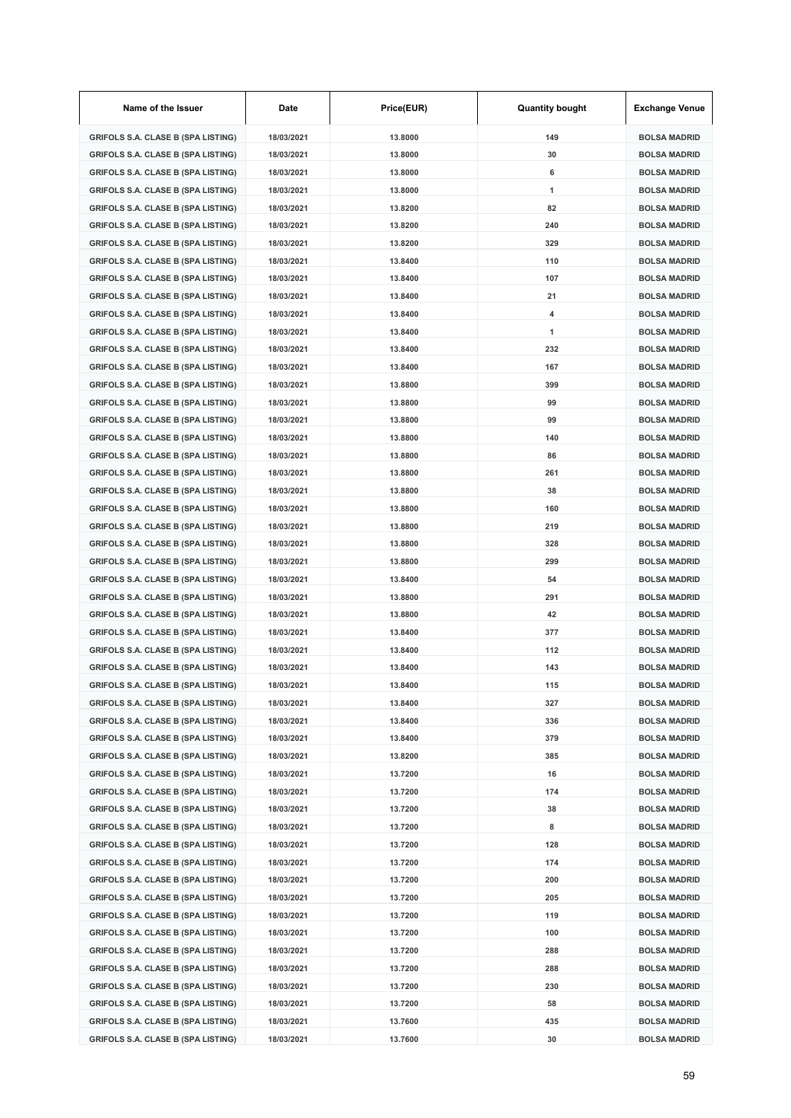| Name of the Issuer                        | Date       | Price(EUR) | <b>Quantity bought</b> | <b>Exchange Venue</b> |
|-------------------------------------------|------------|------------|------------------------|-----------------------|
| <b>GRIFOLS S.A. CLASE B (SPA LISTING)</b> | 18/03/2021 | 13.8000    | 149                    | <b>BOLSA MADRID</b>   |
| <b>GRIFOLS S.A. CLASE B (SPA LISTING)</b> | 18/03/2021 | 13.8000    | 30                     | <b>BOLSA MADRID</b>   |
| <b>GRIFOLS S.A. CLASE B (SPA LISTING)</b> | 18/03/2021 | 13,8000    | 6                      | <b>BOLSA MADRID</b>   |
| <b>GRIFOLS S.A. CLASE B (SPA LISTING)</b> | 18/03/2021 | 13.8000    | 1                      | <b>BOLSA MADRID</b>   |
| <b>GRIFOLS S.A. CLASE B (SPA LISTING)</b> | 18/03/2021 | 13.8200    | 82                     | <b>BOLSA MADRID</b>   |
| <b>GRIFOLS S.A. CLASE B (SPA LISTING)</b> | 18/03/2021 | 13.8200    | 240                    | <b>BOLSA MADRID</b>   |
| <b>GRIFOLS S.A. CLASE B (SPA LISTING)</b> | 18/03/2021 | 13.8200    | 329                    | <b>BOLSA MADRID</b>   |
| <b>GRIFOLS S.A. CLASE B (SPA LISTING)</b> | 18/03/2021 | 13.8400    | 110                    | <b>BOLSA MADRID</b>   |
| <b>GRIFOLS S.A. CLASE B (SPA LISTING)</b> | 18/03/2021 | 13.8400    | 107                    | <b>BOLSA MADRID</b>   |
| <b>GRIFOLS S.A. CLASE B (SPA LISTING)</b> | 18/03/2021 | 13.8400    | 21                     | <b>BOLSA MADRID</b>   |
| <b>GRIFOLS S.A. CLASE B (SPA LISTING)</b> | 18/03/2021 | 13.8400    | 4                      | <b>BOLSA MADRID</b>   |
| <b>GRIFOLS S.A. CLASE B (SPA LISTING)</b> | 18/03/2021 | 13.8400    | 1                      | <b>BOLSA MADRID</b>   |
| <b>GRIFOLS S.A. CLASE B (SPA LISTING)</b> | 18/03/2021 | 13.8400    | 232                    | <b>BOLSA MADRID</b>   |
| <b>GRIFOLS S.A. CLASE B (SPA LISTING)</b> | 18/03/2021 | 13.8400    | 167                    | <b>BOLSA MADRID</b>   |
| <b>GRIFOLS S.A. CLASE B (SPA LISTING)</b> | 18/03/2021 | 13.8800    | 399                    | <b>BOLSA MADRID</b>   |
| <b>GRIFOLS S.A. CLASE B (SPA LISTING)</b> | 18/03/2021 | 13.8800    | 99                     | <b>BOLSA MADRID</b>   |
| <b>GRIFOLS S.A. CLASE B (SPA LISTING)</b> | 18/03/2021 | 13.8800    | 99                     | <b>BOLSA MADRID</b>   |
| <b>GRIFOLS S.A. CLASE B (SPA LISTING)</b> | 18/03/2021 | 13.8800    | 140                    | <b>BOLSA MADRID</b>   |
| <b>GRIFOLS S.A. CLASE B (SPA LISTING)</b> | 18/03/2021 | 13.8800    | 86                     | <b>BOLSA MADRID</b>   |
| <b>GRIFOLS S.A. CLASE B (SPA LISTING)</b> | 18/03/2021 | 13.8800    | 261                    | <b>BOLSA MADRID</b>   |
| <b>GRIFOLS S.A. CLASE B (SPA LISTING)</b> | 18/03/2021 | 13.8800    | 38                     | <b>BOLSA MADRID</b>   |
| <b>GRIFOLS S.A. CLASE B (SPA LISTING)</b> | 18/03/2021 | 13.8800    | 160                    | <b>BOLSA MADRID</b>   |
| <b>GRIFOLS S.A. CLASE B (SPA LISTING)</b> | 18/03/2021 | 13.8800    | 219                    | <b>BOLSA MADRID</b>   |
| <b>GRIFOLS S.A. CLASE B (SPA LISTING)</b> | 18/03/2021 | 13.8800    | 328                    | <b>BOLSA MADRID</b>   |
| <b>GRIFOLS S.A. CLASE B (SPA LISTING)</b> | 18/03/2021 | 13.8800    | 299                    | <b>BOLSA MADRID</b>   |
| <b>GRIFOLS S.A. CLASE B (SPA LISTING)</b> | 18/03/2021 | 13.8400    | 54                     | <b>BOLSA MADRID</b>   |
| <b>GRIFOLS S.A. CLASE B (SPA LISTING)</b> | 18/03/2021 | 13.8800    | 291                    | <b>BOLSA MADRID</b>   |
| <b>GRIFOLS S.A. CLASE B (SPA LISTING)</b> | 18/03/2021 | 13.8800    | 42                     | <b>BOLSA MADRID</b>   |
| <b>GRIFOLS S.A. CLASE B (SPA LISTING)</b> | 18/03/2021 | 13.8400    | 377                    | <b>BOLSA MADRID</b>   |
| <b>GRIFOLS S.A. CLASE B (SPA LISTING)</b> | 18/03/2021 | 13.8400    | 112                    | <b>BOLSA MADRID</b>   |
| GRIFOLS S.A. CLASE B (SPA LISTING)        | 18/03/2021 | 13.8400    | 143                    | <b>BOLSA MADRID</b>   |
| GRIFOLS S.A. CLASE B (SPA LISTING)        | 18/03/2021 | 13.8400    | 115                    | <b>BOLSA MADRID</b>   |
| <b>GRIFOLS S.A. CLASE B (SPA LISTING)</b> | 18/03/2021 | 13.8400    | 327                    | <b>BOLSA MADRID</b>   |
| <b>GRIFOLS S.A. CLASE B (SPA LISTING)</b> | 18/03/2021 | 13.8400    | 336                    | <b>BOLSA MADRID</b>   |
| <b>GRIFOLS S.A. CLASE B (SPA LISTING)</b> | 18/03/2021 | 13.8400    | 379                    | <b>BOLSA MADRID</b>   |
| <b>GRIFOLS S.A. CLASE B (SPA LISTING)</b> | 18/03/2021 | 13.8200    | 385                    | <b>BOLSA MADRID</b>   |
| <b>GRIFOLS S.A. CLASE B (SPA LISTING)</b> | 18/03/2021 | 13.7200    | 16                     | <b>BOLSA MADRID</b>   |
| <b>GRIFOLS S.A. CLASE B (SPA LISTING)</b> | 18/03/2021 | 13.7200    | 174                    | <b>BOLSA MADRID</b>   |
| <b>GRIFOLS S.A. CLASE B (SPA LISTING)</b> | 18/03/2021 | 13.7200    | 38                     | <b>BOLSA MADRID</b>   |
| <b>GRIFOLS S.A. CLASE B (SPA LISTING)</b> | 18/03/2021 | 13.7200    | 8                      | <b>BOLSA MADRID</b>   |
| <b>GRIFOLS S.A. CLASE B (SPA LISTING)</b> | 18/03/2021 | 13.7200    | 128                    | <b>BOLSA MADRID</b>   |
| <b>GRIFOLS S.A. CLASE B (SPA LISTING)</b> | 18/03/2021 | 13.7200    | 174                    | <b>BOLSA MADRID</b>   |
| <b>GRIFOLS S.A. CLASE B (SPA LISTING)</b> | 18/03/2021 | 13.7200    | 200                    | <b>BOLSA MADRID</b>   |
| <b>GRIFOLS S.A. CLASE B (SPA LISTING)</b> | 18/03/2021 | 13.7200    | 205                    | <b>BOLSA MADRID</b>   |
| <b>GRIFOLS S.A. CLASE B (SPA LISTING)</b> | 18/03/2021 | 13.7200    | 119                    | <b>BOLSA MADRID</b>   |
| <b>GRIFOLS S.A. CLASE B (SPA LISTING)</b> | 18/03/2021 | 13.7200    | 100                    | <b>BOLSA MADRID</b>   |
| <b>GRIFOLS S.A. CLASE B (SPA LISTING)</b> | 18/03/2021 | 13.7200    | 288                    | <b>BOLSA MADRID</b>   |
| <b>GRIFOLS S.A. CLASE B (SPA LISTING)</b> | 18/03/2021 | 13.7200    | 288                    | <b>BOLSA MADRID</b>   |
| <b>GRIFOLS S.A. CLASE B (SPA LISTING)</b> | 18/03/2021 | 13.7200    | 230                    | <b>BOLSA MADRID</b>   |
| <b>GRIFOLS S.A. CLASE B (SPA LISTING)</b> | 18/03/2021 | 13.7200    | 58                     | <b>BOLSA MADRID</b>   |
| <b>GRIFOLS S.A. CLASE B (SPA LISTING)</b> | 18/03/2021 | 13.7600    | 435                    | <b>BOLSA MADRID</b>   |
| <b>GRIFOLS S.A. CLASE B (SPA LISTING)</b> | 18/03/2021 | 13.7600    | 30                     | <b>BOLSA MADRID</b>   |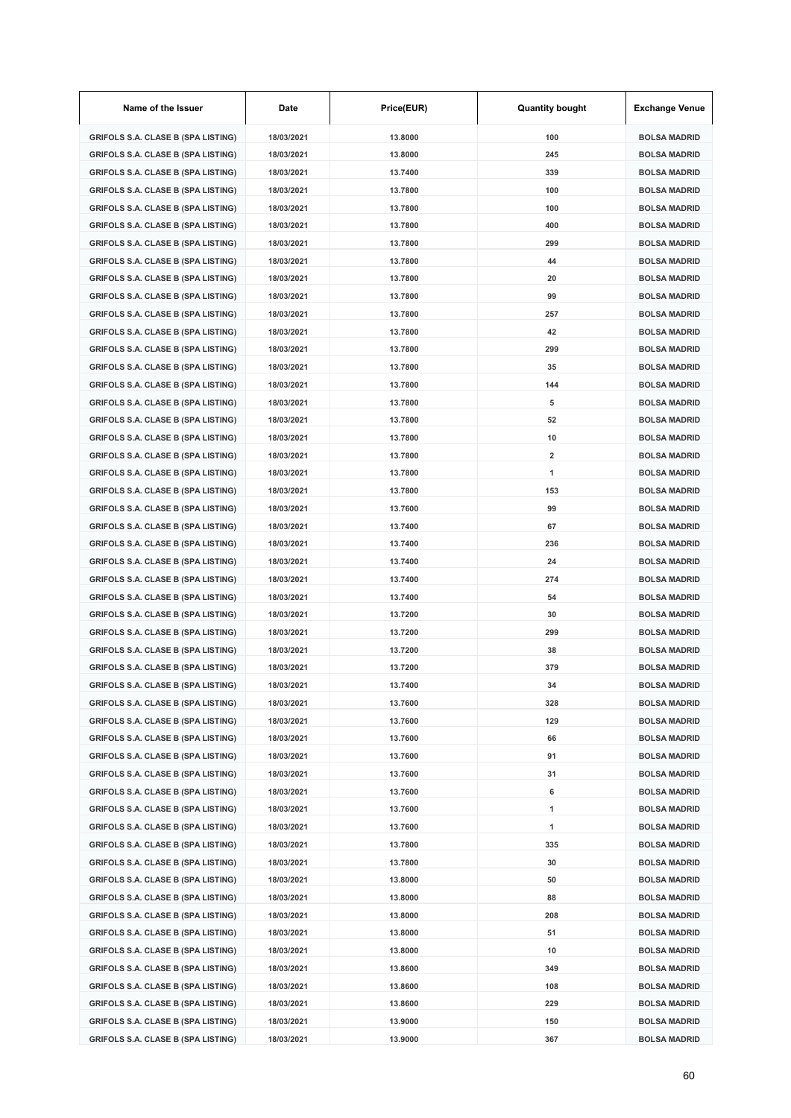| Name of the Issuer                        | Date       | Price(EUR) | <b>Quantity bought</b>  | <b>Exchange Venue</b> |
|-------------------------------------------|------------|------------|-------------------------|-----------------------|
| <b>GRIFOLS S.A. CLASE B (SPA LISTING)</b> | 18/03/2021 | 13.8000    | 100                     | <b>BOLSA MADRID</b>   |
| <b>GRIFOLS S.A. CLASE B (SPA LISTING)</b> | 18/03/2021 | 13.8000    | 245                     | <b>BOLSA MADRID</b>   |
| <b>GRIFOLS S.A. CLASE B (SPA LISTING)</b> | 18/03/2021 | 13.7400    | 339                     | <b>BOLSA MADRID</b>   |
| <b>GRIFOLS S.A. CLASE B (SPA LISTING)</b> | 18/03/2021 | 13.7800    | 100                     | <b>BOLSA MADRID</b>   |
| <b>GRIFOLS S.A. CLASE B (SPA LISTING)</b> | 18/03/2021 | 13.7800    | 100                     | <b>BOLSA MADRID</b>   |
| <b>GRIFOLS S.A. CLASE B (SPA LISTING)</b> | 18/03/2021 | 13.7800    | 400                     | <b>BOLSA MADRID</b>   |
| <b>GRIFOLS S.A. CLASE B (SPA LISTING)</b> | 18/03/2021 | 13.7800    | 299                     | <b>BOLSA MADRID</b>   |
| <b>GRIFOLS S.A. CLASE B (SPA LISTING)</b> | 18/03/2021 | 13.7800    | 44                      | <b>BOLSA MADRID</b>   |
| <b>GRIFOLS S.A. CLASE B (SPA LISTING)</b> | 18/03/2021 | 13.7800    | 20                      | <b>BOLSA MADRID</b>   |
| GRIFOLS S.A. CLASE B (SPA LISTING)        | 18/03/2021 | 13.7800    | 99                      | <b>BOLSA MADRID</b>   |
| <b>GRIFOLS S.A. CLASE B (SPA LISTING)</b> | 18/03/2021 | 13.7800    | 257                     | <b>BOLSA MADRID</b>   |
| <b>GRIFOLS S.A. CLASE B (SPA LISTING)</b> | 18/03/2021 | 13.7800    | 42                      | <b>BOLSA MADRID</b>   |
| <b>GRIFOLS S.A. CLASE B (SPA LISTING)</b> | 18/03/2021 | 13.7800    | 299                     | <b>BOLSA MADRID</b>   |
| <b>GRIFOLS S.A. CLASE B (SPA LISTING)</b> | 18/03/2021 | 13.7800    | 35                      | <b>BOLSA MADRID</b>   |
| <b>GRIFOLS S.A. CLASE B (SPA LISTING)</b> | 18/03/2021 | 13.7800    | 144                     | <b>BOLSA MADRID</b>   |
| <b>GRIFOLS S.A. CLASE B (SPA LISTING)</b> | 18/03/2021 | 13.7800    | 5                       | <b>BOLSA MADRID</b>   |
| <b>GRIFOLS S.A. CLASE B (SPA LISTING)</b> | 18/03/2021 | 13.7800    | 52                      | <b>BOLSA MADRID</b>   |
| <b>GRIFOLS S.A. CLASE B (SPA LISTING)</b> | 18/03/2021 | 13.7800    | 10                      | <b>BOLSA MADRID</b>   |
| <b>GRIFOLS S.A. CLASE B (SPA LISTING)</b> | 18/03/2021 | 13.7800    | $\overline{\mathbf{2}}$ | <b>BOLSA MADRID</b>   |
| <b>GRIFOLS S.A. CLASE B (SPA LISTING)</b> | 18/03/2021 | 13.7800    | 1                       | <b>BOLSA MADRID</b>   |
| <b>GRIFOLS S.A. CLASE B (SPA LISTING)</b> | 18/03/2021 | 13.7800    | 153                     | <b>BOLSA MADRID</b>   |
| <b>GRIFOLS S.A. CLASE B (SPA LISTING)</b> | 18/03/2021 | 13.7600    | 99                      | <b>BOLSA MADRID</b>   |
| <b>GRIFOLS S.A. CLASE B (SPA LISTING)</b> | 18/03/2021 | 13.7400    | 67                      | <b>BOLSA MADRID</b>   |
| <b>GRIFOLS S.A. CLASE B (SPA LISTING)</b> | 18/03/2021 | 13.7400    | 236                     | <b>BOLSA MADRID</b>   |
| <b>GRIFOLS S.A. CLASE B (SPA LISTING)</b> | 18/03/2021 | 13.7400    | 24                      | <b>BOLSA MADRID</b>   |
| <b>GRIFOLS S.A. CLASE B (SPA LISTING)</b> | 18/03/2021 | 13.7400    | 274                     | <b>BOLSA MADRID</b>   |
| <b>GRIFOLS S.A. CLASE B (SPA LISTING)</b> | 18/03/2021 | 13.7400    | 54                      | <b>BOLSA MADRID</b>   |
| <b>GRIFOLS S.A. CLASE B (SPA LISTING)</b> | 18/03/2021 | 13.7200    | 30                      | <b>BOLSA MADRID</b>   |
| <b>GRIFOLS S.A. CLASE B (SPA LISTING)</b> | 18/03/2021 | 13.7200    | 299                     | <b>BOLSA MADRID</b>   |
| <b>GRIFOLS S.A. CLASE B (SPA LISTING)</b> | 18/03/2021 | 13.7200    | 38                      | <b>BOLSA MADRID</b>   |
| GRIFOLS S.A. CLASE B (SPA LISTING)        | 18/03/2021 | 13.7200    | 379                     | <b>BOLSA MADRID</b>   |
| GRIFOLS S.A. CLASE B (SPA LISTING)        | 18/03/2021 | 13.7400    | 34                      | BOLSA MADRID          |
| <b>GRIFOLS S.A. CLASE B (SPA LISTING)</b> | 18/03/2021 | 13.7600    | 328                     | <b>BOLSA MADRID</b>   |
| <b>GRIFOLS S.A. CLASE B (SPA LISTING)</b> | 18/03/2021 | 13.7600    | 129                     | <b>BOLSA MADRID</b>   |
| <b>GRIFOLS S.A. CLASE B (SPA LISTING)</b> | 18/03/2021 | 13.7600    | 66                      | <b>BOLSA MADRID</b>   |
| <b>GRIFOLS S.A. CLASE B (SPA LISTING)</b> | 18/03/2021 | 13.7600    | 91                      | <b>BOLSA MADRID</b>   |
| <b>GRIFOLS S.A. CLASE B (SPA LISTING)</b> | 18/03/2021 | 13.7600    | 31                      | <b>BOLSA MADRID</b>   |
| <b>GRIFOLS S.A. CLASE B (SPA LISTING)</b> | 18/03/2021 | 13.7600    | 6                       | <b>BOLSA MADRID</b>   |
| <b>GRIFOLS S.A. CLASE B (SPA LISTING)</b> | 18/03/2021 | 13.7600    | 1                       | <b>BOLSA MADRID</b>   |
| <b>GRIFOLS S.A. CLASE B (SPA LISTING)</b> | 18/03/2021 | 13.7600    | 1                       | <b>BOLSA MADRID</b>   |
| <b>GRIFOLS S.A. CLASE B (SPA LISTING)</b> | 18/03/2021 | 13.7800    | 335                     | <b>BOLSA MADRID</b>   |
| <b>GRIFOLS S.A. CLASE B (SPA LISTING)</b> | 18/03/2021 | 13.7800    | 30                      | <b>BOLSA MADRID</b>   |
| <b>GRIFOLS S.A. CLASE B (SPA LISTING)</b> | 18/03/2021 | 13.8000    | 50                      | <b>BOLSA MADRID</b>   |
| <b>GRIFOLS S.A. CLASE B (SPA LISTING)</b> | 18/03/2021 | 13.8000    | 88                      | <b>BOLSA MADRID</b>   |
| <b>GRIFOLS S.A. CLASE B (SPA LISTING)</b> | 18/03/2021 | 13.8000    | 208                     | <b>BOLSA MADRID</b>   |
| <b>GRIFOLS S.A. CLASE B (SPA LISTING)</b> | 18/03/2021 | 13.8000    | 51                      | <b>BOLSA MADRID</b>   |
| <b>GRIFOLS S.A. CLASE B (SPA LISTING)</b> | 18/03/2021 | 13.8000    | 10                      | <b>BOLSA MADRID</b>   |
| <b>GRIFOLS S.A. CLASE B (SPA LISTING)</b> | 18/03/2021 | 13.8600    | 349                     | <b>BOLSA MADRID</b>   |
| <b>GRIFOLS S.A. CLASE B (SPA LISTING)</b> | 18/03/2021 | 13.8600    | 108                     | <b>BOLSA MADRID</b>   |
| <b>GRIFOLS S.A. CLASE B (SPA LISTING)</b> | 18/03/2021 | 13.8600    | 229                     | <b>BOLSA MADRID</b>   |
| <b>GRIFOLS S.A. CLASE B (SPA LISTING)</b> | 18/03/2021 | 13.9000    | 150                     | <b>BOLSA MADRID</b>   |
| <b>GRIFOLS S.A. CLASE B (SPA LISTING)</b> | 18/03/2021 | 13.9000    | 367                     | <b>BOLSA MADRID</b>   |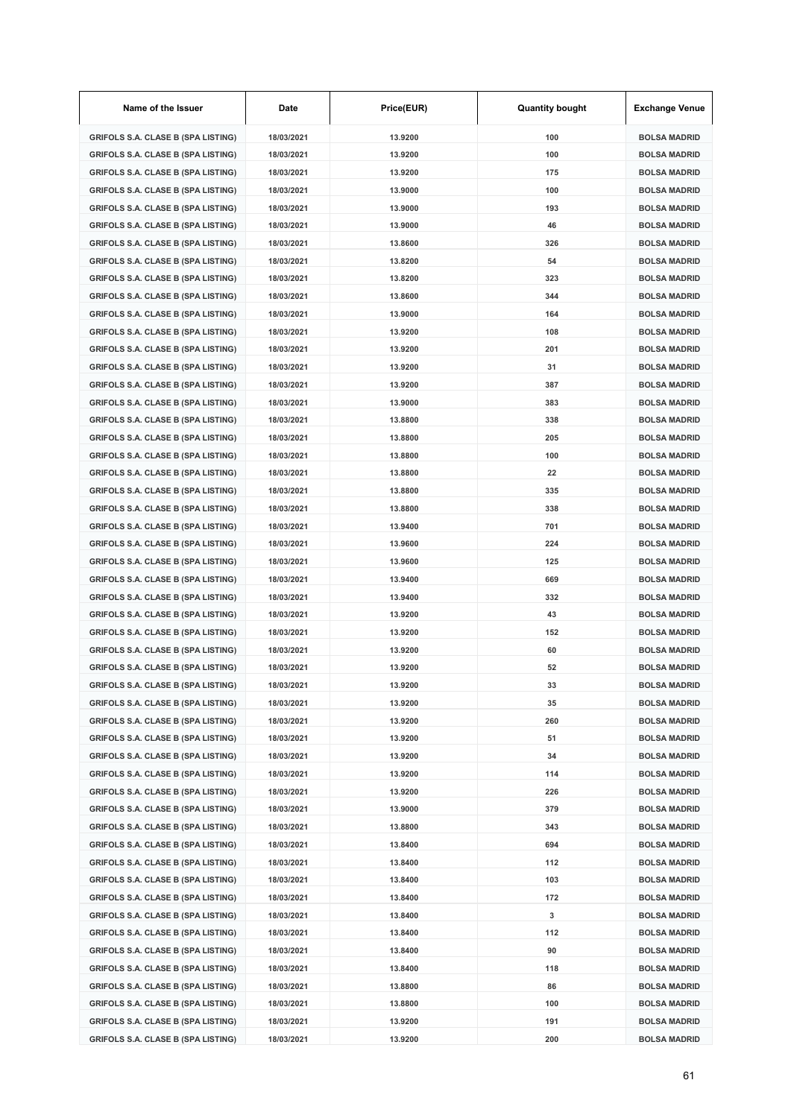| Name of the Issuer                        | Date       | Price(EUR) | <b>Quantity bought</b> | <b>Exchange Venue</b> |
|-------------------------------------------|------------|------------|------------------------|-----------------------|
| <b>GRIFOLS S.A. CLASE B (SPA LISTING)</b> | 18/03/2021 | 13.9200    | 100                    | <b>BOLSA MADRID</b>   |
| <b>GRIFOLS S.A. CLASE B (SPA LISTING)</b> | 18/03/2021 | 13.9200    | 100                    | <b>BOLSA MADRID</b>   |
| <b>GRIFOLS S.A. CLASE B (SPA LISTING)</b> | 18/03/2021 | 13.9200    | 175                    | <b>BOLSA MADRID</b>   |
| <b>GRIFOLS S.A. CLASE B (SPA LISTING)</b> | 18/03/2021 | 13.9000    | 100                    | <b>BOLSA MADRID</b>   |
| <b>GRIFOLS S.A. CLASE B (SPA LISTING)</b> | 18/03/2021 | 13.9000    | 193                    | <b>BOLSA MADRID</b>   |
| <b>GRIFOLS S.A. CLASE B (SPA LISTING)</b> | 18/03/2021 | 13.9000    | 46                     | <b>BOLSA MADRID</b>   |
| <b>GRIFOLS S.A. CLASE B (SPA LISTING)</b> | 18/03/2021 | 13.8600    | 326                    | <b>BOLSA MADRID</b>   |
| <b>GRIFOLS S.A. CLASE B (SPA LISTING)</b> | 18/03/2021 | 13.8200    | 54                     | <b>BOLSA MADRID</b>   |
| <b>GRIFOLS S.A. CLASE B (SPA LISTING)</b> | 18/03/2021 | 13.8200    | 323                    | <b>BOLSA MADRID</b>   |
| <b>GRIFOLS S.A. CLASE B (SPA LISTING)</b> | 18/03/2021 | 13.8600    | 344                    | <b>BOLSA MADRID</b>   |
| <b>GRIFOLS S.A. CLASE B (SPA LISTING)</b> | 18/03/2021 | 13.9000    | 164                    | <b>BOLSA MADRID</b>   |
| <b>GRIFOLS S.A. CLASE B (SPA LISTING)</b> | 18/03/2021 | 13.9200    | 108                    | <b>BOLSA MADRID</b>   |
| <b>GRIFOLS S.A. CLASE B (SPA LISTING)</b> | 18/03/2021 | 13.9200    | 201                    | <b>BOLSA MADRID</b>   |
| <b>GRIFOLS S.A. CLASE B (SPA LISTING)</b> | 18/03/2021 | 13.9200    | 31                     | <b>BOLSA MADRID</b>   |
| <b>GRIFOLS S.A. CLASE B (SPA LISTING)</b> | 18/03/2021 | 13.9200    | 387                    | <b>BOLSA MADRID</b>   |
| <b>GRIFOLS S.A. CLASE B (SPA LISTING)</b> | 18/03/2021 | 13.9000    | 383                    | <b>BOLSA MADRID</b>   |
| <b>GRIFOLS S.A. CLASE B (SPA LISTING)</b> | 18/03/2021 | 13.8800    | 338                    | <b>BOLSA MADRID</b>   |
| <b>GRIFOLS S.A. CLASE B (SPA LISTING)</b> | 18/03/2021 | 13.8800    | 205                    | <b>BOLSA MADRID</b>   |
| <b>GRIFOLS S.A. CLASE B (SPA LISTING)</b> | 18/03/2021 | 13.8800    | 100                    | <b>BOLSA MADRID</b>   |
| <b>GRIFOLS S.A. CLASE B (SPA LISTING)</b> | 18/03/2021 | 13.8800    | 22                     | <b>BOLSA MADRID</b>   |
| <b>GRIFOLS S.A. CLASE B (SPA LISTING)</b> | 18/03/2021 | 13.8800    | 335                    | <b>BOLSA MADRID</b>   |
| <b>GRIFOLS S.A. CLASE B (SPA LISTING)</b> | 18/03/2021 | 13.8800    | 338                    | <b>BOLSA MADRID</b>   |
| <b>GRIFOLS S.A. CLASE B (SPA LISTING)</b> | 18/03/2021 | 13.9400    | 701                    | <b>BOLSA MADRID</b>   |
| <b>GRIFOLS S.A. CLASE B (SPA LISTING)</b> | 18/03/2021 | 13.9600    | 224                    | <b>BOLSA MADRID</b>   |
| <b>GRIFOLS S.A. CLASE B (SPA LISTING)</b> | 18/03/2021 | 13.9600    | 125                    | <b>BOLSA MADRID</b>   |
| <b>GRIFOLS S.A. CLASE B (SPA LISTING)</b> | 18/03/2021 | 13.9400    | 669                    | <b>BOLSA MADRID</b>   |
| <b>GRIFOLS S.A. CLASE B (SPA LISTING)</b> | 18/03/2021 | 13.9400    | 332                    | BOLSA MADRID          |
| <b>GRIFOLS S.A. CLASE B (SPA LISTING)</b> | 18/03/2021 | 13.9200    | 43                     | <b>BOLSA MADRID</b>   |
| <b>GRIFOLS S.A. CLASE B (SPA LISTING)</b> | 18/03/2021 | 13.9200    | 152                    | <b>BOLSA MADRID</b>   |
| <b>GRIFOLS S.A. CLASE B (SPA LISTING)</b> | 18/03/2021 | 13.9200    | 60                     | <b>BOLSA MADRID</b>   |
| <b>GRIFOLS S.A. CLASE B (SPA LISTING)</b> | 18/03/2021 | 13.9200    | 52                     | <b>BOLSA MADRID</b>   |
| <b>GRIFOLS S.A. CLASE B (SPA LISTING)</b> | 18/03/2021 | 13.9200    | 33                     | BOLSA MADRID          |
| <b>GRIFOLS S.A. CLASE B (SPA LISTING)</b> | 18/03/2021 | 13.9200    | 35                     | <b>BOLSA MADRID</b>   |
| <b>GRIFOLS S.A. CLASE B (SPA LISTING)</b> | 18/03/2021 | 13.9200    | 260                    | <b>BOLSA MADRID</b>   |
| <b>GRIFOLS S.A. CLASE B (SPA LISTING)</b> | 18/03/2021 | 13.9200    | 51                     | <b>BOLSA MADRID</b>   |
| <b>GRIFOLS S.A. CLASE B (SPA LISTING)</b> | 18/03/2021 | 13.9200    | 34                     | <b>BOLSA MADRID</b>   |
| <b>GRIFOLS S.A. CLASE B (SPA LISTING)</b> | 18/03/2021 | 13.9200    | 114                    | <b>BOLSA MADRID</b>   |
| <b>GRIFOLS S.A. CLASE B (SPA LISTING)</b> | 18/03/2021 | 13.9200    | 226                    | <b>BOLSA MADRID</b>   |
| <b>GRIFOLS S.A. CLASE B (SPA LISTING)</b> | 18/03/2021 | 13.9000    | 379                    | <b>BOLSA MADRID</b>   |
| <b>GRIFOLS S.A. CLASE B (SPA LISTING)</b> | 18/03/2021 | 13.8800    | 343                    | <b>BOLSA MADRID</b>   |
| <b>GRIFOLS S.A. CLASE B (SPA LISTING)</b> | 18/03/2021 | 13.8400    | 694                    | <b>BOLSA MADRID</b>   |
| <b>GRIFOLS S.A. CLASE B (SPA LISTING)</b> | 18/03/2021 | 13.8400    | 112                    | <b>BOLSA MADRID</b>   |
| <b>GRIFOLS S.A. CLASE B (SPA LISTING)</b> | 18/03/2021 | 13.8400    | 103                    | <b>BOLSA MADRID</b>   |
| <b>GRIFOLS S.A. CLASE B (SPA LISTING)</b> | 18/03/2021 | 13.8400    | 172                    | <b>BOLSA MADRID</b>   |
| <b>GRIFOLS S.A. CLASE B (SPA LISTING)</b> | 18/03/2021 | 13.8400    | 3                      | <b>BOLSA MADRID</b>   |
| <b>GRIFOLS S.A. CLASE B (SPA LISTING)</b> | 18/03/2021 | 13.8400    | 112                    | <b>BOLSA MADRID</b>   |
| <b>GRIFOLS S.A. CLASE B (SPA LISTING)</b> | 18/03/2021 | 13.8400    | 90                     | <b>BOLSA MADRID</b>   |
| <b>GRIFOLS S.A. CLASE B (SPA LISTING)</b> | 18/03/2021 | 13.8400    | 118                    | <b>BOLSA MADRID</b>   |
| <b>GRIFOLS S.A. CLASE B (SPA LISTING)</b> | 18/03/2021 | 13.8800    | 86                     | <b>BOLSA MADRID</b>   |
| <b>GRIFOLS S.A. CLASE B (SPA LISTING)</b> | 18/03/2021 | 13.8800    | 100                    | <b>BOLSA MADRID</b>   |
| <b>GRIFOLS S.A. CLASE B (SPA LISTING)</b> | 18/03/2021 | 13.9200    | 191                    | <b>BOLSA MADRID</b>   |
| <b>GRIFOLS S.A. CLASE B (SPA LISTING)</b> | 18/03/2021 | 13.9200    | 200                    | <b>BOLSA MADRID</b>   |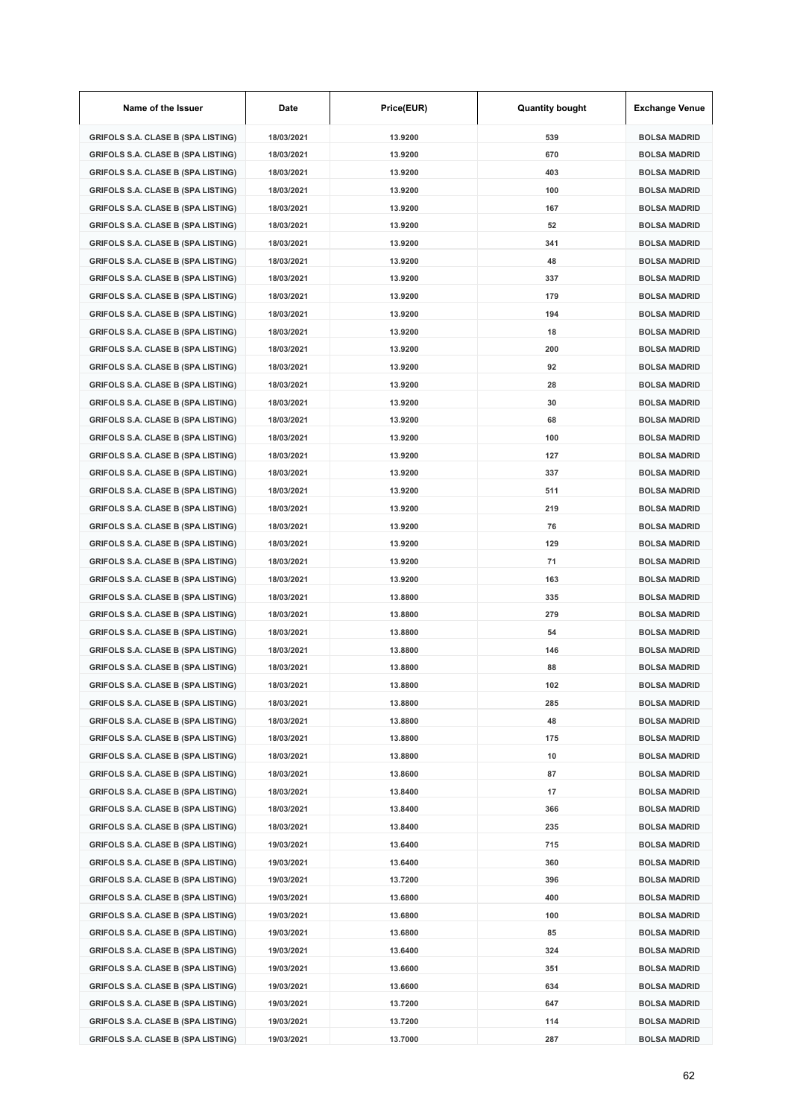| Name of the Issuer                        | Date       | Price(EUR) | <b>Quantity bought</b> | <b>Exchange Venue</b> |
|-------------------------------------------|------------|------------|------------------------|-----------------------|
| <b>GRIFOLS S.A. CLASE B (SPA LISTING)</b> | 18/03/2021 | 13.9200    | 539                    | <b>BOLSA MADRID</b>   |
| <b>GRIFOLS S.A. CLASE B (SPA LISTING)</b> | 18/03/2021 | 13.9200    | 670                    | <b>BOLSA MADRID</b>   |
| <b>GRIFOLS S.A. CLASE B (SPA LISTING)</b> | 18/03/2021 | 13.9200    | 403                    | <b>BOLSA MADRID</b>   |
| <b>GRIFOLS S.A. CLASE B (SPA LISTING)</b> | 18/03/2021 | 13.9200    | 100                    | <b>BOLSA MADRID</b>   |
| <b>GRIFOLS S.A. CLASE B (SPA LISTING)</b> | 18/03/2021 | 13.9200    | 167                    | <b>BOLSA MADRID</b>   |
| <b>GRIFOLS S.A. CLASE B (SPA LISTING)</b> | 18/03/2021 | 13.9200    | 52                     | <b>BOLSA MADRID</b>   |
| <b>GRIFOLS S.A. CLASE B (SPA LISTING)</b> | 18/03/2021 | 13.9200    | 341                    | <b>BOLSA MADRID</b>   |
| <b>GRIFOLS S.A. CLASE B (SPA LISTING)</b> | 18/03/2021 | 13.9200    | 48                     | <b>BOLSA MADRID</b>   |
| <b>GRIFOLS S.A. CLASE B (SPA LISTING)</b> | 18/03/2021 | 13.9200    | 337                    | <b>BOLSA MADRID</b>   |
| <b>GRIFOLS S.A. CLASE B (SPA LISTING)</b> | 18/03/2021 | 13.9200    | 179                    | <b>BOLSA MADRID</b>   |
| <b>GRIFOLS S.A. CLASE B (SPA LISTING)</b> | 18/03/2021 | 13.9200    | 194                    | <b>BOLSA MADRID</b>   |
| <b>GRIFOLS S.A. CLASE B (SPA LISTING)</b> | 18/03/2021 | 13.9200    | 18                     | <b>BOLSA MADRID</b>   |
| <b>GRIFOLS S.A. CLASE B (SPA LISTING)</b> | 18/03/2021 | 13.9200    | 200                    | <b>BOLSA MADRID</b>   |
| <b>GRIFOLS S.A. CLASE B (SPA LISTING)</b> | 18/03/2021 | 13.9200    | 92                     | <b>BOLSA MADRID</b>   |
| <b>GRIFOLS S.A. CLASE B (SPA LISTING)</b> | 18/03/2021 | 13.9200    | 28                     | <b>BOLSA MADRID</b>   |
| <b>GRIFOLS S.A. CLASE B (SPA LISTING)</b> | 18/03/2021 | 13.9200    | 30                     | <b>BOLSA MADRID</b>   |
| <b>GRIFOLS S.A. CLASE B (SPA LISTING)</b> | 18/03/2021 | 13.9200    | 68                     | <b>BOLSA MADRID</b>   |
| <b>GRIFOLS S.A. CLASE B (SPA LISTING)</b> | 18/03/2021 | 13.9200    | 100                    | <b>BOLSA MADRID</b>   |
| <b>GRIFOLS S.A. CLASE B (SPA LISTING)</b> | 18/03/2021 | 13.9200    | 127                    | <b>BOLSA MADRID</b>   |
| <b>GRIFOLS S.A. CLASE B (SPA LISTING)</b> | 18/03/2021 | 13.9200    | 337                    | <b>BOLSA MADRID</b>   |
| <b>GRIFOLS S.A. CLASE B (SPA LISTING)</b> | 18/03/2021 | 13.9200    | 511                    | <b>BOLSA MADRID</b>   |
| <b>GRIFOLS S.A. CLASE B (SPA LISTING)</b> | 18/03/2021 | 13.9200    | 219                    | <b>BOLSA MADRID</b>   |
| <b>GRIFOLS S.A. CLASE B (SPA LISTING)</b> | 18/03/2021 | 13.9200    | 76                     | <b>BOLSA MADRID</b>   |
| <b>GRIFOLS S.A. CLASE B (SPA LISTING)</b> | 18/03/2021 | 13.9200    | 129                    | <b>BOLSA MADRID</b>   |
| <b>GRIFOLS S.A. CLASE B (SPA LISTING)</b> | 18/03/2021 | 13.9200    | 71                     | <b>BOLSA MADRID</b>   |
| <b>GRIFOLS S.A. CLASE B (SPA LISTING)</b> | 18/03/2021 | 13.9200    | 163                    | <b>BOLSA MADRID</b>   |
| <b>GRIFOLS S.A. CLASE B (SPA LISTING)</b> | 18/03/2021 | 13.8800    | 335                    | <b>BOLSA MADRID</b>   |
| GRIFOLS S.A. CLASE B (SPA LISTING)        | 18/03/2021 | 13.8800    | 279                    | <b>BOLSA MADRID</b>   |
| <b>GRIFOLS S.A. CLASE B (SPA LISTING)</b> | 18/03/2021 | 13.8800    | 54                     | <b>BOLSA MADRID</b>   |
| <b>GRIFOLS S.A. CLASE B (SPA LISTING)</b> | 18/03/2021 | 13.8800    | 146                    | <b>BOLSA MADRID</b>   |
| GRIFOLS S.A. CLASE B (SPA LISTING)        | 18/03/2021 | 13.8800    | 88                     | <b>BOLSA MADRID</b>   |
| GRIFOLS S.A. CLASE B (SPA LISTING)        | 18/03/2021 | 13.8800    | 102                    | BOLSA MADRID          |
| <b>GRIFOLS S.A. CLASE B (SPA LISTING)</b> | 18/03/2021 | 13.8800    | 285                    | <b>BOLSA MADRID</b>   |
| <b>GRIFOLS S.A. CLASE B (SPA LISTING)</b> | 18/03/2021 | 13.8800    | 48                     | <b>BOLSA MADRID</b>   |
| <b>GRIFOLS S.A. CLASE B (SPA LISTING)</b> | 18/03/2021 | 13.8800    | 175                    | <b>BOLSA MADRID</b>   |
| <b>GRIFOLS S.A. CLASE B (SPA LISTING)</b> | 18/03/2021 | 13.8800    | 10                     | <b>BOLSA MADRID</b>   |
| <b>GRIFOLS S.A. CLASE B (SPA LISTING)</b> | 18/03/2021 | 13.8600    | 87                     | <b>BOLSA MADRID</b>   |
| <b>GRIFOLS S.A. CLASE B (SPA LISTING)</b> | 18/03/2021 | 13.8400    | 17                     | <b>BOLSA MADRID</b>   |
| <b>GRIFOLS S.A. CLASE B (SPA LISTING)</b> | 18/03/2021 | 13.8400    | 366                    | <b>BOLSA MADRID</b>   |
| <b>GRIFOLS S.A. CLASE B (SPA LISTING)</b> | 18/03/2021 | 13.8400    | 235                    | <b>BOLSA MADRID</b>   |
| <b>GRIFOLS S.A. CLASE B (SPA LISTING)</b> | 19/03/2021 | 13.6400    | 715                    | <b>BOLSA MADRID</b>   |
| <b>GRIFOLS S.A. CLASE B (SPA LISTING)</b> | 19/03/2021 | 13.6400    | 360                    | <b>BOLSA MADRID</b>   |
| <b>GRIFOLS S.A. CLASE B (SPA LISTING)</b> | 19/03/2021 | 13.7200    | 396                    | <b>BOLSA MADRID</b>   |
| <b>GRIFOLS S.A. CLASE B (SPA LISTING)</b> | 19/03/2021 | 13.6800    | 400                    | <b>BOLSA MADRID</b>   |
| <b>GRIFOLS S.A. CLASE B (SPA LISTING)</b> | 19/03/2021 | 13.6800    | 100                    | <b>BOLSA MADRID</b>   |
| <b>GRIFOLS S.A. CLASE B (SPA LISTING)</b> | 19/03/2021 | 13.6800    | 85                     | <b>BOLSA MADRID</b>   |
| <b>GRIFOLS S.A. CLASE B (SPA LISTING)</b> | 19/03/2021 | 13.6400    | 324                    | <b>BOLSA MADRID</b>   |
| <b>GRIFOLS S.A. CLASE B (SPA LISTING)</b> | 19/03/2021 | 13.6600    | 351                    | <b>BOLSA MADRID</b>   |
| <b>GRIFOLS S.A. CLASE B (SPA LISTING)</b> | 19/03/2021 | 13.6600    | 634                    | <b>BOLSA MADRID</b>   |
| <b>GRIFOLS S.A. CLASE B (SPA LISTING)</b> | 19/03/2021 | 13.7200    | 647                    | <b>BOLSA MADRID</b>   |
| <b>GRIFOLS S.A. CLASE B (SPA LISTING)</b> | 19/03/2021 | 13.7200    | 114                    | <b>BOLSA MADRID</b>   |
| <b>GRIFOLS S.A. CLASE B (SPA LISTING)</b> | 19/03/2021 | 13.7000    | 287                    | <b>BOLSA MADRID</b>   |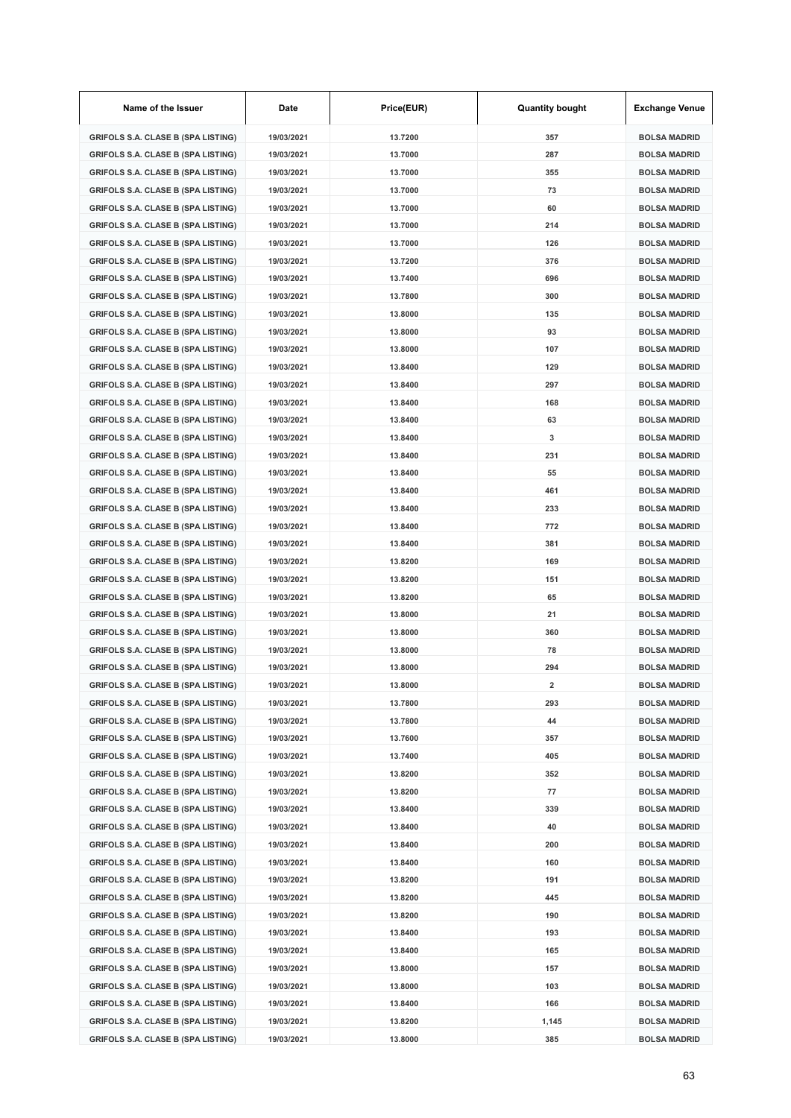| Name of the Issuer                        | Date       | Price(EUR) | <b>Quantity bought</b> | <b>Exchange Venue</b> |
|-------------------------------------------|------------|------------|------------------------|-----------------------|
| <b>GRIFOLS S.A. CLASE B (SPA LISTING)</b> | 19/03/2021 | 13.7200    | 357                    | <b>BOLSA MADRID</b>   |
| <b>GRIFOLS S.A. CLASE B (SPA LISTING)</b> | 19/03/2021 | 13.7000    | 287                    | <b>BOLSA MADRID</b>   |
| <b>GRIFOLS S.A. CLASE B (SPA LISTING)</b> | 19/03/2021 | 13.7000    | 355                    | <b>BOLSA MADRID</b>   |
| <b>GRIFOLS S.A. CLASE B (SPA LISTING)</b> | 19/03/2021 | 13.7000    | 73                     | <b>BOLSA MADRID</b>   |
| <b>GRIFOLS S.A. CLASE B (SPA LISTING)</b> | 19/03/2021 | 13.7000    | 60                     | <b>BOLSA MADRID</b>   |
| <b>GRIFOLS S.A. CLASE B (SPA LISTING)</b> | 19/03/2021 | 13.7000    | 214                    | <b>BOLSA MADRID</b>   |
| <b>GRIFOLS S.A. CLASE B (SPA LISTING)</b> | 19/03/2021 | 13.7000    | 126                    | <b>BOLSA MADRID</b>   |
| <b>GRIFOLS S.A. CLASE B (SPA LISTING)</b> | 19/03/2021 | 13.7200    | 376                    | <b>BOLSA MADRID</b>   |
| <b>GRIFOLS S.A. CLASE B (SPA LISTING)</b> | 19/03/2021 | 13.7400    | 696                    | <b>BOLSA MADRID</b>   |
| <b>GRIFOLS S.A. CLASE B (SPA LISTING)</b> | 19/03/2021 | 13.7800    | 300                    | <b>BOLSA MADRID</b>   |
| <b>GRIFOLS S.A. CLASE B (SPA LISTING)</b> | 19/03/2021 | 13.8000    | 135                    | <b>BOLSA MADRID</b>   |
| <b>GRIFOLS S.A. CLASE B (SPA LISTING)</b> | 19/03/2021 | 13.8000    | 93                     | <b>BOLSA MADRID</b>   |
| <b>GRIFOLS S.A. CLASE B (SPA LISTING)</b> | 19/03/2021 | 13.8000    | 107                    | <b>BOLSA MADRID</b>   |
| <b>GRIFOLS S.A. CLASE B (SPA LISTING)</b> | 19/03/2021 | 13.8400    | 129                    | <b>BOLSA MADRID</b>   |
| <b>GRIFOLS S.A. CLASE B (SPA LISTING)</b> | 19/03/2021 | 13.8400    | 297                    | <b>BOLSA MADRID</b>   |
| <b>GRIFOLS S.A. CLASE B (SPA LISTING)</b> | 19/03/2021 | 13.8400    | 168                    | <b>BOLSA MADRID</b>   |
| <b>GRIFOLS S.A. CLASE B (SPA LISTING)</b> | 19/03/2021 | 13.8400    | 63                     | <b>BOLSA MADRID</b>   |
| <b>GRIFOLS S.A. CLASE B (SPA LISTING)</b> | 19/03/2021 | 13.8400    | 3                      | <b>BOLSA MADRID</b>   |
| <b>GRIFOLS S.A. CLASE B (SPA LISTING)</b> | 19/03/2021 | 13.8400    | 231                    | <b>BOLSA MADRID</b>   |
| <b>GRIFOLS S.A. CLASE B (SPA LISTING)</b> | 19/03/2021 | 13.8400    | 55                     | <b>BOLSA MADRID</b>   |
| <b>GRIFOLS S.A. CLASE B (SPA LISTING)</b> | 19/03/2021 | 13.8400    | 461                    | <b>BOLSA MADRID</b>   |
| <b>GRIFOLS S.A. CLASE B (SPA LISTING)</b> | 19/03/2021 | 13.8400    | 233                    | <b>BOLSA MADRID</b>   |
| <b>GRIFOLS S.A. CLASE B (SPA LISTING)</b> | 19/03/2021 | 13.8400    | 772                    | <b>BOLSA MADRID</b>   |
| <b>GRIFOLS S.A. CLASE B (SPA LISTING)</b> | 19/03/2021 | 13.8400    | 381                    | <b>BOLSA MADRID</b>   |
| <b>GRIFOLS S.A. CLASE B (SPA LISTING)</b> | 19/03/2021 | 13.8200    | 169                    | <b>BOLSA MADRID</b>   |
| <b>GRIFOLS S.A. CLASE B (SPA LISTING)</b> | 19/03/2021 | 13.8200    | 151                    | <b>BOLSA MADRID</b>   |
| <b>GRIFOLS S.A. CLASE B (SPA LISTING)</b> | 19/03/2021 | 13.8200    | 65                     | <b>BOLSA MADRID</b>   |
| <b>GRIFOLS S.A. CLASE B (SPA LISTING)</b> | 19/03/2021 | 13.8000    | 21                     | <b>BOLSA MADRID</b>   |
| <b>GRIFOLS S.A. CLASE B (SPA LISTING)</b> | 19/03/2021 | 13.8000    | 360                    | <b>BOLSA MADRID</b>   |
| <b>GRIFOLS S.A. CLASE B (SPA LISTING)</b> | 19/03/2021 | 13.8000    | 78                     | <b>BOLSA MADRID</b>   |
| <b>GRIFOLS S.A. CLASE B (SPA LISTING)</b> | 19/03/2021 | 13.8000    | 294                    | <b>BOLSA MADRID</b>   |
| GRIFOLS S.A. CLASE B (SPA LISTING)        | 19/03/2021 | 13.8000    | 2                      | BOLSA MADRID          |
| <b>GRIFOLS S.A. CLASE B (SPA LISTING)</b> | 19/03/2021 | 13.7800    | 293                    | <b>BOLSA MADRID</b>   |
| <b>GRIFOLS S.A. CLASE B (SPA LISTING)</b> | 19/03/2021 | 13.7800    | 44                     | <b>BOLSA MADRID</b>   |
| <b>GRIFOLS S.A. CLASE B (SPA LISTING)</b> | 19/03/2021 | 13.7600    | 357                    | <b>BOLSA MADRID</b>   |
| <b>GRIFOLS S.A. CLASE B (SPA LISTING)</b> | 19/03/2021 | 13.7400    | 405                    | <b>BOLSA MADRID</b>   |
| <b>GRIFOLS S.A. CLASE B (SPA LISTING)</b> | 19/03/2021 | 13.8200    | 352                    | <b>BOLSA MADRID</b>   |
| <b>GRIFOLS S.A. CLASE B (SPA LISTING)</b> | 19/03/2021 | 13.8200    | 77                     | <b>BOLSA MADRID</b>   |
| <b>GRIFOLS S.A. CLASE B (SPA LISTING)</b> | 19/03/2021 | 13.8400    | 339                    | <b>BOLSA MADRID</b>   |
| <b>GRIFOLS S.A. CLASE B (SPA LISTING)</b> | 19/03/2021 | 13.8400    | 40                     | <b>BOLSA MADRID</b>   |
| <b>GRIFOLS S.A. CLASE B (SPA LISTING)</b> | 19/03/2021 | 13.8400    | 200                    | <b>BOLSA MADRID</b>   |
| <b>GRIFOLS S.A. CLASE B (SPA LISTING)</b> | 19/03/2021 | 13.8400    | 160                    | <b>BOLSA MADRID</b>   |
| <b>GRIFOLS S.A. CLASE B (SPA LISTING)</b> | 19/03/2021 | 13.8200    | 191                    | <b>BOLSA MADRID</b>   |
| <b>GRIFOLS S.A. CLASE B (SPA LISTING)</b> | 19/03/2021 | 13.8200    | 445                    | <b>BOLSA MADRID</b>   |
| <b>GRIFOLS S.A. CLASE B (SPA LISTING)</b> | 19/03/2021 | 13.8200    | 190                    | <b>BOLSA MADRID</b>   |
| <b>GRIFOLS S.A. CLASE B (SPA LISTING)</b> | 19/03/2021 | 13.8400    | 193                    | <b>BOLSA MADRID</b>   |
| <b>GRIFOLS S.A. CLASE B (SPA LISTING)</b> | 19/03/2021 | 13.8400    | 165                    | <b>BOLSA MADRID</b>   |
| <b>GRIFOLS S.A. CLASE B (SPA LISTING)</b> | 19/03/2021 | 13.8000    | 157                    | <b>BOLSA MADRID</b>   |
| <b>GRIFOLS S.A. CLASE B (SPA LISTING)</b> | 19/03/2021 | 13.8000    | 103                    | <b>BOLSA MADRID</b>   |
| <b>GRIFOLS S.A. CLASE B (SPA LISTING)</b> | 19/03/2021 | 13.8400    | 166                    | <b>BOLSA MADRID</b>   |
| <b>GRIFOLS S.A. CLASE B (SPA LISTING)</b> | 19/03/2021 | 13.8200    | 1,145                  | <b>BOLSA MADRID</b>   |
| <b>GRIFOLS S.A. CLASE B (SPA LISTING)</b> | 19/03/2021 | 13.8000    | 385                    | <b>BOLSA MADRID</b>   |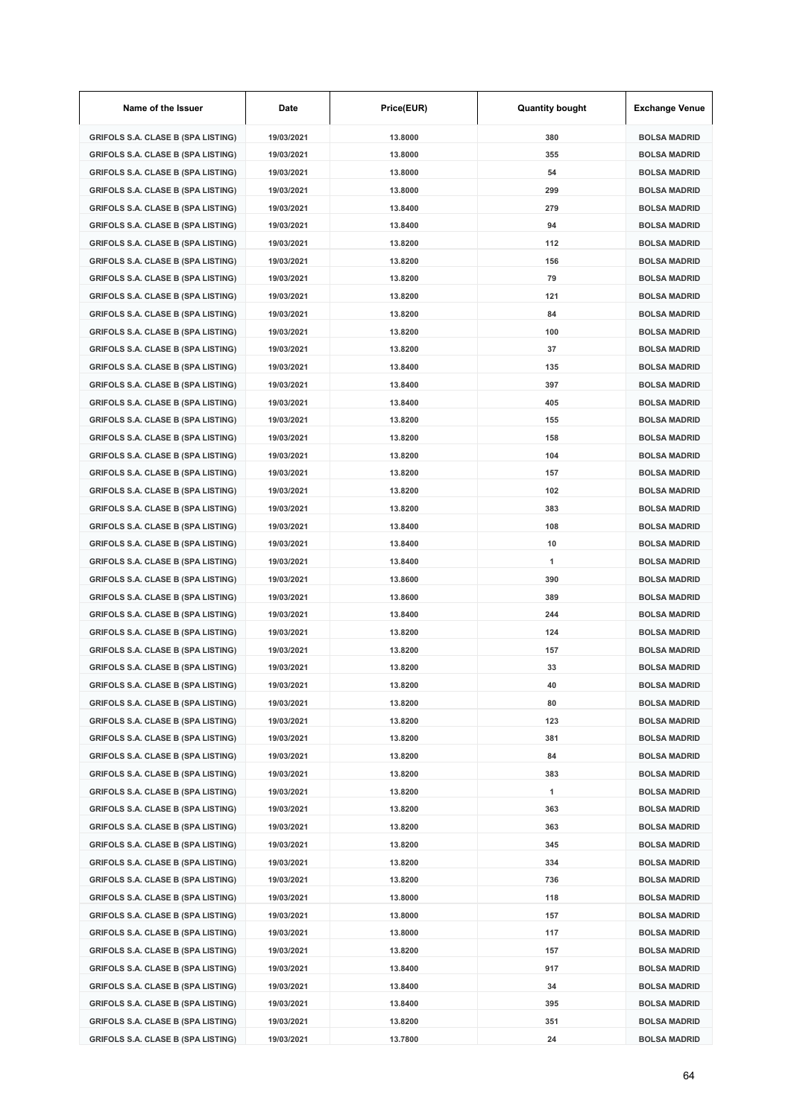| Name of the Issuer                        | Date       | Price(EUR) | <b>Quantity bought</b> | <b>Exchange Venue</b> |
|-------------------------------------------|------------|------------|------------------------|-----------------------|
| <b>GRIFOLS S.A. CLASE B (SPA LISTING)</b> | 19/03/2021 | 13.8000    | 380                    | <b>BOLSA MADRID</b>   |
| <b>GRIFOLS S.A. CLASE B (SPA LISTING)</b> | 19/03/2021 | 13.8000    | 355                    | <b>BOLSA MADRID</b>   |
| <b>GRIFOLS S.A. CLASE B (SPA LISTING)</b> | 19/03/2021 | 13.8000    | 54                     | <b>BOLSA MADRID</b>   |
| <b>GRIFOLS S.A. CLASE B (SPA LISTING)</b> | 19/03/2021 | 13.8000    | 299                    | <b>BOLSA MADRID</b>   |
| <b>GRIFOLS S.A. CLASE B (SPA LISTING)</b> | 19/03/2021 | 13.8400    | 279                    | <b>BOLSA MADRID</b>   |
| <b>GRIFOLS S.A. CLASE B (SPA LISTING)</b> | 19/03/2021 | 13.8400    | 94                     | <b>BOLSA MADRID</b>   |
| <b>GRIFOLS S.A. CLASE B (SPA LISTING)</b> | 19/03/2021 | 13.8200    | 112                    | <b>BOLSA MADRID</b>   |
| <b>GRIFOLS S.A. CLASE B (SPA LISTING)</b> | 19/03/2021 | 13.8200    | 156                    | <b>BOLSA MADRID</b>   |
| <b>GRIFOLS S.A. CLASE B (SPA LISTING)</b> | 19/03/2021 | 13.8200    | 79                     | <b>BOLSA MADRID</b>   |
| <b>GRIFOLS S.A. CLASE B (SPA LISTING)</b> | 19/03/2021 | 13.8200    | 121                    | <b>BOLSA MADRID</b>   |
| <b>GRIFOLS S.A. CLASE B (SPA LISTING)</b> | 19/03/2021 | 13.8200    | 84                     | <b>BOLSA MADRID</b>   |
| <b>GRIFOLS S.A. CLASE B (SPA LISTING)</b> | 19/03/2021 | 13.8200    | 100                    | <b>BOLSA MADRID</b>   |
| <b>GRIFOLS S.A. CLASE B (SPA LISTING)</b> | 19/03/2021 | 13.8200    | 37                     | <b>BOLSA MADRID</b>   |
| <b>GRIFOLS S.A. CLASE B (SPA LISTING)</b> | 19/03/2021 | 13.8400    | 135                    | <b>BOLSA MADRID</b>   |
| <b>GRIFOLS S.A. CLASE B (SPA LISTING)</b> | 19/03/2021 | 13.8400    | 397                    | <b>BOLSA MADRID</b>   |
| <b>GRIFOLS S.A. CLASE B (SPA LISTING)</b> | 19/03/2021 | 13.8400    | 405                    | <b>BOLSA MADRID</b>   |
| <b>GRIFOLS S.A. CLASE B (SPA LISTING)</b> | 19/03/2021 | 13.8200    | 155                    | <b>BOLSA MADRID</b>   |
| <b>GRIFOLS S.A. CLASE B (SPA LISTING)</b> | 19/03/2021 | 13.8200    | 158                    | <b>BOLSA MADRID</b>   |
| <b>GRIFOLS S.A. CLASE B (SPA LISTING)</b> | 19/03/2021 | 13.8200    | 104                    | <b>BOLSA MADRID</b>   |
| <b>GRIFOLS S.A. CLASE B (SPA LISTING)</b> | 19/03/2021 | 13.8200    | 157                    | <b>BOLSA MADRID</b>   |
| <b>GRIFOLS S.A. CLASE B (SPA LISTING)</b> | 19/03/2021 | 13.8200    | 102                    | <b>BOLSA MADRID</b>   |
| <b>GRIFOLS S.A. CLASE B (SPA LISTING)</b> | 19/03/2021 | 13.8200    | 383                    | <b>BOLSA MADRID</b>   |
| <b>GRIFOLS S.A. CLASE B (SPA LISTING)</b> | 19/03/2021 | 13.8400    | 108                    | <b>BOLSA MADRID</b>   |
| <b>GRIFOLS S.A. CLASE B (SPA LISTING)</b> | 19/03/2021 | 13.8400    | 10                     | <b>BOLSA MADRID</b>   |
| <b>GRIFOLS S.A. CLASE B (SPA LISTING)</b> | 19/03/2021 | 13.8400    | 1                      | <b>BOLSA MADRID</b>   |
| <b>GRIFOLS S.A. CLASE B (SPA LISTING)</b> | 19/03/2021 | 13.8600    | 390                    | <b>BOLSA MADRID</b>   |
| <b>GRIFOLS S.A. CLASE B (SPA LISTING)</b> | 19/03/2021 | 13.8600    | 389                    | <b>BOLSA MADRID</b>   |
| GRIFOLS S.A. CLASE B (SPA LISTING)        | 19/03/2021 | 13.8400    | 244                    | <b>BOLSA MADRID</b>   |
| <b>GRIFOLS S.A. CLASE B (SPA LISTING)</b> | 19/03/2021 | 13.8200    | 124                    | <b>BOLSA MADRID</b>   |
| <b>GRIFOLS S.A. CLASE B (SPA LISTING)</b> | 19/03/2021 | 13.8200    | 157                    | <b>BOLSA MADRID</b>   |
| <b>GRIFOLS S.A. CLASE B (SPA LISTING)</b> | 19/03/2021 | 13.8200    | 33                     | <b>BOLSA MADRID</b>   |
| GRIFOLS S.A. CLASE B (SPA LISTING)        | 19/03/2021 | 13.8200    | 40                     | <b>BOLSA MADRID</b>   |
| <b>GRIFOLS S.A. CLASE B (SPA LISTING)</b> | 19/03/2021 | 13.8200    | 80                     | <b>BOLSA MADRID</b>   |
| <b>GRIFOLS S.A. CLASE B (SPA LISTING)</b> | 19/03/2021 | 13.8200    | 123                    | <b>BOLSA MADRID</b>   |
| <b>GRIFOLS S.A. CLASE B (SPA LISTING)</b> | 19/03/2021 | 13.8200    | 381                    | <b>BOLSA MADRID</b>   |
| <b>GRIFOLS S.A. CLASE B (SPA LISTING)</b> | 19/03/2021 | 13.8200    | 84                     | <b>BOLSA MADRID</b>   |
| <b>GRIFOLS S.A. CLASE B (SPA LISTING)</b> | 19/03/2021 | 13.8200    | 383                    | <b>BOLSA MADRID</b>   |
| <b>GRIFOLS S.A. CLASE B (SPA LISTING)</b> | 19/03/2021 | 13.8200    | 1                      | <b>BOLSA MADRID</b>   |
| <b>GRIFOLS S.A. CLASE B (SPA LISTING)</b> | 19/03/2021 | 13.8200    | 363                    | <b>BOLSA MADRID</b>   |
| <b>GRIFOLS S.A. CLASE B (SPA LISTING)</b> | 19/03/2021 | 13.8200    | 363                    | <b>BOLSA MADRID</b>   |
| <b>GRIFOLS S.A. CLASE B (SPA LISTING)</b> | 19/03/2021 | 13.8200    | 345                    | <b>BOLSA MADRID</b>   |
| <b>GRIFOLS S.A. CLASE B (SPA LISTING)</b> | 19/03/2021 | 13.8200    | 334                    | <b>BOLSA MADRID</b>   |
| <b>GRIFOLS S.A. CLASE B (SPA LISTING)</b> | 19/03/2021 | 13.8200    | 736                    | <b>BOLSA MADRID</b>   |
| <b>GRIFOLS S.A. CLASE B (SPA LISTING)</b> | 19/03/2021 | 13.8000    | 118                    | <b>BOLSA MADRID</b>   |
| <b>GRIFOLS S.A. CLASE B (SPA LISTING)</b> | 19/03/2021 | 13.8000    | 157                    | <b>BOLSA MADRID</b>   |
| <b>GRIFOLS S.A. CLASE B (SPA LISTING)</b> | 19/03/2021 | 13.8000    | 117                    | <b>BOLSA MADRID</b>   |
| <b>GRIFOLS S.A. CLASE B (SPA LISTING)</b> | 19/03/2021 | 13.8200    | 157                    | <b>BOLSA MADRID</b>   |
| <b>GRIFOLS S.A. CLASE B (SPA LISTING)</b> | 19/03/2021 | 13.8400    | 917                    | <b>BOLSA MADRID</b>   |
| <b>GRIFOLS S.A. CLASE B (SPA LISTING)</b> | 19/03/2021 | 13.8400    | 34                     | <b>BOLSA MADRID</b>   |
| <b>GRIFOLS S.A. CLASE B (SPA LISTING)</b> | 19/03/2021 | 13.8400    | 395                    | <b>BOLSA MADRID</b>   |
| <b>GRIFOLS S.A. CLASE B (SPA LISTING)</b> | 19/03/2021 | 13.8200    | 351                    | <b>BOLSA MADRID</b>   |
| <b>GRIFOLS S.A. CLASE B (SPA LISTING)</b> | 19/03/2021 | 13.7800    | 24                     | <b>BOLSA MADRID</b>   |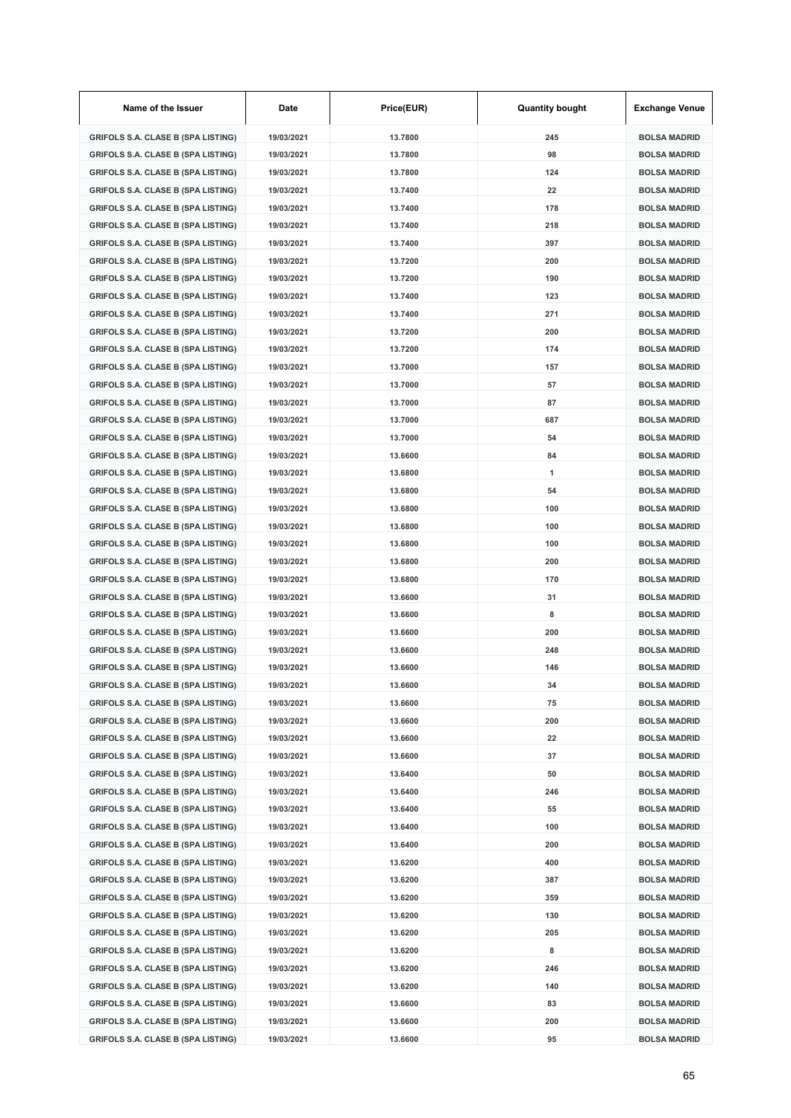| Name of the Issuer                        | Date       | Price(EUR) | <b>Quantity bought</b> | <b>Exchange Venue</b> |
|-------------------------------------------|------------|------------|------------------------|-----------------------|
| <b>GRIFOLS S.A. CLASE B (SPA LISTING)</b> | 19/03/2021 | 13.7800    | 245                    | <b>BOLSA MADRID</b>   |
| <b>GRIFOLS S.A. CLASE B (SPA LISTING)</b> | 19/03/2021 | 13.7800    | 98                     | <b>BOLSA MADRID</b>   |
| <b>GRIFOLS S.A. CLASE B (SPA LISTING)</b> | 19/03/2021 | 13.7800    | 124                    | <b>BOLSA MADRID</b>   |
| <b>GRIFOLS S.A. CLASE B (SPA LISTING)</b> | 19/03/2021 | 13.7400    | 22                     | <b>BOLSA MADRID</b>   |
| <b>GRIFOLS S.A. CLASE B (SPA LISTING)</b> | 19/03/2021 | 13.7400    | 178                    | <b>BOLSA MADRID</b>   |
| <b>GRIFOLS S.A. CLASE B (SPA LISTING)</b> | 19/03/2021 | 13.7400    | 218                    | <b>BOLSA MADRID</b>   |
| <b>GRIFOLS S.A. CLASE B (SPA LISTING)</b> | 19/03/2021 | 13.7400    | 397                    | <b>BOLSA MADRID</b>   |
| <b>GRIFOLS S.A. CLASE B (SPA LISTING)</b> | 19/03/2021 | 13.7200    | 200                    | <b>BOLSA MADRID</b>   |
| <b>GRIFOLS S.A. CLASE B (SPA LISTING)</b> | 19/03/2021 | 13.7200    | 190                    | <b>BOLSA MADRID</b>   |
| <b>GRIFOLS S.A. CLASE B (SPA LISTING)</b> | 19/03/2021 | 13.7400    | 123                    | <b>BOLSA MADRID</b>   |
| <b>GRIFOLS S.A. CLASE B (SPA LISTING)</b> | 19/03/2021 | 13.7400    | 271                    | <b>BOLSA MADRID</b>   |
| <b>GRIFOLS S.A. CLASE B (SPA LISTING)</b> | 19/03/2021 | 13.7200    | 200                    | <b>BOLSA MADRID</b>   |
| <b>GRIFOLS S.A. CLASE B (SPA LISTING)</b> | 19/03/2021 | 13.7200    | 174                    | <b>BOLSA MADRID</b>   |
| <b>GRIFOLS S.A. CLASE B (SPA LISTING)</b> | 19/03/2021 | 13.7000    | 157                    | <b>BOLSA MADRID</b>   |
| <b>GRIFOLS S.A. CLASE B (SPA LISTING)</b> | 19/03/2021 | 13.7000    | 57                     | <b>BOLSA MADRID</b>   |
| <b>GRIFOLS S.A. CLASE B (SPA LISTING)</b> | 19/03/2021 | 13.7000    | 87                     | <b>BOLSA MADRID</b>   |
| <b>GRIFOLS S.A. CLASE B (SPA LISTING)</b> | 19/03/2021 | 13.7000    | 687                    | <b>BOLSA MADRID</b>   |
| <b>GRIFOLS S.A. CLASE B (SPA LISTING)</b> | 19/03/2021 | 13.7000    | 54                     | <b>BOLSA MADRID</b>   |
| <b>GRIFOLS S.A. CLASE B (SPA LISTING)</b> | 19/03/2021 | 13.6600    | 84                     | <b>BOLSA MADRID</b>   |
| <b>GRIFOLS S.A. CLASE B (SPA LISTING)</b> | 19/03/2021 | 13.6800    | 1                      | <b>BOLSA MADRID</b>   |
| <b>GRIFOLS S.A. CLASE B (SPA LISTING)</b> | 19/03/2021 | 13.6800    | 54                     | <b>BOLSA MADRID</b>   |
| <b>GRIFOLS S.A. CLASE B (SPA LISTING)</b> | 19/03/2021 | 13.6800    | 100                    | <b>BOLSA MADRID</b>   |
| <b>GRIFOLS S.A. CLASE B (SPA LISTING)</b> | 19/03/2021 | 13.6800    | 100                    | <b>BOLSA MADRID</b>   |
| <b>GRIFOLS S.A. CLASE B (SPA LISTING)</b> | 19/03/2021 | 13.6800    | 100                    | <b>BOLSA MADRID</b>   |
| <b>GRIFOLS S.A. CLASE B (SPA LISTING)</b> | 19/03/2021 | 13.6800    | 200                    | <b>BOLSA MADRID</b>   |
| <b>GRIFOLS S.A. CLASE B (SPA LISTING)</b> | 19/03/2021 | 13.6800    | 170                    | <b>BOLSA MADRID</b>   |
| <b>GRIFOLS S.A. CLASE B (SPA LISTING)</b> | 19/03/2021 | 13.6600    | 31                     | <b>BOLSA MADRID</b>   |
| <b>GRIFOLS S.A. CLASE B (SPA LISTING)</b> | 19/03/2021 | 13.6600    | 8                      | <b>BOLSA MADRID</b>   |
| <b>GRIFOLS S.A. CLASE B (SPA LISTING)</b> | 19/03/2021 | 13.6600    | 200                    | <b>BOLSA MADRID</b>   |
| <b>GRIFOLS S.A. CLASE B (SPA LISTING)</b> | 19/03/2021 | 13.6600    | 248                    | <b>BOLSA MADRID</b>   |
| <b>GRIFOLS S.A. CLASE B (SPA LISTING)</b> | 19/03/2021 | 13.6600    | 146                    | <b>BOLSA MADRID</b>   |
| GRIFOLS S.A. CLASE B (SPA LISTING)        | 19/03/2021 | 13.6600    | 34                     | BOLSA MADRID          |
| <b>GRIFOLS S.A. CLASE B (SPA LISTING)</b> | 19/03/2021 | 13.6600    | 75                     | <b>BOLSA MADRID</b>   |
| <b>GRIFOLS S.A. CLASE B (SPA LISTING)</b> | 19/03/2021 | 13.6600    | 200                    | <b>BOLSA MADRID</b>   |
| <b>GRIFOLS S.A. CLASE B (SPA LISTING)</b> | 19/03/2021 | 13.6600    | 22                     | <b>BOLSA MADRID</b>   |
| <b>GRIFOLS S.A. CLASE B (SPA LISTING)</b> | 19/03/2021 | 13.6600    | 37                     | <b>BOLSA MADRID</b>   |
| <b>GRIFOLS S.A. CLASE B (SPA LISTING)</b> | 19/03/2021 | 13.6400    | 50                     | <b>BOLSA MADRID</b>   |
| <b>GRIFOLS S.A. CLASE B (SPA LISTING)</b> | 19/03/2021 | 13.6400    | 246                    | <b>BOLSA MADRID</b>   |
| <b>GRIFOLS S.A. CLASE B (SPA LISTING)</b> | 19/03/2021 | 13.6400    | 55                     | <b>BOLSA MADRID</b>   |
| <b>GRIFOLS S.A. CLASE B (SPA LISTING)</b> | 19/03/2021 | 13.6400    | 100                    | <b>BOLSA MADRID</b>   |
| <b>GRIFOLS S.A. CLASE B (SPA LISTING)</b> | 19/03/2021 | 13.6400    | 200                    | <b>BOLSA MADRID</b>   |
| <b>GRIFOLS S.A. CLASE B (SPA LISTING)</b> | 19/03/2021 | 13.6200    | 400                    | <b>BOLSA MADRID</b>   |
| <b>GRIFOLS S.A. CLASE B (SPA LISTING)</b> | 19/03/2021 | 13.6200    | 387                    | <b>BOLSA MADRID</b>   |
| <b>GRIFOLS S.A. CLASE B (SPA LISTING)</b> | 19/03/2021 | 13.6200    | 359                    | <b>BOLSA MADRID</b>   |
| <b>GRIFOLS S.A. CLASE B (SPA LISTING)</b> | 19/03/2021 | 13.6200    | 130                    | <b>BOLSA MADRID</b>   |
| <b>GRIFOLS S.A. CLASE B (SPA LISTING)</b> | 19/03/2021 | 13.6200    | 205                    | <b>BOLSA MADRID</b>   |
| <b>GRIFOLS S.A. CLASE B (SPA LISTING)</b> | 19/03/2021 | 13.6200    | 8                      | <b>BOLSA MADRID</b>   |
| <b>GRIFOLS S.A. CLASE B (SPA LISTING)</b> | 19/03/2021 | 13.6200    | 246                    | <b>BOLSA MADRID</b>   |
| <b>GRIFOLS S.A. CLASE B (SPA LISTING)</b> | 19/03/2021 | 13.6200    | 140                    | <b>BOLSA MADRID</b>   |
| <b>GRIFOLS S.A. CLASE B (SPA LISTING)</b> | 19/03/2021 | 13.6600    | 83                     | <b>BOLSA MADRID</b>   |
| <b>GRIFOLS S.A. CLASE B (SPA LISTING)</b> | 19/03/2021 | 13.6600    | 200                    | <b>BOLSA MADRID</b>   |
| <b>GRIFOLS S.A. CLASE B (SPA LISTING)</b> | 19/03/2021 | 13.6600    | 95                     | <b>BOLSA MADRID</b>   |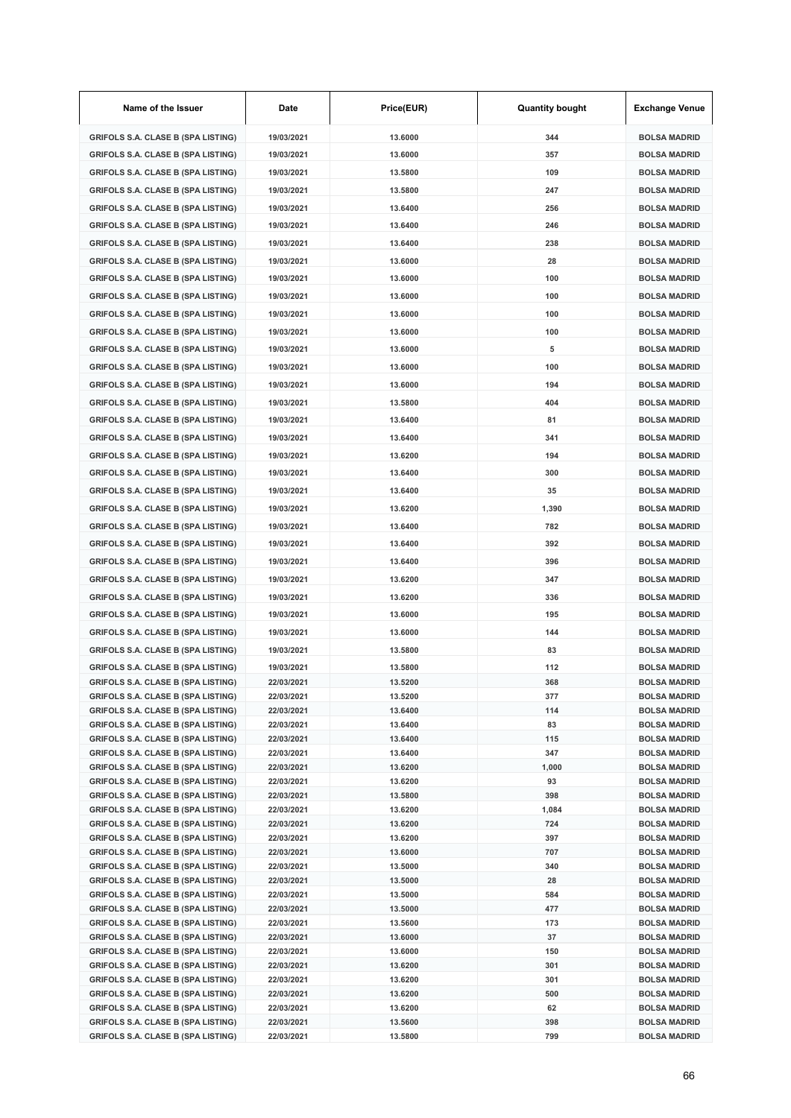| Name of the Issuer                                                                     | Date                     | Price(EUR)         | <b>Quantity bought</b> | <b>Exchange Venue</b>                      |
|----------------------------------------------------------------------------------------|--------------------------|--------------------|------------------------|--------------------------------------------|
| <b>GRIFOLS S.A. CLASE B (SPA LISTING)</b>                                              | 19/03/2021               | 13.6000            | 344                    | <b>BOLSA MADRID</b>                        |
| <b>GRIFOLS S.A. CLASE B (SPA LISTING)</b>                                              | 19/03/2021               | 13.6000            | 357                    | <b>BOLSA MADRID</b>                        |
| <b>GRIFOLS S.A. CLASE B (SPA LISTING)</b>                                              | 19/03/2021               | 13.5800            | 109                    | <b>BOLSA MADRID</b>                        |
| <b>GRIFOLS S.A. CLASE B (SPA LISTING)</b>                                              | 19/03/2021               | 13.5800            | 247                    | <b>BOLSA MADRID</b>                        |
| <b>GRIFOLS S.A. CLASE B (SPA LISTING)</b>                                              | 19/03/2021               | 13.6400            | 256                    | <b>BOLSA MADRID</b>                        |
| <b>GRIFOLS S.A. CLASE B (SPA LISTING)</b>                                              | 19/03/2021               | 13.6400            | 246                    | <b>BOLSA MADRID</b>                        |
| <b>GRIFOLS S.A. CLASE B (SPA LISTING)</b>                                              | 19/03/2021               | 13.6400            | 238                    | <b>BOLSA MADRID</b>                        |
| <b>GRIFOLS S.A. CLASE B (SPA LISTING)</b>                                              | 19/03/2021               | 13.6000            | 28                     | <b>BOLSA MADRID</b>                        |
|                                                                                        |                          |                    |                        |                                            |
| <b>GRIFOLS S.A. CLASE B (SPA LISTING)</b>                                              | 19/03/2021               | 13.6000            | 100                    | <b>BOLSA MADRID</b>                        |
| <b>GRIFOLS S.A. CLASE B (SPA LISTING)</b>                                              | 19/03/2021               | 13.6000            | 100                    | <b>BOLSA MADRID</b>                        |
| <b>GRIFOLS S.A. CLASE B (SPA LISTING)</b>                                              | 19/03/2021               | 13.6000            | 100                    | <b>BOLSA MADRID</b>                        |
| <b>GRIFOLS S.A. CLASE B (SPA LISTING)</b>                                              | 19/03/2021               | 13.6000            | 100                    | <b>BOLSA MADRID</b>                        |
| <b>GRIFOLS S.A. CLASE B (SPA LISTING)</b>                                              | 19/03/2021               | 13.6000            | 5                      | <b>BOLSA MADRID</b>                        |
| <b>GRIFOLS S.A. CLASE B (SPA LISTING)</b>                                              | 19/03/2021               | 13.6000            | 100                    | <b>BOLSA MADRID</b>                        |
| <b>GRIFOLS S.A. CLASE B (SPA LISTING)</b>                                              | 19/03/2021               | 13.6000            | 194                    | <b>BOLSA MADRID</b>                        |
| <b>GRIFOLS S.A. CLASE B (SPA LISTING)</b>                                              | 19/03/2021               | 13.5800            | 404                    | <b>BOLSA MADRID</b>                        |
| <b>GRIFOLS S.A. CLASE B (SPA LISTING)</b>                                              | 19/03/2021               | 13.6400            | 81                     | <b>BOLSA MADRID</b>                        |
| <b>GRIFOLS S.A. CLASE B (SPA LISTING)</b>                                              | 19/03/2021               | 13.6400            | 341                    | <b>BOLSA MADRID</b>                        |
| <b>GRIFOLS S.A. CLASE B (SPA LISTING)</b>                                              | 19/03/2021               | 13.6200            | 194                    | <b>BOLSA MADRID</b>                        |
| <b>GRIFOLS S.A. CLASE B (SPA LISTING)</b>                                              | 19/03/2021               | 13.6400            | 300                    | <b>BOLSA MADRID</b>                        |
| <b>GRIFOLS S.A. CLASE B (SPA LISTING)</b>                                              | 19/03/2021               | 13.6400            | 35                     | <b>BOLSA MADRID</b>                        |
| <b>GRIFOLS S.A. CLASE B (SPA LISTING)</b>                                              | 19/03/2021               | 13.6200            | 1,390                  | <b>BOLSA MADRID</b>                        |
| <b>GRIFOLS S.A. CLASE B (SPA LISTING)</b>                                              | 19/03/2021               | 13.6400            | 782                    | <b>BOLSA MADRID</b>                        |
| <b>GRIFOLS S.A. CLASE B (SPA LISTING)</b>                                              | 19/03/2021               | 13.6400            | 392                    | <b>BOLSA MADRID</b>                        |
| <b>GRIFOLS S.A. CLASE B (SPA LISTING)</b>                                              | 19/03/2021               | 13.6400            | 396                    | <b>BOLSA MADRID</b>                        |
| <b>GRIFOLS S.A. CLASE B (SPA LISTING)</b>                                              | 19/03/2021               | 13.6200            | 347                    | <b>BOLSA MADRID</b>                        |
| <b>GRIFOLS S.A. CLASE B (SPA LISTING)</b>                                              | 19/03/2021               | 13.6200            | 336                    | <b>BOLSA MADRID</b>                        |
| <b>GRIFOLS S.A. CLASE B (SPA LISTING)</b>                                              | 19/03/2021               | 13.6000            | 195                    | <b>BOLSA MADRID</b>                        |
| <b>GRIFOLS S.A. CLASE B (SPA LISTING)</b>                                              |                          |                    |                        |                                            |
|                                                                                        | 19/03/2021               | 13.6000            | 144                    | <b>BOLSA MADRID</b>                        |
| <b>GRIFOLS S.A. CLASE B (SPA LISTING)</b>                                              | 19/03/2021               | 13.5800            | 83                     | <b>BOLSA MADRID</b>                        |
| <b>GRIFOLS S.A. CLASE B (SPA LISTING)</b><br><b>GRIFOLS S.A. CLASE B (SPA LISTING)</b> | 19/03/2021<br>22/03/2021 | 13.5800<br>13.5200 | 112<br>368             | <b>BOLSA MADRID</b><br><b>BOLSA MADRID</b> |
| <b>GRIFOLS S.A. CLASE B (SPA LISTING)</b>                                              | 22/03/2021               | 13.5200            | 377                    | <b>BOLSA MADRID</b>                        |
| <b>GRIFOLS S.A. CLASE B (SPA LISTING)</b>                                              | 22/03/2021               | 13.6400            | 114                    | <b>BOLSA MADRID</b>                        |
| <b>GRIFOLS S.A. CLASE B (SPA LISTING)</b>                                              | 22/03/2021               | 13.6400            | 83                     | <b>BOLSA MADRID</b>                        |
| <b>GRIFOLS S.A. CLASE B (SPA LISTING)</b>                                              | 22/03/2021               | 13.6400            | 115                    | <b>BOLSA MADRID</b>                        |
| <b>GRIFOLS S.A. CLASE B (SPA LISTING)</b>                                              | 22/03/2021               | 13.6400            | 347                    | <b>BOLSA MADRID</b>                        |
| <b>GRIFOLS S.A. CLASE B (SPA LISTING)</b>                                              | 22/03/2021               | 13.6200            | 1,000                  | <b>BOLSA MADRID</b>                        |
| <b>GRIFOLS S.A. CLASE B (SPA LISTING)</b><br><b>GRIFOLS S.A. CLASE B (SPA LISTING)</b> | 22/03/2021<br>22/03/2021 | 13.6200<br>13.5800 | 93<br>398              | <b>BOLSA MADRID</b><br><b>BOLSA MADRID</b> |
| <b>GRIFOLS S.A. CLASE B (SPA LISTING)</b>                                              | 22/03/2021               | 13.6200            | 1,084                  | <b>BOLSA MADRID</b>                        |
| <b>GRIFOLS S.A. CLASE B (SPA LISTING)</b>                                              | 22/03/2021               | 13.6200            | 724                    | <b>BOLSA MADRID</b>                        |
| <b>GRIFOLS S.A. CLASE B (SPA LISTING)</b>                                              | 22/03/2021               | 13.6200            | 397                    | <b>BOLSA MADRID</b>                        |
| <b>GRIFOLS S.A. CLASE B (SPA LISTING)</b>                                              | 22/03/2021               | 13.6000            | 707                    | <b>BOLSA MADRID</b>                        |
| <b>GRIFOLS S.A. CLASE B (SPA LISTING)</b>                                              | 22/03/2021               | 13.5000            | 340                    | <b>BOLSA MADRID</b>                        |
| <b>GRIFOLS S.A. CLASE B (SPA LISTING)</b><br><b>GRIFOLS S.A. CLASE B (SPA LISTING)</b> | 22/03/2021<br>22/03/2021 | 13.5000<br>13.5000 | 28<br>584              | <b>BOLSA MADRID</b><br><b>BOLSA MADRID</b> |
| <b>GRIFOLS S.A. CLASE B (SPA LISTING)</b>                                              | 22/03/2021               | 13.5000            | 477                    | <b>BOLSA MADRID</b>                        |
| <b>GRIFOLS S.A. CLASE B (SPA LISTING)</b>                                              | 22/03/2021               | 13.5600            | 173                    | <b>BOLSA MADRID</b>                        |
| <b>GRIFOLS S.A. CLASE B (SPA LISTING)</b>                                              | 22/03/2021               | 13.6000            | 37                     | <b>BOLSA MADRID</b>                        |
| <b>GRIFOLS S.A. CLASE B (SPA LISTING)</b>                                              | 22/03/2021               | 13.6000            | 150                    | <b>BOLSA MADRID</b>                        |
| <b>GRIFOLS S.A. CLASE B (SPA LISTING)</b>                                              | 22/03/2021               | 13.6200            | 301                    | <b>BOLSA MADRID</b>                        |
| <b>GRIFOLS S.A. CLASE B (SPA LISTING)</b>                                              | 22/03/2021               | 13.6200            | 301                    | <b>BOLSA MADRID</b>                        |
| <b>GRIFOLS S.A. CLASE B (SPA LISTING)</b><br><b>GRIFOLS S.A. CLASE B (SPA LISTING)</b> | 22/03/2021<br>22/03/2021 | 13.6200<br>13.6200 | 500<br>62              | <b>BOLSA MADRID</b><br><b>BOLSA MADRID</b> |
| <b>GRIFOLS S.A. CLASE B (SPA LISTING)</b>                                              | 22/03/2021               | 13.5600            | 398                    | <b>BOLSA MADRID</b>                        |
| <b>GRIFOLS S.A. CLASE B (SPA LISTING)</b>                                              | 22/03/2021               | 13.5800            | 799                    | <b>BOLSA MADRID</b>                        |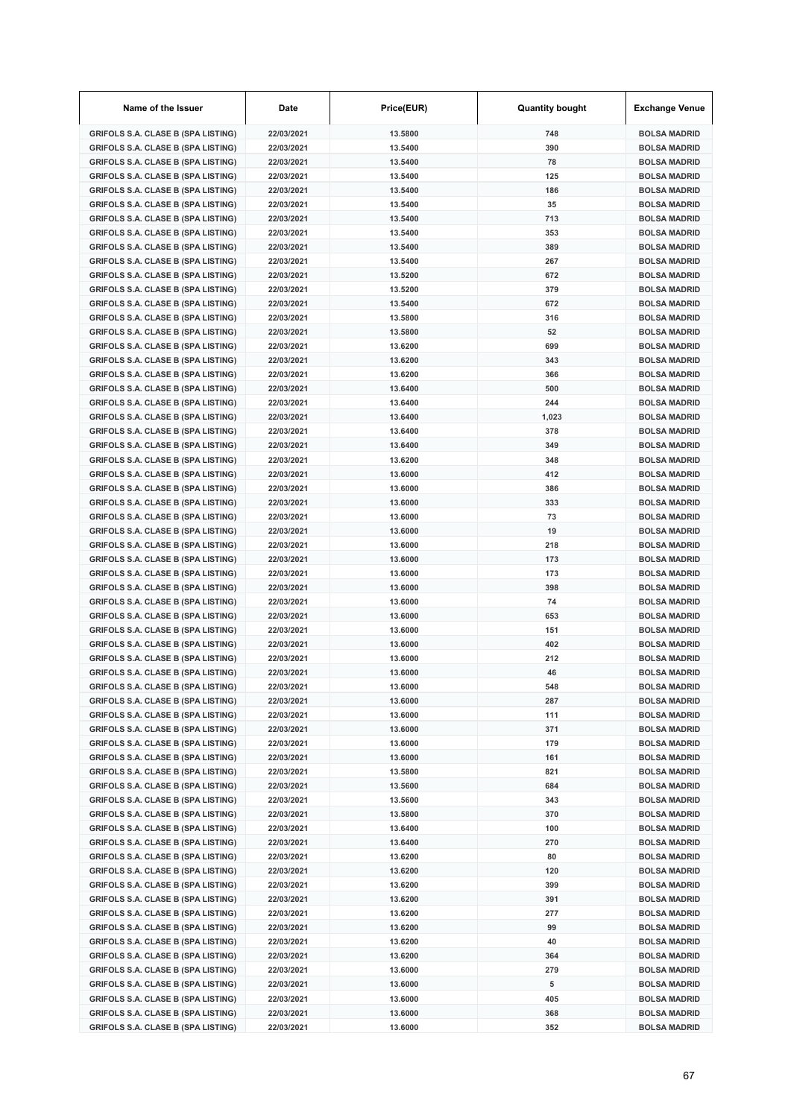| <b>GRIFOLS S.A. CLASE B (SPA LISTING)</b><br>22/03/2021<br>13.5800<br>748<br><b>GRIFOLS S.A. CLASE B (SPA LISTING)</b><br>22/03/2021<br>13.5400<br>390<br>22/03/2021<br>13.5400<br>78<br><b>GRIFOLS S.A. CLASE B (SPA LISTING)</b><br>13.5400<br><b>GRIFOLS S.A. CLASE B (SPA LISTING)</b><br>22/03/2021<br>125<br>13.5400<br>186<br><b>GRIFOLS S.A. CLASE B (SPA LISTING)</b><br>22/03/2021<br>22/03/2021<br>35<br><b>GRIFOLS S.A. CLASE B (SPA LISTING)</b><br>13.5400<br><b>GRIFOLS S.A. CLASE B (SPA LISTING)</b><br>22/03/2021<br>13.5400<br>713<br><b>GRIFOLS S.A. CLASE B (SPA LISTING)</b><br>22/03/2021<br>13.5400<br>353<br><b>GRIFOLS S.A. CLASE B (SPA LISTING)</b><br>22/03/2021<br>13.5400<br>389<br>267<br><b>GRIFOLS S.A. CLASE B (SPA LISTING)</b><br>22/03/2021<br>13.5400<br>22/03/2021<br>13.5200<br>672<br><b>GRIFOLS S.A. CLASE B (SPA LISTING)</b><br><b>BOLSA MADRID</b><br>13.5200<br>379<br><b>GRIFOLS S.A. CLASE B (SPA LISTING)</b><br>22/03/2021<br><b>BOLSA MADRID</b><br>22/03/2021<br>13.5400<br>672<br><b>GRIFOLS S.A. CLASE B (SPA LISTING)</b><br><b>BOLSA MADRID</b><br>13.5800<br>316<br><b>GRIFOLS S.A. CLASE B (SPA LISTING)</b><br>22/03/2021<br><b>BOLSA MADRID</b><br>13.5800<br>52<br><b>GRIFOLS S.A. CLASE B (SPA LISTING)</b><br>22/03/2021<br><b>BOLSA MADRID</b><br><b>GRIFOLS S.A. CLASE B (SPA LISTING)</b><br>22/03/2021<br>13.6200<br>699<br><b>BOLSA MADRID</b><br><b>GRIFOLS S.A. CLASE B (SPA LISTING)</b><br>22/03/2021<br>13.6200<br>343<br><b>BOLSA MADRID</b><br><b>GRIFOLS S.A. CLASE B (SPA LISTING)</b><br>22/03/2021<br>13.6200<br>366<br><b>BOLSA MADRID</b><br><b>GRIFOLS S.A. CLASE B (SPA LISTING)</b><br>22/03/2021<br>13.6400<br>500<br><b>BOLSA MADRID</b><br>22/03/2021<br>13.6400<br>244<br><b>GRIFOLS S.A. CLASE B (SPA LISTING)</b><br><b>BOLSA MADRID</b><br>13.6400<br><b>GRIFOLS S.A. CLASE B (SPA LISTING)</b><br>22/03/2021<br>1,023<br><b>BOLSA MADRID</b><br>22/03/2021<br>13.6400<br>378<br><b>GRIFOLS S.A. CLASE B (SPA LISTING)</b><br><b>BOLSA MADRID</b><br>349<br><b>GRIFOLS S.A. CLASE B (SPA LISTING)</b><br>22/03/2021<br>13.6400<br><b>BOLSA MADRID</b><br>348<br><b>GRIFOLS S.A. CLASE B (SPA LISTING)</b><br>22/03/2021<br>13.6200<br><b>BOLSA MADRID</b><br>412<br><b>GRIFOLS S.A. CLASE B (SPA LISTING)</b><br>22/03/2021<br>13,6000<br><b>BOLSA MADRID</b><br><b>GRIFOLS S.A. CLASE B (SPA LISTING)</b><br>22/03/2021<br>13.6000<br>386<br><b>BOLSA MADRID</b><br><b>GRIFOLS S.A. CLASE B (SPA LISTING)</b><br>22/03/2021<br>13.6000<br>333<br>13.6000<br>73<br><b>GRIFOLS S.A. CLASE B (SPA LISTING)</b><br>22/03/2021<br>13.6000<br>19<br><b>GRIFOLS S.A. CLASE B (SPA LISTING)</b><br>22/03/2021<br>22/03/2021<br>13.6000<br>218<br><b>GRIFOLS S.A. CLASE B (SPA LISTING)</b><br>13.6000<br>173<br><b>GRIFOLS S.A. CLASE B (SPA LISTING)</b><br>22/03/2021<br><b>GRIFOLS S.A. CLASE B (SPA LISTING)</b><br>22/03/2021<br>13.6000<br>173<br><b>GRIFOLS S.A. CLASE B (SPA LISTING)</b><br>22/03/2021<br>13.6000<br>398<br><b>GRIFOLS S.A. CLASE B (SPA LISTING)</b><br>22/03/2021<br>13.6000<br>74<br><b>GRIFOLS S.A. CLASE B (SPA LISTING)</b><br>22/03/2021<br>13,6000<br>653<br>13.6000<br><b>GRIFOLS S.A. CLASE B (SPA LISTING)</b><br>22/03/2021<br>151<br>402<br><b>GRIFOLS S.A. CLASE B (SPA LISTING)</b><br>22/03/2021<br>13.6000<br>13.6000<br>212<br><b>GRIFOLS S.A. CLASE B (SPA LISTING)</b><br>22/03/2021<br>22/03/2021<br><b>GRIFOLS S.A. CLASE B (SPA LISTING)</b><br>13.6000<br>46<br>22/03/2021<br><b>GRIFOLS S.A. CLASE B (SPA LISTING)</b><br>13,6000<br>548<br><b>GRIFOLS S.A. CLASE B (SPA LISTING)</b><br>22/03/2021<br>13.6000<br>287<br><b>GRIFOLS S.A. CLASE B (SPA LISTING)</b><br>111<br>22/03/2021<br>13.6000<br><b>GRIFOLS S.A. CLASE B (SPA LISTING)</b><br>22/03/2021<br>13.6000<br>371<br><b>GRIFOLS S.A. CLASE B (SPA LISTING)</b><br>13.6000<br>179<br>22/03/2021<br><b>GRIFOLS S.A. CLASE B (SPA LISTING)</b><br>22/03/2021<br>13.6000<br>161<br><b>GRIFOLS S.A. CLASE B (SPA LISTING)</b><br>13.5800<br>821<br>22/03/2021<br><b>GRIFOLS S.A. CLASE B (SPA LISTING)</b><br>684<br>22/03/2021<br>13.5600<br><b>GRIFOLS S.A. CLASE B (SPA LISTING)</b><br>22/03/2021<br>13.5600<br>343<br><b>GRIFOLS S.A. CLASE B (SPA LISTING)</b><br>22/03/2021<br>13.5800<br>370<br><b>GRIFOLS S.A. CLASE B (SPA LISTING)</b><br>22/03/2021<br>13.6400<br>100<br><b>BOLSA MADRID</b><br><b>GRIFOLS S.A. CLASE B (SPA LISTING)</b><br>22/03/2021<br>13.6400<br>270<br><b>BOLSA MADRID</b><br><b>GRIFOLS S.A. CLASE B (SPA LISTING)</b><br>80<br>22/03/2021<br>13.6200<br><b>BOLSA MADRID</b><br><b>GRIFOLS S.A. CLASE B (SPA LISTING)</b><br>22/03/2021<br>13.6200<br>120<br><b>BOLSA MADRID</b><br><b>GRIFOLS S.A. CLASE B (SPA LISTING)</b><br>13.6200<br>399<br>22/03/2021<br><b>BOLSA MADRID</b><br><b>GRIFOLS S.A. CLASE B (SPA LISTING)</b><br>391<br>22/03/2021<br>13.6200<br><b>BOLSA MADRID</b><br><b>GRIFOLS S.A. CLASE B (SPA LISTING)</b><br>22/03/2021<br>13.6200<br>277<br><b>BOLSA MADRID</b><br><b>GRIFOLS S.A. CLASE B (SPA LISTING)</b><br>22/03/2021<br>13.6200<br>99<br><b>BOLSA MADRID</b><br><b>GRIFOLS S.A. CLASE B (SPA LISTING)</b><br>22/03/2021<br>13.6200<br>40<br><b>BOLSA MADRID</b><br><b>GRIFOLS S.A. CLASE B (SPA LISTING)</b><br>22/03/2021<br>13.6200<br>364<br><b>BOLSA MADRID</b><br><b>GRIFOLS S.A. CLASE B (SPA LISTING)</b><br>22/03/2021<br>13.6000<br>279 | Name of the Issuer | Date | Price(EUR) | <b>Quantity bought</b> | <b>Exchange Venue</b> |
|------------------------------------------------------------------------------------------------------------------------------------------------------------------------------------------------------------------------------------------------------------------------------------------------------------------------------------------------------------------------------------------------------------------------------------------------------------------------------------------------------------------------------------------------------------------------------------------------------------------------------------------------------------------------------------------------------------------------------------------------------------------------------------------------------------------------------------------------------------------------------------------------------------------------------------------------------------------------------------------------------------------------------------------------------------------------------------------------------------------------------------------------------------------------------------------------------------------------------------------------------------------------------------------------------------------------------------------------------------------------------------------------------------------------------------------------------------------------------------------------------------------------------------------------------------------------------------------------------------------------------------------------------------------------------------------------------------------------------------------------------------------------------------------------------------------------------------------------------------------------------------------------------------------------------------------------------------------------------------------------------------------------------------------------------------------------------------------------------------------------------------------------------------------------------------------------------------------------------------------------------------------------------------------------------------------------------------------------------------------------------------------------------------------------------------------------------------------------------------------------------------------------------------------------------------------------------------------------------------------------------------------------------------------------------------------------------------------------------------------------------------------------------------------------------------------------------------------------------------------------------------------------------------------------------------------------------------------------------------------------------------------------------------------------------------------------------------------------------------------------------------------------------------------------------------------------------------------------------------------------------------------------------------------------------------------------------------------------------------------------------------------------------------------------------------------------------------------------------------------------------------------------------------------------------------------------------------------------------------------------------------------------------------------------------------------------------------------------------------------------------------------------------------------------------------------------------------------------------------------------------------------------------------------------------------------------------------------------------------------------------------------------------------------------------------------------------------------------------------------------------------------------------------------------------------------------------------------------------------------------------------------------------------------------------------------------------------------------------------------------------------------------------------------------------------------------------------------------------------------------------------------------------------------------------------------------------------------------------------------------------------------------------------------------------------------------------------------------------------------------------------------------------------------------------------------------------------------------------------------------------------------------------------------------------------------------------------------------------------------------------------------------------------------------------------------------------------------------------------------------------------------------------------------------------------------------------------------------------------------------------------------------------------------------------------------------------------------------------------------------------------------------------------------------|--------------------|------|------------|------------------------|-----------------------|
|                                                                                                                                                                                                                                                                                                                                                                                                                                                                                                                                                                                                                                                                                                                                                                                                                                                                                                                                                                                                                                                                                                                                                                                                                                                                                                                                                                                                                                                                                                                                                                                                                                                                                                                                                                                                                                                                                                                                                                                                                                                                                                                                                                                                                                                                                                                                                                                                                                                                                                                                                                                                                                                                                                                                                                                                                                                                                                                                                                                                                                                                                                                                                                                                                                                                                                                                                                                                                                                                                                                                                                                                                                                                                                                                                                                                                                                                                                                                                                                                                                                                                                                                                                                                                                                                                                                                                                                                                                                                                                                                                                                                                                                                                                                                                                                                                                                                                                                                                                                                                                                                                                                                                                                                                                                                                                                                                                                                                        |                    |      |            |                        | <b>BOLSA MADRID</b>   |
|                                                                                                                                                                                                                                                                                                                                                                                                                                                                                                                                                                                                                                                                                                                                                                                                                                                                                                                                                                                                                                                                                                                                                                                                                                                                                                                                                                                                                                                                                                                                                                                                                                                                                                                                                                                                                                                                                                                                                                                                                                                                                                                                                                                                                                                                                                                                                                                                                                                                                                                                                                                                                                                                                                                                                                                                                                                                                                                                                                                                                                                                                                                                                                                                                                                                                                                                                                                                                                                                                                                                                                                                                                                                                                                                                                                                                                                                                                                                                                                                                                                                                                                                                                                                                                                                                                                                                                                                                                                                                                                                                                                                                                                                                                                                                                                                                                                                                                                                                                                                                                                                                                                                                                                                                                                                                                                                                                                                                        |                    |      |            |                        | <b>BOLSA MADRID</b>   |
|                                                                                                                                                                                                                                                                                                                                                                                                                                                                                                                                                                                                                                                                                                                                                                                                                                                                                                                                                                                                                                                                                                                                                                                                                                                                                                                                                                                                                                                                                                                                                                                                                                                                                                                                                                                                                                                                                                                                                                                                                                                                                                                                                                                                                                                                                                                                                                                                                                                                                                                                                                                                                                                                                                                                                                                                                                                                                                                                                                                                                                                                                                                                                                                                                                                                                                                                                                                                                                                                                                                                                                                                                                                                                                                                                                                                                                                                                                                                                                                                                                                                                                                                                                                                                                                                                                                                                                                                                                                                                                                                                                                                                                                                                                                                                                                                                                                                                                                                                                                                                                                                                                                                                                                                                                                                                                                                                                                                                        |                    |      |            |                        | <b>BOLSA MADRID</b>   |
|                                                                                                                                                                                                                                                                                                                                                                                                                                                                                                                                                                                                                                                                                                                                                                                                                                                                                                                                                                                                                                                                                                                                                                                                                                                                                                                                                                                                                                                                                                                                                                                                                                                                                                                                                                                                                                                                                                                                                                                                                                                                                                                                                                                                                                                                                                                                                                                                                                                                                                                                                                                                                                                                                                                                                                                                                                                                                                                                                                                                                                                                                                                                                                                                                                                                                                                                                                                                                                                                                                                                                                                                                                                                                                                                                                                                                                                                                                                                                                                                                                                                                                                                                                                                                                                                                                                                                                                                                                                                                                                                                                                                                                                                                                                                                                                                                                                                                                                                                                                                                                                                                                                                                                                                                                                                                                                                                                                                                        |                    |      |            |                        | <b>BOLSA MADRID</b>   |
|                                                                                                                                                                                                                                                                                                                                                                                                                                                                                                                                                                                                                                                                                                                                                                                                                                                                                                                                                                                                                                                                                                                                                                                                                                                                                                                                                                                                                                                                                                                                                                                                                                                                                                                                                                                                                                                                                                                                                                                                                                                                                                                                                                                                                                                                                                                                                                                                                                                                                                                                                                                                                                                                                                                                                                                                                                                                                                                                                                                                                                                                                                                                                                                                                                                                                                                                                                                                                                                                                                                                                                                                                                                                                                                                                                                                                                                                                                                                                                                                                                                                                                                                                                                                                                                                                                                                                                                                                                                                                                                                                                                                                                                                                                                                                                                                                                                                                                                                                                                                                                                                                                                                                                                                                                                                                                                                                                                                                        |                    |      |            |                        | <b>BOLSA MADRID</b>   |
|                                                                                                                                                                                                                                                                                                                                                                                                                                                                                                                                                                                                                                                                                                                                                                                                                                                                                                                                                                                                                                                                                                                                                                                                                                                                                                                                                                                                                                                                                                                                                                                                                                                                                                                                                                                                                                                                                                                                                                                                                                                                                                                                                                                                                                                                                                                                                                                                                                                                                                                                                                                                                                                                                                                                                                                                                                                                                                                                                                                                                                                                                                                                                                                                                                                                                                                                                                                                                                                                                                                                                                                                                                                                                                                                                                                                                                                                                                                                                                                                                                                                                                                                                                                                                                                                                                                                                                                                                                                                                                                                                                                                                                                                                                                                                                                                                                                                                                                                                                                                                                                                                                                                                                                                                                                                                                                                                                                                                        |                    |      |            |                        | <b>BOLSA MADRID</b>   |
|                                                                                                                                                                                                                                                                                                                                                                                                                                                                                                                                                                                                                                                                                                                                                                                                                                                                                                                                                                                                                                                                                                                                                                                                                                                                                                                                                                                                                                                                                                                                                                                                                                                                                                                                                                                                                                                                                                                                                                                                                                                                                                                                                                                                                                                                                                                                                                                                                                                                                                                                                                                                                                                                                                                                                                                                                                                                                                                                                                                                                                                                                                                                                                                                                                                                                                                                                                                                                                                                                                                                                                                                                                                                                                                                                                                                                                                                                                                                                                                                                                                                                                                                                                                                                                                                                                                                                                                                                                                                                                                                                                                                                                                                                                                                                                                                                                                                                                                                                                                                                                                                                                                                                                                                                                                                                                                                                                                                                        |                    |      |            |                        | <b>BOLSA MADRID</b>   |
|                                                                                                                                                                                                                                                                                                                                                                                                                                                                                                                                                                                                                                                                                                                                                                                                                                                                                                                                                                                                                                                                                                                                                                                                                                                                                                                                                                                                                                                                                                                                                                                                                                                                                                                                                                                                                                                                                                                                                                                                                                                                                                                                                                                                                                                                                                                                                                                                                                                                                                                                                                                                                                                                                                                                                                                                                                                                                                                                                                                                                                                                                                                                                                                                                                                                                                                                                                                                                                                                                                                                                                                                                                                                                                                                                                                                                                                                                                                                                                                                                                                                                                                                                                                                                                                                                                                                                                                                                                                                                                                                                                                                                                                                                                                                                                                                                                                                                                                                                                                                                                                                                                                                                                                                                                                                                                                                                                                                                        |                    |      |            |                        | <b>BOLSA MADRID</b>   |
|                                                                                                                                                                                                                                                                                                                                                                                                                                                                                                                                                                                                                                                                                                                                                                                                                                                                                                                                                                                                                                                                                                                                                                                                                                                                                                                                                                                                                                                                                                                                                                                                                                                                                                                                                                                                                                                                                                                                                                                                                                                                                                                                                                                                                                                                                                                                                                                                                                                                                                                                                                                                                                                                                                                                                                                                                                                                                                                                                                                                                                                                                                                                                                                                                                                                                                                                                                                                                                                                                                                                                                                                                                                                                                                                                                                                                                                                                                                                                                                                                                                                                                                                                                                                                                                                                                                                                                                                                                                                                                                                                                                                                                                                                                                                                                                                                                                                                                                                                                                                                                                                                                                                                                                                                                                                                                                                                                                                                        |                    |      |            |                        | <b>BOLSA MADRID</b>   |
|                                                                                                                                                                                                                                                                                                                                                                                                                                                                                                                                                                                                                                                                                                                                                                                                                                                                                                                                                                                                                                                                                                                                                                                                                                                                                                                                                                                                                                                                                                                                                                                                                                                                                                                                                                                                                                                                                                                                                                                                                                                                                                                                                                                                                                                                                                                                                                                                                                                                                                                                                                                                                                                                                                                                                                                                                                                                                                                                                                                                                                                                                                                                                                                                                                                                                                                                                                                                                                                                                                                                                                                                                                                                                                                                                                                                                                                                                                                                                                                                                                                                                                                                                                                                                                                                                                                                                                                                                                                                                                                                                                                                                                                                                                                                                                                                                                                                                                                                                                                                                                                                                                                                                                                                                                                                                                                                                                                                                        |                    |      |            |                        | <b>BOLSA MADRID</b>   |
|                                                                                                                                                                                                                                                                                                                                                                                                                                                                                                                                                                                                                                                                                                                                                                                                                                                                                                                                                                                                                                                                                                                                                                                                                                                                                                                                                                                                                                                                                                                                                                                                                                                                                                                                                                                                                                                                                                                                                                                                                                                                                                                                                                                                                                                                                                                                                                                                                                                                                                                                                                                                                                                                                                                                                                                                                                                                                                                                                                                                                                                                                                                                                                                                                                                                                                                                                                                                                                                                                                                                                                                                                                                                                                                                                                                                                                                                                                                                                                                                                                                                                                                                                                                                                                                                                                                                                                                                                                                                                                                                                                                                                                                                                                                                                                                                                                                                                                                                                                                                                                                                                                                                                                                                                                                                                                                                                                                                                        |                    |      |            |                        |                       |
|                                                                                                                                                                                                                                                                                                                                                                                                                                                                                                                                                                                                                                                                                                                                                                                                                                                                                                                                                                                                                                                                                                                                                                                                                                                                                                                                                                                                                                                                                                                                                                                                                                                                                                                                                                                                                                                                                                                                                                                                                                                                                                                                                                                                                                                                                                                                                                                                                                                                                                                                                                                                                                                                                                                                                                                                                                                                                                                                                                                                                                                                                                                                                                                                                                                                                                                                                                                                                                                                                                                                                                                                                                                                                                                                                                                                                                                                                                                                                                                                                                                                                                                                                                                                                                                                                                                                                                                                                                                                                                                                                                                                                                                                                                                                                                                                                                                                                                                                                                                                                                                                                                                                                                                                                                                                                                                                                                                                                        |                    |      |            |                        |                       |
|                                                                                                                                                                                                                                                                                                                                                                                                                                                                                                                                                                                                                                                                                                                                                                                                                                                                                                                                                                                                                                                                                                                                                                                                                                                                                                                                                                                                                                                                                                                                                                                                                                                                                                                                                                                                                                                                                                                                                                                                                                                                                                                                                                                                                                                                                                                                                                                                                                                                                                                                                                                                                                                                                                                                                                                                                                                                                                                                                                                                                                                                                                                                                                                                                                                                                                                                                                                                                                                                                                                                                                                                                                                                                                                                                                                                                                                                                                                                                                                                                                                                                                                                                                                                                                                                                                                                                                                                                                                                                                                                                                                                                                                                                                                                                                                                                                                                                                                                                                                                                                                                                                                                                                                                                                                                                                                                                                                                                        |                    |      |            |                        |                       |
|                                                                                                                                                                                                                                                                                                                                                                                                                                                                                                                                                                                                                                                                                                                                                                                                                                                                                                                                                                                                                                                                                                                                                                                                                                                                                                                                                                                                                                                                                                                                                                                                                                                                                                                                                                                                                                                                                                                                                                                                                                                                                                                                                                                                                                                                                                                                                                                                                                                                                                                                                                                                                                                                                                                                                                                                                                                                                                                                                                                                                                                                                                                                                                                                                                                                                                                                                                                                                                                                                                                                                                                                                                                                                                                                                                                                                                                                                                                                                                                                                                                                                                                                                                                                                                                                                                                                                                                                                                                                                                                                                                                                                                                                                                                                                                                                                                                                                                                                                                                                                                                                                                                                                                                                                                                                                                                                                                                                                        |                    |      |            |                        |                       |
|                                                                                                                                                                                                                                                                                                                                                                                                                                                                                                                                                                                                                                                                                                                                                                                                                                                                                                                                                                                                                                                                                                                                                                                                                                                                                                                                                                                                                                                                                                                                                                                                                                                                                                                                                                                                                                                                                                                                                                                                                                                                                                                                                                                                                                                                                                                                                                                                                                                                                                                                                                                                                                                                                                                                                                                                                                                                                                                                                                                                                                                                                                                                                                                                                                                                                                                                                                                                                                                                                                                                                                                                                                                                                                                                                                                                                                                                                                                                                                                                                                                                                                                                                                                                                                                                                                                                                                                                                                                                                                                                                                                                                                                                                                                                                                                                                                                                                                                                                                                                                                                                                                                                                                                                                                                                                                                                                                                                                        |                    |      |            |                        |                       |
|                                                                                                                                                                                                                                                                                                                                                                                                                                                                                                                                                                                                                                                                                                                                                                                                                                                                                                                                                                                                                                                                                                                                                                                                                                                                                                                                                                                                                                                                                                                                                                                                                                                                                                                                                                                                                                                                                                                                                                                                                                                                                                                                                                                                                                                                                                                                                                                                                                                                                                                                                                                                                                                                                                                                                                                                                                                                                                                                                                                                                                                                                                                                                                                                                                                                                                                                                                                                                                                                                                                                                                                                                                                                                                                                                                                                                                                                                                                                                                                                                                                                                                                                                                                                                                                                                                                                                                                                                                                                                                                                                                                                                                                                                                                                                                                                                                                                                                                                                                                                                                                                                                                                                                                                                                                                                                                                                                                                                        |                    |      |            |                        |                       |
|                                                                                                                                                                                                                                                                                                                                                                                                                                                                                                                                                                                                                                                                                                                                                                                                                                                                                                                                                                                                                                                                                                                                                                                                                                                                                                                                                                                                                                                                                                                                                                                                                                                                                                                                                                                                                                                                                                                                                                                                                                                                                                                                                                                                                                                                                                                                                                                                                                                                                                                                                                                                                                                                                                                                                                                                                                                                                                                                                                                                                                                                                                                                                                                                                                                                                                                                                                                                                                                                                                                                                                                                                                                                                                                                                                                                                                                                                                                                                                                                                                                                                                                                                                                                                                                                                                                                                                                                                                                                                                                                                                                                                                                                                                                                                                                                                                                                                                                                                                                                                                                                                                                                                                                                                                                                                                                                                                                                                        |                    |      |            |                        |                       |
|                                                                                                                                                                                                                                                                                                                                                                                                                                                                                                                                                                                                                                                                                                                                                                                                                                                                                                                                                                                                                                                                                                                                                                                                                                                                                                                                                                                                                                                                                                                                                                                                                                                                                                                                                                                                                                                                                                                                                                                                                                                                                                                                                                                                                                                                                                                                                                                                                                                                                                                                                                                                                                                                                                                                                                                                                                                                                                                                                                                                                                                                                                                                                                                                                                                                                                                                                                                                                                                                                                                                                                                                                                                                                                                                                                                                                                                                                                                                                                                                                                                                                                                                                                                                                                                                                                                                                                                                                                                                                                                                                                                                                                                                                                                                                                                                                                                                                                                                                                                                                                                                                                                                                                                                                                                                                                                                                                                                                        |                    |      |            |                        |                       |
|                                                                                                                                                                                                                                                                                                                                                                                                                                                                                                                                                                                                                                                                                                                                                                                                                                                                                                                                                                                                                                                                                                                                                                                                                                                                                                                                                                                                                                                                                                                                                                                                                                                                                                                                                                                                                                                                                                                                                                                                                                                                                                                                                                                                                                                                                                                                                                                                                                                                                                                                                                                                                                                                                                                                                                                                                                                                                                                                                                                                                                                                                                                                                                                                                                                                                                                                                                                                                                                                                                                                                                                                                                                                                                                                                                                                                                                                                                                                                                                                                                                                                                                                                                                                                                                                                                                                                                                                                                                                                                                                                                                                                                                                                                                                                                                                                                                                                                                                                                                                                                                                                                                                                                                                                                                                                                                                                                                                                        |                    |      |            |                        |                       |
|                                                                                                                                                                                                                                                                                                                                                                                                                                                                                                                                                                                                                                                                                                                                                                                                                                                                                                                                                                                                                                                                                                                                                                                                                                                                                                                                                                                                                                                                                                                                                                                                                                                                                                                                                                                                                                                                                                                                                                                                                                                                                                                                                                                                                                                                                                                                                                                                                                                                                                                                                                                                                                                                                                                                                                                                                                                                                                                                                                                                                                                                                                                                                                                                                                                                                                                                                                                                                                                                                                                                                                                                                                                                                                                                                                                                                                                                                                                                                                                                                                                                                                                                                                                                                                                                                                                                                                                                                                                                                                                                                                                                                                                                                                                                                                                                                                                                                                                                                                                                                                                                                                                                                                                                                                                                                                                                                                                                                        |                    |      |            |                        |                       |
|                                                                                                                                                                                                                                                                                                                                                                                                                                                                                                                                                                                                                                                                                                                                                                                                                                                                                                                                                                                                                                                                                                                                                                                                                                                                                                                                                                                                                                                                                                                                                                                                                                                                                                                                                                                                                                                                                                                                                                                                                                                                                                                                                                                                                                                                                                                                                                                                                                                                                                                                                                                                                                                                                                                                                                                                                                                                                                                                                                                                                                                                                                                                                                                                                                                                                                                                                                                                                                                                                                                                                                                                                                                                                                                                                                                                                                                                                                                                                                                                                                                                                                                                                                                                                                                                                                                                                                                                                                                                                                                                                                                                                                                                                                                                                                                                                                                                                                                                                                                                                                                                                                                                                                                                                                                                                                                                                                                                                        |                    |      |            |                        |                       |
|                                                                                                                                                                                                                                                                                                                                                                                                                                                                                                                                                                                                                                                                                                                                                                                                                                                                                                                                                                                                                                                                                                                                                                                                                                                                                                                                                                                                                                                                                                                                                                                                                                                                                                                                                                                                                                                                                                                                                                                                                                                                                                                                                                                                                                                                                                                                                                                                                                                                                                                                                                                                                                                                                                                                                                                                                                                                                                                                                                                                                                                                                                                                                                                                                                                                                                                                                                                                                                                                                                                                                                                                                                                                                                                                                                                                                                                                                                                                                                                                                                                                                                                                                                                                                                                                                                                                                                                                                                                                                                                                                                                                                                                                                                                                                                                                                                                                                                                                                                                                                                                                                                                                                                                                                                                                                                                                                                                                                        |                    |      |            |                        |                       |
|                                                                                                                                                                                                                                                                                                                                                                                                                                                                                                                                                                                                                                                                                                                                                                                                                                                                                                                                                                                                                                                                                                                                                                                                                                                                                                                                                                                                                                                                                                                                                                                                                                                                                                                                                                                                                                                                                                                                                                                                                                                                                                                                                                                                                                                                                                                                                                                                                                                                                                                                                                                                                                                                                                                                                                                                                                                                                                                                                                                                                                                                                                                                                                                                                                                                                                                                                                                                                                                                                                                                                                                                                                                                                                                                                                                                                                                                                                                                                                                                                                                                                                                                                                                                                                                                                                                                                                                                                                                                                                                                                                                                                                                                                                                                                                                                                                                                                                                                                                                                                                                                                                                                                                                                                                                                                                                                                                                                                        |                    |      |            |                        |                       |
|                                                                                                                                                                                                                                                                                                                                                                                                                                                                                                                                                                                                                                                                                                                                                                                                                                                                                                                                                                                                                                                                                                                                                                                                                                                                                                                                                                                                                                                                                                                                                                                                                                                                                                                                                                                                                                                                                                                                                                                                                                                                                                                                                                                                                                                                                                                                                                                                                                                                                                                                                                                                                                                                                                                                                                                                                                                                                                                                                                                                                                                                                                                                                                                                                                                                                                                                                                                                                                                                                                                                                                                                                                                                                                                                                                                                                                                                                                                                                                                                                                                                                                                                                                                                                                                                                                                                                                                                                                                                                                                                                                                                                                                                                                                                                                                                                                                                                                                                                                                                                                                                                                                                                                                                                                                                                                                                                                                                                        |                    |      |            |                        |                       |
|                                                                                                                                                                                                                                                                                                                                                                                                                                                                                                                                                                                                                                                                                                                                                                                                                                                                                                                                                                                                                                                                                                                                                                                                                                                                                                                                                                                                                                                                                                                                                                                                                                                                                                                                                                                                                                                                                                                                                                                                                                                                                                                                                                                                                                                                                                                                                                                                                                                                                                                                                                                                                                                                                                                                                                                                                                                                                                                                                                                                                                                                                                                                                                                                                                                                                                                                                                                                                                                                                                                                                                                                                                                                                                                                                                                                                                                                                                                                                                                                                                                                                                                                                                                                                                                                                                                                                                                                                                                                                                                                                                                                                                                                                                                                                                                                                                                                                                                                                                                                                                                                                                                                                                                                                                                                                                                                                                                                                        |                    |      |            |                        |                       |
|                                                                                                                                                                                                                                                                                                                                                                                                                                                                                                                                                                                                                                                                                                                                                                                                                                                                                                                                                                                                                                                                                                                                                                                                                                                                                                                                                                                                                                                                                                                                                                                                                                                                                                                                                                                                                                                                                                                                                                                                                                                                                                                                                                                                                                                                                                                                                                                                                                                                                                                                                                                                                                                                                                                                                                                                                                                                                                                                                                                                                                                                                                                                                                                                                                                                                                                                                                                                                                                                                                                                                                                                                                                                                                                                                                                                                                                                                                                                                                                                                                                                                                                                                                                                                                                                                                                                                                                                                                                                                                                                                                                                                                                                                                                                                                                                                                                                                                                                                                                                                                                                                                                                                                                                                                                                                                                                                                                                                        |                    |      |            |                        | <b>BOLSA MADRID</b>   |
|                                                                                                                                                                                                                                                                                                                                                                                                                                                                                                                                                                                                                                                                                                                                                                                                                                                                                                                                                                                                                                                                                                                                                                                                                                                                                                                                                                                                                                                                                                                                                                                                                                                                                                                                                                                                                                                                                                                                                                                                                                                                                                                                                                                                                                                                                                                                                                                                                                                                                                                                                                                                                                                                                                                                                                                                                                                                                                                                                                                                                                                                                                                                                                                                                                                                                                                                                                                                                                                                                                                                                                                                                                                                                                                                                                                                                                                                                                                                                                                                                                                                                                                                                                                                                                                                                                                                                                                                                                                                                                                                                                                                                                                                                                                                                                                                                                                                                                                                                                                                                                                                                                                                                                                                                                                                                                                                                                                                                        |                    |      |            |                        | <b>BOLSA MADRID</b>   |
|                                                                                                                                                                                                                                                                                                                                                                                                                                                                                                                                                                                                                                                                                                                                                                                                                                                                                                                                                                                                                                                                                                                                                                                                                                                                                                                                                                                                                                                                                                                                                                                                                                                                                                                                                                                                                                                                                                                                                                                                                                                                                                                                                                                                                                                                                                                                                                                                                                                                                                                                                                                                                                                                                                                                                                                                                                                                                                                                                                                                                                                                                                                                                                                                                                                                                                                                                                                                                                                                                                                                                                                                                                                                                                                                                                                                                                                                                                                                                                                                                                                                                                                                                                                                                                                                                                                                                                                                                                                                                                                                                                                                                                                                                                                                                                                                                                                                                                                                                                                                                                                                                                                                                                                                                                                                                                                                                                                                                        |                    |      |            |                        | <b>BOLSA MADRID</b>   |
|                                                                                                                                                                                                                                                                                                                                                                                                                                                                                                                                                                                                                                                                                                                                                                                                                                                                                                                                                                                                                                                                                                                                                                                                                                                                                                                                                                                                                                                                                                                                                                                                                                                                                                                                                                                                                                                                                                                                                                                                                                                                                                                                                                                                                                                                                                                                                                                                                                                                                                                                                                                                                                                                                                                                                                                                                                                                                                                                                                                                                                                                                                                                                                                                                                                                                                                                                                                                                                                                                                                                                                                                                                                                                                                                                                                                                                                                                                                                                                                                                                                                                                                                                                                                                                                                                                                                                                                                                                                                                                                                                                                                                                                                                                                                                                                                                                                                                                                                                                                                                                                                                                                                                                                                                                                                                                                                                                                                                        |                    |      |            |                        | <b>BOLSA MADRID</b>   |
|                                                                                                                                                                                                                                                                                                                                                                                                                                                                                                                                                                                                                                                                                                                                                                                                                                                                                                                                                                                                                                                                                                                                                                                                                                                                                                                                                                                                                                                                                                                                                                                                                                                                                                                                                                                                                                                                                                                                                                                                                                                                                                                                                                                                                                                                                                                                                                                                                                                                                                                                                                                                                                                                                                                                                                                                                                                                                                                                                                                                                                                                                                                                                                                                                                                                                                                                                                                                                                                                                                                                                                                                                                                                                                                                                                                                                                                                                                                                                                                                                                                                                                                                                                                                                                                                                                                                                                                                                                                                                                                                                                                                                                                                                                                                                                                                                                                                                                                                                                                                                                                                                                                                                                                                                                                                                                                                                                                                                        |                    |      |            |                        | <b>BOLSA MADRID</b>   |
|                                                                                                                                                                                                                                                                                                                                                                                                                                                                                                                                                                                                                                                                                                                                                                                                                                                                                                                                                                                                                                                                                                                                                                                                                                                                                                                                                                                                                                                                                                                                                                                                                                                                                                                                                                                                                                                                                                                                                                                                                                                                                                                                                                                                                                                                                                                                                                                                                                                                                                                                                                                                                                                                                                                                                                                                                                                                                                                                                                                                                                                                                                                                                                                                                                                                                                                                                                                                                                                                                                                                                                                                                                                                                                                                                                                                                                                                                                                                                                                                                                                                                                                                                                                                                                                                                                                                                                                                                                                                                                                                                                                                                                                                                                                                                                                                                                                                                                                                                                                                                                                                                                                                                                                                                                                                                                                                                                                                                        |                    |      |            |                        | <b>BOLSA MADRID</b>   |
|                                                                                                                                                                                                                                                                                                                                                                                                                                                                                                                                                                                                                                                                                                                                                                                                                                                                                                                                                                                                                                                                                                                                                                                                                                                                                                                                                                                                                                                                                                                                                                                                                                                                                                                                                                                                                                                                                                                                                                                                                                                                                                                                                                                                                                                                                                                                                                                                                                                                                                                                                                                                                                                                                                                                                                                                                                                                                                                                                                                                                                                                                                                                                                                                                                                                                                                                                                                                                                                                                                                                                                                                                                                                                                                                                                                                                                                                                                                                                                                                                                                                                                                                                                                                                                                                                                                                                                                                                                                                                                                                                                                                                                                                                                                                                                                                                                                                                                                                                                                                                                                                                                                                                                                                                                                                                                                                                                                                                        |                    |      |            |                        | <b>BOLSA MADRID</b>   |
|                                                                                                                                                                                                                                                                                                                                                                                                                                                                                                                                                                                                                                                                                                                                                                                                                                                                                                                                                                                                                                                                                                                                                                                                                                                                                                                                                                                                                                                                                                                                                                                                                                                                                                                                                                                                                                                                                                                                                                                                                                                                                                                                                                                                                                                                                                                                                                                                                                                                                                                                                                                                                                                                                                                                                                                                                                                                                                                                                                                                                                                                                                                                                                                                                                                                                                                                                                                                                                                                                                                                                                                                                                                                                                                                                                                                                                                                                                                                                                                                                                                                                                                                                                                                                                                                                                                                                                                                                                                                                                                                                                                                                                                                                                                                                                                                                                                                                                                                                                                                                                                                                                                                                                                                                                                                                                                                                                                                                        |                    |      |            |                        | <b>BOLSA MADRID</b>   |
|                                                                                                                                                                                                                                                                                                                                                                                                                                                                                                                                                                                                                                                                                                                                                                                                                                                                                                                                                                                                                                                                                                                                                                                                                                                                                                                                                                                                                                                                                                                                                                                                                                                                                                                                                                                                                                                                                                                                                                                                                                                                                                                                                                                                                                                                                                                                                                                                                                                                                                                                                                                                                                                                                                                                                                                                                                                                                                                                                                                                                                                                                                                                                                                                                                                                                                                                                                                                                                                                                                                                                                                                                                                                                                                                                                                                                                                                                                                                                                                                                                                                                                                                                                                                                                                                                                                                                                                                                                                                                                                                                                                                                                                                                                                                                                                                                                                                                                                                                                                                                                                                                                                                                                                                                                                                                                                                                                                                                        |                    |      |            |                        | <b>BOLSA MADRID</b>   |
|                                                                                                                                                                                                                                                                                                                                                                                                                                                                                                                                                                                                                                                                                                                                                                                                                                                                                                                                                                                                                                                                                                                                                                                                                                                                                                                                                                                                                                                                                                                                                                                                                                                                                                                                                                                                                                                                                                                                                                                                                                                                                                                                                                                                                                                                                                                                                                                                                                                                                                                                                                                                                                                                                                                                                                                                                                                                                                                                                                                                                                                                                                                                                                                                                                                                                                                                                                                                                                                                                                                                                                                                                                                                                                                                                                                                                                                                                                                                                                                                                                                                                                                                                                                                                                                                                                                                                                                                                                                                                                                                                                                                                                                                                                                                                                                                                                                                                                                                                                                                                                                                                                                                                                                                                                                                                                                                                                                                                        |                    |      |            |                        | <b>BOLSA MADRID</b>   |
|                                                                                                                                                                                                                                                                                                                                                                                                                                                                                                                                                                                                                                                                                                                                                                                                                                                                                                                                                                                                                                                                                                                                                                                                                                                                                                                                                                                                                                                                                                                                                                                                                                                                                                                                                                                                                                                                                                                                                                                                                                                                                                                                                                                                                                                                                                                                                                                                                                                                                                                                                                                                                                                                                                                                                                                                                                                                                                                                                                                                                                                                                                                                                                                                                                                                                                                                                                                                                                                                                                                                                                                                                                                                                                                                                                                                                                                                                                                                                                                                                                                                                                                                                                                                                                                                                                                                                                                                                                                                                                                                                                                                                                                                                                                                                                                                                                                                                                                                                                                                                                                                                                                                                                                                                                                                                                                                                                                                                        |                    |      |            |                        | <b>BOLSA MADRID</b>   |
|                                                                                                                                                                                                                                                                                                                                                                                                                                                                                                                                                                                                                                                                                                                                                                                                                                                                                                                                                                                                                                                                                                                                                                                                                                                                                                                                                                                                                                                                                                                                                                                                                                                                                                                                                                                                                                                                                                                                                                                                                                                                                                                                                                                                                                                                                                                                                                                                                                                                                                                                                                                                                                                                                                                                                                                                                                                                                                                                                                                                                                                                                                                                                                                                                                                                                                                                                                                                                                                                                                                                                                                                                                                                                                                                                                                                                                                                                                                                                                                                                                                                                                                                                                                                                                                                                                                                                                                                                                                                                                                                                                                                                                                                                                                                                                                                                                                                                                                                                                                                                                                                                                                                                                                                                                                                                                                                                                                                                        |                    |      |            |                        | <b>BOLSA MADRID</b>   |
|                                                                                                                                                                                                                                                                                                                                                                                                                                                                                                                                                                                                                                                                                                                                                                                                                                                                                                                                                                                                                                                                                                                                                                                                                                                                                                                                                                                                                                                                                                                                                                                                                                                                                                                                                                                                                                                                                                                                                                                                                                                                                                                                                                                                                                                                                                                                                                                                                                                                                                                                                                                                                                                                                                                                                                                                                                                                                                                                                                                                                                                                                                                                                                                                                                                                                                                                                                                                                                                                                                                                                                                                                                                                                                                                                                                                                                                                                                                                                                                                                                                                                                                                                                                                                                                                                                                                                                                                                                                                                                                                                                                                                                                                                                                                                                                                                                                                                                                                                                                                                                                                                                                                                                                                                                                                                                                                                                                                                        |                    |      |            |                        | <b>BOLSA MADRID</b>   |
|                                                                                                                                                                                                                                                                                                                                                                                                                                                                                                                                                                                                                                                                                                                                                                                                                                                                                                                                                                                                                                                                                                                                                                                                                                                                                                                                                                                                                                                                                                                                                                                                                                                                                                                                                                                                                                                                                                                                                                                                                                                                                                                                                                                                                                                                                                                                                                                                                                                                                                                                                                                                                                                                                                                                                                                                                                                                                                                                                                                                                                                                                                                                                                                                                                                                                                                                                                                                                                                                                                                                                                                                                                                                                                                                                                                                                                                                                                                                                                                                                                                                                                                                                                                                                                                                                                                                                                                                                                                                                                                                                                                                                                                                                                                                                                                                                                                                                                                                                                                                                                                                                                                                                                                                                                                                                                                                                                                                                        |                    |      |            |                        | <b>BOLSA MADRID</b>   |
|                                                                                                                                                                                                                                                                                                                                                                                                                                                                                                                                                                                                                                                                                                                                                                                                                                                                                                                                                                                                                                                                                                                                                                                                                                                                                                                                                                                                                                                                                                                                                                                                                                                                                                                                                                                                                                                                                                                                                                                                                                                                                                                                                                                                                                                                                                                                                                                                                                                                                                                                                                                                                                                                                                                                                                                                                                                                                                                                                                                                                                                                                                                                                                                                                                                                                                                                                                                                                                                                                                                                                                                                                                                                                                                                                                                                                                                                                                                                                                                                                                                                                                                                                                                                                                                                                                                                                                                                                                                                                                                                                                                                                                                                                                                                                                                                                                                                                                                                                                                                                                                                                                                                                                                                                                                                                                                                                                                                                        |                    |      |            |                        | <b>BOLSA MADRID</b>   |
|                                                                                                                                                                                                                                                                                                                                                                                                                                                                                                                                                                                                                                                                                                                                                                                                                                                                                                                                                                                                                                                                                                                                                                                                                                                                                                                                                                                                                                                                                                                                                                                                                                                                                                                                                                                                                                                                                                                                                                                                                                                                                                                                                                                                                                                                                                                                                                                                                                                                                                                                                                                                                                                                                                                                                                                                                                                                                                                                                                                                                                                                                                                                                                                                                                                                                                                                                                                                                                                                                                                                                                                                                                                                                                                                                                                                                                                                                                                                                                                                                                                                                                                                                                                                                                                                                                                                                                                                                                                                                                                                                                                                                                                                                                                                                                                                                                                                                                                                                                                                                                                                                                                                                                                                                                                                                                                                                                                                                        |                    |      |            |                        | <b>BOLSA MADRID</b>   |
|                                                                                                                                                                                                                                                                                                                                                                                                                                                                                                                                                                                                                                                                                                                                                                                                                                                                                                                                                                                                                                                                                                                                                                                                                                                                                                                                                                                                                                                                                                                                                                                                                                                                                                                                                                                                                                                                                                                                                                                                                                                                                                                                                                                                                                                                                                                                                                                                                                                                                                                                                                                                                                                                                                                                                                                                                                                                                                                                                                                                                                                                                                                                                                                                                                                                                                                                                                                                                                                                                                                                                                                                                                                                                                                                                                                                                                                                                                                                                                                                                                                                                                                                                                                                                                                                                                                                                                                                                                                                                                                                                                                                                                                                                                                                                                                                                                                                                                                                                                                                                                                                                                                                                                                                                                                                                                                                                                                                                        |                    |      |            |                        | <b>BOLSA MADRID</b>   |
|                                                                                                                                                                                                                                                                                                                                                                                                                                                                                                                                                                                                                                                                                                                                                                                                                                                                                                                                                                                                                                                                                                                                                                                                                                                                                                                                                                                                                                                                                                                                                                                                                                                                                                                                                                                                                                                                                                                                                                                                                                                                                                                                                                                                                                                                                                                                                                                                                                                                                                                                                                                                                                                                                                                                                                                                                                                                                                                                                                                                                                                                                                                                                                                                                                                                                                                                                                                                                                                                                                                                                                                                                                                                                                                                                                                                                                                                                                                                                                                                                                                                                                                                                                                                                                                                                                                                                                                                                                                                                                                                                                                                                                                                                                                                                                                                                                                                                                                                                                                                                                                                                                                                                                                                                                                                                                                                                                                                                        |                    |      |            |                        | <b>BOLSA MADRID</b>   |
|                                                                                                                                                                                                                                                                                                                                                                                                                                                                                                                                                                                                                                                                                                                                                                                                                                                                                                                                                                                                                                                                                                                                                                                                                                                                                                                                                                                                                                                                                                                                                                                                                                                                                                                                                                                                                                                                                                                                                                                                                                                                                                                                                                                                                                                                                                                                                                                                                                                                                                                                                                                                                                                                                                                                                                                                                                                                                                                                                                                                                                                                                                                                                                                                                                                                                                                                                                                                                                                                                                                                                                                                                                                                                                                                                                                                                                                                                                                                                                                                                                                                                                                                                                                                                                                                                                                                                                                                                                                                                                                                                                                                                                                                                                                                                                                                                                                                                                                                                                                                                                                                                                                                                                                                                                                                                                                                                                                                                        |                    |      |            |                        | <b>BOLSA MADRID</b>   |
|                                                                                                                                                                                                                                                                                                                                                                                                                                                                                                                                                                                                                                                                                                                                                                                                                                                                                                                                                                                                                                                                                                                                                                                                                                                                                                                                                                                                                                                                                                                                                                                                                                                                                                                                                                                                                                                                                                                                                                                                                                                                                                                                                                                                                                                                                                                                                                                                                                                                                                                                                                                                                                                                                                                                                                                                                                                                                                                                                                                                                                                                                                                                                                                                                                                                                                                                                                                                                                                                                                                                                                                                                                                                                                                                                                                                                                                                                                                                                                                                                                                                                                                                                                                                                                                                                                                                                                                                                                                                                                                                                                                                                                                                                                                                                                                                                                                                                                                                                                                                                                                                                                                                                                                                                                                                                                                                                                                                                        |                    |      |            |                        | <b>BOLSA MADRID</b>   |
|                                                                                                                                                                                                                                                                                                                                                                                                                                                                                                                                                                                                                                                                                                                                                                                                                                                                                                                                                                                                                                                                                                                                                                                                                                                                                                                                                                                                                                                                                                                                                                                                                                                                                                                                                                                                                                                                                                                                                                                                                                                                                                                                                                                                                                                                                                                                                                                                                                                                                                                                                                                                                                                                                                                                                                                                                                                                                                                                                                                                                                                                                                                                                                                                                                                                                                                                                                                                                                                                                                                                                                                                                                                                                                                                                                                                                                                                                                                                                                                                                                                                                                                                                                                                                                                                                                                                                                                                                                                                                                                                                                                                                                                                                                                                                                                                                                                                                                                                                                                                                                                                                                                                                                                                                                                                                                                                                                                                                        |                    |      |            |                        | <b>BOLSA MADRID</b>   |
|                                                                                                                                                                                                                                                                                                                                                                                                                                                                                                                                                                                                                                                                                                                                                                                                                                                                                                                                                                                                                                                                                                                                                                                                                                                                                                                                                                                                                                                                                                                                                                                                                                                                                                                                                                                                                                                                                                                                                                                                                                                                                                                                                                                                                                                                                                                                                                                                                                                                                                                                                                                                                                                                                                                                                                                                                                                                                                                                                                                                                                                                                                                                                                                                                                                                                                                                                                                                                                                                                                                                                                                                                                                                                                                                                                                                                                                                                                                                                                                                                                                                                                                                                                                                                                                                                                                                                                                                                                                                                                                                                                                                                                                                                                                                                                                                                                                                                                                                                                                                                                                                                                                                                                                                                                                                                                                                                                                                                        |                    |      |            |                        | <b>BOLSA MADRID</b>   |
|                                                                                                                                                                                                                                                                                                                                                                                                                                                                                                                                                                                                                                                                                                                                                                                                                                                                                                                                                                                                                                                                                                                                                                                                                                                                                                                                                                                                                                                                                                                                                                                                                                                                                                                                                                                                                                                                                                                                                                                                                                                                                                                                                                                                                                                                                                                                                                                                                                                                                                                                                                                                                                                                                                                                                                                                                                                                                                                                                                                                                                                                                                                                                                                                                                                                                                                                                                                                                                                                                                                                                                                                                                                                                                                                                                                                                                                                                                                                                                                                                                                                                                                                                                                                                                                                                                                                                                                                                                                                                                                                                                                                                                                                                                                                                                                                                                                                                                                                                                                                                                                                                                                                                                                                                                                                                                                                                                                                                        |                    |      |            |                        | <b>BOLSA MADRID</b>   |
|                                                                                                                                                                                                                                                                                                                                                                                                                                                                                                                                                                                                                                                                                                                                                                                                                                                                                                                                                                                                                                                                                                                                                                                                                                                                                                                                                                                                                                                                                                                                                                                                                                                                                                                                                                                                                                                                                                                                                                                                                                                                                                                                                                                                                                                                                                                                                                                                                                                                                                                                                                                                                                                                                                                                                                                                                                                                                                                                                                                                                                                                                                                                                                                                                                                                                                                                                                                                                                                                                                                                                                                                                                                                                                                                                                                                                                                                                                                                                                                                                                                                                                                                                                                                                                                                                                                                                                                                                                                                                                                                                                                                                                                                                                                                                                                                                                                                                                                                                                                                                                                                                                                                                                                                                                                                                                                                                                                                                        |                    |      |            |                        |                       |
|                                                                                                                                                                                                                                                                                                                                                                                                                                                                                                                                                                                                                                                                                                                                                                                                                                                                                                                                                                                                                                                                                                                                                                                                                                                                                                                                                                                                                                                                                                                                                                                                                                                                                                                                                                                                                                                                                                                                                                                                                                                                                                                                                                                                                                                                                                                                                                                                                                                                                                                                                                                                                                                                                                                                                                                                                                                                                                                                                                                                                                                                                                                                                                                                                                                                                                                                                                                                                                                                                                                                                                                                                                                                                                                                                                                                                                                                                                                                                                                                                                                                                                                                                                                                                                                                                                                                                                                                                                                                                                                                                                                                                                                                                                                                                                                                                                                                                                                                                                                                                                                                                                                                                                                                                                                                                                                                                                                                                        |                    |      |            |                        |                       |
|                                                                                                                                                                                                                                                                                                                                                                                                                                                                                                                                                                                                                                                                                                                                                                                                                                                                                                                                                                                                                                                                                                                                                                                                                                                                                                                                                                                                                                                                                                                                                                                                                                                                                                                                                                                                                                                                                                                                                                                                                                                                                                                                                                                                                                                                                                                                                                                                                                                                                                                                                                                                                                                                                                                                                                                                                                                                                                                                                                                                                                                                                                                                                                                                                                                                                                                                                                                                                                                                                                                                                                                                                                                                                                                                                                                                                                                                                                                                                                                                                                                                                                                                                                                                                                                                                                                                                                                                                                                                                                                                                                                                                                                                                                                                                                                                                                                                                                                                                                                                                                                                                                                                                                                                                                                                                                                                                                                                                        |                    |      |            |                        |                       |
|                                                                                                                                                                                                                                                                                                                                                                                                                                                                                                                                                                                                                                                                                                                                                                                                                                                                                                                                                                                                                                                                                                                                                                                                                                                                                                                                                                                                                                                                                                                                                                                                                                                                                                                                                                                                                                                                                                                                                                                                                                                                                                                                                                                                                                                                                                                                                                                                                                                                                                                                                                                                                                                                                                                                                                                                                                                                                                                                                                                                                                                                                                                                                                                                                                                                                                                                                                                                                                                                                                                                                                                                                                                                                                                                                                                                                                                                                                                                                                                                                                                                                                                                                                                                                                                                                                                                                                                                                                                                                                                                                                                                                                                                                                                                                                                                                                                                                                                                                                                                                                                                                                                                                                                                                                                                                                                                                                                                                        |                    |      |            |                        |                       |
|                                                                                                                                                                                                                                                                                                                                                                                                                                                                                                                                                                                                                                                                                                                                                                                                                                                                                                                                                                                                                                                                                                                                                                                                                                                                                                                                                                                                                                                                                                                                                                                                                                                                                                                                                                                                                                                                                                                                                                                                                                                                                                                                                                                                                                                                                                                                                                                                                                                                                                                                                                                                                                                                                                                                                                                                                                                                                                                                                                                                                                                                                                                                                                                                                                                                                                                                                                                                                                                                                                                                                                                                                                                                                                                                                                                                                                                                                                                                                                                                                                                                                                                                                                                                                                                                                                                                                                                                                                                                                                                                                                                                                                                                                                                                                                                                                                                                                                                                                                                                                                                                                                                                                                                                                                                                                                                                                                                                                        |                    |      |            |                        |                       |
|                                                                                                                                                                                                                                                                                                                                                                                                                                                                                                                                                                                                                                                                                                                                                                                                                                                                                                                                                                                                                                                                                                                                                                                                                                                                                                                                                                                                                                                                                                                                                                                                                                                                                                                                                                                                                                                                                                                                                                                                                                                                                                                                                                                                                                                                                                                                                                                                                                                                                                                                                                                                                                                                                                                                                                                                                                                                                                                                                                                                                                                                                                                                                                                                                                                                                                                                                                                                                                                                                                                                                                                                                                                                                                                                                                                                                                                                                                                                                                                                                                                                                                                                                                                                                                                                                                                                                                                                                                                                                                                                                                                                                                                                                                                                                                                                                                                                                                                                                                                                                                                                                                                                                                                                                                                                                                                                                                                                                        |                    |      |            |                        |                       |
|                                                                                                                                                                                                                                                                                                                                                                                                                                                                                                                                                                                                                                                                                                                                                                                                                                                                                                                                                                                                                                                                                                                                                                                                                                                                                                                                                                                                                                                                                                                                                                                                                                                                                                                                                                                                                                                                                                                                                                                                                                                                                                                                                                                                                                                                                                                                                                                                                                                                                                                                                                                                                                                                                                                                                                                                                                                                                                                                                                                                                                                                                                                                                                                                                                                                                                                                                                                                                                                                                                                                                                                                                                                                                                                                                                                                                                                                                                                                                                                                                                                                                                                                                                                                                                                                                                                                                                                                                                                                                                                                                                                                                                                                                                                                                                                                                                                                                                                                                                                                                                                                                                                                                                                                                                                                                                                                                                                                                        |                    |      |            |                        |                       |
|                                                                                                                                                                                                                                                                                                                                                                                                                                                                                                                                                                                                                                                                                                                                                                                                                                                                                                                                                                                                                                                                                                                                                                                                                                                                                                                                                                                                                                                                                                                                                                                                                                                                                                                                                                                                                                                                                                                                                                                                                                                                                                                                                                                                                                                                                                                                                                                                                                                                                                                                                                                                                                                                                                                                                                                                                                                                                                                                                                                                                                                                                                                                                                                                                                                                                                                                                                                                                                                                                                                                                                                                                                                                                                                                                                                                                                                                                                                                                                                                                                                                                                                                                                                                                                                                                                                                                                                                                                                                                                                                                                                                                                                                                                                                                                                                                                                                                                                                                                                                                                                                                                                                                                                                                                                                                                                                                                                                                        |                    |      |            |                        |                       |
|                                                                                                                                                                                                                                                                                                                                                                                                                                                                                                                                                                                                                                                                                                                                                                                                                                                                                                                                                                                                                                                                                                                                                                                                                                                                                                                                                                                                                                                                                                                                                                                                                                                                                                                                                                                                                                                                                                                                                                                                                                                                                                                                                                                                                                                                                                                                                                                                                                                                                                                                                                                                                                                                                                                                                                                                                                                                                                                                                                                                                                                                                                                                                                                                                                                                                                                                                                                                                                                                                                                                                                                                                                                                                                                                                                                                                                                                                                                                                                                                                                                                                                                                                                                                                                                                                                                                                                                                                                                                                                                                                                                                                                                                                                                                                                                                                                                                                                                                                                                                                                                                                                                                                                                                                                                                                                                                                                                                                        |                    |      |            |                        |                       |
|                                                                                                                                                                                                                                                                                                                                                                                                                                                                                                                                                                                                                                                                                                                                                                                                                                                                                                                                                                                                                                                                                                                                                                                                                                                                                                                                                                                                                                                                                                                                                                                                                                                                                                                                                                                                                                                                                                                                                                                                                                                                                                                                                                                                                                                                                                                                                                                                                                                                                                                                                                                                                                                                                                                                                                                                                                                                                                                                                                                                                                                                                                                                                                                                                                                                                                                                                                                                                                                                                                                                                                                                                                                                                                                                                                                                                                                                                                                                                                                                                                                                                                                                                                                                                                                                                                                                                                                                                                                                                                                                                                                                                                                                                                                                                                                                                                                                                                                                                                                                                                                                                                                                                                                                                                                                                                                                                                                                                        |                    |      |            |                        | <b>BOLSA MADRID</b>   |
| <b>GRIFOLS S.A. CLASE B (SPA LISTING)</b><br>13.6000<br>5<br>22/03/2021                                                                                                                                                                                                                                                                                                                                                                                                                                                                                                                                                                                                                                                                                                                                                                                                                                                                                                                                                                                                                                                                                                                                                                                                                                                                                                                                                                                                                                                                                                                                                                                                                                                                                                                                                                                                                                                                                                                                                                                                                                                                                                                                                                                                                                                                                                                                                                                                                                                                                                                                                                                                                                                                                                                                                                                                                                                                                                                                                                                                                                                                                                                                                                                                                                                                                                                                                                                                                                                                                                                                                                                                                                                                                                                                                                                                                                                                                                                                                                                                                                                                                                                                                                                                                                                                                                                                                                                                                                                                                                                                                                                                                                                                                                                                                                                                                                                                                                                                                                                                                                                                                                                                                                                                                                                                                                                                                |                    |      |            |                        | <b>BOLSA MADRID</b>   |
| 13.6000<br>405<br><b>GRIFOLS S.A. CLASE B (SPA LISTING)</b><br>22/03/2021                                                                                                                                                                                                                                                                                                                                                                                                                                                                                                                                                                                                                                                                                                                                                                                                                                                                                                                                                                                                                                                                                                                                                                                                                                                                                                                                                                                                                                                                                                                                                                                                                                                                                                                                                                                                                                                                                                                                                                                                                                                                                                                                                                                                                                                                                                                                                                                                                                                                                                                                                                                                                                                                                                                                                                                                                                                                                                                                                                                                                                                                                                                                                                                                                                                                                                                                                                                                                                                                                                                                                                                                                                                                                                                                                                                                                                                                                                                                                                                                                                                                                                                                                                                                                                                                                                                                                                                                                                                                                                                                                                                                                                                                                                                                                                                                                                                                                                                                                                                                                                                                                                                                                                                                                                                                                                                                              |                    |      |            |                        | <b>BOLSA MADRID</b>   |
| <b>GRIFOLS S.A. CLASE B (SPA LISTING)</b><br>13.6000<br>22/03/2021<br>368                                                                                                                                                                                                                                                                                                                                                                                                                                                                                                                                                                                                                                                                                                                                                                                                                                                                                                                                                                                                                                                                                                                                                                                                                                                                                                                                                                                                                                                                                                                                                                                                                                                                                                                                                                                                                                                                                                                                                                                                                                                                                                                                                                                                                                                                                                                                                                                                                                                                                                                                                                                                                                                                                                                                                                                                                                                                                                                                                                                                                                                                                                                                                                                                                                                                                                                                                                                                                                                                                                                                                                                                                                                                                                                                                                                                                                                                                                                                                                                                                                                                                                                                                                                                                                                                                                                                                                                                                                                                                                                                                                                                                                                                                                                                                                                                                                                                                                                                                                                                                                                                                                                                                                                                                                                                                                                                              |                    |      |            |                        | <b>BOLSA MADRID</b>   |
| <b>GRIFOLS S.A. CLASE B (SPA LISTING)</b><br>13.6000<br>352<br>22/03/2021                                                                                                                                                                                                                                                                                                                                                                                                                                                                                                                                                                                                                                                                                                                                                                                                                                                                                                                                                                                                                                                                                                                                                                                                                                                                                                                                                                                                                                                                                                                                                                                                                                                                                                                                                                                                                                                                                                                                                                                                                                                                                                                                                                                                                                                                                                                                                                                                                                                                                                                                                                                                                                                                                                                                                                                                                                                                                                                                                                                                                                                                                                                                                                                                                                                                                                                                                                                                                                                                                                                                                                                                                                                                                                                                                                                                                                                                                                                                                                                                                                                                                                                                                                                                                                                                                                                                                                                                                                                                                                                                                                                                                                                                                                                                                                                                                                                                                                                                                                                                                                                                                                                                                                                                                                                                                                                                              |                    |      |            |                        | <b>BOLSA MADRID</b>   |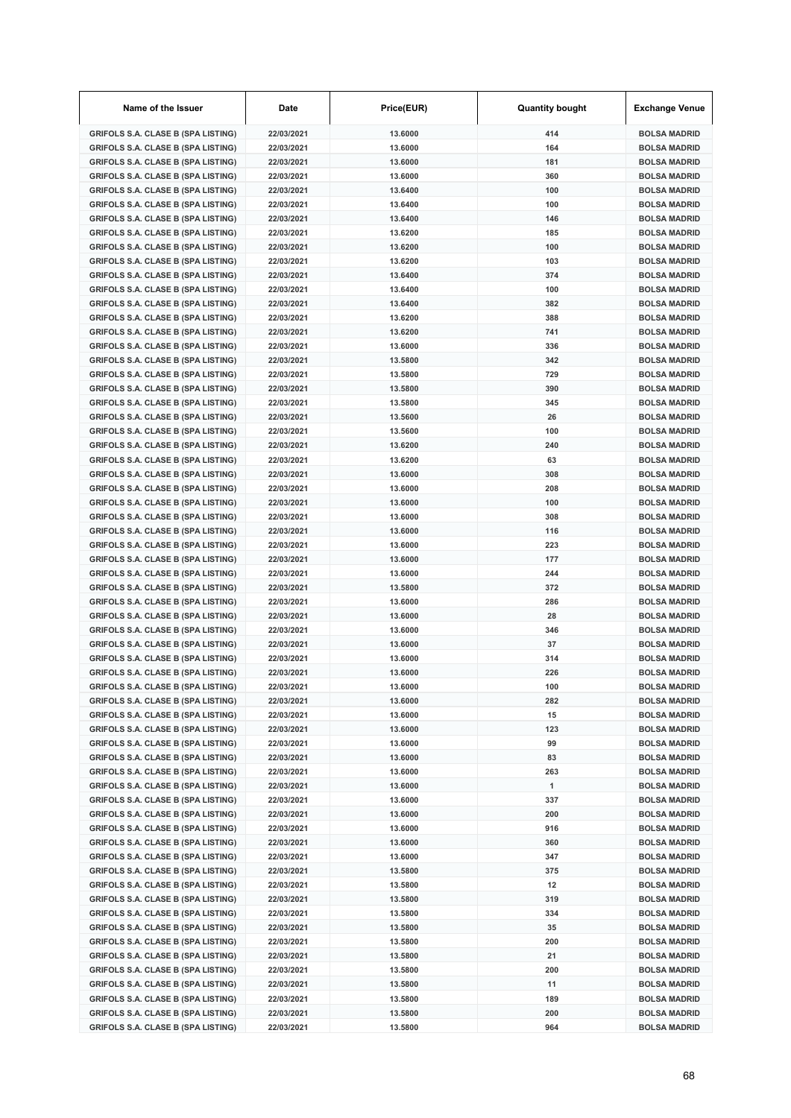| Name of the Issuer                                                                     | Date                     | Price(EUR)         | <b>Quantity bought</b> | <b>Exchange Venue</b>                      |
|----------------------------------------------------------------------------------------|--------------------------|--------------------|------------------------|--------------------------------------------|
| <b>GRIFOLS S.A. CLASE B (SPA LISTING)</b>                                              | 22/03/2021               | 13.6000            | 414                    | <b>BOLSA MADRID</b>                        |
| <b>GRIFOLS S.A. CLASE B (SPA LISTING)</b>                                              | 22/03/2021               | 13.6000            | 164                    | <b>BOLSA MADRID</b>                        |
| <b>GRIFOLS S.A. CLASE B (SPA LISTING)</b>                                              | 22/03/2021               | 13.6000            | 181                    | <b>BOLSA MADRID</b>                        |
| <b>GRIFOLS S.A. CLASE B (SPA LISTING)</b>                                              | 22/03/2021               | 13.6000            | 360                    | <b>BOLSA MADRID</b>                        |
| <b>GRIFOLS S.A. CLASE B (SPA LISTING)</b>                                              | 22/03/2021               | 13.6400            | 100                    | <b>BOLSA MADRID</b>                        |
| <b>GRIFOLS S.A. CLASE B (SPA LISTING)</b>                                              | 22/03/2021               | 13.6400            | 100                    | <b>BOLSA MADRID</b>                        |
| <b>GRIFOLS S.A. CLASE B (SPA LISTING)</b>                                              | 22/03/2021               | 13.6400            | 146                    | <b>BOLSA MADRID</b>                        |
| <b>GRIFOLS S.A. CLASE B (SPA LISTING)</b>                                              | 22/03/2021               | 13.6200            | 185                    | <b>BOLSA MADRID</b>                        |
| <b>GRIFOLS S.A. CLASE B (SPA LISTING)</b>                                              | 22/03/2021               | 13.6200            | 100                    | <b>BOLSA MADRID</b>                        |
| <b>GRIFOLS S.A. CLASE B (SPA LISTING)</b>                                              | 22/03/2021               | 13.6200            | 103                    | <b>BOLSA MADRID</b>                        |
| <b>GRIFOLS S.A. CLASE B (SPA LISTING)</b>                                              | 22/03/2021               | 13.6400            | 374                    | <b>BOLSA MADRID</b>                        |
| <b>GRIFOLS S.A. CLASE B (SPA LISTING)</b>                                              | 22/03/2021               | 13.6400            | 100                    | <b>BOLSA MADRID</b>                        |
| <b>GRIFOLS S.A. CLASE B (SPA LISTING)</b>                                              | 22/03/2021               | 13.6400            | 382                    | <b>BOLSA MADRID</b>                        |
| <b>GRIFOLS S.A. CLASE B (SPA LISTING)</b>                                              | 22/03/2021               | 13.6200            | 388                    | <b>BOLSA MADRID</b>                        |
| <b>GRIFOLS S.A. CLASE B (SPA LISTING)</b>                                              | 22/03/2021               | 13.6200            | 741                    | <b>BOLSA MADRID</b>                        |
| <b>GRIFOLS S.A. CLASE B (SPA LISTING)</b>                                              | 22/03/2021               | 13.6000            | 336                    | <b>BOLSA MADRID</b>                        |
| <b>GRIFOLS S.A. CLASE B (SPA LISTING)</b>                                              | 22/03/2021               | 13.5800            | 342                    | <b>BOLSA MADRID</b>                        |
| <b>GRIFOLS S.A. CLASE B (SPA LISTING)</b>                                              | 22/03/2021               | 13.5800            | 729                    | <b>BOLSA MADRID</b>                        |
| <b>GRIFOLS S.A. CLASE B (SPA LISTING)</b>                                              | 22/03/2021               | 13.5800            | 390                    | <b>BOLSA MADRID</b>                        |
| <b>GRIFOLS S.A. CLASE B (SPA LISTING)</b>                                              | 22/03/2021               | 13.5800            | 345                    | <b>BOLSA MADRID</b>                        |
| <b>GRIFOLS S.A. CLASE B (SPA LISTING)</b>                                              | 22/03/2021               | 13.5600            | 26                     | <b>BOLSA MADRID</b>                        |
| <b>GRIFOLS S.A. CLASE B (SPA LISTING)</b>                                              | 22/03/2021               | 13.5600            | 100                    | <b>BOLSA MADRID</b>                        |
| <b>GRIFOLS S.A. CLASE B (SPA LISTING)</b>                                              | 22/03/2021               | 13.6200            | 240                    | <b>BOLSA MADRID</b>                        |
| <b>GRIFOLS S.A. CLASE B (SPA LISTING)</b>                                              | 22/03/2021               | 13.6200            | 63                     | <b>BOLSA MADRID</b>                        |
| <b>GRIFOLS S.A. CLASE B (SPA LISTING)</b>                                              | 22/03/2021               | 13,6000            | 308                    | <b>BOLSA MADRID</b>                        |
| <b>GRIFOLS S.A. CLASE B (SPA LISTING)</b>                                              | 22/03/2021               | 13.6000            | 208                    | <b>BOLSA MADRID</b>                        |
| <b>GRIFOLS S.A. CLASE B (SPA LISTING)</b>                                              | 22/03/2021               | 13.6000            | 100                    | <b>BOLSA MADRID</b>                        |
| <b>GRIFOLS S.A. CLASE B (SPA LISTING)</b>                                              | 22/03/2021               | 13.6000            | 308                    | <b>BOLSA MADRID</b>                        |
| <b>GRIFOLS S.A. CLASE B (SPA LISTING)</b>                                              | 22/03/2021               | 13.6000            | 116                    | <b>BOLSA MADRID</b>                        |
| <b>GRIFOLS S.A. CLASE B (SPA LISTING)</b>                                              | 22/03/2021               | 13.6000            | 223                    | <b>BOLSA MADRID</b>                        |
| <b>GRIFOLS S.A. CLASE B (SPA LISTING)</b>                                              | 22/03/2021               | 13.6000            | 177                    | <b>BOLSA MADRID</b>                        |
| <b>GRIFOLS S.A. CLASE B (SPA LISTING)</b>                                              | 22/03/2021               | 13.6000            | 244                    | <b>BOLSA MADRID</b>                        |
| <b>GRIFOLS S.A. CLASE B (SPA LISTING)</b>                                              | 22/03/2021               | 13.5800            | 372                    | <b>BOLSA MADRID</b>                        |
| <b>GRIFOLS S.A. CLASE B (SPA LISTING)</b>                                              | 22/03/2021               | 13.6000            | 286                    | <b>BOLSA MADRID</b>                        |
| <b>GRIFOLS S.A. CLASE B (SPA LISTING)</b>                                              | 22/03/2021               | 13,6000            | 28                     | <b>BOLSA MADRID</b>                        |
| <b>GRIFOLS S.A. CLASE B (SPA LISTING)</b>                                              | 22/03/2021               | 13.6000            | 346                    | <b>BOLSA MADRID</b>                        |
| <b>GRIFOLS S.A. CLASE B (SPA LISTING)</b>                                              | 22/03/2021               | 13.6000            | 37                     | <b>BOLSA MADRID</b>                        |
| <b>GRIFOLS S.A. CLASE B (SPA LISTING)</b>                                              | 22/03/2021               | 13.6000            | 314                    | <b>BOLSA MADRID</b>                        |
| <b>GRIFOLS S.A. CLASE B (SPA LISTING)</b>                                              | 22/03/2021               | 13,6000            | 226                    | <b>BOLSA MADRID</b>                        |
| <b>GRIFOLS S.A. CLASE B (SPA LISTING)</b>                                              | 22/03/2021               | 13,6000            | 100                    | <b>BOLSA MADRID</b>                        |
| <b>GRIFOLS S.A. CLASE B (SPA LISTING)</b>                                              | 22/03/2021               | 13.6000            | 282                    | <b>BOLSA MADRID</b>                        |
| <b>GRIFOLS S.A. CLASE B (SPA LISTING)</b>                                              | 22/03/2021               | 13.6000            | 15<br>123              | <b>BOLSA MADRID</b>                        |
| <b>GRIFOLS S.A. CLASE B (SPA LISTING)</b>                                              | 22/03/2021               | 13.6000            |                        | <b>BOLSA MADRID</b>                        |
| <b>GRIFOLS S.A. CLASE B (SPA LISTING)</b><br><b>GRIFOLS S.A. CLASE B (SPA LISTING)</b> | 22/03/2021               | 13.6000<br>13.6000 | 99<br>83               | <b>BOLSA MADRID</b>                        |
|                                                                                        | 22/03/2021               |                    |                        | <b>BOLSA MADRID</b>                        |
| <b>GRIFOLS S.A. CLASE B (SPA LISTING)</b><br><b>GRIFOLS S.A. CLASE B (SPA LISTING)</b> | 22/03/2021<br>22/03/2021 | 13.6000<br>13.6000 | 263<br>1               | <b>BOLSA MADRID</b><br><b>BOLSA MADRID</b> |
| <b>GRIFOLS S.A. CLASE B (SPA LISTING)</b>                                              |                          |                    | 337                    | <b>BOLSA MADRID</b>                        |
| <b>GRIFOLS S.A. CLASE B (SPA LISTING)</b>                                              | 22/03/2021<br>22/03/2021 | 13.6000<br>13.6000 | 200                    | <b>BOLSA MADRID</b>                        |
|                                                                                        |                          |                    | 916                    | <b>BOLSA MADRID</b>                        |
| <b>GRIFOLS S.A. CLASE B (SPA LISTING)</b><br><b>GRIFOLS S.A. CLASE B (SPA LISTING)</b> | 22/03/2021<br>22/03/2021 | 13.6000<br>13.6000 | 360                    | <b>BOLSA MADRID</b>                        |
| <b>GRIFOLS S.A. CLASE B (SPA LISTING)</b>                                              | 22/03/2021               | 13.6000            | 347                    | <b>BOLSA MADRID</b>                        |
| <b>GRIFOLS S.A. CLASE B (SPA LISTING)</b>                                              | 22/03/2021               | 13.5800            | 375                    | <b>BOLSA MADRID</b>                        |
| <b>GRIFOLS S.A. CLASE B (SPA LISTING)</b>                                              | 22/03/2021               | 13.5800            | 12                     | <b>BOLSA MADRID</b>                        |
| <b>GRIFOLS S.A. CLASE B (SPA LISTING)</b>                                              | 22/03/2021               | 13.5800            | 319                    | <b>BOLSA MADRID</b>                        |
| <b>GRIFOLS S.A. CLASE B (SPA LISTING)</b>                                              | 22/03/2021               | 13.5800            | 334                    | <b>BOLSA MADRID</b>                        |
| <b>GRIFOLS S.A. CLASE B (SPA LISTING)</b>                                              | 22/03/2021               | 13.5800            | 35                     | <b>BOLSA MADRID</b>                        |
| <b>GRIFOLS S.A. CLASE B (SPA LISTING)</b>                                              | 22/03/2021               | 13.5800            | 200                    | <b>BOLSA MADRID</b>                        |
| <b>GRIFOLS S.A. CLASE B (SPA LISTING)</b>                                              | 22/03/2021               | 13.5800            | 21                     | <b>BOLSA MADRID</b>                        |
| <b>GRIFOLS S.A. CLASE B (SPA LISTING)</b>                                              | 22/03/2021               | 13.5800            | 200                    | <b>BOLSA MADRID</b>                        |
| <b>GRIFOLS S.A. CLASE B (SPA LISTING)</b>                                              | 22/03/2021               | 13.5800            | 11                     | <b>BOLSA MADRID</b>                        |
| <b>GRIFOLS S.A. CLASE B (SPA LISTING)</b>                                              | 22/03/2021               | 13.5800            | 189                    | <b>BOLSA MADRID</b>                        |
| <b>GRIFOLS S.A. CLASE B (SPA LISTING)</b>                                              | 22/03/2021               | 13.5800            | 200                    | <b>BOLSA MADRID</b>                        |
| <b>GRIFOLS S.A. CLASE B (SPA LISTING)</b>                                              | 22/03/2021               | 13.5800            | 964                    | <b>BOLSA MADRID</b>                        |
|                                                                                        |                          |                    |                        |                                            |